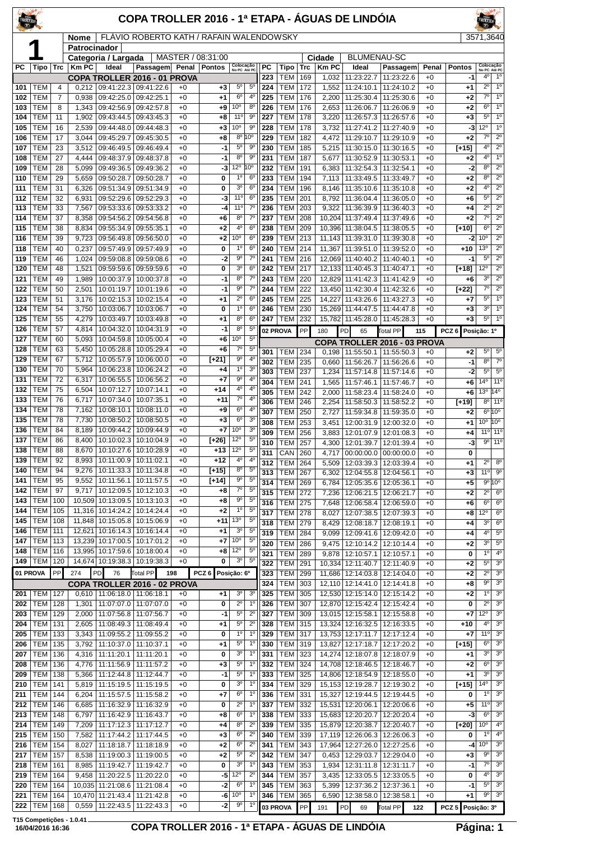| TROLLER                 |                          |                |                             |                                                                    | COPA TROLLER 2016 - 1ª ETAPA - ÁGUAS DE LINDÓIA |              |                       |                                   |                                  |            |                                  |            |                |                                                              |                                            |              |                   | ROLLER                             |                                  |
|-------------------------|--------------------------|----------------|-----------------------------|--------------------------------------------------------------------|-------------------------------------------------|--------------|-----------------------|-----------------------------------|----------------------------------|------------|----------------------------------|------------|----------------|--------------------------------------------------------------|--------------------------------------------|--------------|-------------------|------------------------------------|----------------------------------|
|                         |                          |                | <b>Nome</b><br>Patrocinador |                                                                    | FLÁVIO ROBERTO KATH / RAFAIN WALENDOWSKY        |              |                       |                                   |                                  |            |                                  |            |                |                                                              |                                            |              |                   | 3571,3640                          |                                  |
|                         |                          |                |                             | Categoria / Largada                                                |                                                 |              | MASTER / 08:31:00     |                                   |                                  |            |                                  |            | Cidade         | <b>BLUMENAU-SC</b>                                           |                                            |              |                   |                                    |                                  |
| РC                      | Tipo                     | Trc            | Km PC                       | Ideal                                                              | Passagem Penal                                  |              | <b>Pontos</b>         | Colocação<br>No PC Até PC         |                                  | PC         | Tipo                             | Trc        | Km PC          | Ideal                                                        | Passagem                                   | Penal        | Pontos            | Colocação<br>No PC Até PC          |                                  |
| 101                     | TEM                      | 4              |                             | COPA TROLLER 2016 - 01 PROVA<br>$0,212$   09:41:22.3   09:41:22.6  |                                                 | $+0$         | $+3$                  | $5^{\circ}$                       | $5^{\circ}$                      | 223<br>224 | <b>TEM</b><br><b>TEM</b>         | 169<br>172 | 1,032<br>1,552 | 11:23:22.7<br>11:24:10.1                                     | 11:23:22.6<br>11:24:10.2                   | $+0$<br>$+0$ | -1<br>+1          | 4 <sup>0</sup><br>$2^{\circ}$      | $1^{\circ}$<br>1 <sup>0</sup>    |
| 102                     | <b>TEM</b>               | $\overline{7}$ | 0,938                       | 09:42:25.0                                                         | 09:42:25.1                                      | $+0$         | $+1$                  | 6 <sup>o</sup>                    | $4^{\circ}$                      | 225        | <b>TEM</b>                       | 176        | 2,200          | 11:25:30.4                                                   | 11:25:30.6                                 | $+0$         | +2                | $7^\circ$                          | 1 <sup>0</sup>                   |
| 103                     | TEM                      | 8              | 1,343                       | 09:42:56.9                                                         | 09:42:57.8                                      | $+0$         | +9                    | 10 <sup>o</sup>                   | $8^{\circ}$                      | 226        | <b>TEM</b>                       | 176        | 2,653          | 11:26:06.7                                                   | 11:26:06.9                                 | $+0$         | +2                | 6 <sup>o</sup>                     | $1^{\circ}$                      |
| 104                     | TEM                      | 11             | 1,902                       | 09:43:44.5                                                         | 09:43:45.3                                      | $+0$         | +8                    | $11^{\circ}$                      | 90                               | 227        | <b>TEM</b>                       | 178        | 3,220          | 11:26:57.3                                                   | 11:26:57.6                                 | $+0$         | $+3$              | $5^{\circ}$                        | $1^{\circ}$                      |
| 105                     | TEM                      | 16             | 2,539                       | 09:44:48.0                                                         | 09:44:48.3                                      | $+0$         | $+3$                  | 10 <sup>o</sup><br>$8^{\circ}$    | 90<br>10°                        | 228        | <b>TEM</b>                       | 178        | 3,732          | 11:27:41.2                                                   | 11:27:40.9                                 | $+0$         | -3                | $12^{\circ}$<br>$7^\circ$          | 1 <sup>0</sup><br>$2^{\circ}$    |
| 106<br>107              | TEM<br>TEM               | 17<br>23       | 3,044<br>3,512              | 09:45:29.7<br>09:46:49.5                                           | 09:45:30.5<br>09:46:49.4                        | $+0$<br>$+0$ | +8<br>-1              | 5 <sup>0</sup>                    | 9 <sup>c</sup>                   | 229<br>230 | <b>TEM</b><br><b>TEM</b>         | 182<br>185 | 4,472<br>5.215 | 11:29:10.7<br>11:30:15.0                                     | 11:29:10.9<br>11:30:16.5                   | $+0$<br>$+0$ | +2<br>$[+15]$     | 4 <sup>0</sup>                     | $2^{\circ}$                      |
| 108                     | <b>TEM</b>               | 27             | 4,444                       | 09:48:37.9                                                         | 09:48:37.8                                      | $+0$         | -1                    | $8^{\circ}$                       | 90                               | 231        | <b>TEM</b>                       | 187        | 5.677          | 11:30:52.9                                                   | 11:30:53.1                                 | $+0$         | +2                | $4^{\circ}$                        | 1 <sup>°</sup>                   |
| 109                     | TEM                      | 28             | 5,099                       | 09:49:36.5                                                         | 09:49:36.2                                      | $+0$         | -3                    | $12^{\circ}$                      | 10°                              | 232        | <b>TEM</b>                       | 191        | 6,383          | 11:32:54.3                                                   | 11:32:54.1                                 | $+0$         | $-2$              | $8^{\circ}$                        | $2^{\circ}$                      |
| 110                     | TEM                      | 29             | 5,659                       | 09:50:28.7                                                         | 09:50:28.7                                      | $+0$         | 0                     | $1^{\circ}$                       | $6^{\circ}$                      | 233        | <b>TEM</b>                       | 194        | 7,113          | 11:33:49.5   11:33:49.7                                      |                                            | $+0$         | +2                | $8^{\circ}$<br>$4^{\circ}$         | $\overline{2^{\circ}}$           |
| 111<br>112              | <b>TEM</b><br>TEM        | 31<br>32       | 6,326<br>6,931              | 09:51:34.9<br>09:52:29.6                                           | 09:51:34.9<br>09:52:29.3                        | $+0$<br>$+0$ | 0<br>-3               | 3 <sup>0</sup><br>$11^{\circ}$    | $6^{\circ}$<br>6 <sup>o</sup>    | 234<br>235 | <b>TEM</b><br><b>TEM</b>         | 196<br>201 | 8,146<br>8,792 | 11:35:10.6<br>11:36:04.4                                     | 11:35:10.8<br>11:36:05.0                   | $+0$<br>$+0$ | +2<br>+6          | $5^\circ$                          | $2^{\circ}$<br>$2^{\circ}$       |
| 113                     | TEM                      | 33             | 7,567                       | 09:53:33.6                                                         | 09:53:33.2                                      | $+0$         | -4                    | 11 <sup>°</sup>                   | $7^\circ$                        | 236        | <b>TEM</b>                       | 203        | 9,322          |                                                              | 11:36:39.9 11:36:40.3                      | $+0$         | +4                | $2^{\circ}$                        | $2^{\circ}$                      |
| 114                     | TEM                      | 37             | 8,358                       | 09:54:56.2                                                         | 09:54:56.8                                      | $+0$         | +6                    | 8 <sup>o</sup>                    | $7^\circ$                        | 237        | <b>TEM</b>                       | 208        | 10,204         | 11:37:49.4                                                   | 11:37:49.6                                 | $+0$         | $+2$              | $7^\circ$                          | $2^{\circ}$                      |
| 115                     | TEM                      | 38             | 8,834                       | 09:55:34.9                                                         | 09:55:35.1                                      | $+0$         | +2                    | 4°                                | 6 <sup>o</sup>                   | 238        | <b>TEM</b>                       | 209        |                | 10.396 11:38:04.5                                            | 11:38:05.5                                 | $+0$         | $[+10]$           | $6^{\circ}$                        | $2^{\circ}$                      |
| 116                     | <b>TEM</b>               | 39             | 9,723                       | 09:56:49.8<br>09:57:49.9                                           | 09:56:50.0                                      | $+0$         | $+2$                  | 10 <sup>o</sup><br>1 <sup>0</sup> | 6 <sup>o</sup><br>$6^{\circ}$    | 239        | <b>TEM</b>                       | 213        |                | 11,143   11:39:31.0   11:39:30.8                             |                                            | $+0$         | -2                | 10 <sup>o</sup><br>13 <sup>o</sup> | $2^{\circ}$<br>$2^{\circ}$       |
| 118<br>119              | TEM<br>TEM               | 40<br>46       | 0,237<br>1,024              | 09:59:08.8                                                         | 09:57:49.9<br>09:59:08.6                        | $+0$<br>$+0$ | 0<br>-2               | $9^{\circ}$                       | $7^\circ$                        | 240<br>241 | <b>TEM</b><br><b>TEM</b>         | 214<br>216 | 11,367         | 11:39:51.0 11:39:52.0<br>12,069 11:40:40.2                   | 11:40:40.1                                 | $+0$<br>$+0$ | $+10$<br>$-1$     | $5^{\circ}$                        | $2^{\circ}$                      |
| 120                     | TEM                      | 48             | 1,521                       | 09:59:59.6                                                         | 09:59:59.6                                      | $+0$         | 0                     | 3 <sup>o</sup>                    | $6^{\circ}$                      | 242        | <b>TEM</b>                       | 217        |                | 12,133 11:40:45.3                                            | 11:40:47.1                                 | $+0$         | [+18]             | 12°                                | $2^{\circ}$                      |
| 121                     | TEM                      | 49             | 1,989                       | 10:00:37.9                                                         | 10:00:37.8                                      | $+0$         | -1                    | 8 <sup>o</sup>                    | $7^\circ$                        | 243        | <b>TEM</b>                       | 220        |                | 12,829 11:41:42.3                                            | 11:41:42.9                                 | $+0$         | +6                | 3 <sup>o</sup>                     | $2^{\circ}$                      |
| 122                     | TEM                      | 50             | 2,501                       | 10:01:19.7                                                         | 10:01:19.6                                      | $+0$         | $-1$                  | $9^{\circ}$                       | $7^\circ$                        | 244        | <b>TEM</b>                       | 222        |                | 13,450 11:42:30.4                                            | 11:42:32.6                                 | $+0$         | [+22]             | $7^\circ$                          | $2^{\circ}$                      |
| 123<br>124              | TEM<br>TEM               | 51<br>54       | 3,176<br>3,750              | 10:02:15.3<br>10:03:06.7                                           | 10:02:15.4<br>10:03:06.7                        | $+0$<br>$+0$ | +1<br>0               | $2^{\circ}$<br>$1^{\circ}$        | 6 <sup>o</sup><br>6 <sup>o</sup> | 245<br>246 | <b>TEM</b><br><b>TEM</b>         | 225<br>230 | 14,227         | 11:43:26.6<br>15,269 11:44:47.5                              | 11:43:27.3<br>11:44:47.8                   | $+0$<br>$+0$ | +7<br>+3          | $5^{\circ}$<br>3 <sup>o</sup>      | 1 <sup>0</sup><br>1 <sup>°</sup> |
| 125                     | <b>TEM</b>               | 55             | 4,279                       | 10:03:49.7                                                         | 10:03:49.8                                      | $+0$         | +1                    | $8^{\circ}$                       | 6 <sup>o</sup>                   | 247        | <b>TEM</b>                       | 232        |                | 15,782 11:45:28.0 11:45:28.3                                 |                                            | $+0$         | +3                | $5^{\circ}$                        | $1^{\circ}$                      |
| 126                     | TEM                      | 57             | 4,814                       | 10:04:32.0                                                         | 10:04:31.9                                      | $+0$         | -1                    | $8^{\circ}$                       | $5^{\circ}$                      |            | 02 PROVA                         | PP         | 180            | PD<br>65                                                     | <b>Total PP</b>                            | 115          | PCZ6              | Posição: 1º                        |                                  |
| 127                     | TEM                      | 60             | 5,093                       | 10:04:59.8                                                         | 10:05:00.4                                      | $+0$         | +6                    | 10 <sup>o</sup>                   | $5^{\circ}$                      |            |                                  |            |                |                                                              | COPA TROLLER 2016 - 03 PROVA               |              |                   |                                    |                                  |
| 128<br>129              | TEM<br>TEM               | 63<br>67       | 5,450<br>5,712              | 10:05:28.8<br>10:05:57.9                                           | 10:05:29.4<br>10:06:00.0                        | $+0$<br>$+0$ | $+6$<br>$[+21]$       | $7^\circ$<br>9 <sup>o</sup>       | $5^{\circ}$<br>$4^{\circ}$       | 301        | <b>TEM</b>                       | 234        |                | 0,198   11:55:50.1   11:55:50.3                              |                                            | $+0$         | +2                | $5^{\circ}$                        | $5^{\circ}$                      |
| 130                     | TEM                      | 70             | 5,964                       | 10:06:23.8                                                         | 10:06:24.2                                      | $+0$         | $+4$                  | 1 <sup>0</sup>                    | 3 <sup>0</sup>                   | 302<br>303 | <b>TEM</b><br><b>TEM</b>         | 235<br>237 | 0.660<br>1,234 | 11:56:26.7<br>11:57:14.8                                     | 11:56:26.6<br>11:57:14.6                   | $+0$<br>$+0$ | -1<br>-2          | $8^{\circ}$<br>5 <sup>0</sup>      | $7^\circ$<br>$5^{\circ}$         |
| 131                     | TEM                      | 72             | 6,317                       | 10:06:55.5                                                         | 10:06:56.2                                      | $+0$         | +7                    | 90                                | $4^{\circ}$                      | 304        | <b>TEM</b>                       | 241        | 1,565          | 11:57:46.1   11:57:46.7                                      |                                            | $+0$         | +6                | $14^{\circ}$ 11 <sup>°</sup>       |                                  |
| 132                     | TEM                      | 75             | 6,504                       | 10:07:12.7                                                         | 10:07:14.1                                      | $+0$         | +14                   | 4°                                | 4 <sup>0</sup>                   | 305        | <b>TEM</b>                       | 242        | 2,000          | 11:58:23.4                                                   | 11:58:24.0                                 | $+0$         | +6                | $13^{\circ}$ 14 $^{\circ}$         |                                  |
| 133<br>134              | TEM<br><b>TEM</b>        | 76<br>78       | 6,717<br>7,162              | 10:07:34.0<br>10:08:10.1                                           | 10:07:35.1<br>10:08:11.0                        | $+0$<br>$+0$ | $+11$                 | $7^\circ$<br>6 <sup>o</sup>       | 4 <sup>0</sup><br>$4^{\circ}$    | 306        | <b>TEM</b>                       | 246        | 2,254          | 11:58:50.3                                                   | 11:58:52.2                                 | $+0$         | [+19]             |                                    | $8^{\circ}$   11 $^{\circ}$      |
| 135                     | TEM                      | 78             | 7,730                       | 10:08:50.2                                                         | 10:08:50.5                                      | $+0$         | +9<br>$+3$            | 6 <sup>o</sup>                    | 3 <sup>o</sup>                   | 307<br>308 | <b>TEM</b><br><b>TEM</b>         | 250<br>253 | 2,727<br>3,451 | 11:59:34.8<br>12:00:31.9                                     | 11:59:35.0<br>12:00:32.0                   | $+0$<br>$+0$ | +2<br>+1          | $10^{\circ}$ $10^{\circ}$          | $6^{\circ}10^{\circ}$            |
| 136                     | <b>TEM</b>               | 84             | 8,189                       | 10:09:44.2                                                         | 10:09:44.9                                      | $+0$         | +7                    | 10 <sup>o</sup>                   | 3 <sup>o</sup>                   | 309        | <b>TEM</b>                       | 256        | 3,883          | 12:01:07.9                                                   | 12:01:08.3                                 | $+0$         | +4                |                                    | 11 <sup>o</sup> 11 <sup>o</sup>  |
| 137                     | TEM                      | 86             | 8,400                       | 10:10:02.3                                                         | 10:10:04.9                                      | $+0$         | $[+26]$               | 12°                               | $5^{\circ}$                      | 310        | <b>TEM</b>                       | 257        | 4,300          | 12:01:39.7                                                   | 12:01:39.4                                 | $+0$         | -3                |                                    | $9°$ 11°                         |
| 138<br>$\overline{139}$ | <b>TEM</b><br><b>TEM</b> | 88             | 8,670                       |                                                                    | 10:10:27.6   10:10:28.9                         | $+0$         | $+13$                 | 12°<br>4º                         | $5^{\circ}$<br>4 <sup>c</sup>    | 311        | CAN                              | 260        | 4,717          |                                                              | 00:00:00.0 00:00:00.0                      | $+0$         | 0                 |                                    |                                  |
| 140                     | TEM                      | 92<br>94       |                             | 8,993   10:11:00.9   10:11:02.1<br>9,276   10:11:33.3   10:11:34.8 |                                                 | +0<br>$+0$   | +12<br>$[+15]$        | $8^{\circ}$                       | $5^{\circ}$                      | 312        | <b>TEM 264</b>                   |            |                | 5,509   12:03:39.3   12:03:39.4                              |                                            | $+0$         | +1                | $2^{\circ}$<br>11°                 | 8 <sup>o</sup><br>$9^{\circ}$    |
| 141                     | TEM                      | 95             |                             | $9,552$   10:11:56.1                                               | 10:11:57.5                                      | $+0$         | $[+14]$               | $9^{\rm o}$                       | $5^{\circ}$                      | 313<br>314 | <b>TEM 267</b><br><b>TEM 269</b> |            | 6,302<br>6.784 | 12:04:55.8   12:04:56.1<br>12:05:35.6 12:05:36.1             |                                            | $+0$<br>$+0$ | +3<br>$+5$        |                                    | 9°10°                            |
| 142                     | <b>TEM</b>               | 97             |                             | $9,717$   10:12:09.5   10:12:10.3                                  |                                                 | $+0$         | +8                    | $7^{\circ}$                       | $5^{\circ}$                      | 315        | <b>TEM 272</b>                   |            | 7,236          | 12:06:21.5   12:06:21.7                                      |                                            | $+0$         | +2                | $2^{\circ}$                        | 6 <sup>o</sup>                   |
| 143                     | <b>TEM</b>               | 100            |                             | 10,509 10:13:09.5 10:13:10.3                                       |                                                 | $+0$         | $+8$                  | $9^{\circ}$                       | $5^{\circ}$<br>$5^{\circ}$       | 316        | <b>TEM</b>                       | 275        | 7,648          |                                                              | 12:06:58.4 12:06:59.0                      | $+0$         | +6                | $6^{\circ}$                        | $6^{\circ}$                      |
| 144<br>145              | <b>TEM</b><br><b>TEM</b> | 105<br>108     |                             | 11,316 10:14:24.2<br>11,848   10:15:05.8                           | 10:14:24.4<br>10:15:06.9                        | $+0$<br>$+0$ | $+2$<br>+11           | $1^{\circ}$<br>13 <sup>o</sup>    | $5^{\circ}$                      | 317        | <b>TEM 278</b>                   |            | 8,027          |                                                              | 12:07:38.5 12:07:39.3                      | $+0$         | +8                | $12^{\circ}$<br>$3^{\circ}$        | $6^{\circ}$<br>$6^{\circ}$       |
| 146                     | <b>TEM</b>               | 111            |                             | 12,621 10:16:14.3 10:16:14.4                                       |                                                 | $+0$         | +1                    | 3 <sup>o</sup>                    | $5^{\circ}$                      | 318<br>319 | <b>TEM 279</b><br><b>TEM</b>     | 284        | 8,429<br>9,099 | 12:08:18.7 12:08:19.1                                        | 12:09:41.6 12:09:42.0                      | $+0$<br>$+0$ | +4<br>+4          | $4^{\circ}$                        | $5^{\circ}$                      |
| 147                     | TEM                      | 113            |                             | 13,239 10:17:00.5 10:17:01.2                                       |                                                 | $+0$         | $+7$                  | $10^{\circ}$                      | $5^{\circ}$                      | 320        | <b>TEM 286</b>                   |            |                | 9,475   12:10:14.2   12:10:14.4                              |                                            | $+0$         | +2                | $3^{\circ}$                        | $5^{\circ}$                      |
| 148                     | <b>TEM</b>               | 116            |                             | 13,995 10:17:59.6                                                  | 10:18:00.4                                      | $+0$         | +8                    | $12^{\circ}$<br>3 <sup>o</sup>    | $5^{\circ}$                      | 321        | <b>TEM</b>                       | 289        | 9,878          | 12:10:57.1   12:10:57.1                                      |                                            | $+0$         | 0                 | 1 <sup>°</sup>                     | $4^{\circ}$                      |
| 149                     | <b>TEM</b><br>01 PROVA   | 120<br>PP      | 274                         | 14,674 10:19:38.3 10:19:38.3<br>PD<br>76                           | Total PP                                        | $+0$<br>198  | 0<br>PCZ <sub>6</sub> |                                   | $5^{\circ}$                      | 322        | <b>TEM</b>                       | 291        |                | 10,334 12:11:40.7                                            | 12:11:40.9                                 | $+0$         | +2                | $5^{\circ}$<br>$2^{\circ}$         | 3 <sup>0</sup><br>3 <sup>0</sup> |
|                         |                          |                |                             | COPA TROLLER 2016 - 02 PROVA                                       |                                                 |              |                       | Posição: 6º                       |                                  | 323<br>324 | <b>TEM 299</b><br><b>TEM 303</b> |            |                | 11,686 12:14:03.8 12:14:04.0<br>12,110 12:14:41.0 12:14:41.8 |                                            | $+0$<br>$+0$ | +2<br>+8          | $9^{\circ}$                        | 3 <sup>o</sup>                   |
| 201                     | <b>TEM</b>               | 127            |                             | $0,610$   11:06:18.0   11:06:18.1                                  |                                                 | $+0$         | $+1$                  | 3 <sup>o</sup>                    | 3 <sup>o</sup>                   | 325        | <b>TEM</b>                       | 305        |                | 12,530 12:15:14.0                                            | 12:15:14.2                                 | $+0$         | +2                | $1^{\circ}$                        | 3 <sup>o</sup>                   |
| 202                     | <b>TEM</b>               | 128            | 1,301                       |                                                                    | 11:07:07.0   11:07:07.0                         | $+0$         | 0                     | $2^{\circ}$                       | $1^{\circ}$                      | 326        | <b>TEM 307</b>                   |            |                |                                                              | 12,870 12:15:42.4 12:15:42.4               | $+0$         | 0                 | $\overline{2^{\circ}}$             | 3 <sup>0</sup>                   |
| 203                     | <b>TEM</b>               | 129            | 2,000                       | 11:07:56.8   11:07:56.7                                            |                                                 | $+0$         | -1                    | $5^{\circ}$                       | $2^{\circ}$                      | 327        | <b>TEM</b>                       | 309        |                | 13,015 12:15:58.1 12:15:58.8                                 |                                            | $+0$         | +7                | $12^{\circ}$                       | 3 <sup>0</sup>                   |
| 204<br>205              | TEM<br><b>TEM</b>        | 131<br>133     | 2,605<br>3,343              | 11:09:55.2   11:09:55.2                                            | 11:08:49.3   11:08:49.4                         | $+0$<br>$+0$ | +1<br>0               | $5^{\circ}$<br>1 <sup>0</sup>     | $2^{\circ}$<br>$1^{\circ}$       | 328<br>329 | <b>TEM</b><br><b>TEM 317</b>     | 315        |                | 13,324 12:16:32.5 12:16:33.5<br>13,753 12:17:11.7 12:17:12.4 |                                            | $+0$<br>$+0$ | +10<br>+7         | $4^{\circ}$<br>11°                 | 3 <sup>o</sup><br>3 <sup>0</sup> |
| 206                     | <b>TEM</b>               | 135            |                             | 3,792   11:10:37.0   11:10:37.1                                    |                                                 | $+0$         | +1                    | $5^{\circ}$                       | $1^{\circ}$                      | 330        | <b>TEM 319</b>                   |            |                | 13,827 12:17:18.7 12:17:20.2                                 |                                            | $+0$         | $[+15]$           | $6^{\circ}$                        | 3 <sup>o</sup>                   |
| 207                     | <b>TEM</b>               | 136            |                             | 4,316 11:11:20.1                                                   | 11:11:20.1                                      | $+0$         | 0                     | $3^{\rm o}$                       | 1 <sup>0</sup>                   | 331        | <b>TEM</b>                       | 323        |                | 14,274 12:18:07.8 12:18:07.9                                 |                                            | $+0$         | +1                | $3^{\circ}$                        | 3 <sup>0</sup>                   |
| 208                     | <b>TEM</b>               | 136            | 4,776                       | 11:11:56.9                                                         | 11:11:57.2                                      | $+0$         | +3                    | $5^{\circ}$                       | $1^{\circ}$                      | 332        | <b>TEM</b>                       | 324        |                | 14,708 12:18:46.5 12:18:46.7                                 |                                            | $+0$         | +2                | $6^{\circ}$                        | 3 <sup>0</sup>                   |
| 209<br>210              | <b>TEM</b><br><b>TEM</b> | 138<br>141     | 5,366<br>5,819              | 11:12:44.8                                                         | 11:12:44.7<br>11:15:19.5   11:15:19.5           | $+0$<br>$+0$ | -1<br>0               | $5^{\circ}$<br>3 <sup>0</sup>     | $1^{\circ}$<br>$1^{\circ}$       | 333<br>334 | <b>TEM</b><br><b>TEM 329</b>     | 325        |                | 14,806 12:18:54.9 12:18:55.0<br>15,153 12:19:28.7 12:19:30.2 |                                            | $+0$<br>$+0$ | +1<br>$[+15]$     | $3^{\circ}$<br>$14^{\circ}$        | 3 <sup>o</sup><br>3 <sup>0</sup> |
| 211                     | <b>TEM</b>               | 144            | 6,204                       | 11:15:57.5   11:15:58.2                                            |                                                 | $+0$         | +7                    | 6 <sup>o</sup>                    | $1^{\circ}$                      | 336        | <b>TEM</b>                       | 331        |                | 15,327 12:19:44.5 12:19:44.5                                 |                                            | $+0$         | 0                 | $1^{\circ}$                        | 3 <sup>0</sup>                   |
| 212                     | <b>TEM</b>               | 146            | 6,685                       | 11:16:32.9                                                         | 11:16:32.9                                      | $+0$         | 0                     | $2^{\circ}$                       | $1^{\circ}$                      | 337        | <b>TEM</b>                       | 332        |                | 15,531 12:20:06.1 12:20:06.6                                 |                                            | $+0$         | +5                | 11°                                | 3 <sup>0</sup>                   |
| 213                     | <b>TEM</b>               | 148            | 6,797                       | 11:16:42.9                                                         | 11:16:43.7                                      | $+0$         | +8                    | $6^{\circ}$                       | $1^{\circ}$                      | 338        | <b>TEM</b>                       | 333        |                | 15,683 12:20:20.7 12:20:20.4                                 |                                            | $+0$         | -3                | $6^{\circ}$                        | 3 <sup>0</sup>                   |
| 214                     | <b>TEM</b>               | 149            | 7,209                       | 11:17:12.3                                                         | 11:17:12.7                                      | $+0$         | +4                    | $8^{\circ}$<br>$6^{\rm o}$        | $2^{\circ}$<br>$2^{\circ}$       | 339        | <b>TEM</b>                       | 335        |                | 15,879 12:20:38.7                                            | 12:20:40.7                                 | $+0$         | [+20]             | 10 <sup>o</sup><br>1 <sup>0</sup>  | $4^{\circ}$<br>$4^{\circ}$       |
| 215<br>216              | <b>TEM</b><br><b>TEM</b> | 150<br>154     | 7,582<br>8,027              | 11:17:44.2<br>11:18:18.7                                           | 11:17:44.5<br>11:18:18.9                        | $+0$<br>$+0$ | $^{+3}$<br>$^{+2}$    | $6^{\circ}$                       | $2^{\circ}$                      | 340<br>341 | <b>TEM</b><br><b>TEM</b>         | 339<br>343 |                | 17,964 12:27:26.0                                            | 17,119 12:26:06.3 12:26:06.3<br>12:27:25.6 | $+0$<br>$+0$ | 0<br>-4           | 10 <sup>°</sup>                    | 3 <sup>0</sup>                   |
| 217                     | <b>TEM</b>               | 157            | 8,538                       | 11:19:00.3                                                         | 11:19:00.5                                      | $+0$         | +2                    | $5^{\circ}$                       | $2^{\circ}$                      | 342        | <b>TEM</b>                       | 347        | 0,453          | 12:29:03.7                                                   | 12:29:04.0                                 | $+0$         | +3                | $9^{\circ}$                        | 3 <sup>0</sup>                   |
| 218                     | <b>TEM</b>               | 161            |                             | 8,985   11:19:42.7                                                 | 11:19:42.7                                      | $+0$         | 0                     | 3 <sup>o</sup>                    | $1^{\circ}$                      | 343        | <b>TEM 353</b>                   |            |                | 1,934   12:31:11.8   12:31:11.7                              |                                            | $+0$         | -1                | $7^\circ$                          | 3 <sup>o</sup>                   |
| 219                     | <b>TEM</b>               | 164            | 9,458                       | 11:20:22.5                                                         | 11:20:22.0                                      | $+0$         | -5                    | 12°                               | $2^{\circ}$                      | 344        | TEM                              | 357        | 3,435          | 12:33:05.5                                                   | 12:33:05.5                                 | $+0$         | 0                 | $4^{\circ}$                        | 3 <sup>o</sup>                   |
| 220<br>221              | <b>TEM</b><br><b>TEM</b> | 164<br>164     |                             | 10,035 11:21:08.6<br>10,470 11:21:43.4 11:21:42.8                  | 11:21:08.4                                      | $+0$<br>$+0$ | -2<br>-6              | $6^{\circ}$<br>10 <sup>o</sup>    | $1^{\circ}$<br>$1^{\circ}$       | 345<br>346 | TEM<br><b>TEM 365</b>            | 363        | 5,399          | 12:37:36.2<br>6,590   12:38:58.0   12:38:58.1                | 12:37:36.1                                 | $+0$<br>$+0$ | -1<br>+1          | $5^{\circ}$<br>$9^{\circ}$         | 3 <sup>o</sup><br>3 <sup>0</sup> |
| 222                     | <b>TEM</b>               | 168            |                             | $0,559$   11:22:43.5                                               | 11:22:43.3                                      | $+0$         | $-2$                  | $9^{\rm o}$                       | $1^{\circ}$                      |            | 03 PROVA                         | PP         | 191            | PD<br>69                                                     | Total PP                                   | 122          | PCZ 5 Posição: 3º |                                    |                                  |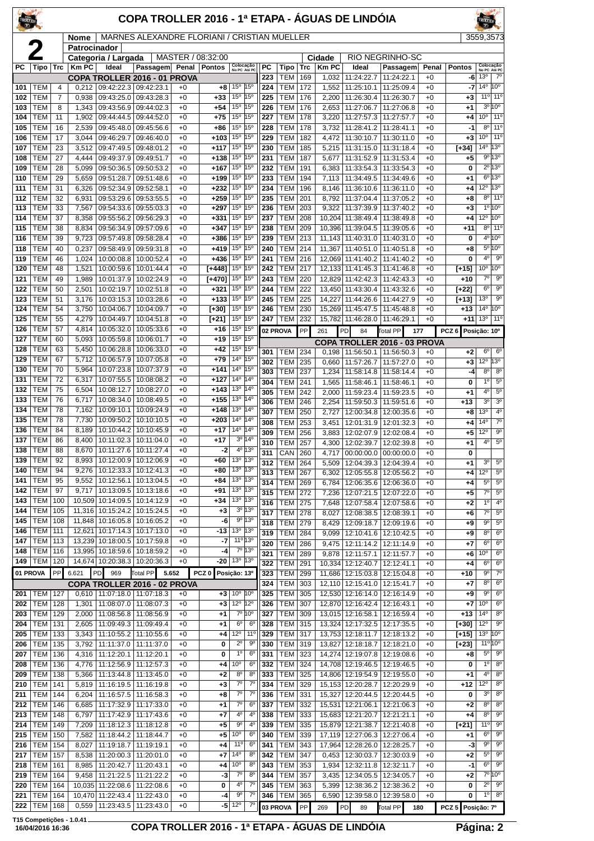| TROLT PL   |                          |            |                 |                                                 | COPA TROLLER 2016 - 1ª ETAPA - ÁGUAS DE LINDÓIA |              |                      |                                                                    |                            |            |                          |            |                |                                        |                                                                |                 |                    |                                    |                                            |
|------------|--------------------------|------------|-----------------|-------------------------------------------------|-------------------------------------------------|--------------|----------------------|--------------------------------------------------------------------|----------------------------|------------|--------------------------|------------|----------------|----------------------------------------|----------------------------------------------------------------|-----------------|--------------------|------------------------------------|--------------------------------------------|
|            |                          |            | Nome            |                                                 | MARNES ALEXANDRE FLORIANI / CRISTIAN MUELLER    |              |                      |                                                                    |                            |            |                          |            |                |                                        |                                                                |                 |                    | 3559,3573                          |                                            |
|            | 2                        |            | Patrocinador    | Categoria / Largada                             |                                                 |              | MASTER / 08:32:00    |                                                                    |                            |            |                          |            | Cidade         |                                        | RIO NEGRINHO-SC                                                |                 |                    |                                    |                                            |
| РC         | Tipo                     | <b>Trc</b> | Km PC           | Ideal                                           | Passagem Penal Pontos                           |              |                      | Colocação<br>No PC Até PC                                          |                            | PC         | Tipo                     | Trc        | <b>KmPC</b>    | Ideal                                  | Passagem                                                       | Penal           | <b>Pontos</b>      | Colocação<br>No PC Até PC          |                                            |
| 101        | TEM                      | 4          |                 | $0,212$   09:42:22.3   09:42:23.1               | COPA TROLLER 2016 - 01 PROVA                    | $+0$         | $+8$                 | 15 <sup>°</sup> 15 <sup>°</sup>                                    |                            | 223<br>224 | <b>TEM</b><br><b>TEM</b> | 169<br>172 | 1,032<br>1,552 | 11:24:22.7<br>11:25:10.1               | 11:24:22.1<br>11:25:09.4                                       | $+0$<br>$+0$    | -6<br>-7           | 13 <sup>o</sup><br>$14^{\circ}$    | $7^\circ$<br>10°                           |
| 102        | TEM                      | 7          | 0,938           | 09:43:25.0                                      | 09:43:28.3                                      | $+0$         | $+33$                | 15 <sup>o</sup> 15 <sup>o</sup>                                    |                            | 225        | <b>TEM</b>               | 176        | 2,200          | 11:26:30.4                             | 11:26:30.7                                                     | $+0$            | $+3$               | 11°                                | $11^{\circ}$                               |
| 103        | TEM                      | 8          | 1,343           | 09:43:56.9                                      | 09:44:02.3                                      | $+0$         | $+54$                | 15 <sup>o</sup>   15 <sup>o</sup>                                  |                            | 226        | <b>TEM</b>               | 176        | 2,653          | 11:27:06.7                             | 11:27:06.8                                                     | $+0$            | $+1$               | 3 <sup>o</sup>                     | 10 <sup>o</sup>                            |
| 104<br>105 | TEM<br>TEM               | 11<br>16   | 1,902<br>2,539  | 09:44:44.5<br>09:45:48.0                        | 09:44:52.0<br>09:45:56.6                        | $+0$<br>$+0$ | $+75$<br>+86         | 15 <sup>o</sup> 15 <sup>o</sup><br>15 <sup>o</sup> 15 <sup>o</sup> |                            | 227<br>228 | <b>TEM</b><br><b>TEM</b> | 178<br>178 | 3,220<br>3,732 | 11:27:57.3<br>11:28:41.2               | 11:27:57.7<br>11:28:41.1                                       | $+0$<br>$+0$    | $+4$<br>-1         | 10 <sup>o</sup><br>8 <sup>o</sup>  | 11 <sup>o</sup><br>11 <sup>0</sup>         |
| 106        | TEM                      | 17         | 3,044           | 09:46:29.7                                      | 09:46:40.0                                      | $+0$         | +103                 | $15^{\circ}$ 15°                                                   |                            | 229        | <b>TEM</b>               | 182        | 4,472          | 11:30:10.7                             | 11:30:11.0                                                     | $+0$            | $+3$               | 10 <sup>o</sup>                    | 11 <sup>o</sup>                            |
| 107        | TEM                      | 23         | 3,512           | 09:47:49.5                                      | 09:48:01.2                                      | $+0$         | $+117$               | 15 <sup>o</sup>                                                    | 15°                        | 230        | <b>TEM</b>               | 185        | 5,215          | 11:31:15.0                             | 11:31:18.4                                                     | $+0$            | $[+34]$            | 14 <sup>o</sup>                    | $13^{\circ}$                               |
| 108<br>109 | <b>TEM</b><br>TEM        | 27<br>28   | 4,444<br>5,099  | 09:49:37.9<br>09:50:36.5                        | 09:49:51.7<br>09:50:53.2                        | $+0$         | $+138$<br>+167       | 15 <sup>0</sup><br>$15^{\circ}$                                    | 15°<br>15°                 | 231<br>232 | <b>TEM</b><br>TEM        | 187<br>191 | 5,677<br>6,383 | 11:31:52.9                             | 11:31:53.4<br>11:33:54.3                                       | $+0$<br>$+0$    | $+5$<br>0          |                                    | 9º 13º<br>$2^{\circ}$ 13°                  |
| 110        | TEM                      | 29         | 5,659           | 09:51:28.7                                      | 09:51:48.6                                      | +0<br>$+0$   | $+199$               | $15^{\circ}$ 15°                                                   |                            | 233        | TEM                      | 194        |                | 11:33:54.3                             | 7,113   11:34:49.5   11:34:49.6                                | $+0$            | $+1$               |                                    | $6^{\circ}13^{\circ}$                      |
| 111        | TEM                      | 31         | 6,326           | 09:52:34.9                                      | 09:52:58.1                                      | $+0$         | $+232$               | $15^{\circ}$                                                       | 15°                        | 234        | <b>TEM</b>               | 196        | 8,146          | 11:36:10.6                             | 11:36:11.0                                                     | $+0$            | $^{+4}$            | 12°                                | 13°                                        |
| 112        | TEM                      | 32         | 6,931           | 09:53:29.6                                      | 09:53:55.5                                      | +0           | $+259$               | $15^{\circ}$                                                       | 15°                        | 235        | <b>TEM</b>               | 201        | 8,792          | 11:37:04.4                             | 11:37:05.2                                                     | $+0$            | +8                 | $8^{\circ}$                        | $11^{\circ}$                               |
| 113<br>114 | TEM<br>TEM               | 33<br>37   | 7,567<br>8,358  | 09:54:33.6<br>09:55:56.2                        | 09:55:03.3<br>09:56:29.3                        | $+0$<br>$+0$ | $+297$<br>$+331$     | 15 <sup>o</sup> 15 <sup>o</sup><br>$15^{\circ}$                    | 15°                        | 236<br>237 | <b>TEM</b><br><b>TEM</b> | 203<br>208 | 9,322          | 11:37:39.9<br>10,204 11:38:49.4        | 11:37:40.2<br>11:38:49.8                                       | $+0$<br>$+0$    | $+3$<br>$+4$       | 12°                                | 1°10°<br>$10^{\circ}$                      |
| 115        | TEM                      | 38         | 8,834           | 09:56:34.9                                      | 09:57:09.6                                      | $+0$         | $+347$               | 15° 15°                                                            |                            | 238        | <b>TEM</b>               | 209        |                | 10,396 11:39:04.5                      | 11:39:05.6                                                     | $+0$            | +11                | $8^{\circ}$                        | 11 <sup>0</sup>                            |
| 116        | TEM                      | 39         | 9,723           | 09:57:49.8                                      | 09:58:28.4                                      | +0           | +386                 | 15 <sup>o</sup> 15 <sup>o</sup>                                    |                            | 239        | TEM                      | 213        |                | 11,143 11:40:31.0                      | 11:40:31.0                                                     | $+0$            | 0                  |                                    | $4^{\circ}10^{\circ}$                      |
| 118        | TEM                      | 40         | 0,237           | 09:58:49.9                                      | 09:59:31.8                                      | $+0$         | +419                 | 15 <sup>o</sup> 15 <sup>o</sup>                                    |                            | 240        | <b>TEM</b>               | 214        |                | 11,367 11:40:51.0                      | 11:40:51.8                                                     | $+0$            | $+8$               | 4 <sup>0</sup>                     | $5^{\circ}10^{\circ}$                      |
| 119<br>120 | TEM<br>TEM               | 46<br>48   | 1,024<br>1,521  | 10:00:08.8<br>10:00:59.6                        | 10:00:52.4<br>10:01:44.4                        | $+0$<br>$+0$ | $+436$<br>$1 + 4481$ | 15 <sup>o</sup> 15 <sup>o</sup><br>$15^{\circ}$                    | $15^\circ$                 | 241<br>242 | <b>TEM</b><br>TEM        | 216<br>217 |                | 12,069 11:41:40.2<br>12,133 11:41:45.3 | 11:41:40.2<br>11:41:46.8                                       | $+0$<br>$+0$    | 0<br>$[+15]$       | 10 <sup>o</sup>                    | $9^{\circ}$<br>10 <sup>o</sup>             |
| 121        | TEM                      | 49         | 1,989           | 10:01:37.9                                      | 10:02:24.9                                      | $+0$         | $[+470]$             | 15 <sup>o</sup> 15 <sup>o</sup>                                    |                            | 243        | <b>TEM</b>               | 220        |                | 12,829 11:42:42.3                      | 11:42:43.3                                                     | $+0$            | $+10$              | $7^\circ$                          | $9^{\circ}$                                |
| 122        | TEM                      | 50         | 2,501           | 10:02:19.7                                      | 10:02:51.8                                      | $+0$         | $+321$               | 15 <sup>o</sup> 15 <sup>o</sup>                                    |                            | 244        | TEM                      | 222        |                |                                        | 13,450 11:43:30.4 11:43:32.6                                   | $+0$            | $[+22]$            | 6 <sup>o</sup>                     | $9^{\circ}$                                |
| 123<br>124 | TEM<br>TEM               | 51<br>54   | 3,176<br>3,750  | 10:03:15.3<br>10:04:06.7                        | 10:03:28.6<br>10:04:09.7                        | +0<br>$+0$   | $+133$<br>[+30]      | 15°<br>15 <sup>o</sup> 15 <sup>o</sup>                             | 15°                        | 245<br>246 | <b>TEM</b><br><b>TEM</b> | 225<br>230 | 14,227         | 11:44:26.6<br>15,269 11:45:47.5        | 11:44:27.9<br>11:45:48.8                                       | $+0$<br>$+0$    | $[+13]$<br>$+13$   | 13 <sup>o</sup><br>14 <sup>°</sup> | $9^{\circ}$<br>$10^{\circ}$                |
| 125        | TEM                      | 55         | 4,279           | 10:04:49.7                                      | 10:04:51.8                                      | $+0$         | $[+21]$              | 15 <sup>o</sup> 15 <sup>o</sup>                                    |                            | 247        | <b>TEM</b>               | 232        |                | 15,782 11:46:28.0 11:46:29.1           |                                                                | $+0$            | +11                | 13 <sup>o</sup>                    | 11°                                        |
| 126        | TEM                      | 57         | 4,814           | 10:05:32.0                                      | 10:05:33.6                                      | $+0$         | +16                  | $15^{\circ}$ $15^{\circ}$                                          |                            |            | 02 PROVA                 | PP         | 261            | PD<br>84                               | <b>Total PP</b>                                                | 177             | PCZ 6 Posicão: 10° |                                    |                                            |
| 127        | <b>TEM</b>               | 60         | 5,093           | 10:05:59.8                                      | 10:06:01.7                                      | $+0$         | $+19$                | 15 <sup>o</sup> 15 <sup>o</sup>                                    |                            |            |                          |            |                |                                        | COPA TROLLER 2016 - 03 PROVA                                   |                 |                    |                                    |                                            |
| 128<br>129 | <b>TEM</b><br>TEM        | 63<br>67   | 5,450<br>5,712  | 10:06:28.8<br>10:06:57.9                        | 10:06:33.0<br>10:07:05.8                        | $+0$<br>+0   | $+42$<br>$+79$       | 15°<br>14º $ 15^{\circ}$                                           | 15°                        | 301        | <b>TEM</b>               | 234        |                |                                        | 0,198   11:56:50.1   11:56:50.3                                | $+0$            | $+2$               | $6^{\circ}$                        | $6^{\circ}$<br>13 <sup>o</sup>             |
| 130        | TEM                      | 70         | 5,964           |                                                 | 10:07:23.8   10:07:37.9                         | $+0$         | $+141$               | 14 <sup>o</sup> 15 <sup>o</sup>                                    |                            | 302<br>303 | TEM<br><b>TEM</b>        | 235<br>237 | 0,660<br>1,234 | 11:57:26.7<br>11:58:14.8               | 11:57:27.0<br>11:58:14.4                                       | $+0$<br>$+0$    | $+3$<br>-4         | $12^{\circ}$<br>8 <sup>o</sup>     | $8^{\circ}$                                |
| 131        | TEM                      | 72         | 6,317           | 10:07:55.5                                      | 10:08:08.2                                      | $+0$         | $+127$               | 14º 14º                                                            |                            | 304        | TEM                      | 241        | 1,565          | 11:58:46.1                             | 11:58:46.1                                                     | $+0$            | 0                  | 1 <sup>0</sup>                     | $5^{\circ}$                                |
| 132        | TEM                      | 75         | 6,504           | 10:08:12.7                                      | 10:08:27.0                                      | $+0$         | $+143$               | 13º<br>13º 14º                                                     | 14°                        | 305        | <b>TEM</b>               | 242        | 2,000          | 11:59:23.4                             | 11:59:23.5                                                     | $+0$            | $+1$               | $4^{\circ}$                        | $5^{\circ}$                                |
| 133<br>134 | <b>TEM</b><br><b>TEM</b> | 76<br>78   | 6,717<br>7,162  | 10:09:10.1                                      | 10:08:34.0   10:08:49.5<br>10:09:24.9           | $+0$<br>$+0$ | $+155$<br>$+148$     | 13 <sup>o</sup> 14 <sup>o</sup>                                    |                            | 306        | <b>TEM</b>               | 246        | 2,254          | 11:59:50.3                             | 11:59:51.6                                                     | $+0$            | $+13$              | 3 <sup>o</sup><br>13 <sup>0</sup>  | 3 <sup>o</sup><br>$4^{\circ}$              |
| 135        | TEM                      | 78         | 7,730           |                                                 | 10:09:50.2   10:10:10.5                         | +0           | $+203$               | $14^{\circ}$ 14 <sup>°</sup>                                       |                            | 307<br>308 | <b>TEM</b><br><b>TEM</b> | 250<br>253 | 2,727<br>3,451 | 12:00:34.8<br>12:01:31.9               | 12:00:35.6<br>12:01:32.3                                       | $+0$<br>$+0$    | +8<br>$+4$         | 14°                                | $7^{\circ}$                                |
| 136        | TEM                      | 84         | 8,189           | 10:10:44.2                                      | 10:10:45.9                                      | $+0$         | +17                  | 14º 14º                                                            |                            | 309        | <b>TEM</b>               | 256        | 3,883          | 12:02:07.9                             | 12:02:08.4                                                     | $+0$            | $+5$               | 12°                                | 9 <sup>o</sup>                             |
| 137<br>138 | <b>TEM</b><br><b>TEM</b> | 86<br>88   | 8,400           | 8,670   10:11:27.6   10:11:27.4                 | 10:11:02.3   10:11:04.0                         | $+0$<br>$+0$ | $+17$<br>$-2$        |                                                                    | 3º 14º<br>4º 13º           | 310        | <b>TEM</b>               | 257        | 4,300          | 12:02:39.7                             | 12:02:39.8                                                     | $+0$            | $+1$               | 4°                                 | $\overline{5^0}$                           |
| 139        | TEM                      | 92         | 8,993           |                                                 | 10:12:00.9   10:12:06.9                         | +0           | +60                  | 13º 13º                                                            |                            | 311<br>312 | CAN 260<br>TEM           | 264        |                |                                        | 4,717 00:00:00.0 00:00:00.0<br>5,509   12:04:39.3   12:04:39.4 | $+0$<br>$^{+0}$ | 0<br>$+1$          | 3 <sup>o</sup>                     | $5^{\rm o}$                                |
| 140        | <b>TEM</b>               | 94         | 9,276           | 10:12:33.3                                      | 10:12:41.3                                      | $+0$         | +80                  | 13 <sup>o</sup> 13 <sup>o</sup>                                    |                            | 313        | <b>TEM</b>               | 267        | 6,302          | 12:05:55.8                             | 12:05:56.2                                                     | $+0$            | $+4$               | $12^{\circ}$                       | $5^{\circ}$                                |
| 141        | <b>TEM</b>               | 95         | 9,552           | 10:12:56.1                                      | 10:13:04.5                                      | $+0$         | +84                  | 13º 13º                                                            |                            | 314        | TEM                      | 269        | 6,784          | 12:06:35.6                             | 12:06:36.0                                                     | +0              | $+4$               | $5^{\circ}$                        | $5^{\circ}$                                |
| 142<br>143 | TEM<br>TEM               | 97<br>100  | 9,717           | 10:13:09.5<br>10,509 10:14:09.5                 | 10:13:18.6<br>10:14:12.9                        | $+0$<br>$+0$ | +91<br>+34           | 13 <sup>o</sup> 13 <sup>o</sup><br>13º  13º                        |                            | 315        | <b>TEM</b>               | 272        | 7,236          |                                        | 12:07:21.5   12:07:22.0                                        | $+0$            | $+5$               | $7^\circ$<br>$1^{\circ}$           | $5^{\circ}$<br>$4^{\circ}$                 |
| 144        | TEM                      | 105        |                 | 11,316 10:15:24.2                               | 10:15:24.5                                      | $+0$         | $^{+3}$              |                                                                    | $3^0$ 13 <sup>0</sup>      | 316<br>317 | <b>TEM</b><br>TEM        | 275<br>278 | 7,648<br>8,027 | 12:07:58.4<br>12:08:38.5               | 12:07:58.6<br>12:08:39.1                                       | $+0$<br>$+0$    | $+2$<br>$+6$       | $\overline{7^{\circ}}$             | $5^\circ$                                  |
| 145        | <b>TEM</b>               | 108        |                 | 11,848 10:16:05.8                               | 10:16:05.2                                      | $+0$         | -6                   |                                                                    | 9°13°                      | 318        | TEM                      | 279        | 8,429          | 12:09:18.7                             | 12:09:19.6                                                     | $+0$            | $+9$               | 90                                 | $5^{\circ}$                                |
| 146        | <b>TEM</b>               | 111        |                 | 12,621 10:17:14.3 10:17:13.0                    |                                                 | $+0$         | $-13$                | $13°$ 13°<br>11º 13º                                               |                            | 319        | TEM                      | 284        | 9,099          | 12:10:41.6                             | 12:10:42.5                                                     | $+0$            | +9                 | 8 <sup>o</sup>                     | 6 <sup>o</sup>                             |
| 147<br>148 | TEM<br><b>TEM</b>        | 113<br>116 |                 | 13,239 10:18:00.5<br>13,995 10:18:59.6          | 10:17:59.8<br>10:18:59.2                        | $+0$<br>$+0$ | -7<br>-4             |                                                                    | 7º 13º                     | 320<br>321 | <b>TEM</b><br><b>TEM</b> | 286<br>289 | 9.475<br>9,878 | 12:11:57.1                             | 12:11:14.2   12:11:14.9<br>12:11:57.7                          | $+0$<br>$+0$    | $+7$<br>+6         | 6 <sup>o</sup><br>10 <sup>o</sup>  | 6 <sup>o</sup><br>6 <sup>o</sup>           |
| 149        | <b>TEM</b>               | 120        |                 | 14,674 10:20:38.3 10:20:36.3                    |                                                 | $+0$         | -20                  | 13º 13º                                                            |                            | 322        | <b>TEM</b>               | 291        | 10,334         | 12:12:40.7                             | 12:12:41.1                                                     | $+0$            | $^{+4}$            | 6 <sup>o</sup>                     | $6^{\rm o}$                                |
|            | 01 PROVA                 | PP         | 6.621           | PD<br>969                                       | Total PP<br>5.652                               |              | PCZ <sub>0</sub>     | Posição: 13º                                                       |                            | 323        | TEM                      | 299        |                |                                        | 11,686 12:15:03.8 12:15:04.8                                   | $+0$            | $+10$              | $9^{\circ}$                        | $7^\circ$                                  |
|            |                          |            |                 |                                                 | COPA TROLLER 2016 - 02 PROVA                    |              |                      |                                                                    |                            | 324        | <b>TEM</b>               | 303        |                | 12,110 12:15:41.0                      | 12:15:41.7                                                     | $+0$            | $+7$               | 8 <sup>o</sup>                     | $6^{\circ}$                                |
| 201<br>202 | TEM<br><b>TEM</b>        | 127<br>128 | 1,301           | $0,610$   11:07:18.0   11:07:18.3<br>11:08:07.0 | 11:08:07.3                                      | $+0$<br>$+0$ | $+3$<br>$+3$         | $10^{\circ}$ $10^{\circ}$<br>12 <sup>o</sup> 12 <sup>o</sup>       |                            | 325<br>326 | <b>TEM</b><br>TEM        | 305<br>307 |                | 12,530 12:16:14.0<br>12,870 12:16:42.4 | 12:16:14.9<br>12:16:43.1                                       | $+0$<br>$+0$    | $+9$<br>$+7$       | $9^{\circ}$<br>10 <sup>o</sup>     | 6 <sup>o</sup><br>$6^{\circ}$              |
| 203        | <b>TEM</b>               | 129        | 2,000           | 11:08:56.8                                      | 11:08:56.9                                      | $+0$         | +1                   |                                                                    | $7^{\circ}10^{\circ}$      | 327        | TEM                      | 309        |                | 13,015 12:16:58.1                      | 12:16:59.4                                                     | $+0$            | $+13$              | $14^{\circ}$                       | 8 <sup>o</sup>                             |
| 204        | <b>TEM</b>               | 131        | 2,605           | 11:09:49.3                                      | 11:09:49.4                                      | $+0$         | +1                   | $6^{\circ}$                                                        | $6^{\circ}$                | 328        | TEM                      | 315        |                | 13,324 12:17:32.5                      | 12:17:35.5                                                     | $+0$            | $[+30]$            | $12^{\circ}$                       | $9^{\circ}$                                |
| 205<br>206 | <b>TEM</b><br><b>TEM</b> | 133<br>135 | 3,343<br>3,792  | 11:10:55.2<br>11:11:37.0                        | 11:10:55.6<br>11:11:37.0                        | $+0$<br>$+0$ | +4<br>0              | $12^{\circ}$<br>$2^{\circ}$                                        | 11 <sup>°</sup><br>90      | 329<br>330 | <b>TEM</b><br>TEM        | 317<br>319 |                | 13,753 12:18:11.7<br>13,827 12:18:18.7 | 12:18:13.2<br>12:18:21.0                                       | +0<br>$+0$      | $[+15]$            | 13 <sup>o</sup>                    | 10 <sup>o</sup><br>$11^{\circ} 10^{\circ}$ |
| 207        | <b>TEM</b>               | 136        | 4,316           | 11:12:20.1                                      | 11:12:20.1                                      | $+0$         | 0                    | $1^{\circ}$                                                        | $6^{\circ}$                | 331        | TEM                      | 323        |                |                                        | 14,274 12:19:07.8 12:19:08.6                                   | $+0$            | [+23]<br>+8        | $5^{\rm o}$                        | $9^{\circ}$                                |
| 208        | <b>TEM</b>               | 136        | 4,776           | 11:12:56.9                                      | 11:12:57.3                                      | $+0$         | +4                   | 10 <sup>o</sup>                                                    | $6^{\circ}$                | 332        | <b>TEM</b>               | 324        |                | 14,708 12:19:46.5                      | 12:19:46.5                                                     | $+0$            | 0                  | 1 <sup>0</sup>                     | 8 <sup>o</sup>                             |
| 209        | TEM                      | 138        | 5,366           | 11:13:44.8                                      | 11:13:45.0                                      | $+0$         | +2                   | 8 <sup>o</sup>                                                     | 8 <sup>o</sup>             | 333        | TEM                      | 325        |                | 14,806 12:19:54.9                      | 12:19:55.0                                                     | $+0$            | $+1$               | $4^{\circ}$                        | 8 <sup>o</sup>                             |
| 210<br>211 | <b>TEM</b><br>TEM        | 141<br>144 | 5,819<br>6,204  | 11:16:19.5<br>11:16:57.5                        | 11:16:19.8<br>11:16:58.3                        | $+0$<br>$+0$ | $+3$<br>+8           | $7^\circ$<br>$7^\circ$                                             | $7^\circ$<br>$7^{\circ}$   | 334<br>336 | TEM<br><b>TEM</b>        | 329<br>331 |                | 15,153 12:20:28.7<br>15,327 12:20:44.5 | 12:20:29.9<br>12:20:44.5                                       | $+0$<br>$+0$    | $+12$<br>0         | $12^{\circ}$<br>3 <sup>o</sup>     | $\overline{8^0}$<br>8 <sup>o</sup>         |
| 212        | <b>TEM</b>               | 146        | 6,685           | 11:17:32.9                                      | 11:17:33.0                                      | $+0$         | $+1$                 | $7^{\circ}$                                                        | $6^{\rm o}$                | 337        | TEM                      | 332        |                | 15,531 12:21:06.1                      | 12:21:06.3                                                     | $+0$            | $+2$               | $8^{\circ}$                        | 8 <sup>o</sup>                             |
| 213        | <b>TEM</b>               | 148        | 6,797           | 11:17:42.9                                      | 11:17:43.6                                      | $+0$         | +7                   | $4^{\circ}$                                                        | 4°                         | 338        | <b>TEM</b>               | 333        |                | 15,683 12:21:20.7                      | 12:21:21.1                                                     | $+0$            | $+4$               | $8^{\circ}$                        | $9^{\circ}$                                |
| 214        | <b>TEM</b>               | 149        | 7,209           | 11:18:12.3                                      | 11:18:12.8                                      | $+0$         | +5                   | 90                                                                 | 4°                         | 339        | <b>TEM</b>               | 335        |                | 15,879 12:21:38.7                      | 12:21:40.8                                                     | $+0$            | $[+21]$            | 11 <sup>0</sup>                    | $9^{\circ}$<br>$9^{\circ}$                 |
| 215<br>216 | <b>TEM</b><br><b>TEM</b> | 150<br>154 | 7,582<br>8,027  | 11:18:44.2<br>11:19:18.7                        | 11:18:44.7<br>11:19:19.1                        | $+0$<br>$+0$ | +5<br>+4             | 10 <sup>o</sup><br>11°                                             | $6^{\circ}$<br>$6^{\circ}$ | 340<br>341 | TEM<br><b>TEM</b>        | 339<br>343 | 17,964         | 17,119 12:27:06.3<br>12:28:26.0        | 12:27:06.4<br>12:28:25.7                                       | $+0$<br>$+0$    | $+1$<br>-3         | 6 <sup>o</sup><br>$9^{\circ}$      | $9^{\circ}$                                |
| 217        | TEM                      | 157        | 8,538           | 11:20:00.3                                      | 11:20:01.0                                      | $+0$         | +7                   | 14°                                                                | $8^{\circ}$                | 342        | <b>TEM</b>               | 347        | 0,453          | 12:30:03.7                             | 12:30:03.9                                                     | $+0$            | $+2$               | $5^{\circ}$                        | $9^{\circ}$                                |
| 218        | <b>TEM</b>               | 161        |                 | 8,985   11:20:42.7                              | 11:20:43.1                                      | $+0$         | +4                   | 10 <sup>o</sup>                                                    | $8^{\circ}$                | 343        | TEM                      | 353        |                | 1,934   12:32:11.8                     | 12:32:11.7                                                     | $+0$            | $-1$               | $6^{\circ}$                        | $9^{\circ}$                                |
| 219<br>220 | <b>TEM</b><br><b>TEM</b> | 164<br>164 | 9,458<br>10,035 | 11:21:22.5<br>11:22:08.6                        | 11:21:22.2<br>11:22:08.6                        | $+0$<br>$+0$ | -3<br>0              | $7^\circ$<br>$4^{\circ}$                                           | $8^{\circ}$<br>$7^\circ$   | 344<br>345 | TEM<br>TEM               | 357<br>363 | 3,435<br>5,399 | 12:34:05.5<br>12:38:36.2               | 12:34:05.7<br>12:38:36.2                                       | $+0$<br>$^{+0}$ | $+2$<br>0          | $2^{\circ}$                        | 7°10°<br>$9^{\circ}$                       |
| 221        | <b>TEM</b>               | 164        |                 | 10,470 11:22:43.4                               | 11:22:43.0                                      | $+0$         | -4                   | $9^{\circ}$                                                        | $7^\circ$                  | 346        | TEM                      | 365        |                |                                        | 6,590 12:39:58.0 12:39:58.0                                    | $+0$            | 0                  | 1 <sup>0</sup>                     | $8^{\circ}$                                |
| 222        | <b>TEM</b>               | 168        |                 | $0,559$   11:23:43.5                            | 11:23:43.0                                      | $+0$         | -5                   | 12°                                                                | 70                         |            | 03 PROVA                 | PP         | 269            | PD<br>89                               | Total PP                                                       | 180             | PCZ 5 Posição: 7º  |                                    |                                            |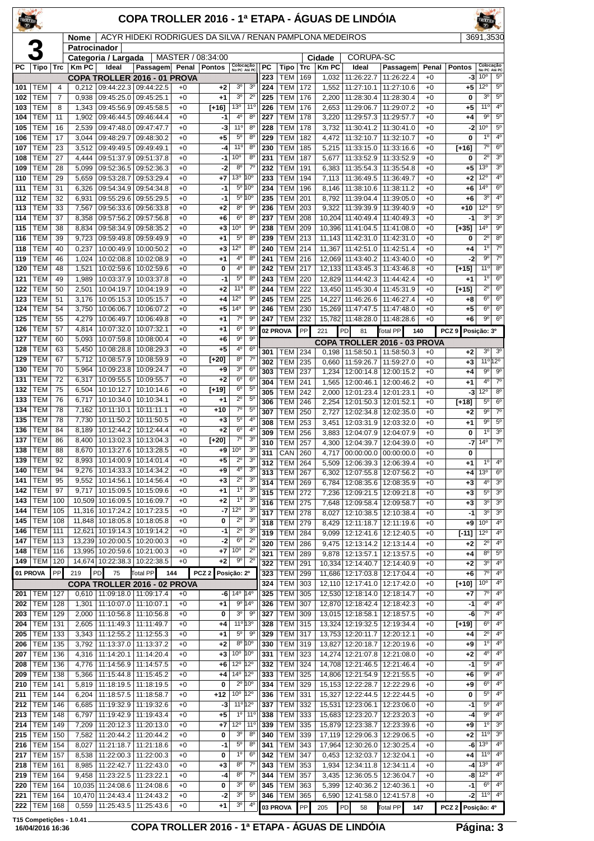| TROLLER    |                          |                |                             |                                                                 | COPA TROLLER 2016 - 1ª ETAPA - ÁGUAS DE LINDÓIA          |              |                                     |                                    |                                   |            |                          |            |                       |                                            |                                                    |               |                     |                                              |                                    |
|------------|--------------------------|----------------|-----------------------------|-----------------------------------------------------------------|----------------------------------------------------------|--------------|-------------------------------------|------------------------------------|-----------------------------------|------------|--------------------------|------------|-----------------------|--------------------------------------------|----------------------------------------------------|---------------|---------------------|----------------------------------------------|------------------------------------|
|            |                          |                | <b>Nome</b><br>Patrocinador |                                                                 | ACYR HIDEKI RODRIGUES DA SILVA / RENAN PAMPLONA MEDEIROS |              |                                     |                                    |                                   |            |                          |            |                       |                                            |                                                    |               |                     | 3691,3530                                    |                                    |
|            |                          |                |                             | Categoria / Largada                                             |                                                          |              | MASTER / 08:34:00<br>Penal   Pontos |                                    |                                   | <b>PC</b>  |                          |            | Cidade                | CORUPA-SC                                  |                                                    |               |                     |                                              | Colocação                          |
| PC         | Tipo                     | <b>Trc</b>     | $ $ Km PC                   | Ideal<br><b>COPA TROLLER 2016 - 01 PROVA</b>                    | Passagem                                                 |              |                                     | Colocação<br>No PC Até PC          |                                   | 223        | Tipo<br><b>TEM</b>       | Trc<br>169 | <b>Km PC</b><br>1,032 | Ideal<br>11:26:22.7                        | Passagem<br>11:26:22.4                             | Penal<br>$+0$ | <b>Pontos</b><br>-3 | 10 <sup>o</sup>                              | 5 <sup>0</sup>                     |
| 101        | TEM                      | $\overline{4}$ | 0,212                       |                                                                 | 09:44:22.3 09:44:22.5                                    | $+0$         | $+2$                                | 3 <sup>o</sup>                     | 3 <sup>o</sup>                    | 224        | <b>TEM</b>               | 172        | 1,552                 | 11:27:10.1                                 | 11:27:10.6                                         | $+0$          | +5                  | 12°                                          | $5^{\rm o}$                        |
| 102        | TEM                      | $\overline{7}$ | 0,938                       | 09:45:25.0                                                      | 09:45:25.1                                               | $+0$         | $+1$                                | 3 <sup>o</sup>                     | $2^{\circ}$                       | 225        | <b>TEM</b>               | 176        | 2,200                 |                                            | 11:28:30.4   11:28:30.4                            | $+0$          | 0                   | 30                                           | $5^{\circ}$<br>4 <sup>0</sup>      |
| 103<br>104 | TEM<br>TEM               | 8<br>11        | 1,343<br>1,902              | 09:45:56.9<br>09:46:44.5                                        | 09:45:58.5<br>09:46:44.4                                 | $+0$<br>$+0$ | $[+16]$<br>-1                       | $13^{\circ}$<br>$4^{\circ}$        | 11 <sup>°</sup><br>8 <sup>o</sup> | 226<br>227 | <b>TEM</b><br>TEM        | 176<br>178 | 2,653<br>3,220        | 11:29:06.7                                 | 11:29:07.2<br>11:29:57.3 11:29:57.7                | $+0$<br>$+0$  | $+5$<br>$+4$        | $11^{\circ}$<br>$9^{\circ}$                  | $5^{\circ}$                        |
| 105        | TEM                      | 16             | 2,539                       | 09:47:48.0                                                      | 09:47:47.7                                               | $+0$         | -3                                  | $11^{\circ}$                       | 8 <sup>o</sup>                    | 228        | <b>TEM</b>               | 178        | 3,732                 |                                            | 11:30:41.2   11:30:41.0                            | $+0$          | -21                 | 10 <sup>o</sup>                              | $5^{\rm o}$                        |
| 106        | TEM                      | 17             | 3,044                       | 09:48:29.7                                                      | 09:48:30.2                                               | $+0$         | $+5$                                | $5^{\circ}$                        | 8 <sup>o</sup>                    | 229        | <b>TEM</b>               | 182        | 4,472                 | 11:32:10.7                                 | 11:32:10.7                                         | $+0$          | 0                   | $1^{\circ}$                                  | 4 <sup>0</sup>                     |
| 107<br>108 | TEM<br>TEM               | 23<br>27       | 3,512                       | 09:49:49.5                                                      | 09:49:49.1                                               | $+0$<br>$+0$ | -4<br>-1                            | 11 <sup>o</sup><br>10 <sup>o</sup> | 8 <sup>o</sup><br>8 <sup>o</sup>  | 230<br>231 | <b>TEM</b><br><b>TEM</b> | 185<br>187 | 5,215                 |                                            | 11:33:15.0 11:33:16.6<br>11:33:52.9                | $+0$<br>$+0$  | $[+16]$<br>0        | $7^\circ$<br>$2^{\circ}$                     | 6 <sup>o</sup><br>3 <sup>o</sup>   |
| 109        | TEM                      | 28             | 4,444<br>5,099              | 09:51:37.9<br>09:52:36.5                                        | 09:51:37.8<br>09:52:36.3                                 | $+0$         | -2                                  | 8 <sup>o</sup>                     | $7^\circ$                         | 232        | TEM                      | 191        | 5,677<br>6,383        | 11:33:52.9<br>11:35:54.3                   | 11:35:54.8                                         | $+0$          | $+5$                | 13 <sup>o</sup>                              | 3 <sup>o</sup>                     |
| 110        | TEM                      | 29             | 5,659                       | 09:53:28.7                                                      | 09:53:29.4                                               | $+0$         | +7                                  | 13 <sup>o</sup>                    | 10 <sup>o</sup>                   | 233        | TEM                      | 194        | 7,113                 | 11:36:49.5   11:36:49.7                    |                                                    | $+0$          | +2                  | $12^{\circ}$                                 | 4 <sup>0</sup>                     |
| 111        | TEM                      | 31             | 6,326                       | 09:54:34.9                                                      | 09:54:34.8                                               | $+0$         | -1                                  | $5^{\circ}$                        | 10°                               | 234        | TEM                      | 196        | 8,146                 |                                            | 11:38:10.6   11:38:11.2                            | $+0$          | $+6$                | $14^{o}$                                     | $6^{\circ}$                        |
| 112<br>113 | TEM<br>TEM               | 32<br>33       | 6,931<br>7,567              | 09:55:29.6<br>09:56:33.6                                        | 09:55:29.5<br>09:56:33.8                                 | $+0$<br>$+0$ | $-1$<br>$+2$                        | $5^{\circ}$<br>8 <sup>o</sup>      | 10°<br>90                         | 235<br>236 | <b>TEM</b><br><b>TEM</b> | 201<br>203 | 8,792<br>9,322        | 11:39:04.4                                 | 11:39:05.0<br>11:39:39.9 11:39:40.9                | $+0$<br>$+0$  | +6<br>$+10$         | 3°<br>12°                                    | 4°<br>$5^{\circ}$                  |
| 114        | TEM                      | 37             | 8,358                       | 09:57:56.2                                                      | 09:57:56.8                                               | $+0$         | $+6$                                | 6 <sup>o</sup>                     | 8 <sup>o</sup>                    | 237        | <b>TEM</b>               | 208        | 10,204                | 11:40:49.4   11:40:49.3                    |                                                    | $+0$          | -1                  | 3 <sup>o</sup>                               | 3 <sup>o</sup>                     |
| 115        | TEM                      | 38             | 8,834                       | 09:58:34.9                                                      | 09:58:35.2                                               | $+0$         | $+3$                                | 10 <sup>o</sup>                    | $9^{\circ}$                       | 238        | <b>TEM</b>               | 209        |                       | 10,396 11:41:04.5 11:41:08.0               |                                                    | $+0$          | $[-35]$             | 14 <sup>°</sup>                              | $9^{\circ}$                        |
| 116<br>118 | TEM<br>TEM               | 39<br>40       | 9,723<br>0,237              | 09:59:49.8<br>10:00:49.9                                        | 09:59:49.9<br>10:00:50.2                                 | $+0$<br>$+0$ | $+1$<br>$+3$                        | $5^{\circ}$<br>$12^{\circ}$        | 8 <sup>o</sup><br>8 <sup>o</sup>  | 239<br>240 | <b>TEM</b><br><b>TEM</b> | 213<br>214 | 11,143<br>11.367      | 11:42:31.0                                 | 11:42:31.0<br>11:42:51.0   11:42:51.4              | $+0$<br>$+0$  | 0                   | $2^{\circ}$<br>1 <sup>0</sup>                | 8 <sup>o</sup><br>$7^\circ$        |
| 119        | <b>TEM</b>               | 46             | 1,024                       | 10:02:08.8                                                      | 10:02:08.9                                               | $+0$         | $+1$                                | 4 <sup>0</sup>                     | 8 <sup>o</sup>                    | 241        | TEM                      | 216        |                       |                                            | 12,069 11:43:40.2 11:43:40.0                       | $+0$          | $^{+4}$<br>-2       | $9^{\circ}$                                  | $\overline{7^\circ}$               |
| 120        | TEM                      | 48             | 1,521                       | 10:02:59.6                                                      | 10:02:59.6                                               | $+0$         | 0                                   | $4^{\circ}$                        | $8^{\circ}$                       | 242        | TEM                      | 217        | 12,133                | 11:43:45.3                                 | 11:43:46.8                                         | $+0$          | $[+15]$             | 11°                                          | 8 <sup>o</sup>                     |
| 121        | TEM                      | 49             | 1,989                       | 10:03:37.9                                                      | 10:03:37.8                                               | $+0$         | -1                                  | $5^{\circ}$                        | 8 <sup>o</sup>                    | 243        | <b>TEM</b>               | 220        | 12,829                | 11:44:42.3 11:44:42.4                      |                                                    | $+0$          | $+1$                | 1 <sup>0</sup>                               | 6 <sup>o</sup>                     |
| 122<br>123 | TEM<br>TEM               | 50<br>51       | 2,501<br>3,176              | 10:04:19.7<br>10:05:15.3                                        | 10:04:19.9<br>10:05:15.7                                 | $+0$<br>$+0$ | $+2$<br>$+4$                        | $11^{\circ}$<br>$12^{\circ}$       | 8 <sup>c</sup><br>$9^{\circ}$     | 244<br>245 | <b>TEM</b><br><b>TEM</b> | 222<br>225 | 14,227                | 13.450 11:45:30.4 11:45:31.9<br>11:46:26.6 | 11:46:27.4                                         | $+0$<br>$+0$  | $[+15]$<br>+8       | $\overline{2^{\circ}}$<br>$6^{\circ}$        | $6^{\circ}$<br>6 <sup>o</sup>      |
| 124        | TEM                      | 54             | 3,750                       | 10:06:06.7                                                      | 10:06:07.2                                               | $+0$         | $+5$                                | 14 <sup>°</sup>                    | 9 <sup>o</sup>                    | 246        | <b>TEM</b>               | 230        |                       | 15,269 11:47:47.5 11:47:48.0               |                                                    | $+0$          | +5                  | 6 <sup>o</sup>                               | 6 <sup>o</sup>                     |
| 125        | TEM                      | 55             | 4,279                       | 10:06:49.7                                                      | 10:06:49.8                                               | $+0$         | $^{+1}$                             | $7^\circ$                          | $9^{\circ}$                       | 247        | <b>TEM</b>               | 232        |                       | 15,782 11:48:28.0                          | 11:48:28.6                                         | $+0$          | +6                  | 90                                           | 6 <sup>o</sup>                     |
| 126        | TEM                      | 57             | 4,814                       | 10:07:32.0                                                      | 10:07:32.1                                               | $+0$         | $^{+1}$                             | 6 <sup>o</sup>                     | 90                                |            | 02 PROVA                 | PP         | 221                   | PD<br>81                                   | Total PP<br>140                                    |               | PCZ <sub>9</sub>    | Posição: 3º                                  |                                    |
| 127<br>128 | TEM<br>TEM               | 60<br>63       | 5,093<br>5,450              | 10:07:59.8<br>10:08:28.8                                        | 10:08:00.4<br>10:08:29.3                                 | $+0$<br>$+0$ | +6<br>$+5$                          | $9^{\circ}$<br>4º                  | 9 <sup>0</sup><br>6 <sup>c</sup>  |            |                          |            |                       |                                            | COPA TROLLER 2016 - 03 PROVA                       |               |                     | 3 <sup>0</sup>                               | 3 <sup>o</sup>                     |
| 129        | TEM                      | 67             | 5,712                       | 10:08:57.9                                                      | 10:08:59.9                                               | $+0$         | $[+20]$                             | 8 <sup>o</sup>                     | $7^\circ$                         | 301<br>302 | TEM<br>TEM               | 234<br>235 | 0,198<br>0.660        | 11:59:26.7                                 | 11:58:50.1   11:58:50.3<br>11:59:27.0              | $+0$<br>$+0$  | +2<br>$+3$          |                                              | $11^{\circ}12^{\circ}$             |
| 130        | TEM                      | 70             | 5,964                       |                                                                 | 10:09:23.8   10:09:24.7                                  | $+0$         | +9                                  | 3 <sup>o</sup>                     | 6 <sup>c</sup>                    | 303        | <b>TEM</b>               | 237        | 1,234                 |                                            | 12:00:14.8   12:00:15.2                            | $+0$          | $+4$                | 90                                           | 90                                 |
| 131        | TEM                      | 72             | 6,317                       | 10:09:55.5                                                      | 10:09:55.7                                               | $+0$         | $+2$                                | 6 <sup>o</sup><br>6 <sup>o</sup>   | 6 <sup>o</sup><br>$5^{\circ}$     | 304        | <b>TEM</b>               | 241        | 1,565                 | 12:00:46.1                                 | 12:00:46.2                                         | $+0$          | $+1$                | 4º                                           | $\overline{7^{\circ}}$             |
| 132<br>133 | TEM<br><b>TEM</b>        | 75<br>76       | 6,504<br>6,717              | 10:10:12.7<br>10:10:34.0   10:10:34.1                           | 10:10:14.6                                               | $+0$<br>$+0$ | $[+19]$<br>+1                       | $2^{\circ}$                        | 5 <sup>c</sup>                    | 305<br>306 | <b>TEM</b>               | 242<br>246 | 2,000                 |                                            | 12:01:23.4   12:01:23.1                            | $+0$          | -31                 | $12^{\circ}$<br>5 <sup>o</sup>               | $8^{\circ}$<br>$6^{\circ}$         |
| 134        | <b>TEM</b>               | 78             | 7,162                       | 10:11:10.1                                                      | 10:11:11.1                                               | $+0$         | $+10$                               | $\overline{7}^{\circ}$             | $5^{\circ}$                       | 307        | <b>TEM</b><br><b>TEM</b> | 250        | 2,254<br>2,727        | 12:02:34.8                                 | 12:01:50.3   12:01:52.1<br>12:02:35.0              | $+0$<br>$+0$  | $[+18]$<br>$+2$     | 90                                           | $7^{\circ}$                        |
| 135        | TEM                      | 78             | 7,730                       | 10:11:50.2                                                      | 10:11:50.5                                               | $+0$         | $^{+3}$                             | $5^{\circ}$                        | 4 <sup>0</sup>                    | 308        | <b>TEM</b>               | 253        | 3,451                 | 12:03:31.9                                 | 12:03:32.0                                         | $+0$          | +1                  | 90                                           | $5^{\circ}$                        |
| 136<br>137 | TEM<br><b>TEM</b>        | 84<br>86       | 8,189<br>8,400              | 10:12:44.2<br>10:13:02.3                                        | 10:12:44.4<br>10:13:04.3                                 | $+0$<br>$+0$ | $+2$<br>$[+20]$                     | $6^{\circ}$<br>$7^\circ$           | 4 <sup>0</sup><br>3 <sup>o</sup>  | 309        | <b>TEM</b>               | 256        | 3,883                 |                                            | 12:04:07.9   12:04:07.9                            | $+0$          | 0                   | 1 <sup>0</sup>                               | 3 <sup>0</sup>                     |
| 138        | <b>TEM</b>               | 88             | 8,670                       |                                                                 | 10:13:27.6   10:13:28.5                                  | $+0$         | $+9$                                | 10 <sup>o</sup>                    | 3 <sup>o</sup>                    | 310<br>311 | <b>TEM</b><br>CAN        | 257<br>260 | 4,300<br>4.717        | 12:04:39.7                                 | 12:04:39.0<br>00:00:00.0 00:00:00.0                | $+0$<br>$+0$  | -7<br>0             | 14 <sup>°</sup>                              | $7^\circ$                          |
| 139        | TEM                      | 92             |                             | 8,993   10:14:00.9   10:14:01.4                                 |                                                          | +0           | $+5$                                | 2°                                 | 3 <sup>0</sup>                    | 312        | TEM                      | 264        | 5,509                 |                                            | 12:06:39.3 12:06:39.4                              | +0            | $+1$                | $1^{\circ}$                                  | 4 <sup>0</sup>                     |
| 140        | TEM                      | 94             | 9,276                       | 10:14:33.3                                                      | 10:14:34.2                                               | $+0$         | $+9$                                | 4°<br>$\overline{2^0}$             | 3 <sup>o</sup><br>3 <sup>o</sup>  | 313        | TEM                      | 267        | 6,302                 | 12:07:55.8                                 | 12:07:56.2                                         | $+0$          | +4                  | 13 <sup>o</sup>                              | $6^{\circ}$                        |
| 141<br>142 | TEM<br>TEM               | 95<br>97       | 9,552<br>9,717              | 10:14:56.1<br>10:15:09.5                                        | 10:14:56.4<br>10:15:09.6                                 | $+0$<br>$+0$ | $+3$<br>$+1$                        | $1^{\circ}$                        | 3 <sup>o</sup>                    | 314<br>315 | TEM<br><b>TEM</b>        | 269<br>272 | 6,784<br>7,236        |                                            | 12:08:35.6   12:08:35.9                            | +0<br>$+0$    | $+3$                | 4 <sup>0</sup><br>$5^{\circ}$                | 3 <sup>o</sup><br>3 <sup>o</sup>   |
| 143        | <b>TEM</b>               | 100            |                             | 10,509 10:16:09.5 10:16:09.7                                    |                                                          | $+0$         | $+2$                                | $1^{\circ}$                        | 3 <sup>o</sup>                    | 316        | <b>TEM</b>               | 275        | 7,648                 |                                            | 12:09:21.5   12:09:21.8<br>12:09:58.4   12:09:58.7 | $+0$          | $+3$<br>$+3$        | 30                                           | 3 <sup>o</sup>                     |
| 144        | <b>TEM</b>               | 105            |                             | 11,316 10:17:24.2 10:17:23.5                                    |                                                          | $+0$         | -7                                  | $12^{\circ}$                       | 3 <sup>o</sup>                    | 317        | <b>TEM</b>               | 278        | 8,027                 |                                            | 12:10:38.5   12:10:38.4                            | $+0$          | -1                  | 3 <sup>o</sup>                               | 3 <sup>o</sup>                     |
| 145<br>146 | <b>TEM</b><br><b>TEM</b> | 108<br>111     | 11,848                      | 10:18:05.8<br>12,621 10:19:14.3 10:19:14.2                      | 10:18:05.8                                               | $+0$<br>$+0$ | 0<br>$-1$                           | $2^{\circ}$<br>$2^{\circ}$         | 3 <sup>o</sup><br>3 <sup>o</sup>  | 318        | TEM                      | 279        | 8,429                 |                                            | 12:11:18.7   12:11:19.6                            | $+0$          | +9                  | 10 <sup>o</sup>                              | 4 <sup>0</sup>                     |
| 147        | TEM                      | 113            |                             | 13,239 10:20:00.5                                               | 10:20:00.3                                               | $+0$         | -2                                  | 6 <sup>o</sup>                     | $2^{\circ}$                       | 319<br>320 | TEM<br><b>TEM</b>        | 284<br>286 | 9,099<br>9,475        | 12:12:41.6                                 | 12:12:40.5<br>12:13:14.2   12:13:14.4              | $+0$<br>$+0$  | $[-11]$<br>$+2$     | $12^{\circ}$<br>$2^{\circ}$                  | 4 <sup>0</sup><br>4 <sup>0</sup>   |
| 148        | <b>TEM</b>               | 116            |                             | 13,995 10:20:59.6                                               | 10:21:00.3                                               | $+0$         | +7                                  | 10 <sup>o</sup>                    | $2^{\circ}$                       | 321        | <b>TEM</b>               | 289        | 9,878                 |                                            | 12:13:57.1   12:13:57.5                            | $+0$          | $+4$                | 8 <sup>o</sup>                               | $5^{\circ}$                        |
| 149        | <b>TEM</b>               | 120            |                             | 14,674 10:22:38.3 10:22:38.5                                    |                                                          | $+0$         | $+2$                                | $9^{\circ}$                        | $2^{\circ}$                       | 322        | <b>TEM</b>               | 291        | 10,334                | 12:14:40.7                                 | 12:14:40.9                                         | $+0$          | +2                  | 30                                           | 4°                                 |
| 01 PROVA   |                          | PP             | 219                         | 75<br>PD                                                        | Total PP                                                 | 144          | PCZ <sub>2</sub>                    | Posição: 2º                        |                                   | 323        | <b>TEM</b>               | 299        | 11,686                |                                            | 12:17:03.8 12:17:04.4                              | $+0$          | +6                  | $7^\circ$                                    | 4 <sup>0</sup><br>4 <sup>0</sup>   |
| 201        | TEM                      | 127            |                             | COPA TROLLER 2016 - 02 PROVA<br>0,610   11:09:18.0   11:09:17.4 |                                                          | +0           | -6                                  | $14^{\circ}$ 14 <sup>°</sup>       |                                   | 324<br>325 | TEM<br>TEM               | 303<br>305 | 12,110<br>12,530      |                                            | 12:17:41.0   12:17:42.0<br>12:18:14.0 12:18:14.7   | $+0$<br>$+0$  | $[+10]$<br>+7       | 10 <sup>o</sup><br>$7^\circ$                 | 4 <sup>0</sup>                     |
| 202        | <b>TEM</b>               | 128            | 1,301                       | 11:10:07.0                                                      | 11:10:07.1                                               | $+0$         | $+1$                                |                                    | $9^{\circ}$ 14°                   | 326        | TEM                      | 307        | 12,870                |                                            | 12:18:42.4 12:18:42.3                              | $+0$          | -1                  | 4º                                           | 4 <sup>0</sup>                     |
| 203        | <b>TEM</b>               | 129            | 2,000                       | 11:10:56.8                                                      | 11:10:56.8                                               | $+0$         | 0                                   | 3 <sup>o</sup>                     | 90                                | 327        | <b>TEM</b>               | 309        |                       |                                            | 13,015 12:18:58.1 12:18:57.5                       | $+0$          | -6                  | $7^\circ$                                    | 4 <sup>o</sup>                     |
| 204<br>205 | TEM<br><b>TEM</b>        | 131<br>133     | 2,605<br>3,343              | 11:12:55.2                                                      | 11:11:49.3   11:11:49.7<br>11:12:55.3                    | $+0$<br>+0   | $+4$                                | 11°13°<br>$5^{\circ}$              | $9^{\circ}$                       | 328<br>329 | TEM<br>TEM               | 315<br>317 |                       | 13,753 12:20:11.7                          | 13,324 12:19:32.5 12:19:34.4<br>12:20:12.1         | +0<br>$^{+0}$ | [+19]<br>+4         | $6^{\circ}$<br>$2^{\circ}$                   | 4 <sup>0</sup><br>4°               |
| 206        | <b>TEM</b>               | 135            | 3,792                       | 11:13:37.0                                                      | 11:13:37.2                                               | $+0$         | $+1$<br>$+2$                        |                                    | $8^{\circ}$ 10 $^{\circ}$         | 330        | <b>TEM</b>               | 319        | 13,827                |                                            | 12:20:18.7   12:20:19.6                            | $+0$          | $+9$                | $1^{\circ}$                                  | $4^{\circ}$                        |
| 207        | <b>TEM</b>               | 136            | 4,316                       | 11:14:20.1                                                      | 11:14:20.4                                               | $+0$         | $+3$                                | 10 <sup>°</sup> 10 <sup>°</sup>    |                                   | 331        | <b>TEM</b>               | 323        |                       |                                            | 14,274 12:21:07.8 12:21:08.0                       | $+0$          | +2                  | $4^{\circ}$                                  | 4 <sup>0</sup>                     |
| 208        | <b>TEM</b>               | 136            | 4,776                       | 11:14:56.9                                                      | 11:14:57.5                                               | $+0$         | $+6$                                | $12^{\circ}$ 12°                   |                                   | 332        | TEM                      | 324        | 14,708                |                                            | 12:21:46.5   12:21:46.4                            | $+0$          | -1                  | $5^{\circ}$                                  | 4 <sup>0</sup>                     |
| 209<br>210 | <b>TEM</b><br><b>TEM</b> | 138<br>141     | 5,366<br>5,819              | 11:15:44.8                                                      | 11:15:45.2<br>11:18:19.5   11:18:19.5                    | $+0$<br>$+0$ | $^{+4}$<br>0                        | $14^{\circ}$ 12°                   | $2^{\circ}$ 10 <sup>°</sup>       | 333<br>334 | TEM<br><b>TEM</b>        | 325<br>329 |                       | 15, 153 12: 22: 28. 7                      | 14,806 12:21:54.9 12:21:55.5<br>12:22:29.6         | $+0$<br>$+0$  | +6<br>+9            | $9^{\circ}$<br>$6^{\circ}$                   | 4 <sup>0</sup><br>$\overline{4^0}$ |
| 211        | <b>TEM</b>               | 144            | 6,204                       | 11:18:57.5                                                      | 11:18:58.7                                               | $+0$         | $+12$                               | $10^{\circ}$ 12°                   |                                   | 336        | <b>TEM</b>               | 331        | 15,327                | 12:22:44.5                                 | 12:22:44.5                                         | $+0$          | 0                   | $5^{\circ}$                                  | 4 <sup>0</sup>                     |
| 212        | <b>TEM</b>               | 146            | 6,685                       |                                                                 | 11:19:32.9   11:19:32.6                                  | $+0$         | -3                                  | 11º 12º                            |                                   | 337        | <b>TEM</b>               | 332        |                       |                                            | 15,531 12:23:06.1 12:23:06.0                       | $+0$          | -1                  | $5^{\circ}$                                  | 4 <sup>0</sup>                     |
| 213        | <b>TEM</b>               | 148            | 6,797                       | 11:19:42.9                                                      | 11:19:43.4                                               | $+0$         | $+5$                                | $1^{\circ}$                        | $11^{\circ}$                      | 338        | TEM                      | 333        | 15,683                |                                            | 12:23:20.7   12:23:20.3                            | $+0$          | -4                  | 9°                                           | $4^{\circ}$                        |
| 214<br>215 | <b>TEM</b><br><b>TEM</b> | 149<br>150     | 7,209<br>7,582              | 11:20:12.3<br>11:20:44.2                                        | 11:20:13.0<br>11:20:44.2                                 | $+0$<br>$+0$ | +7<br>0                             | $12^{\circ}$<br>3 <sup>o</sup>     | $11^{\circ}$<br>8 <sup>o</sup>    | 339<br>340 | TEM<br><b>TEM</b>        | 335<br>339 | 15,879                | 12:23:38.7                                 | 12:23:39.6<br>17,119   12:29:06.3   12:29:06.5     | $+0$<br>$+0$  | +9<br>$+2$          | $1^{\circ}$<br>11°                           | $3^{\rm o}$<br>3 <sup>o</sup>      |
| 216        | <b>TEM</b>               | 154            | 8,027                       | 11:21:18.7                                                      | 11:21:18.6                                               | $+0$         | -1                                  | 5 <sup>o</sup>                     | 8 <sup>o</sup>                    | 341        | TEM                      | 343        | 17,964                |                                            | 12:30:26.0   12:30:25.4                            | $+0$          | -6                  | 13 <sup>o</sup>                              | 4°                                 |
| 217        | TEM                      | 157            | 8,538                       | 11:22:00.3                                                      | 11:22:00.3                                               | $+0$         | 0                                   | 1 <sup>0</sup>                     | 6 <sup>o</sup>                    | 342        | TEM                      | 347        | 0,453                 | 12:32:03.7                                 | 12:32:04.1                                         | $+0$          | $^{+4}$             | 11°                                          | 4°                                 |
| 218<br>219 | <b>TEM</b><br><b>TEM</b> | 161<br>164     | 8,985                       | 11:22:42.7<br>11:23:22.5                                        | 11:22:43.0                                               | $+0$<br>$+0$ | $+3$<br>-4                          | 8 <sup>o</sup><br>8 <sup>o</sup>   | $7^\circ$<br>$7^\circ$            | 343<br>344 | <b>TEM</b><br><b>TEM</b> | 353<br>357 | 1,934                 |                                            | 12:34:11.8   12:34:11.4                            | $+0$<br>$+0$  |                     | $-4$ 13 <sup>o</sup><br>$-8$ 12 <sup>o</sup> | 4 <sup>0</sup><br>4 <sup>0</sup>   |
| 220        | <b>TEM</b>               | 164            | 9,458                       | 10,035 11:24:08.6                                               | 11:23:22.1<br>11:24:08.6                                 | $+0$         | 0                                   | 3 <sup>o</sup>                     | 6 <sup>o</sup>                    | 345        | <b>TEM</b>               | 363        | 3,435<br>5,399        | 12:40:36.2                                 | 12:36:05.5   12:36:04.7<br>12:40:36.1              | $+0$          | -1                  | $6^{\circ}$                                  | $4^{\circ}$                        |
| 221        | <b>TEM</b>               | 164            |                             | 10,470 11:24:43.4                                               | 11:24:43.2                                               | $+0$         | -2                                  | 3 <sup>o</sup>                     | $5^{\circ}$                       | 346        | <b>TEM</b>               | 365        | 6,590                 |                                            | 12:41:58.0   12:41:57.8                            | $^{+0}$       | -2                  |                                              | $11^{\circ}$ 4 <sup>°</sup>        |
| 222        | <b>TEM</b>               | 168            | 0,559                       | 11:25:43.5                                                      | 11:25:43.6                                               | $+0$         | $+1$                                | 3 <sup>o</sup>                     | 4°                                |            | 03 PROVA                 | PP         | 205                   | PD<br>58                                   | Total PP                                           | 147           | PCZ <sub>2</sub>    | Posição: 4º                                  |                                    |

## **16/04/2016 16:36 COPA TROLLER 2016 - 1ª ETAPA - ÁGUAS DE LINDÓIA Página: 3**

 $\overline{a}$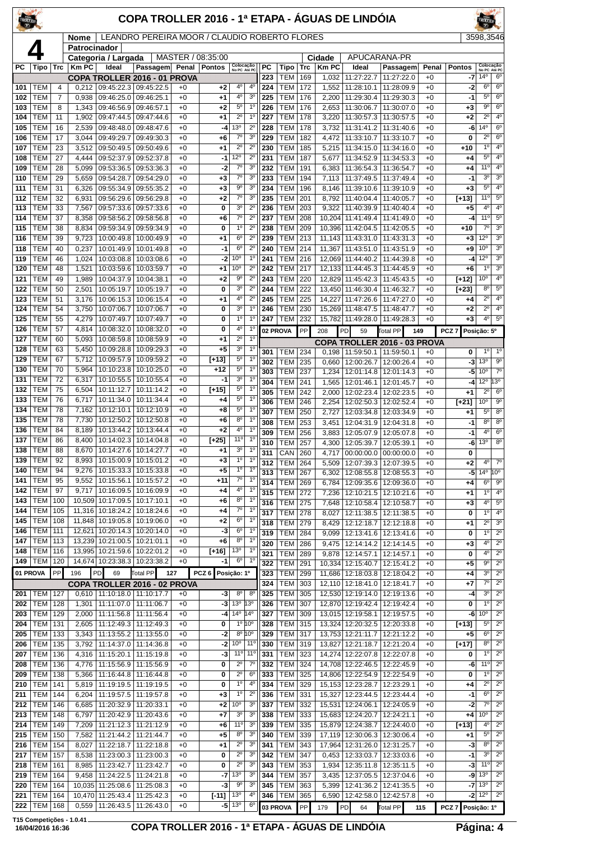| TROLLER    |                          |                |                |                          | COPA TROLLER 2016 - 1ª ETAPA - ÁGUAS DE LINDÓIA                   |              |                   |                                                  |                                        |                  |                          |                   |                      |                                                   |                                                    |                    |                     | TROLLER                                   |                                       |
|------------|--------------------------|----------------|----------------|--------------------------|-------------------------------------------------------------------|--------------|-------------------|--------------------------------------------------|----------------------------------------|------------------|--------------------------|-------------------|----------------------|---------------------------------------------------|----------------------------------------------------|--------------------|---------------------|-------------------------------------------|---------------------------------------|
|            |                          |                | Nome           |                          | LEANDRO PEREIRA MOOR / CLAUDIO ROBERTO FLORES                     |              |                   |                                                  |                                        |                  |                          |                   |                      |                                                   |                                                    |                    |                     | 3598,3546                                 |                                       |
|            |                          |                | Patrocinador   | Categoria / Largada      |                                                                   |              | MASTER / 08:35:00 |                                                  |                                        |                  |                          |                   | Cidade               | APUCARANA-PR                                      |                                                    |                    |                     |                                           |                                       |
| РC         | Tipo                     | Trc            | <b>Km PC</b>   | Ideal                    | Passagem Penal<br>COPA TROLLER 2016 - 01 PROVA                    |              | Pontos            | Colocação<br>No PC Até PC                        |                                        | PC<br>223        | Tipo<br><b>TEM</b>       | <b>Trc</b><br>169 | <b>KmPC</b><br>1,032 | Ideal<br>11:27:22.7                               | Passagem<br>11:27:22.0                             | Penal<br>$+0$      | <b>Pontos</b><br>-7 | Colocação<br>No PC Até PC<br>$14^{\circ}$ | 6 <sup>0</sup>                        |
| 101        | <b>TEM</b>               | 4              | 0,212          |                          | 09:45:22.3 09:45:22.5                                             | $+0$         | $+2$              | 4 <sup>0</sup>                                   | $4^{\circ}$                            | 224              | <b>TEM</b>               | 172               | 1,552                | 11:28:10.1                                        | 11:28:09.9                                         | $+0$               | $-2$                | 6 <sup>o</sup>                            | 6 <sup>o</sup>                        |
| 102        | <b>TEM</b>               | $\overline{7}$ | 0,938          | 09:46:25.0               | 09:46:25.1                                                        | $+0$         | $+1$              | 4°                                               | 3 <sup>0</sup>                         | 225              | <b>TEM</b>               | 176               | 2,200                | 11:29:30.4                                        | 11:29:30.3                                         | $+0$               | $-1$                | $5^{\circ}$                               | $6^{\circ}$                           |
| 103        | <b>TEM</b>               | 8              | 1,343          | 09:46:56.9               | 09:46:57.1                                                        | $+0$         | $+2$              | $5^{\circ}$                                      | $1^{\circ}$                            | 226              | <b>TEM</b>               | 176               | 2,653                | 11:30:06.7                                        | 11:30:07.0                                         | $+0$               | +3                  | 90                                        | $6^{\circ}$<br>$\overline{4^0}$       |
| 104<br>105 | <b>TEM</b><br><b>TEM</b> | 11<br>16       | 1,902<br>2,539 | 09:47:44.5<br>09:48:48.0 | 09:47:44.6<br>09:48:47.6                                          | $+0$<br>$+0$ | $+1$<br>-4        | $\overline{2^0}$<br>13°                          | $1^{\circ}$<br>$2^{\circ}$             | 227<br>228       | <b>TEM</b><br><b>TEM</b> | 178<br>178        | 3,220<br>3,732       | 11:30:57.3<br>11:31:41.2                          | 11:30:57.5<br>11:31:40.6                           | $+0$<br>$+0$       | +2<br>-6            | $2^{\circ}$<br>14 <sup>°</sup>            | $6^{\circ}$                           |
| 106        | <b>TEM</b>               | 17             | 3,044          | 09:49:29.7               | 09:49:30.3                                                        | $+0$         | $+6$              | $7^\circ$                                        | 3 <sup>o</sup>                         | 229              | <b>TEM</b>               | 182               | 4,472                | 11:33:10.7                                        | 11:33:10.7                                         | $+0$               | 0                   | $2^{\circ}$                               | $6^{\circ}$                           |
| 107        | <b>TEM</b>               | 23             | 3,512          | 09:50:49.5               | 09:50:49.6                                                        | $+0$         | $+1$              | $2^{\circ}$                                      | $2^{\circ}$                            | 230              | <b>TEM</b>               | 185               | 5,215                | 11:34:15.0                                        | 11:34:16.0                                         | $+0$               | +10                 | $1^{\circ}$                               | 4 <sup>0</sup>                        |
| 108        | <b>TEM</b>               | 27             | 4,444          | 09:52:37.9               | 09:52:37.8                                                        | $+0$         | -1                | 12°                                              | $2^{\circ}$                            | 231              | <b>TEM</b>               | 187               | 5,677                | 11:34:52.9                                        | 11:34:53.3                                         | $+0$               | +4                  | $5^{\circ}$                               | 4 <sup>0</sup>                        |
| 109<br>110 | <b>TEM</b><br><b>TEM</b> | 28<br>29       | 5,099<br>5,659 | 09:53:36.5<br>09:54:28.7 | 09:53:36.3<br>09:54:29.0                                          | $+0$<br>$+0$ | -2<br>$+3$        | $7^\circ$<br>$\overline{7^{\circ}}$              | 3 <sup>o</sup><br>3 <sup>o</sup>       | 232<br>233       | <b>TEM</b><br><b>TEM</b> | 191<br>194        | 6,383<br>7,113       | 11:36:54.3<br>11:37:49.5                          | 11:36:54.7<br>11:37:49.4                           | $+0$<br>$+0$       | +4<br>-1            | $11^{\circ}$<br>3 <sup>0</sup>            | $4^{\circ}$<br>3 <sup>o</sup>         |
| 111        | <b>TEM</b>               | 31             | 6,326          | 09:55:34.9               | 09:55:35.2                                                        | $+0$         | $+3$              | $9^{\circ}$                                      | 3 <sup>0</sup>                         | 234              | <b>TEM</b>               | 196               | 8,146                | 11:39:10.6                                        | 11:39:10.9                                         | $+0$               | $+3$                | $5^{\rm o}$                               | 4 <sup>0</sup>                        |
| 112        | <b>TEM</b>               | 32             | 6,931          | 09:56:29.6               | 09:56:29.8                                                        | $+0$         | $+2$              | $7^\circ$                                        | 3 <sup>o</sup>                         | 235              | <b>TEM</b>               | 201               | 8,792                | 11:40:04.4                                        | 11:40:05.7                                         | $+0$               | $[+13]$             | $11^{\circ}$                              | $5^{\circ}$                           |
| 113        | <b>TEM</b>               | 33             | 7,567          | 09:57:33.6               | 09:57:33.6                                                        | $+0$         | 0                 | 3 <sup>o</sup>                                   | $2^{\circ}$                            | 236              | <b>TEM</b>               | 203               | 9,322                | 11:40:39.9                                        | 11:40:40.4                                         | $+0$               | +5                  | 4 <sup>0</sup>                            | 4 <sup>0</sup>                        |
| 114        | <b>TEM</b>               | 37             | 8.358          | 09:58:56.2               | 09:58:56.8                                                        | $+0$         | $+6$              | $7^\circ$                                        | $2^{\circ}$                            | 237              | <b>TEM</b>               | 208               | 10,204               | 11:41:49.4                                        | 11:41:49.0                                         | $+0$               | -4                  | $11^{\circ}$                              | $5^{\circ}$                           |
| 115<br>116 | <b>TEM</b><br><b>TEM</b> | 38<br>39       | 8,834<br>9,723 | 09:59:34.9<br>10:00:49.8 | 09:59:34.9<br>10:00:49.9                                          | $+0$<br>$+0$ | 0<br>$+1$         | $1^{\circ}$<br>$6^{\circ}$                       | $2^{\circ}$<br>$\overline{2^0}$        | 238<br>239       | <b>TEM</b><br><b>TEM</b> | 209<br>213        |                      | 10,396 11:42:04.5<br>11.143 11:43:31.0 11:43:31.3 | 11:42:05.5                                         | $+0$<br>$+0$       | +10<br>$+3$         | $7^\circ$<br>12°                          | 3 <sup>0</sup><br>3 <sup>o</sup>      |
| 118        | <b>TEM</b>               | 40             | 0,237          | 10:01:49.9               | 10:01:49.8                                                        | $+0$         | $-1$              | $6^{\circ}$                                      | $2^{\circ}$                            | 240              | <b>TEM</b>               | 214               | 11,367               | 11:43:51.0                                        | 11:43:51.9                                         | $+0$               | $+9$                | 10 <sup>o</sup>                           | 3 <sup>o</sup>                        |
| 119        | <b>TEM</b>               | 46             | 1,024          | 10:03:08.8               | 10:03:08.6                                                        | $+0$         | -2                | 10 <sup>o</sup>                                  | $1^{\circ}$                            | 241              | <b>TEM</b>               | 216               |                      | 12,069 11:44:40.2                                 | 11:44:39.8                                         | $+0$               | -4                  | 12°                                       | $\overline{3^0}$                      |
| 120        | <b>TEM</b>               | 48             | 1,521          | 10:03:59.6               | 10:03:59.7                                                        | $+0$         | $+1$              | 10 <sup>o</sup>                                  | $\overline{2^0}$                       | 242              | <b>TEM</b>               | 217               |                      | 12,133 11:44:45.3 11:44:45.9                      |                                                    | $+0$               | $+6$                | 1 <sup>0</sup>                            | 3 <sup>0</sup>                        |
| 121        | <b>TEM</b>               | 49             | 1,989          | 10:04:37.9               | 10:04:38.1                                                        | $+0$         | $+2$              | $9^{\circ}$                                      | $2^{\circ}$                            | 243              | <b>TEM</b>               | 220               |                      | 12,829 11:45:42.3                                 | 11:45:43.5                                         | $+0$               | [+12]               | 10 <sup>o</sup>                           | 4 <sup>0</sup>                        |
| 122<br>123 | <b>TEM</b><br><b>TEM</b> | 50<br>51       | 2,501<br>3,176 | 10:05:19.7<br>10:06:15.3 | 10:05:19.7<br>10:06:15.4                                          | $+0$<br>$+0$ | 0<br>$^{+1}$      | 3 <sup>o</sup><br>4 <sup>0</sup>                 | $2^{\circ}$<br>$\overline{2^0}$        | 244<br>245       | <b>TEM</b><br><b>TEM</b> | 222<br>225        |                      | 13,450 11:46:30.4<br>14,227 11:47:26.6            | 11:46:32.7<br>11:47:27.0                           | $+0$<br>$+0$       | [+23]<br>+4         | 8 <sup>o</sup><br>$\overline{2^0}$        | $5^{\circ}$<br>4 <sup>0</sup>         |
| 124        | <b>TEM</b>               | 54             | 3,750          | 10:07:06.7               | 10:07:06.7                                                        | $+0$         | 0                 | 3 <sup>o</sup>                                   | $1^{\circ}$                            | 246              | <b>TEM</b>               | 230               |                      | 15,269 11:48:47.5                                 | 11:48:47.7                                         | $+0$               | +2                  | $2^{\circ}$                               | 4 <sup>0</sup>                        |
| 125        | <b>TEM</b>               | 55             | 4,279          | 10:07:49.7               | 10:07:49.7                                                        | $+0$         | 0                 | 1 <sup>0</sup>                                   | 1 <sup>0</sup>                         | 247              | <b>TEM</b>               | 232               |                      | 15,782 11:49:28.0                                 | 11:49:28.3                                         | $+0$               | $+3$                | 4 <sup>0</sup>                            | $5^{\circ}$                           |
| 126        | <b>TEM</b>               | 57             | 4,814          | 10:08:32.0               | 10:08:32.0                                                        | $+0$         | 0                 | 4º                                               | 1 <sup>0</sup>                         |                  | 02 PROVA                 | PP                | 208                  | PD<br>59                                          | Total PP                                           | 149                | PCZ <sub>7</sub>    | Posição: 5º                               |                                       |
| 127        | <b>TEM</b>               | 60             | 5,093          | 10:08:59.8               | 10:08:59.9                                                        | $+0$         | $+1$              | $2^{\circ}$<br>3 <sup>o</sup>                    | 1 <sup>0</sup><br>1 <sup>0</sup>       |                  |                          |                   |                      |                                                   | COPA TROLLER 2016 - 03 PROVA                       |                    |                     |                                           |                                       |
| 128<br>129 | <b>TEM</b><br><b>TEM</b> | 63<br>67       | 5,450<br>5,712 | 10:09:28.8<br>10:09:57.9 | 10:09:29.3<br>10:09:59.2                                          | $+0$<br>$+0$ | $+5$<br>$[+13]$   | $5^{\circ}$                                      | $1^{\circ}$                            | 301              | TEM                      | 234               |                      | 0,198 11:59:50.1 11:59:50.1                       |                                                    | $+0$               | 0                   | $1^{\circ}$                               | $1^{\circ}$<br>$9^\circ$              |
| 130        | <b>TEM</b>               | 70             | 5,964          | 10:10:23.8               | 10:10:25.0                                                        | $+0$         | $+12$             | $5^{\circ}$                                      | 1 <sup>0</sup>                         | 302<br>303       | <b>TEM</b><br><b>TEM</b> | 235<br>237        | 0,660<br>1,234       | 12:00:26.7<br>12:01:14.8                          | 12:00:26.4<br>12:01:14.3                           | $+0$<br>$+0$       | -3<br>-5            | 13 <sup>o</sup><br>10 <sup>o</sup>        | $\overline{7^{\circ}}$                |
| 131        | <b>TEM</b>               | 72             | 6,317          | 10:10:55.5               | 10:10:55.4                                                        | $+0$         | -1                | 3 <sup>0</sup>                                   | 1 <sup>0</sup>                         | 304              | <b>TEM</b>               | 241               | 1,565                | 12:01:46.1                                        | 12:01:45.7                                         | $+0$               | -4                  | $12^{\circ}$                              | $13^{\circ}$                          |
| 132        | <b>TEM</b>               | 75             | 6,504          | 10:11:12.7               | 10:11:14.2                                                        | $+0$         | $[+15]$           | $5^{\circ}$                                      | 1 <sup>0</sup>                         | 305              | <b>TEM</b>               | 242               | 2,000                | 12:02:23.4                                        | 12:02:23.5                                         | $+0$               | +1                  | $2^{\circ}$                               | 6 <sup>o</sup>                        |
| 133        | <b>TEM</b>               | 76             | 6,717          | 10:11:34.0               | 10:11:34.4                                                        | $+0$         | +4                | $5^{\circ}$<br>$5^{\circ}$                       | 1 <sup>0</sup><br>1 <sup>0</sup>       | 306              | <b>TEM</b>               | 246               | 2,254                | 12:02:50.3                                        | 12:02:52.4                                         | $+0$               | [+21]               | $10^{\circ}$                              | 9 <sup>o</sup>                        |
| 134<br>135 | <b>TEM</b><br><b>TEM</b> | 78<br>78       | 7,162<br>7,730 | 10:12:10.1<br>10:12:50.2 | 10:12:10.9<br>10:12:50.8                                          | $+0$<br>$+0$ | +8<br>+6          | $8^{\circ}$                                      | $1^{\circ}$                            | 307              | <b>TEM</b>               | 250               | 2,727                |                                                   | 12:03:34.8 12:03:34.9                              | $+0$               | +1                  | $5^{\circ}$<br>8 <sup>0</sup>             | 8 <sup>o</sup><br>8 <sup>o</sup>      |
| 136        | <b>TEM</b>               | 84             | 8,189          | 10:13:44.2               | 10:13:44.4                                                        | $+0$         | $+2$              | 4 <sup>0</sup>                                   | 10                                     | 308<br>309       | <b>TEM</b><br><b>TEM</b> | 253<br>256        | 3,451<br>3,883       | 12:04:31.9<br>12:05:07.9                          | 12:04:31.8<br>12:05:07.8                           | $+0$<br>$+0$       | -1<br>-1            | 4 <sup>0</sup>                            | 6 <sup>o</sup>                        |
| 137        | <b>TEM</b>               | 86             | 8.400          | 10:14:02.3               | 10:14:04.8                                                        | $+0$         | $[+25]$           | 11°                                              | $1^{\circ}$                            | 310              | <b>TEM</b>               | 257               |                      | 4,300   12:05:39.7   12:05:39.1                   |                                                    | $+0$               | -6                  | 13 <sup>o</sup>                           | $\overline{8^{\circ}}$                |
| 138        | <b>TEM</b>               | 88             | 8,670          |                          | 10:14:27.6 10:14:27.7                                             | $+0$         | $+1$              | 3 <sup>0</sup>                                   | 1 <sup>o</sup>                         | $\overline{311}$ | <b>CAN 260</b>           |                   |                      |                                                   | 4,717 00:00:00.0 00:00:00.0                        | $+0$               | 0                   |                                           |                                       |
| 139<br>140 | <b>TEM</b><br><b>TEM</b> | 92<br>94       | 9,276          |                          | 8,993   10:15:00.9   10:15:01.2<br>10:15:33.3   10:15:33.8        | $+0$<br>$+0$ | $+3$<br>$+5$      | 1 <sup>0</sup><br>$1^{\circ}$                    | 1 <sup>0</sup><br>1 <sup>0</sup>       | 312              | <b>TEM 264</b>           |                   |                      | 5,509   12:07:39.3   12:07:39.5                   |                                                    | $^{+0}$            | $+2$                | 4 <sup>0</sup>                            | $7^\circ$                             |
| 141        | <b>TEM</b>               | 95             | 9,552          | 10:15:56.1               | 10:15:57.2                                                        | $+0$         | +11               | $7^\circ$                                        | $1^{\circ}$                            | 313<br>314       | <b>TEM</b><br><b>TEM</b> | 267<br>269        | 6,302<br>6,784       |                                                   | 12:08:55.8   12:08:55.3<br>12:09:35.6   12:09:36.0 | $^{+0}$<br>$^{+0}$ | -5<br>+4            | $14^{\circ}$<br>$6^{\circ}$               | $10^{\circ}$<br>$9^{\circ}$           |
| 142        | <b>TEM</b>               | 97             |                |                          | 9,717   10:16:09.5   10:16:09.9                                   | $+0$         | $+4$              | $4^{\circ}$                                      | 1 <sup>0</sup>                         | 315              | <b>TEM</b>               | 272               | 7,236                | 12:10:21.5                                        | 12:10:21.6                                         | $+0$               | +1                  | 1 <sup>0</sup>                            | 4 <sup>0</sup>                        |
| 143        | <b>TEM</b>               | 100            |                |                          | 10,509 10:17:09.5 10:17:10.1                                      | $+0$         | +6                | 80                                               | $1^{\circ}$                            | 316              | TEM                      | 275               | 7,648                | 12:10:58.4                                        | 12:10:58.7                                         | $^{+0}$            | +3                  | 4 <sup>0</sup>                            | $5^{\circ}$                           |
| 144        | <b>TEM</b>               | 105            |                |                          | 11,316 10:18:24.2 10:18:24.6                                      | $+0$         | +4                | 70<br>$6^{\circ}$                                | $1^{\circ}$<br>1 <sup>0</sup>          | 317              | <b>TEM</b>               | 278               | 8,027                | 12:11:38.5                                        | 12:11:38.5                                         | $+0$               | 0                   | $1^{\circ}$                               | 4 <sup>0</sup>                        |
| 145<br>146 | <b>TEM</b><br><b>TEM</b> | 108<br>111     |                |                          | 11,848 10:19:05.8 10:19:06.0<br>12,621 10:20:14.3 10:20:14.0      | $+0$<br>$+0$ | $+2$<br>-3        | 6 <sup>o</sup>                                   | $1^{\circ}$                            | 318              | <b>TEM 279</b>           |                   |                      | 8,429   12:12:18.7                                | 12:12:18.8                                         | $+0$               | +1                  | $\overline{2^0}$                          | 3 <sup>o</sup>                        |
| 147        | <b>TEM</b>               | 113            |                |                          | 13,239 10:21:00.5 10:21:01.1                                      | $+0$         | +6                | $8^{\rm o}$                                      | 1 <sup>0</sup>                         | 319<br>320       | <b>TEM</b><br><b>TEM</b> | 284<br>286        | 9,099                | 12:13:41.6<br>9,475   12:14:14.2   12:14:14.5     | 12:13:41.6                                         | $^{+0}$<br>$^{+0}$ | 0<br>+3             | $1^{\circ}$<br>4 <sup>0</sup>             | $2^{\circ}$<br>$2^{\circ}$            |
| 148        | <b>TEM</b>               | 116            |                |                          | 13,995 10:21:59.6 10:22:01.2                                      | $+0$         | $[+16]$           | 13 <sup>o</sup>                                  | $1^{\circ}$                            | 321              | <b>TEM</b>               | 289               | 9,878                | 12:14:57.1                                        | 12:14:57.1                                         | $+0$               | 0                   | $4^{\circ}$                               | $2^{\circ}$                           |
| 149        | <b>TEM</b>               | 120            |                | 14,674 10:23:38.3        | 10:23:38.2                                                        | $+0$         | -1                | $6^{\circ}$                                      | $1^{\circ}$                            | 322              | <b>TEM</b>               | 291               |                      | 10,334 12:15:40.7                                 | 12:15:41.2                                         | $+0$               | +5                  | $9^{\circ}$                               | $2^{\circ}$                           |
|            | 01 PROVA                 | PP             | 196            | PD<br>69                 | <b>Total PP</b><br>127                                            |              | PCZ <sub>6</sub>  | Posição: 1º                                      |                                        | 323              | <b>TEM</b>               | 299               |                      |                                                   | 11,686 12:18:03.8 12:18:04.2                       | $+0$               | +4                  | 3 <sup>o</sup>                            | $2^{\circ}$                           |
| 201        | TEM                      | 127            |                |                          | COPA TROLLER 2016 - 02 PROVA<br>$0,610$   11:10:18.0   11:10:17.7 | $+0$         | -3                | 8 <sup>o</sup>                                   | 8 <sup>c</sup>                         | 324<br>325       | TEM<br><b>TEM</b>        | 303<br>305        |                      | 12,110   12:18:41.0  <br>12,530 12:19:14.0        | 12:18:41.7<br>12:19:13.6                           | +0<br>$+0$         | +7<br>-4            | $7^\circ$<br>3 <sup>o</sup>               | $2^{\circ}$<br>$2^{\circ}$            |
| 202        | <b>TEM</b>               | 128            |                |                          | 1,301   11:11:07.0   11:11:06.7                                   | $+0$         | -3                | 13º 13º                                          |                                        | 326              | <b>TEM</b>               | 307               |                      | 12,870 12:19:42.4 12:19:42.4                      |                                                    | $+0$               | 0                   | $1^{\circ}$                               | $\overline{2^0}$                      |
| 203        | <b>TEM</b>               | 129            | 2,000          | 11:11:56.8               | 11:11:56.4                                                        | $+0$         | $-4$              | 14 <sup>°</sup> 14 <sup>°</sup>                  |                                        | 327              | TEM                      | 309               |                      | 13,015 12:19:58.1                                 | 12:19:57.5                                         | $+0$               | -6                  | 10 <sup>o</sup>                           | $2^{\circ}$                           |
| 204        | <b>TEM</b>               | 131            | 2,605          | 11:12:49.3               | 11:12:49.3                                                        | $+0$         | 0                 |                                                  | 1°10°                                  | 328              | <b>TEM</b>               | 315               |                      | 13,324 12:20:32.5                                 | 12:20:33.8                                         | $^{+0}$            | $[+13]$             | $5^{\circ}$                               | $\overline{2^0}$                      |
| 205        | <b>TEM</b>               | 133            | 3,343          |                          | 11:13:55.2   11:13:55.0                                           | $+0$         | -2                |                                                  | 8º 10°                                 | 329              | <b>TEM</b>               | 317               |                      | 13,753 12:21:11.7                                 | 12:21:12.2                                         | $+0$               | $+5$                | $6^{\circ}$<br>8 <sup>o</sup>             | $2^{\circ}$<br>$2^{\circ}$            |
| 206<br>207 | <b>TEM</b><br><b>TEM</b> | 135<br>136     | 3,792<br>4,316 | 11:14:37.0<br>11:15:20.1 | 11:14:36.8<br>11:15:19.8                                          | $+0$<br>$+0$ | -2<br>-3          | 10 <sup>o</sup>                                  | 11º<br>11 <sup>o</sup> 11 <sup>o</sup> | 330<br>331       | <b>TEM</b><br><b>TEM</b> | 319<br>323        |                      | 13,827 12:21:18.7<br>14,274 12:22:07.8            | 12:21:20.4<br>12:22:07.8                           | $+0$<br>$+0$       | [+17]<br>0          | 1 <sup>0</sup>                            | $2^{\circ}$                           |
| 208        | <b>TEM</b>               | 136            | 4,776          | 11:15:56.9               | 11:15:56.9                                                        | $+0$         | 0                 | $2^{\circ}$                                      | $7^\circ$                              | 332              | <b>TEM</b>               | 324               |                      | 14,708 12:22:46.5                                 | 12:22:45.9                                         | $^{+0}$            | -6                  | 11 <sup>0</sup>                           | $\overline{2^{\circ}}$                |
| 209        | <b>TEM</b>               | 138            | 5,366          |                          | 11:16:44.8   11:16:44.8                                           | $+0$         | 0                 | $2^{\circ}$                                      | 6 <sup>o</sup>                         | 333              | <b>TEM</b>               | 325               |                      | 14,806 12:22:54.9 12:22:54.9                      |                                                    | $+0$               | 0                   | $1^{\circ}$                               | $\overline{2^0}$                      |
| 210        | <b>TEM</b>               | 141            | 5,819          |                          | 11:19:19.5   11:19:19.5                                           | $+0$         | 0                 | $1^{\circ}$                                      | 4 <sup>0</sup>                         | 334              | <b>TEM</b>               | 329               |                      | 15,153 12:23:28.7                                 | 12:23:29.1                                         | $+0$               | +4                  | $2^{\circ}$                               | $2^{\circ}$                           |
| 211        | <b>TEM</b><br><b>TEM</b> | 144<br>146     | 6,204          | 11:19:57.5<br>11:20:32.9 | 11:19:57.8                                                        | $+0$<br>$+0$ | $^{+3}$<br>$+2$   | $1^{\circ}$<br>10 <sup>o</sup>                   | $2^{\circ}$<br>3 <sup>o</sup>          | 336<br>337       | <b>TEM</b><br><b>TEM</b> | 331               |                      | 15,327 12:23:44.5<br>15,531 12:24:06.1            | 12:23:44.4                                         | $^{+0}$<br>$+0$    | -1<br>-2            | $6^{\circ}$<br>$7^\circ$                  | $\overline{2^{\circ}}$<br>$2^{\circ}$ |
| 212<br>213 | <b>TEM</b>               | 148            | 6,685<br>6,797 |                          | 11:20:33.1<br>11:20:42.9   11:20:43.6                             | $+0$         | +7                | $3^{\rm o}$                                      | 3 <sup>o</sup>                         | 338              | <b>TEM</b>               | 332<br>333        |                      | 15,683 12:24:20.7                                 | 12:24:05.9<br>12:24:21.1                           | $+0$               | +4                  | 10 <sup>o</sup>                           | $2^{\circ}$                           |
| 214        | <b>TEM</b>               | 149            | 7,209          |                          | 11:21:12.3   11:21:12.9                                           | $+0$         | +6                | 11°                                              | 3 <sup>o</sup>                         | 339              | <b>TEM</b>               | 335               |                      | 15,879 12:24:38.7                                 | 12:24:40.0                                         | $^{+0}$            | $[+13]$             | $4^{\circ}$                               | $2^{\circ}$                           |
| 215        | <b>TEM</b>               | 150            | 7,582          |                          | 11:21:44.2   11:21:44.7                                           | $+0$         | $+5$              | $8^{\rm o}$                                      | 3 <sup>o</sup>                         | 340              | <b>TEM</b>               | 339               |                      | 17,119 12:30:06.3                                 | 12:30:06.4                                         | $+0$               | +1                  | $5^{\rm o}$                               | $2^{\circ}$                           |
| 216        | <b>TEM</b>               | 154            | 8,027          | 11:22:18.7               | 11:22:18.8                                                        | $+0$         | +1                | $2^{\circ}$                                      | 3 <sup>o</sup>                         | 341              | <b>TEM</b>               | 343               |                      | 17,964 12:31:26.0                                 | 12:31:25.7                                         | +0                 | -3                  | $8^{\circ}$                               | $\overline{2^0}$                      |
| 217        | <b>TEM</b>               | 157            | 8,538          |                          | 11:23:00.3   11:23:00.3                                           | $+0$<br>$+0$ | 0<br>0            | $\overline{2^{\circ}}$<br>$\overline{2^{\circ}}$ | 3 <sup>o</sup><br>3 <sup>o</sup>       | 342              | <b>TEM</b>               | 347               | 0,453                | 12:33:03.7                                        | 12:33:03.6                                         | $+0$<br>$+0$       | -1                  | 3 <sup>0</sup><br>$11^{\circ}$            | $2^{\circ}$<br>$2^{\circ}$            |
| 218<br>219 | <b>TEM</b><br><b>TEM</b> | 161<br>164     | 9,458          | 11:24:22.5               | 8,985   11:23:42.7   11:23:42.7<br>11:24:21.8                     | $+0$         | -7                | 13 <sup>o</sup>                                  | 3 <sup>o</sup>                         | 343<br>344       | <b>TEM</b><br>TEM        | 353<br>357        | 3,435                | 1,934   12:35:11.8  <br>12:37:05.5                | 12:35:11.5<br>12:37:04.6                           | +0                 | -3<br>-9            | 13 <sup>o</sup>                           | $2^{\circ}$                           |
| 220        | <b>TEM</b>               | 164            | 10,035         | 11:25:08.6               | 11:25:08.3                                                        | $+0$         | -3                | 90                                               | 3 <sup>o</sup>                         | 345              | <b>TEM</b>               | 363               | 5,399                | 12:41:36.2                                        | 12:41:35.5                                         | $+0$               | -7                  | 13 <sup>°</sup>                           | $2^{\circ}$                           |
| 221        | <b>TEM</b>               | 164            |                |                          | 10,470 11:25:43.4 11:25:42.3                                      | $+0$         | $[-11]$           | 13 <sup>0</sup>                                  | $4^{\circ}$                            | 346              | <b>TEM</b>               | 365               |                      | 6,590   12:42:58.0                                | 12:42:57.8                                         | $+0$               |                     | $-2$ 12 <sup>o</sup>                      | $2^{\circ}$                           |
| 222        | <b>TEM</b>               | 168            |                |                          | 0,559   11:26:43.5   11:26:43.0                                   | $+0$         |                   | $-5$ 13 <sup>o</sup>                             | 6 <sup>o</sup>                         |                  | 03 PROVA                 | PP                | 179                  | PD<br>64                                          | Total PP                                           | 115                | PCZ 7 Posição: 1º   |                                           |                                       |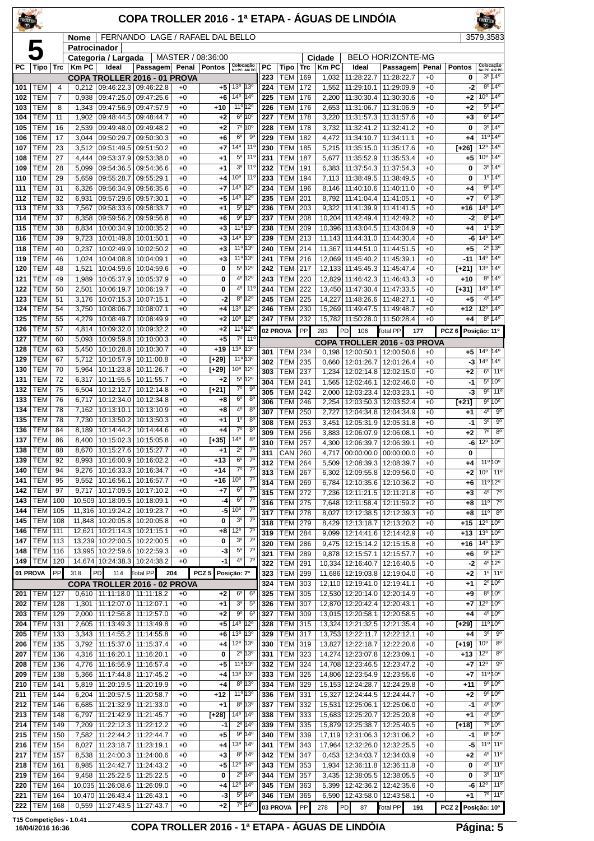| TROLLER<br>$\overline{x}$ |                          |            |                |                                                              | COPA TROLLER 2016 - 1ª ETAPA - ÁGUAS DE LINDÓIA |              |                   |                                                                    |                                  |            |                              |            |                |                                            |                                                         |              |                    |                                   |                                                      |
|---------------------------|--------------------------|------------|----------------|--------------------------------------------------------------|-------------------------------------------------|--------------|-------------------|--------------------------------------------------------------------|----------------------------------|------------|------------------------------|------------|----------------|--------------------------------------------|---------------------------------------------------------|--------------|--------------------|-----------------------------------|------------------------------------------------------|
|                           |                          |            | <b>Nome</b>    |                                                              | FERNANDO LAGE / RAFAEL DAL BELLO                |              |                   |                                                                    |                                  |            |                              |            |                |                                            |                                                         |              |                    | 3579,3583                         |                                                      |
|                           | 5                        |            | Patrocinador   | Categoria / Largada                                          |                                                 |              | MASTER / 08:36:00 |                                                                    |                                  |            |                              |            | Cidade         |                                            | <b>BELO HORIZONTE-MG</b>                                |              |                    |                                   |                                                      |
| РC                        | Tipo                     | <b>Trc</b> | <b>Km PC</b>   | Ideal                                                        | Passagem Penal Pontos                           |              |                   | Colocação<br>No PC Até PC                                          |                                  | РC         | Tipo                         | Trc        | <b>KmPC</b>    | Ideal                                      | Passagem                                                | Penal        | <b>Pontos</b>      | Colocação<br>No PC Até PC         | 3º 14º                                               |
| 101                       | <b>TEM</b>               | 4          |                | $0,212$ 09:46:22.3 09:46:22.8                                | COPA TROLLER 2016 - 01 PROVA                    | $+0$         | $+5$              | 13º 13º                                                            |                                  | 223<br>224 | <b>TEM</b><br>TEM            | 169<br>172 | 1,032<br>1,552 | 11:28:22.7<br>11:29:10.1                   | 11:28:22.7<br>11:29:09.9                                | $+0$<br>$+0$ | 0<br>-2            | $8^{\circ}$                       | $14^{\circ}$                                         |
| 102                       | <b>TEM</b>               | 7          | 0,938          | 09:47:25.0                                                   | 09:47:25.6                                      | $+0$         | $+6$              | 14 <sup>o</sup> 14 <sup>o</sup>                                    |                                  | 225        | TEM                          | 176        | 2,200          | 11:30:30.4                                 | 11:30:30.6                                              | $+0$         | $+2$               | 10 <sup>o</sup>                   | $14^{\circ}$                                         |
| 103<br>104                | <b>TEM</b><br>TEM        | 8<br>11    | 1,343<br>1,902 | 09:47:56.9<br>09:48:44.5                                     | 09:47:57.9<br>09:48:44.7                        | $+0$<br>$+0$ | $+10$<br>$+2$     | 11º 12º<br>$6^{\circ} 10^{\circ}$                                  |                                  | 226<br>227 | TEM<br>TEM                   | 176<br>178 | 2,653<br>3,220 | 11:31:06.7<br>11:31:57.3                   | 11:31:06.9<br>11:31:57.6                                | $+0$<br>$+0$ | $+2$<br>$+3$       | $5^{\circ}$<br>6 <sup>o</sup>     | 14 <sup>°</sup><br>$14^{\circ}$                      |
| 105                       | <b>TEM</b>               | 16         | 2,539          | 09:49:48.0                                                   | 09:49:48.2                                      | $+0$         | $+2$              | 7º 10°                                                             |                                  | 228        | <b>TEM</b>                   | 178        | 3,732          | 11:32:41.2                                 | 11:32:41.2                                              | $+0$         | 0                  | 30                                | $14^{\circ}$                                         |
| 106                       | <b>TEM</b>               | 17         | 3,044          | 09:50:29.7                                                   | 09:50:30.3                                      | $+0$         | $+6$              | $6^{\circ}$                                                        | 9º                               | 229        | TEM                          | 182        | 4,472          | 11:34:10.7                                 | 11:34:11.1                                              | +0           | +4                 | 11º 14º                           |                                                      |
| 107                       | <b>TEM</b>               | 23         | 3,512          | 09:51:49.5                                                   | 09:51:50.2                                      | $+0$         | $+7$              | $14^{\circ}$<br>$5^{\circ}$                                        | 11 <sup>o</sup><br>$11^{\circ}$  | 230        | <b>TEM</b>                   | 185        | 5,215          | 11:35:15.0                                 | 11:35:17.6                                              | $+0$         | [+26]              | $12^{\circ}$<br>10 <sup>o</sup>   | $14^{\circ}$<br>$14^{\circ}$                         |
| 108<br>109                | <b>TEM</b><br>TEM        | 27<br>28   | 4,444<br>5,099 | 09:53:37.9<br>09:54:36.5                                     | 09:53:38.0<br>09:54:36.6                        | $+0$<br>$+0$ | $+1$<br>$+1$      | 30                                                                 | $11^{\circ}$                     | 231<br>232 | <b>TEM</b><br><b>TEM</b>     | 187<br>191 | 5,677<br>6,383 | 11:35:52.9<br>11:37:54.3                   | 11:35:53.4<br>11:37:54.3                                | $+0$<br>$+0$ | $+5$<br>0          |                                   | $3^{\circ}$ 14 $^{\circ}$                            |
| 110                       | <b>TEM</b>               | 29         | 5,659          | 09:55:28.7                                                   | 09:55:29.1                                      | $+0$         | $+4$              | $10^{\circ}$ 11 <sup>°</sup>                                       |                                  | 233        | TEM                          | 194        |                | 7,113   11:38:49.5                         | 11:38:49.5                                              | $+0$         | 0                  |                                   | 10 140                                               |
| 111                       | <b>TEM</b>               | 31         | 6,326          | 09:56:34.9                                                   | 09:56:35.6                                      | $+0$         | $+7$              | $14^{\circ}$<br>$14^{\circ}$                                       | $12^{\circ}$<br>$12^{\circ}$     | 234        | <b>TEM</b>                   | 196<br>201 | 8,146          | 11:40:10.6                                 | 11:40:11.0                                              | $+0$         | $+4$               | 6 <sup>o</sup>                    | 9° 14°<br>13°                                        |
| 112<br>113                | <b>TEM</b><br><b>TEM</b> | 32<br>33   | 6,931<br>7,567 | 09:57:29.6<br>09:58:33.6                                     | 09:57:30.1<br>09:58:33.7                        | $+0$<br>$+0$ | $+5$<br>$+1$      | 5º 12º                                                             |                                  | 235<br>236 | <b>TEM</b><br>TEM            | 203        | 8,792<br>9,322 | 11:41:04.4<br>11:41:39.9                   | 11:41:05.1<br>11:41:41.5                                | +0<br>+0     | $+7$<br>$+16$      | $14^{\circ}$                      | $14^{\circ}$                                         |
| 114                       | <b>TEM</b>               | 37         | 8,358          | 09:59:56.2                                                   | 09:59:56.8                                      | $+0$         | $+6$              | $9^{\circ}$ 13 $^{\circ}$                                          |                                  | 237        | TEM                          | 208        |                | 10,204 11:42:49.4                          | 11:42:49.2                                              | $+0$         | -2                 | $8^{\circ}$                       | $14^{\circ}$                                         |
| 115                       | <b>TEM</b>               | 38         | 8,834          | 10:00:34.9                                                   | 10:00:35.2                                      | $+0$         | $+3$              | 11º 13º<br>14º 13º                                                 |                                  | 238        | <b>TEM</b>                   | 209        |                | 10,396 11:43:04.5                          | 11:43:04.9                                              | $+0$         | $+4$               | 1 <sup>0</sup>                    | 13°<br>14 <sup>°</sup>                               |
| 116<br>118                | <b>TEM</b><br><b>TEM</b> | 39<br>40   | 9,723<br>0,237 | 10:01:49.8<br>10:02:49.9                                     | 10:01:50.1<br>10:02:50.2                        | $+0$<br>$+0$ | $+3$<br>$+3$      | 11º 13º                                                            |                                  | 239<br>240 | <b>TEM</b><br>TEM            | 213<br>214 | 11,367         | 11,143 11:44:31.0<br>11:44:51.0            | 11:44:30.4<br>11:44:51.5                                | +0<br>$+0$   | -6<br>+5           | $14^{\circ}$<br>2º                | 13°                                                  |
| 119                       | <b>TEM</b>               | 46         | 1,024          | 10:04:08.8                                                   | 10:04:09.1                                      | $+0$         | $+3$              | 11°13°                                                             |                                  | 241        | TEM                          | 216        |                | 12,069 11:45:40.2                          | 11:45:39.1                                              | $+0$         | $-11$              | 14 <sup>°</sup>                   | $14^{\circ}$                                         |
| 120                       | <b>TEM</b>               | 48         | 1,521          | 10:04:59.6                                                   | 10:04:59.6                                      | $+0$         | 0                 | 5º 12º                                                             |                                  | 242        | TEM                          | 217        |                | 12.133 11:45:45.3                          | 11:45:47.4                                              | +0           | [+21]              | 13 <sup>0</sup>                   | 14°                                                  |
| 121<br>122                | <b>TEM</b><br><b>TEM</b> | 49<br>50   | 1,989<br>2,501 | 10:05:37.9<br>10:06:19.7                                     | 10:05:37.9<br>10:06:19.7                        | $+0$<br>$+0$ | 0<br>0            | 4º 12º<br>4 <sup>0</sup> 11 <sup>°</sup>                           |                                  | 243<br>244 | TEM<br>TEM                   | 220<br>222 |                | 12.829 11:46:42.3<br>13,450 11:47:30.4     | 11:46:43.3<br>11:47:33.5                                | +0<br>$+0$   | $+10$<br>$[+31]$   | 8 <sup>o</sup><br>14°             | 14°<br>$14^{\circ}$                                  |
| 123                       | <b>TEM</b>               | 51         | 3,176          | 10:07:15.3                                                   | 10:07:15.1                                      | $+0$         | -2                | 8º 12º                                                             |                                  | 245        | TEM                          | 225        | 14,227         | 11:48:26.6                                 | 11:48:27.1                                              | $+0$         | $+5$               |                                   | $4^{\circ}14^{\circ}$                                |
| 124                       | <b>TEM</b>               | 54         | 3,750          | 10:08:06.7                                                   | 10:08:07.1                                      | $+0$         | $+4$              | 13°                                                                | $12^{\circ}$                     | 246        | TEM                          | 230        |                | 15,269 11:49:47.5                          | 11:49:48.7                                              | +0           | +12                | 12°                               | 14°                                                  |
| 125                       | <b>TEM</b>               | 55         | 4,279          | 10:08:49.7                                                   | 10:08:49.9                                      | $+0$         | $+2$              | $10^{\circ}$ $12^{\circ}$                                          |                                  | 247        | TEM                          | 232        |                | 15,782 11:50:28.0                          | 11:50:28.4                                              | $+0$         | $+4$               |                                   | $8^{\circ}$ 14°                                      |
| 126<br>127                | <b>TEM</b><br><b>TEM</b> | 57<br>60   | 4,814<br>5,093 | 10:09:32.0<br>10:09:59.8                                     | 10:09:32.2<br>10:10:00.3                        | $+0$<br>$+0$ | $+2$<br>$+5$      | 11º 12º<br>7º 11º                                                  |                                  | 02 PROVA   |                              | PP         | 283            | PD<br>106                                  | <b>Total PP</b><br>177                                  |              | PCZ <sub>6</sub>   | Posição: 11º                      |                                                      |
| 128                       | <b>TEM</b>               | 63         | 5,450          | 10:10:28.8                                                   | 10:10:30.7                                      | $+0$         | $+19$             | 13°                                                                | $13^{\circ}$                     | 301        | <b>TEM 234</b>               |            | 0,198          |                                            | COPA TROLLER 2016 - 03 PROVA<br>12:00:50.1   12:00:50.6 | $+0$         | +5                 | $14^{\circ}$                      | 14 <sup>o</sup>                                      |
| 129                       | <b>TEM</b>               | 67         | 5,712          | 10:10:57.9                                                   | 10:11:00.8                                      | $+0$         | $[+29]$           | $11^{\circ}$ 13°                                                   |                                  | 302        | TEM                          | 235        | 0,660          | 12:01:26.7                                 | 12:01:26.4                                              | +0           | -3                 | $14^{\circ}$                      | $14^{\circ}$                                         |
| 130<br>131                | <b>TEM</b><br><b>TEM</b> | 70<br>72   | 5,964<br>6,317 | 10:11:23.8   10:11:26.7<br>10:11:55.5                        | 10:11:55.7                                      | $+0$<br>$+0$ | $[+29]$<br>$+2$   | 10° 12°<br>5º 12º                                                  |                                  | 303        | TEM                          | 237        | 1,234          | 12:02:14.8                                 | 12:02:15.0                                              | $+0$         | $+2$               | $6^{\circ}$                       | $11^{\circ}$<br>$5^{\circ}10^{\circ}$                |
| 132                       | <b>TEM</b>               | 75         | 6,504          | 10:12:12.7                                                   | 10:12:14.8                                      | $+0$         | [+21]             | $7^\circ$                                                          | $9^{\circ}$                      | 304<br>305 | TEM<br><b>TEM</b>            | 241<br>242 | 1,565<br>2,000 | 12:02:46.1<br>12:03:23.4                   | 12:02:46.0<br>12:03:23.1                                | +0<br>$+0$   | -1<br>-3           | 90                                | 11 <sup>°</sup>                                      |
| 133                       | <b>TEM</b>               | 76         | 6,717          | 10:12:34.0   10:12:34.8                                      |                                                 | $+0$         | +8                | $6^{\circ}$                                                        | 8 <sup>o</sup>                   | 306        | <b>TEM</b>                   | 246        | 2,254          | 12:03:50.3                                 | 12:03:52.4                                              | $+0$         | [+21]              | $9^{\circ}$                       | 10 <sup>o</sup>                                      |
| 134<br>135                | <b>TEM</b><br>TEM        | 78<br>78   | 7,162<br>7,730 | 10:13:10.1<br>10:13:50.2                                     | 10:13:10.9<br>10:13:50.3                        | $+0$<br>$+0$ | $+8$<br>$+1$      | 4°<br>$1^{\circ}$                                                  | 8 <sup>o</sup><br>8 <sup>o</sup> | 307        | TEM                          | 250        | 2,727          | 12:04:34.8                                 | 12:04:34.9                                              | $+0$         | +1                 | 4º                                | $9^{\circ}$                                          |
| 136                       | <b>TEM</b>               | 84         | 8,189          | 10:14:44.2                                                   | 10:14:44.6                                      | $+0$         | $+4$              | $7^\circ$                                                          | $8^{\circ}$                      | 308<br>309 | <b>TEM</b><br>TEM            | 253<br>256 | 3,451<br>3,883 | 12:05:31.9<br>12:06:07.9                   | 12:05:31.8<br>12:06:08.1                                | $+0$<br>$+0$ | $-1$<br>+2         | 30<br>$7^\circ$                   | $9^{\circ}$<br>8 <sup>o</sup>                        |
| 137                       | <b>TEM</b>               | 86         | 8,400          | 10:15:02.3   10:15:05.8                                      |                                                 | $+0$         | $[+35]$           | $14^{\circ}$                                                       | $8^{\circ}$                      | 310        | <b>TEM</b>                   | 257        | 4,300          | 12:06:39.7                                 | 12:06:39.1                                              | +0           | -6                 | $12^{\circ}$                      | 10 <sup>o</sup>                                      |
| 138<br>139                | <b>TEM</b><br>TEM        | 88<br>92   | 8,993          | 8.670   10:15:27.6   10:15:27.7<br>10:16:00.9   10:16:02.2   |                                                 | $+0$<br>$+0$ | $+1$<br>$+13$     | $2^{\circ}$<br>$6^{\circ}$                                         | 7 <sup>o</sup><br>$7^\circ$      | 311        | CAN 260                      |            |                |                                            | 4,717 00:00:00.0 00:00:00.0                             | $+0$         | 0                  |                                   |                                                      |
| 140                       | <b>TEM</b>               | 94         | 9,276          | 10:16:33.3                                                   | 10:16:34.7                                      | $+0$         | $+14$             | $7^{\circ}$                                                        | $7^\circ$                        | 312<br>313 | <b>TEM 264</b><br><b>TEM</b> | 267        | 6,302          | 12:09:55.8                                 | 5,509   12:08:39.3   12:08:39.7<br>12:09:56.0           | $+0$<br>$+0$ | +4<br>+2           | $11^{\circ} 10^{\circ}$<br>10°    | $11^{\circ}$                                         |
| 141                       | TEM                      | 95         | 9,552          | 10:16:56.1                                                   | 10:16:57.7                                      | $+0$         | +16               | 10 <sup>o</sup>                                                    | $7^{\circ}$                      | 314        | <b>TEM 269</b>               |            |                |                                            | 6,784   12:10:35.6   12:10:36.2                         | $+0$         | +6                 |                                   | $11^{\circ}$ 12°                                     |
| 142                       | <b>TEM</b>               | 97         | 9,717          | 10:17:09.5   10:17:10.2<br>10,509 10:18:09.5 10:18:09.1      |                                                 | $+0$         | $+7$              | $6^{\circ}$<br>$6^{\circ}$                                         | $7^\circ$<br>$7^{\circ}$         | 315        | TEM                          | 272        | 7,236          | 12:11:21.5                                 | 12:11:21.8                                              | $+0$         | $+3$               | 4°                                | $7^\circ$                                            |
| 143<br>144                | TEM<br><b>TEM</b>        | 100<br>105 |                | 11,316 10:19:24.2 10:19:23.7                                 |                                                 | $+0$<br>$+0$ | -4<br>-5          | 10 <sup>o</sup>                                                    | $7^\circ$                        | 316<br>317 | <b>TEM</b><br><b>TEM 278</b> | 275        | 7,648          | 12:11:58.4                                 | 12:11:59.2<br>8,027   12:12:38.5   12:12:39.3           | +0<br>$+0$   | +8<br>+8           | $11^{\circ}$<br>$11^{\circ}$      | $7^\circ$<br>$8^{\circ}$                             |
| 145                       | TEM                      | 108        |                | 11,848 10:20:05.8 10:20:05.8                                 |                                                 | $+0$         | 0                 | 3 <sup>o</sup>                                                     | $7^\circ$                        | 318        | <b>TEM</b>                   | 279        | 8,429          | 12:13:18.7                                 | 12:13:20.2                                              | $+0$         | $+15$              | $12^{\circ}$                      | 10°                                                  |
| 146                       | <b>TEM</b>               | 111        |                | 12,621 10:21:14.3 10:21:15.1                                 |                                                 | $+0$         | +8                | $12^{\circ}$                                                       | $7^{\circ}$                      | 319        | <b>TEM</b>                   | 284        |                | 9,099 12:14:41.6                           | 12:14:42.9                                              | $+0$         | $+13$              | $13^{o}$                          | 10°                                                  |
| 147<br>148                | TEM<br>TEM               | 113<br>116 |                | 13,239 10:22:00.5 10:22:00.5<br>13,995 10:22:59.6            | 10:22:59.3                                      | $+0$<br>$+0$ | 0<br>-3           | 3 <sup>o</sup><br>$5^{\circ}$                                      | $7^\circ$<br>$7^{\circ}$         | 320        | TEM                          | 286        |                | 9,475   12:15:14.2                         | 12:15:15.8                                              | $+0$         | +16                | $14^{\circ}$                      | 13°                                                  |
| 149                       | TEM                      | 120        |                | 14,674 10:24:38.3 10:24:38.2                                 |                                                 | $+0$         | $-1$              | $4^{\circ}$                                                        | $7^\circ$                        | 321<br>322 | <b>TEM</b><br><b>TEM</b>     | 289<br>291 |                | 9,878   12:15:57.1<br>10,334 12:16:40.7    | 12:15:57.7<br>12:16:40.5                                | +0<br>$+0$   | $+6$<br>-2         |                                   | $9^{\circ}$ 12°<br>4º 12º                            |
| 01 PROVA                  |                          | PP         | 318            | PD<br>114                                                    | <b>Total PP</b><br>204                          |              | PCZ <sub>5</sub>  | Posição: 7º                                                        |                                  | 323        | TEM                          | 299        |                |                                            | 11,686 12:19:03.8 12:19:04.0                            | $+0$         | $+2$               |                                   | 10 110                                               |
|                           |                          |            |                |                                                              | COPA TROLLER 2016 - 02 PROVA                    |              |                   |                                                                    |                                  | 324        | <b>TEM</b>                   | 303        |                | 12,110   12:19:41.0                        | 12:19:41.1                                              | $+0$         | +1                 |                                   | $2^{\circ}$ 10 <sup>°</sup>                          |
| 201<br>202                | <b>TEM</b><br>TEM        | 127<br>128 | 1,301          | $0,610$   11:11:18.0   11:11:18.2<br>11:12:07.0   11:12:07.1 |                                                 | $+0$<br>$+0$ | $+2$<br>$+1$      | $6^{\circ}$<br>3 <sup>o</sup>                                      | $6^{\circ}$<br>$5^{\circ}$       | 325<br>326 | TEM<br><b>TEM</b>            | 305<br>307 |                | 12,530 12:20:14.0<br>12,870 12:20:42.4     | 12:20:14.9<br>12:20:43.1                                | $+0$<br>$+0$ | $+9$<br>+7         | $12^{\circ}$ $10^{\circ}$         | $8^{\circ}$ 10 $^{\circ}$                            |
| 203                       | TEM                      | 129        | 2,000          | 11:12:56.8   11:12:57.0                                      |                                                 | $+0$         | $+2$              | $9^{\circ}$                                                        | $6^{\circ}$                      | 327        | <b>TEM</b>                   | 309        |                | 13,015 12:20:58.1                          | 12:20:58.5                                              | $+0$         | $+4$               |                                   | $4^{\circ}$ 10 <sup>°</sup>                          |
| 204                       | TEM                      | 131        | 2,605          | 11:13:49.3   11:13:49.8                                      |                                                 | $+0$         | $+5$              | $14^{\circ}$ 12 <sup>°</sup>                                       |                                  | 328        | TEM                          | 315        |                |                                            | 13,324 12:21:32.5 12:21:35.4                            | $+0$         | [+29]              |                                   | $11^{\circ}10^{\circ}$                               |
| 205<br>206                | TEM<br>TEM               | 133<br>135 | 3,343<br>3,792 | 11:14:55.2   11:14:55.8<br>11:15:37.0   11:15:37.4           |                                                 | $+0$<br>$+0$ | +6<br>$+4$        | 13 <sup>o</sup> 13 <sup>o</sup><br>12 <sup>o</sup> 13 <sup>o</sup> |                                  | 329<br>330 | TEM<br>TEM                   | 317<br>319 |                | 13,753 12:22:11.7<br>13,827 12:22:18.7     | 12:22:12.1<br>12:22:20.6                                | +0<br>$+0$   | +4<br>[+19]        | 3 <sup>o</sup><br>10 <sup>o</sup> | 90<br>$8^{\circ}$                                    |
| 207                       | <b>TEM</b>               | 136        |                | 4,316   11:16:20.1   11:16:20.1                              |                                                 | $+0$         | 0                 | $2^{\circ}$ 13 $^{\circ}$                                          |                                  | 331        | <b>TEM 323</b>               |            |                |                                            | 14,274 12:23:07.8 12:23:09.1                            | $+0$         | +13                | $12^{\circ}$                      | $8^{\circ}$                                          |
| 208                       | TEM                      | 136        | 4,776          | 11:16:56.9   11:16:57.4                                      |                                                 | $+0$         | $+5$              | $11^{\circ}$ 13°                                                   |                                  | 332        | <b>TEM</b>                   | 324        |                | 14,708 12:23:46.5                          | 12:23:47.2                                              | $+0$         | +7                 | $12^{\circ}$                      | $9^{\circ}$                                          |
| 209                       | TEM                      | 138        | 5,366<br>5,819 | 11:17:44.8   11:17:45.2                                      |                                                 | $+0$         | $^{+4}$<br>$+4$   | 13º 13º<br>$8^{\circ}$ 13°                                         |                                  | 333<br>334 | <b>TEM</b><br>TEM            | 325<br>329 |                | 14,806 12:23:54.9                          | 12:23:55.6                                              | $+0$         | +7                 |                                   | $11^{\circ} 10^{\circ}$<br>$9^{\circ}$ 10 $^{\circ}$ |
| 210<br>211                | TEM<br><b>TEM</b>        | 141<br>144 | 6,204          | 11:20:19.5<br>11:20:57.5                                     | 11:20:19.9<br>11:20:58.7                        | $+0$<br>$+0$ | $+12$             | 11º 13º                                                            |                                  | 336        | <b>TEM</b>                   | 331        |                | 15, 153 12: 24: 28. 7<br>15,327 12:24:44.5 | 12:24:29.8<br>12:24:44.7                                | $+0$<br>$+0$ | $+11$<br>$+2$      |                                   | 9°10°                                                |
| 212                       | <b>TEM</b>               | 146        | 6,685          | 11:21:32.9   11:21:33.0                                      |                                                 | $+0$         | $+1$              | 8º 13º                                                             |                                  | 337        | <b>TEM</b>                   | 332        |                |                                            | 15,531 12:25:06.1 12:25:06.0                            | $+0$         | $-1$               |                                   | $4^{\circ}10^{\circ}$                                |
| 213                       | TEM                      | 148        | 6,797          | 11:21:42.9   11:21:45.7                                      |                                                 | $+0$         | $[+28]$           | 14 <sup>o</sup> 14 <sup>o</sup>                                    |                                  | 338        | <b>TEM</b>                   | 333        |                | 15,683 12:25:20.7                          | 12:25:20.8                                              | $+0$         | $+1$               |                                   | 4º 10º                                               |
| 214<br>215                | TEM<br>TEM               | 149<br>150 | 7,209<br>7,582 | 11:22:12.3<br>11:22:44.2   11:22:44.7                        | 11:22:12.2                                      | $+0$<br>$+0$ | -1<br>$+5$        | $2^{\circ}$ 14°<br>9° 14°                                          |                                  | 339<br>340 | TEM<br>TEM                   | 335<br>339 |                | 15,879 12:25:38.7<br>17,119 12:31:06.3     | 12:25:40.5<br>12:31:06.2                                | $+0$<br>$+0$ | [+18]<br>-1        |                                   | 7° 10°<br>$8^{\circ}$ 10 $^{\circ}$                  |
| 216                       | TEM                      | 154        | 8,027          | 11:23:18.7                                                   | 11:23:19.1                                      | $+0$         | $+4$              | 13º 14º                                                            |                                  | 341        | <b>TEM</b>                   | 343        |                | 17,964 12:32:26.0                          | 12:32:25.5                                              | $+0$         | -5                 |                                   | $11°$ 11°                                            |
| 217                       | <b>TEM</b>               | 157        | 8,538          | 11:24:00.3                                                   | 11:24:00.6                                      | $+0$         | $+3$              | $8^{\circ}$ 14 $^{\circ}$                                          |                                  | 342        | TEM                          | 347        |                | 0,453   12:34:03.7                         | 12:34:03.9                                              | $+0$         | $+2$               |                                   | 4º   11º                                             |
| 218<br>219                | <b>TEM</b><br>TEM        | 161<br>164 | 8,985<br>9,458 | 11:24:42.7   11:24:43.2<br>  11:25:22.5   11:25:22.5         |                                                 | $+0$<br>$+0$ | $+5$<br>0         | $12^{\circ}$ 14 <sup>°</sup><br>$2^{\circ}$ 14 $^{\circ}$          |                                  | 343<br>344 | <b>TEM 353</b><br><b>TEM</b> | 357        |                | 3,435   12:38:05.5                         | 1,934   12:36:11.8   12:36:11.8<br>12:38:05.5           | $+0$<br>$+0$ | 0<br>0             | 3 <sup>o</sup>                    | $4°$ 11°<br>11°                                      |
| 220                       | TEM                      | 164        |                | 10,035 11:26:08.6                                            | 11:26:09.0                                      | $+0$         | +4                | 12 <sup>o</sup> 14 <sup>o</sup>                                    |                                  | 345        | <b>TEM</b>                   | 363        |                |                                            | 5,399   12:42:36.2   12:42:35.6                         | $+0$         | -6                 | $12^{\circ}$                      | 11°                                                  |
| 221                       | TEM                      | 164        | 10,470         | 11:26:43.4   11:26:43.1                                      |                                                 | $+0$         | -3                | 5º 14º                                                             |                                  | 346        | <b>TEM</b>                   | 365        |                |                                            | 6,590   12:43:58.0   12:43:58.1                         | $+0$         | +1                 |                                   | 7° 11°                                               |
| 222                       | TEM                      | 168        | 0,559          | 11:27:43.5   11:27:43.7                                      |                                                 | $+0$         | $+2$              | 7º 14º                                                             |                                  | 03 PROVA   |                              | PP         | 278            | PD 87                                      | Total PP<br>191                                         |              | PCZ 2 Posição: 10° |                                   |                                                      |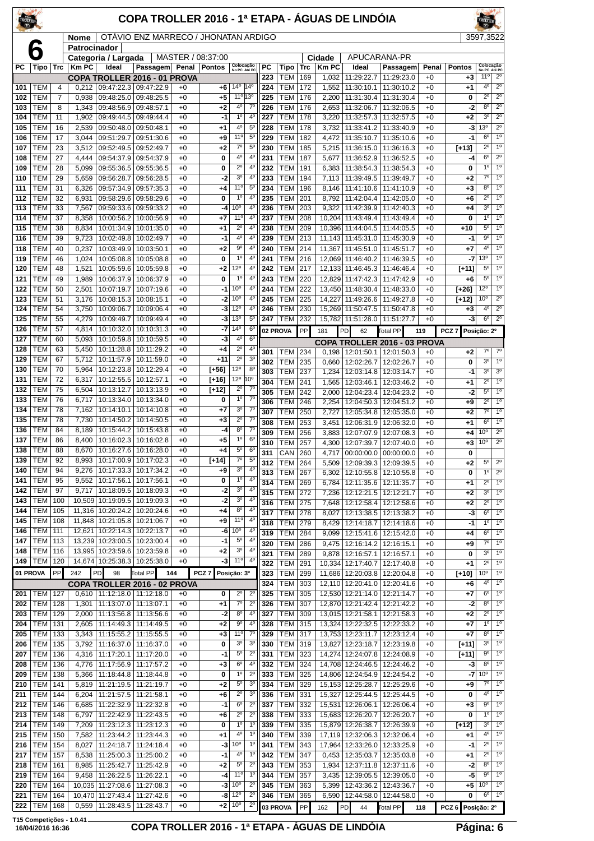| TROLLER    |                          |            |                |                                                              | COPA TROLLER 2016 - 1ª ETAPA - ÁGUAS DE LINDÓIA |              |                   |                                                                   |            |                              |            |                |                                           |                              |                 |                   |                                    |                                  |
|------------|--------------------------|------------|----------------|--------------------------------------------------------------|-------------------------------------------------|--------------|-------------------|-------------------------------------------------------------------|------------|------------------------------|------------|----------------|-------------------------------------------|------------------------------|-----------------|-------------------|------------------------------------|----------------------------------|
|            |                          |            | Nome           |                                                              | OTAVIO ENZ MARRECO / JHONATAN ARDIGO            |              |                   |                                                                   |            |                              |            |                |                                           |                              |                 |                   | 3597.3522                          |                                  |
|            |                          |            | Patrocinador   | Categoria / Largada                                          |                                                 |              | MASTER / 08:37:00 |                                                                   |            |                              |            | Cidade         |                                           | APUCARANA-PR                 |                 |                   |                                    |                                  |
| РC         | Tipo                     | Trc        | <b>Km PC</b>   | Ideal                                                        | Passagem                                        | Penal        | <b>Pontos</b>     | Colocação<br>No PC Até PC                                         | PC         | Tipo                         | Trc        | Km PC          | Ideal                                     | Passagem                     | Penal           | <b>Pontos</b>     | Colocação<br>No PC Até PC          |                                  |
| 101        | TEM                      | 4          | 0.212          | 09:47:22.3 09:47:22.9                                        | COPA TROLLER 2016 - 01 PROVA                    | $+0$         | +6                | 14º  14º                                                          | 223<br>224 | TEM<br>TEM                   | 169<br>172 | 1,552          | 1.032 11:29:22.7<br>11:30:10.1            | 11:29:23.0<br>11:30:10.2     | $+0$<br>$+0$    | $+3$<br>$+1$      | 11 <sup>°</sup><br>4 <sup>0</sup>  | $2^{\circ}$<br>$2^{\circ}$       |
| 102        | TEM                      | 7          | 0,938          | 09:48:25.0                                                   | 09:48:25.5                                      | $+0$         | +5                | 11º 13º                                                           | 225        | TEM                          | 176        | 2,200          | 11:31:30.4                                | 11:31:30.4                   | $+0$            | 0                 | $2^{\circ}$                        | $2^{\circ}$                      |
| 103        | TEM                      | 8          | 1,343          | 09:48:56.9 09:48:57.1                                        |                                                 | $+0$         | +2                | $4^{\circ}$<br>$7^\circ$                                          | 226        | TEM                          | 176        |                | 2.653 11:32:06.7                          | 11:32:06.5                   | $+0$            | -2                | 8 <sup>o</sup>                     | $2^{\circ}$                      |
| 104        | TEM<br>TEM               | 11<br>16   | 1,902          | 09:49:44.5                                                   | 09:49:44.4                                      | $+0$<br>$+0$ | -1                | $1^{\circ}$<br>$4^{\circ}$<br>4°<br>$5^{\circ}$                   | 227<br>228 | TEM<br>TEM                   | 178        | 3,220          | 11:32:57.3                                | 11:32:57.5                   | $+0$            | $+2$              | 30<br>13 <sup>0</sup>              | $2^{\circ}$<br>$2^{\circ}$       |
| 105<br>106 | <b>TEM</b>               | 17         | 2,539<br>3,044 | 09:50:48.0<br>09:51:29.7                                     | 09:50:48.1<br>09:51:30.6                        | $+0$         | +1<br>+9          | 11°<br>$5^{\circ}$                                                | 229        | TEM                          | 178<br>182 | 3,732          | 11:33:41.2<br>4,472 11:35:10.7            | 11:33:40.9<br>11:35:10.6     | $+0$<br>$+0$    | -3<br>$-1$        | $6^{\circ}$                        | $1^{\circ}$                      |
| 107        | TEM                      | 23         | 3,512          | 09:52:49.5                                                   | 09:52:49.7                                      | $+0$         | $+2$              | $7^\circ$<br>$5^{\circ}$                                          | 230        | <b>TEM</b>                   | 185        |                | 5.215 11:36:15.0                          | 11:36:16.3                   | $+0$            | $[+13]$           | $2^{\circ}$                        | 1 <sup>0</sup>                   |
| 108        | TEM                      | 27         | 4,444          | 09:54:37.9 09:54:37.9                                        |                                                 | $+0$         | 0                 | 4°<br>4°                                                          | 231        | <b>TEM</b>                   | 187        | 5,677          | 11:36:52.9                                | 11:36:52.5                   | $+0$            | -4                | 6 <sup>o</sup>                     | $2^{\circ}$                      |
| 109<br>110 | TEM<br>TEM               | 28<br>29   | 5,099<br>5,659 | 09:55:36.5<br>09:56:28.7                                     | 09:55:36.5<br>09:56:28.5                        | $+0$<br>$+0$ | 0<br>-2           | $2^{\circ}$<br>$4^{\circ}$<br>$4^{\circ}$<br>30                   | 232<br>233 | TEM<br>TEM                   | 191<br>194 | 6,383          | 11:38:54.3<br>7,113   11:39:49.5          | 11:38:54.3<br>11:39:49.7     | $+0$<br>$+0$    | 0<br>$+2$         | 1 <sup>0</sup><br>$7^\circ$        | 1 <sup>o</sup><br>$1^{\circ}$    |
| 111        | TEM                      | 31         | 6,326          | 09:57:34.9                                                   | 09:57:35.3                                      | $+0$         | +4                | 11 <sup>0</sup><br>5 <sup>o</sup>                                 | 234        | TEM                          | 196        |                | 8,146   11:41:10.6                        | 11:41:10.9                   | $+0$            | $+3$              | 8 <sup>o</sup>                     | 1 <sup>0</sup>                   |
| 112        | TEM                      | 32         | 6,931          | 09:58:29.6                                                   | 09:58:29.6                                      | $+0$         | 0                 | $1^{\circ}$<br>4°                                                 | 235        | TEM                          | 201        | 8,792          | 11:42:04.4                                | 11:42:05.0                   | $+0$            | $+6$              | $2^{\circ}$                        | 1 <sup>0</sup>                   |
| 113        | TEM                      | 33         | 7,567          | 09:59:33.6                                                   | 09:59:33.2                                      | $+0$         | -4                | 10°<br>4°<br>4 <sup>0</sup><br>11°                                | 236        | TEM                          | 203        | 9,322          | 11:42:39.9                                | 11:42:40.3                   | $+0$            | +4                | 3 <sup>o</sup><br>1 <sup>0</sup>   | 1 <sup>o</sup><br>1 <sup>0</sup> |
| 114<br>115 | <b>TEM</b><br><b>TEM</b> | 37<br>38   | 8,358<br>8,834 | 10:00:56.2<br>10:01:34.9                                     | 10:00:56.9<br>10:01:35.0                        | $+0$<br>$+0$ | +7<br>+1          | $4^{\circ}$<br>$2^{\circ}$                                        | 237<br>238 | TEM<br><b>TEM</b>            | 208<br>209 |                | 10,204 11:43:49.4<br>10,396 11:44:04.5    | 11:43:49.4<br>11:44:05.5     | $+0$<br>$+0$    | 0<br>+10          | $5^{\circ}$                        | 1 <sup>0</sup>                   |
| 116        | <b>TEM</b>               | 39         | 9,723          | 10:02:49.8                                                   | 10:02:49.7                                      | $+0$         | $-1$              | 4°<br>4°                                                          | 239        | TEM                          | 213        |                | 11,143 11:45:31.0                         | 11:45:30.9                   | $+0$            | -1                | $9^{\circ}$                        | 1 <sup>o</sup>                   |
| 118        | TEM                      | 40         | 0,237          | 10:03:49.9                                                   | 10:03:50.1                                      | $+0$         | +2                | $4^{\circ}$<br>90                                                 | 240        | <b>TEM</b>                   | 214        |                | 11,367 11:45:51.0                         | 11:45:51.7                   | $+0$            | +7                | 4 <sup>0</sup>                     | 1 <sup>0</sup>                   |
| 119<br>120 | TEM<br><b>TEM</b>        | 46<br>48   | 1,024<br>1,521 | 10:05:08.8<br>10:05:59.6   10:05:59.8                        | 10:05:08.8                                      | $+0$<br>$+0$ | 0<br>+2           | $1^{\circ}$<br>4 <sup>0</sup><br>12°<br>4°                        | 241<br>242 | TEM<br>TEM                   | 216<br>217 |                | 12,069 11:46:40.2<br>12,133 11:46:45.3    | 11:46:39.5<br>11:46:46.4     | $+0$<br>$+0$    | -7<br>[+11]       | 13 <sup>0</sup><br>$5^{\circ}$     | $1^{\circ}$<br>$1^{\circ}$       |
| 121        | <b>TEM</b>               | 49         | 1,989          | 10:06:37.9                                                   | 10:06:37.9                                      | $+0$         | 0                 | 1 <sup>0</sup><br>4 <sup>0</sup>                                  | 243        | <b>TEM</b>                   | 220        |                | 12,829 11:47:42.3                         | 11:47:42.9                   | $+0$            | +6                | $5^{\circ}$                        | 1 <sup>0</sup>                   |
| 122        | <b>TEM</b>               | 50         | 2,501          | 10:07:19.7                                                   | 10:07:19.6                                      | $+0$         | $-1$              | 10 <sup>o</sup><br>4°                                             | 244        | TEM                          | 222        |                | 13.450 11:48:30.4                         | 11:48:33.0                   | $+0$            | [+26]             | 12°                                | 1 <sup>0</sup>                   |
| 123        | TEM<br><b>TEM</b>        | 51         | 3,176          | 10:08:15.3   10:08:15.1                                      |                                                 | $+0$         | -2                | 10 <sup>o</sup><br>$4^{\circ}$<br>12°<br>4 <sup>0</sup>           | 245        | TEM<br><b>TEM</b>            | 225<br>230 |                | 14,227 11:49:26.6                         | 11:49:27.8                   | $+0$            | $[+12]$           | 10 <sup>o</sup><br>4 <sup>0</sup>  | $2^{\circ}$<br>$2^{\circ}$       |
| 124<br>125 | TEM                      | 54<br>55   | 3,750<br>4,279 | 10:09:06.7<br>10:09:49.7                                     | 10:09:06.4<br>10:09:49.4                        | $+0$<br>$+0$ | -3<br>-3          | 13 <sup>o</sup><br>$5^{\circ}$                                    | 246<br>247 | тем                          | 232        |                | 15,269 11:50:47.5<br>15,782 11:51:28.0    | 11:50:47.8<br>11:51:27.7     | $+0$<br>$+0$    | $+3$<br>-3        | 6 <sup>o</sup>                     | $2^{\circ}$                      |
| 126        | <b>TEM</b>               | 57         | 4,814          | 10:10:32.0   10:10:31.3                                      |                                                 | $+0$         | -7                | 14 <sup>°</sup><br>6 <sup>o</sup>                                 |            | 02 PROVA                     | PP         | 181            | PD<br>62                                  | <b>Total PP</b>              | 119             | PCZ <sub>7</sub>  | Posição: 2º                        |                                  |
| 127        | <b>TEM</b>               | 60         | 5,093          | 10:10:59.8                                                   | 10:10:59.5                                      | $+0$         | -3                | 6 <sup>o</sup><br>$4^{\circ}$                                     |            |                              |            |                |                                           | COPA TROLLER 2016 - 03 PROVA |                 |                   |                                    |                                  |
| 128<br>129 | TEM<br>TEM               | 63<br>67   | 5,450<br>5,712 | 10:11:28.8<br>10:11:57.9   10:11:59.0                        | 10:11:29.2                                      | $+0$<br>$+0$ | +4<br>$+11$       | $2^{\circ}$<br>4°<br>$\overline{2^0}$<br>3 <sup>o</sup>           | 301        | TEM                          | 234        |                | $0,198$   12:01:50.1                      | 12:01:50.3                   | $+0$            | $+2$              | $7^\circ$                          | $7^\circ$                        |
| 130        | <b>TEM</b>               | 70         | 5,964          | 10:12:23.8                                                   | 10:12:29.4                                      | $+0$         | $[+56]$           | 12°<br>$8^{\circ}$                                                | 302<br>303 | TEM<br><b>TEM</b>            | 235<br>237 | 0,660<br>1,234 | 12:02:26.7<br>12:03:14.8                  | 12:02:26.7<br>12:03:14.7     | $+0$<br>$+0$    | 0<br>-1           | 3 <sup>o</sup><br>3 <sup>o</sup>   | 1 <sup>o</sup><br>3 <sup>0</sup> |
| 131        | <b>TEM</b>               | 72         | 6,317          | 10:12:55.5   10:12:57.1                                      |                                                 | $+0$         | [+16]             | 12 <sup>o</sup> 10 <sup>o</sup>                                   | 304        | TEM                          | 241        | 1,565          | 12:03:46.1                                | 12:03:46.2                   | $+0$            | $+1$              | $2^{\circ}$                        | 1 <sup>°</sup>                   |
| 132        | TEM                      | 75         | 6,504          | 10:13:12.7                                                   | 10:13:13.9                                      | $+0$         | $[+12]$           | $7^\circ$<br>$2^{\circ}$                                          | 305        | <b>TEM</b>                   | 242        | 2,000          | 12:04:23.4                                | 12:04:23.2                   | $+0$            | -2                | 5 <sup>o</sup>                     | 1 <sup>o</sup>                   |
| 133<br>134 | <b>TEM</b><br>TEM        | 76<br>78   | 6,717<br>7,162 | 10:13:34.0   10:13:34.0<br>10:14:10.1                        | 10:14:10.8                                      | $+0$<br>$+0$ | 0<br>+7           | 1°<br>$7^\circ$<br>3 <sup>0</sup><br>$7^\circ$                    | 306        | <b>TEM</b>                   | 246        | 2,254          | 12:04:50.3                                | 12:04:51.2                   | $+0$            | +9                | $2^{\circ}$                        | 1 <sup>0</sup>                   |
| 135        | <b>TEM</b>               | 78         | 7,730          | 10:14:50.2                                                   | 10:14:50.5                                      | $+0$         | +3                | $2^{\circ}$<br>$7^\circ$                                          | 307<br>308 | TEM<br>TEM                   | 250<br>253 | 2,727<br>3,451 | 12:05:34.8<br>12:06:31.9                  | 12:05:35.0<br>12:06:32.0     | $+0$<br>$^{+0}$ | $+2$<br>+1        | $7^\circ$<br>6 <sup>o</sup>        | 1 <sup>0</sup><br>1 <sup>0</sup> |
| 136        | TEM                      | 84         | 8,189          | 10:15:44.2                                                   | 10:15:43.8                                      | $+0$         | -4                | $8^{\circ}$<br>$7^\circ$                                          | 309        | <b>TEM</b>                   | 256        | 3,883          | 12:07:07.9                                | 12:07:08.3                   | $+0$            | +4                | 10 <sup>o</sup>                    | $2^{\circ}$                      |
| 137        | <b>TEM</b>               | 86         | 8,400          | 10:16:02.3   10:16:02.8                                      |                                                 | $+0$         | +5                | $1^{\circ}$<br>6 <sup>o</sup><br>$5^{\circ}$<br>6 <sup>o</sup>    | 310        | <b>TEM</b>                   | 257        |                | 4,300   12:07:39.7                        | 12:07:40.0                   | $+0$            | $+3$              | 10 <sup>o</sup>                    | $2^{\circ}$                      |
| 138<br>139 | <b>TEM</b><br>TEM        | 88<br>92   | 8,670<br>8,993 | 10:16:27.6   10:16:28.0<br>10:17:00.9   10:17:02.3           |                                                 | $+0$<br>$+0$ | $+4$<br>$[+14]$   | $7^\circ$<br>$5^{\circ}$                                          | 311        | CAN                          | 260        |                |                                           | 4,717 00:00:00.0 00:00:00.0  | $+0$            | 0                 | $5^{\circ}$                        | $2^{\circ}$                      |
| 140        | TEM                      | 94         | 9,276          | 10:17:33.3                                                   | 10:17:34.2                                      | $+0$         | +9                | 3 <sup>o</sup><br>4 <sup>0</sup>                                  | 312<br>313 | <b>TEM</b><br><b>TEM</b>     | 264<br>267 | 6,302          | 5,509   12:09:39.3<br>12:10:55.8          | 12:09:39.5<br>12:10:55.8     | $^{+0}$<br>$+0$ | +2<br>0           | 1 <sup>0</sup>                     | $2^{\circ}$                      |
| 141        | <b>TEM</b>               | 95         | 9,552          | 10:17:56.1                                                   | 10:17:56.1                                      | $+0$         | 0                 | $1^{\circ}$<br>4 <sup>0</sup>                                     | 314        | <b>TEM</b>                   | 269        |                | 6,784   12:11:35.6                        | 12:11:35.7                   | $+0$            | +1                | $2^{\circ}$                        | $1^{\circ}$                      |
| 142<br>143 | <b>TEM</b><br>TEM        | 97<br>100  | 9,717          | 10,509 10:19:09.5 10:19:09.3                                 | 10:18:09.5   10:18:09.3                         | $+0$<br>$+0$ | $-2$<br>-2        | $3^{\rm o}$<br>4 <sup>0</sup><br>3 <sup>o</sup><br>4 <sup>0</sup> | 315        | TEM                          | 272        | 7,236          | 12:12:21.5                                | 12:12:21.7                   | +0              | $+2$              | 3 <sup>o</sup>                     | 1 <sup>0</sup>                   |
| 144        | TEM                      | 105        | 11,316         | 10:20:24.2                                                   | 10:20:24.6                                      | $+0$         | +4                | 4°<br>$8^{\circ}$                                                 | 316<br>317 | <b>TEM 275</b><br><b>TEM</b> | 278        |                | 7,648 12:12:58.4<br>8,027 12:13:38.5      | 12:12:58.6<br>12:13:38.2     | $+0$<br>+0      | $+2$<br>-3        | $\overline{2^0}$<br>6 <sup>o</sup> | $1^{\circ}$<br>1 <sup>°</sup>    |
| 145        | TEM                      | 108        |                | 11,848 10:21:05.8 10:21:06.7                                 |                                                 | $+0$         | +9                | 11°<br>4 <sup>0</sup>                                             | 318        | TEM                          | 279        |                | 8,429 12:14:18.7                          | 12:14:18.6                   | +0              | $-1$              | 1 <sup>0</sup>                     | 1 <sup>°</sup>                   |
| 146        | <b>TEM</b>               | 111        | 12,621         | 10:22:14.3                                                   | 10:22:13.7                                      | $+0$         | -6                | $10^{\circ}$<br>4°<br>$5^{\circ}$<br>$4^{\circ}$                  | 319        | <b>TEM</b>                   | 284        |                | 9,099   12:15:41.6                        | 12:15:42.0                   | +0              | +4                | 6 <sup>o</sup>                     | $1^{\circ}$                      |
| 147<br>148 | <b>TEM</b><br><b>TEM</b> | 113<br>116 |                | 13,239 10:23:00.5 10:23:00.4<br>13,995 10:23:59.6 10:23:59.8 |                                                 | $+0$<br>$+0$ | $-1$<br>$+2$      | 3 <sup>o</sup><br>4 <sup>0</sup>                                  | 320        | TEM                          | 286        |                | 9,475 12:16:14.2                          | 12:16:15.1                   | +0              | $+9$              | $7^\circ$<br>3 <sup>o</sup>        | 1 <sup>0</sup><br>1 <sup>0</sup> |
| 149        | <b>TEM</b>               | 120        |                | 14,674 10:25:38.3 10:25:38.0                                 |                                                 | $+0$         | $-3$              | 11°<br>$4^{\circ}$                                                | 321<br>322 | TEM<br>TEM                   | 289<br>291 |                | 9,878   12:16:57.1<br>10,334 12:17:40.7   | 12:16:57.1<br>12:17:40.8     | $+0$<br>+0      | 0<br>+1           | $2^{\circ}$                        | $1^{\circ}$                      |
| 01 PROVA   |                          | PP         | 242            | PD<br>98                                                     | <b>Total PP</b>                                 | 144          | PCZ <sub>7</sub>  | Posição: 3º                                                       | 323        | TEM                          | 299        |                | 11,686 12:20:03.8                         | 12:20:04.8                   | +0              | $[+10]$           | 10 <sup>o</sup>                    | 1 <sup>°</sup>                   |
|            |                          |            |                |                                                              | COPA TROLLER 2016 - 02 PROVA                    |              |                   |                                                                   | 324        | <b>TEM</b>                   | 303        |                | 12,110 12:20:41.0                         | 12:20:41.6                   | $+0$            | +6                | 4 <sup>0</sup><br>6 <sup>o</sup>   | 1 <sup>0</sup><br>$1^{\circ}$    |
| 201<br>202 | TEM<br><b>TEM</b>        | 127<br>128 | 0,610<br>1,301 | 11:12:18.0   11:12:18.0<br>11:13:07.0   11:13:07.1           |                                                 | $+0$<br>$+0$ | 0<br>+1           | $2^{\circ}$<br>$2^{\circ}$<br>$7^\circ$<br>$2^{\circ}$            | 325<br>326 | <b>TEM</b><br>TEM            | 305<br>307 |                | 12,530 12:21:14.0<br>12,870 12:21:42.4    | 12:21:14.7<br>12:21:42.2     | +0<br>+0        | +7<br>-2          | 8 <sup>o</sup>                     | 1 <sup>°</sup>                   |
| 203        | <b>TEM</b>               | 129        | 2,000          | 11:13:56.8   11:13:56.6                                      |                                                 | $+0$         | $-2$              | 8 <sup>o</sup><br>4 <sup>0</sup>                                  | 327        | <b>TEM</b>                   | 309        |                | 13,015 12:21:58.1                         | 12:21:58.3                   | $+0$            | $+2$              | $2^{\circ}$                        | $1^{\circ}$                      |
| 204        | TEM                      | 131        | 2,605          | 11:14:49.3   11:14:49.5                                      |                                                 | $+0$         | +2                | 90<br>$4^{\circ}$                                                 | 328        | <b>TEM</b>                   | 315        |                | 13,324 12:22:32.5                         | 12:22:33.2                   | +0              | +7                | 1 <sup>0</sup>                     | $1^{\circ}$                      |
| 205<br>206 | <b>TEM</b><br><b>TEM</b> | 133<br>135 | 3,343<br>3,792 | 11:15:55.2   11:15:55.5<br>11:16:37.0   11:16:37.0           |                                                 | $+0$<br>$+0$ | $+3$<br>0         | 11 <sup>o</sup><br>$7^\circ$<br>3 <sup>o</sup><br>3 <sup>o</sup>  | 329<br>330 | <b>TEM</b><br><b>TEM</b>     | 317<br>319 |                | 13,753 12:23:11.7<br>13,827 12:23:18.7    | 12:23:12.4<br>12:23:19.8     | +0<br>$+0$      | +7<br>[+11]       | 8 <sup>o</sup><br>3 <sup>o</sup>   | 1 <sup>0</sup><br>1 <sup>0</sup> |
| 207        | TEM                      | 136        | 4,316          | 11:17:20.1                                                   | 11:17:20.0                                      | $+0$         | $-1$              | $5^{\circ}$<br>$2^{\circ}$                                        | 331        | <b>TEM</b>                   | 323        |                | 14,274 12:24:07.8                         | 12:24:08.9                   | +0              | [+11]             | $9^{\circ}$                        | $1^{\circ}$                      |
| 208        | TEM                      | 136        | 4,776          | 11:17:56.9   11:17:57.2                                      |                                                 | $+0$         | $+3$              | $6^{\circ}$<br>4 <sup>0</sup>                                     | 332        | <b>TEM</b>                   | 324        |                | 14,708 12:24:46.5                         | 12:24:46.2                   | +0              | -3                | $8^{\circ}$                        | 1 <sup>°</sup>                   |
| 209        | TEM                      | 138        | 5,366          | 11:18:44.8                                                   | 11:18:44.8                                      | $+0$         | 0                 | $1^{\circ}$<br>$2^{\circ}$<br>$5^{\circ}$<br>3 <sup>o</sup>       | 333        | TEM                          | 325        |                | 14,806 12:24:54.9                         | 12:24:54.2                   | $+0$            | -7                | 10 <sup>o</sup><br>$7^\circ$       | 1 <sup>°</sup><br>$1^{\circ}$    |
| 210<br>211 | TEM<br><b>TEM</b>        | 141<br>144 | 5,819<br>6,204 | 11:21:19.5<br>11:21:57.5   11:21:58.1                        | 11:21:19.7                                      | $+0$<br>$+0$ | +2<br>+6          | $2^{\circ}$<br>3 <sup>o</sup>                                     | 334<br>336 | TEM<br><b>TEM</b>            | 329<br>331 |                | 15, 153 12: 25: 28.7<br>15,327 12:25:44.5 | 12:25:29.6<br>12:25:44.5     | +0<br>$+0$      | +9<br>0           | 4 <sup>0</sup>                     | $1^{\circ}$                      |
| 212        | TEM                      | 146        | 6,685          | 11:22:32.9                                                   | 11:22:32.8                                      | $+0$         | $-1$              | $2^{\circ}$<br>$6^{\circ}$                                        | 337        | TEM                          | 332        |                | 15,531 12:26:06.1                         | 12:26:06.4                   | +0              | $+3$              | 90                                 | $1^{\circ}$                      |
| 213        | <b>TEM</b>               | 148        | 6,797          | 11:22:42.9                                                   | 11:22:43.5                                      | $+0$         | +6                | $2^{\circ}$<br>$2^{\circ}$                                        | 338        | TEM                          | 333        |                | 15,683 12:26:20.7                         | 12:26:20.7                   | $+0$            | 0                 | 1 <sup>0</sup>                     | $1^{\circ}$                      |
| 214<br>215 | <b>TEM</b><br><b>TEM</b> | 149<br>150 | 7,209<br>7,582 | 11:23:12.3   11:23:12.3<br>11:23:44.2   11:23:44.3           |                                                 | $+0$<br>$+0$ | 0<br>+1           | 1 <sup>0</sup><br>$1^{\circ}$<br>4°<br>$1^{\circ}$                | 339<br>340 | TEM<br><b>TEM</b>            | 335<br>339 |                | 15,879 12:26:38.7<br>17,119 12:32:06.3    | 12:26:39.9<br>12:32:06.4     | $+0$<br>+0      | $[+12]$<br>$+1$   | 3 <sup>o</sup><br>4 <sup>0</sup>   | 1 <sup>0</sup><br>1 <sup>0</sup> |
| 216        | <b>TEM</b>               | 154        | 8,027          | 11:24:18.7                                                   | 11:24:18.4                                      | $+0$         | -3                | 10°<br>$1^{\circ}$                                                | 341        | TEM                          | 343        |                | 17,964 12:33:26.0                         | 12:33:25.9                   | +0              | -1                | $2^{\circ}$                        | $1^{\circ}$                      |
| 217        | TEM                      | 157        | 8,538          | 11:25:00.3   11:25:00.2                                      |                                                 | $+0$         | -1                | $4^{\circ}$<br>$1^{\circ}$                                        | 342        | TEM                          | 347        |                | 0,453   12:35:03.7                        | 12:35:03.8                   | +0              | +1                | $2^{\circ}$                        | 1 <sup>°</sup>                   |
| 218<br>219 | TEM<br>TEM               | 161<br>164 | 8,985<br>9,458 | 11:25:42.7   11:25:42.9<br>11:26:22.5   11:26:22.1           |                                                 | $+0$<br>$+0$ | +2<br>-4          | $2^{\circ}$<br>$5^{\circ}$<br>11°<br>$1^{\circ}$                  | 343<br>344 | TEM<br><b>TEM</b>            | 353<br>357 |                | 1,934   12:37:11.8<br>3,435   12:39:05.5  | 12:37:11.6<br>12:39:05.0     | $+0$<br>$+0$    | -2<br>-5          | 8 <sup>o</sup><br>9°               | 1 <sup>°</sup><br>1 <sup>°</sup> |
| 220        | TEM                      | 164        |                | 10,035 11:27:08.6 11:27:08.3                                 |                                                 | $+0$         | $-3$              | $10^{\circ}$<br>$2^{\circ}$                                       | 345        | TEM                          | 363        |                | 5,399   12:43:36.2                        | 12:43:36.7                   | $+0$            | +5                | 10 <sup>o</sup>                    | $1^{\circ}$                      |
| 221        | TEM                      | 164        | 10,470         | 11:27:43.4                                                   | 11:27:42.6                                      | $+0$         | -8                | $12^{\circ}$<br>$2^{\circ}$                                       | 346        | TEM                          | 365        |                | 6,590 12:44:58.0                          | 12:44:58.0                   | $+0$            | 0                 | $6^{\circ}$                        | $1^{\circ}$                      |
| 222        | <b>TEM</b>               | 168        | 0,559          | 11:28:43.5   11:28:43.7                                      |                                                 | $+0$         | $+2$              | 10 <sup>o</sup><br>$2^{\circ}$                                    |            | 03 PROVA                     | PP         | 162            | PD<br>44                                  | Total PP                     | 118             | PCZ 6 Posicão: 2º |                                    |                                  |

#### **T15 Competições - 1.0.41 16/04/2016 16:36 COPA TROLLER 2016 - 1ª ETAPA - ÁGUAS DE LINDÓIA Página: 6**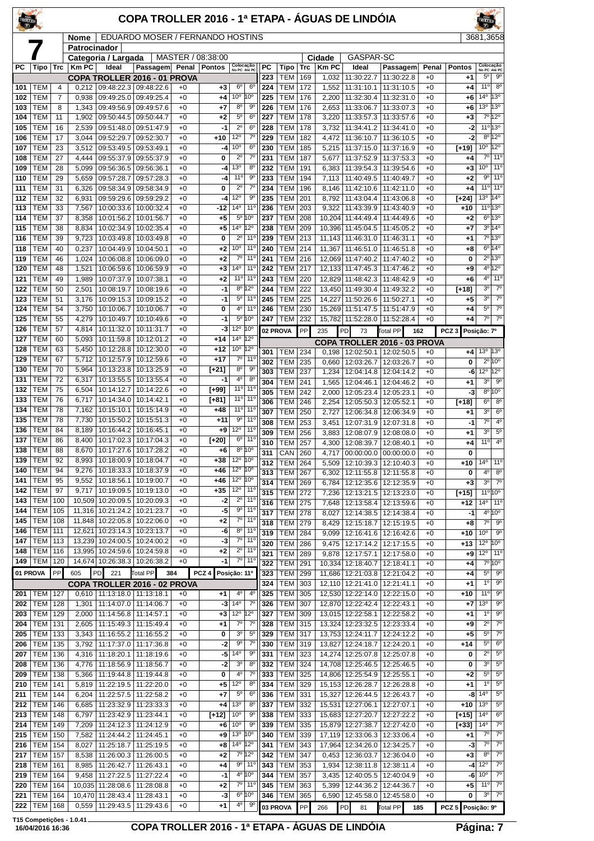| TRULLER           |                              |                     |                 |                                   | COPA TROLLER 2016 - 1ª ETAPA - ÁGUAS DE LINDÓIA              |              |                   |                                 |                                             |            |                              |            |                      |                                            |                                               |              |                   |                               |                                    |
|-------------------|------------------------------|---------------------|-----------------|-----------------------------------|--------------------------------------------------------------|--------------|-------------------|---------------------------------|---------------------------------------------|------------|------------------------------|------------|----------------------|--------------------------------------------|-----------------------------------------------|--------------|-------------------|-------------------------------|------------------------------------|
|                   |                              |                     | <b>Nome</b>     |                                   | EDUARDO MOSER / FERNANDO HOSTINS                             |              |                   |                                 |                                             |            |                              |            |                      |                                            |                                               |              |                   | 3681,3658                     |                                    |
|                   |                              |                     | Patrocinador    | Categoria / Largada               |                                                              |              | MASTER / 08:38:00 |                                 |                                             |            |                              |            | Cidade               | GASPAR-SC                                  |                                               |              |                   |                               |                                    |
| РC                | Tipo                         | Trc                 | <b>Km PC</b>    | Ideal                             | Passagem Penal                                               |              | <b>Pontos</b>     | Colocação<br>No PC Até PC       |                                             | РC         | Tipo                         | Trc        | <b>Km PC</b>         | Ideal                                      | Passagem                                      | Penal        | <b>Pontos</b>     | Colocação<br>No PC Até PC     |                                    |
|                   |                              |                     |                 |                                   | COPA TROLLER 2016 - 01 PROVA                                 |              |                   |                                 |                                             | 223        | TEM                          | 169        | 1,032                | 11:30:22.7                                 | 11:30:22.8                                    | +0           | $+1$              | $5^{\circ}$                   | $9^{\circ}$                        |
| 101               | <b>TEM</b>                   | 4                   | 0,212           |                                   | 09:48:22.3 09:48:22.6                                        | $+0$         | $+3$              | $6^{\circ}$<br>$10^{\circ}$     | 6 <sup>o</sup><br>10°                       | 224        | TEM<br><b>TEM</b>            | 172        | 1,552                | 11:31:10.1                                 | 11:31:10.5                                    | $+0$         | $+4$              | 11°<br>14°                    | 8 <sup>0</sup><br>13°              |
| 102<br>103        | <b>TEM</b><br>TEM            | $\overline{7}$<br>8 | 0,938<br>1,343  | 09:49:25.0<br>09:49:56.9          | 09:49:25.4<br>09:49:57.6                                     | $+0$<br>$+0$ | $^{+4}$<br>$+7$   | 80                              | 9º                                          | 225<br>226 | TEM                          | 176<br>176 | 2,200<br>2,653       | 11:32:30.4<br>11:33:06.7                   | 11:32:31.0<br>11:33:07.3                      | $+0$<br>+0   | +6<br>+6          | 13 <sup>o</sup>               | 13°                                |
| 104               | <b>TEM</b>                   | 11                  | 1,902           | 09:50:44.5                        | 09:50:44.7                                                   | $+0$         | $+2$              | $5^{\circ}$                     | $6^{\circ}$                                 | 227        | TEM                          | 178        | 3,220                | 11:33:57.3                                 | 11:33:57.6                                    | $+0$         | $+3$              |                               | $7^{\circ}12^{\circ}$              |
| 105               | <b>TEM</b>                   | 16                  | 2,539           | 09:51:48.0                        | 09:51:47.9                                                   | $+0$         | $-1$              | $2^{\circ}$                     | $6^{\circ}$                                 | 228        | <b>TEM</b>                   | 178        | 3,732                | 11:34:41.2                                 | 11:34:41.0                                    | $+0$         | -2                | $11^{\circ}$                  | 13°                                |
| 106               | TEM                          | 17                  | 3,044           | 09:52:29.7                        | 09:52:30.7                                                   | $+0$         | $+10$             | $12^{\circ}$                    | $7^\circ$                                   | 229        | <b>TEM</b>                   | 182        | 4,472                | 11:36:10.7                                 | 11:36:10.5                                    | $+0$         | -2                | 8 <sup>o</sup>                | $12^{\circ}$                       |
| 107<br>108        | <b>TEM</b><br>TEM            | 23<br>27            | 3,512<br>4,444  | 09:53:49.5<br>09:55:37.9          | 09:53:49.1<br>09:55:37.9                                     | $+0$<br>$+0$ | -4<br>0           | 10 <sup>o</sup><br>$2^{\circ}$  | $6^{\circ}$<br>$7^\circ$                    | 230<br>231 | <b>TEM</b><br>TEM            | 185<br>187 | 5,215<br>5,677       | 11:37:15.0<br>11:37:52.9                   | 11:37:16.9<br>11:37:53.3                      | $+0$<br>$+0$ | $[+19]$<br>+4     | 10 <sup>o</sup><br>$7^\circ$  | $12^{\circ}$<br>11 <sup>°</sup>    |
| 109               | TEM                          | 28                  | 5,099           | 09:56:36.5                        | 09:56:36.1                                                   | $+0$         | -4                | 13 <sup>o</sup>                 | $8^{\circ}$                                 | 232        | TEM                          | 191        | 6,383                | 11:39:54.3                                 | 11:39:54.6                                    | $+0$         | $+3$              | 10 <sup>o</sup>               | 11 <sup>o</sup>                    |
| 110               | <b>TEM</b>                   | 29                  | 5,659           | 09:57:28.7                        | 09:57:28.3                                                   | $+0$         | -4                | 11°                             | 90                                          | 233        | <b>TEM</b>                   | 194        | 7,113                | 11:40:49.5                                 | 11:40:49.7                                    | $+0$         | $+2$              | $9^{\circ}$                   | 11 <sup>o</sup>                    |
| 111               | <b>TEM</b>                   | 31                  | 6,326           | 09:58:34.9                        | 09:58:34.9                                                   | $+0$         | 0                 | $2^{\circ}$                     | $7^\circ$                                   | 234        | <b>TEM</b>                   | 196        | 8,146                | 11:42:10.6                                 | 11:42:11.0                                    | $+0$         | $+4$              | $11^{\circ}$                  | 11°                                |
| 112               | <b>TEM</b>                   | 32                  | 6,931           | 09:59:29.6                        | 09:59:29.2                                                   | $+0$         | -4                | $12^{\circ}$<br>14 <sup>o</sup> | $9^{\circ}$<br>11°                          | 235        | TEM<br><b>TEM</b>            | 201        | 8,792                | 11:43:04.4                                 | 11:43:06.8                                    | $+0$<br>$+0$ | [+24]             | 13 <sup>o</sup>               | $14^{\circ}$<br>11°13°             |
| 113<br>114        | <b>TEM</b><br><b>TEM</b>     | 33<br>37            | 7,567<br>8,358  | 10:00:33.6<br>10:01:56.2          | 10:00:32.4<br>10:01:56.7                                     | $+0$<br>$+0$ | -12<br>$+5$       | $5^{\circ}$                     | 10 <sup>o</sup>                             | 236<br>237 | <b>TEM</b>                   | 203<br>208 | 9,322<br>10,204      | 11:43:39.9<br>11:44:49.4                   | 11:43:40.9<br>11:44:49.6                      | $+0$         | +10<br>$+2$       | 6 <sup>o</sup>                | 13°                                |
| 115               | <b>TEM</b>                   | 38                  | 8,834           | 10:02:34.9                        | 10:02:35.4                                                   | $+0$         | $+5$              | 14º 12º                         |                                             | 238        | TEM                          | 209        |                      | 10.396 11:45:04.5                          | 11:45:05.2                                    | $+0$         | $+7$              |                               | 3º 14º                             |
| 116               | TEM                          | 39                  | 9,723           | 10:03:49.8                        | 10:03:49.8                                                   | $+0$         | 0                 | $2^{\circ}$                     | 11°                                         | 239        | <b>TEM</b>                   | 213        |                      | 11,143 11:46:31.0                          | 11:46:31.1                                    | $+0$         | $+1$              |                               | 7º 13º                             |
| 118               | <b>TEM</b>                   | 40                  | 0,237           | 10:04:49.9                        | 10:04:50.1                                                   | $+0$         | $+2$              | 10 <sup>o</sup>                 | 11°                                         | 240        | TEM                          | 214        | 11,367               | 11:46:51.0                                 | 11:46:51.8                                    | $+0$         | +8                | 6 <sup>o</sup>                | $14^{\circ}$                       |
| 119<br>120        | <b>TEM</b><br>TEM            | 46<br>48            | 1,024<br>1,521  | 10:06:08.8<br>10:06:59.6          | 10:06:09.0<br>10:06:59.9                                     | $+0$<br>$+0$ | $+2$<br>$+3$      | $7^\circ$<br>$14^{\circ}$       | 11°<br>11°                                  | 241<br>242 | <b>TEM</b><br>TEM            | 216<br>217 | 12,069               | 11:47:40.2<br>12.133 11:47:45.3            | 11:47:40.2<br>11:47:46.2                      | $+0$<br>$+0$ | 0                 | 40                            | $2^{\circ}$ 13°<br>12°             |
| 121               | <b>TEM</b>                   | 49                  | 1,989           |                                   | 10:07:37.9   10:07:38.1                                      | $+0$         | $+2$              | 11°                             | 11°                                         | 243        | TEM                          | 220        |                      | 12.829 11:48:42.3                          | 11:48:42.9                                    | $+0$         | $^{+9}$<br>+6     | 4°                            | 11 <sup>o</sup>                    |
| 122               | <b>TEM</b>                   | 50                  | 2,501           | 10:08:19.7                        | 10:08:19.6                                                   | $+0$         | $-1$              | 8º 12º                          |                                             | 244        | <b>TEM</b>                   | 222        |                      | 13,450 11:49:30.4                          | 11:49:32.2                                    | $+0$         | [+18]             | 30                            | $7^\circ$                          |
| 123               | <b>TEM</b>                   | 51                  | 3,176           | 10:09:15.3                        | 10:09:15.2                                                   | $+0$         | $-1$              | 5°                              | 11°                                         | 245        | TEM                          | 225        | 14,227               | 11:50:26.6                                 | 11:50:27.1                                    | $+0$         | $+5$              | 3°                            | $7^\circ$                          |
| 124               | <b>TEM</b>                   | 54                  | 3,750           |                                   | 10:10:06.7   10:10:06.7                                      | $+0$         | 0                 | 4º                              | $11^{\circ}$                                | 246        | <b>TEM</b>                   | 230        |                      | 15,269 11:51:47.5                          | 11:51:47.9                                    | $+0$         | $+4$              | 5 <sup>o</sup>                | $7^\circ$                          |
| 125               | <b>TEM</b>                   | 55                  | 4,279           | 10:10:49.7                        | 10:10:49.6                                                   | $+0$         | $-1$              | 5º 10°<br>12°                   | 10 <sup>o</sup>                             | 247        | <b>TEM</b>                   | 232        |                      | 15,782 11:52:28.0                          | 11:52:28.4                                    | $+0$         | +4                | $7^\circ$                     | $7^\circ$                          |
| 126<br>127        | TEM<br><b>TEM</b>            | 57<br>60            | 4,814<br>5,093  | 10:11:32.0<br>10:11:59.8          | 10:11:31.7<br>10:12:01.2                                     | $+0$<br>$+0$ | -3<br>$+14$       | $14^{\circ}$ 12 <sup>°</sup>    |                                             | 02 PROVA   |                              | PP         | 235                  | PD<br>73                                   | <b>Total PP</b>                               | 162          | PCZ <sub>3</sub>  | Posição: 7º                   |                                    |
| 128               | <b>TEM</b>                   | 63                  | 5,450           | 10:12:28.8                        | 10:12:30.0                                                   | $+0$         | $+12$             | $10^{\circ}$                    | $12^{\circ}$                                | 301        | TEM                          | 234        | $\overline{0}$ , 198 | 12:02:50.1                                 | COPA TROLLER 2016 - 03 PROVA<br>12:02:50.5    | $+0$         | $+4$              | 13 <sup>o</sup>               | 13 <sup>o</sup>                    |
| 129               | TEM                          | 67                  | 5,712           | 10:12:57.9                        | 10:12:59.6                                                   | $+0$         | $+17$             | $7^\circ$                       | $11^{\circ}$                                | 302        | <b>TEM</b>                   | 235        | 0,660                | 12:03:26.7                                 | 12:03:26.7                                    | $+0$         | 0                 |                               | $2^{\circ}$ 10°                    |
| 130               | <b>TEM</b>                   | 70                  | 5,964           | 10:13:23.8                        | 10:13:25.9                                                   | $+0$         | [+21]             | $8^{\circ}$                     | $9^{\circ}$                                 | 303        | TEM                          | 237        |                      | 1,234   12:04:14.8                         | 12:04:14.2                                    | $+0$         | -6                | 12°                           | 12°                                |
| 131               | <b>TEM</b>                   | 72                  | 6,317           | 10:13:55.5                        | 10:13:55.4                                                   | $+0$         | $-1$              | 40<br>11°                       | $8^{\circ}$<br>11 <sup>o</sup>              | 304        | <b>TEM</b>                   | 241        | 1,565                | 12:04:46.1                                 | 12:04:46.2                                    | $+0$         | $+1$              | 30                            | $9^{\circ}$                        |
| 132<br>133        | TEM<br><b>TEM</b>            | 75<br>76            | 6,504<br>6,717  | 10:14:12.7<br>10:14:34.0          | 10:14:22.6<br>10:14:42.1                                     | $+0$<br>$+0$ | [+99]<br>[+81]    | 11°                             | $11^{\circ}$                                | 305        | <b>TEM</b>                   | 242        | 2,000                | 12:05:23.4                                 | 12:05:23.1                                    | $+0$         | -3                | 8 <sup>o</sup>                | 10 <sup>o</sup><br>8 <sup>o</sup>  |
| 134               | <b>TEM</b>                   | 78                  | 7,162           | 10:15:10.1                        | 10:15:14.9                                                   | $+0$         | $+48$             | 11°                             | 11°                                         | 306<br>307 | <b>TEM</b><br><b>TEM</b>     | 246<br>250 | 2,254<br>2,727       | 12:05:50.3<br>12:06:34.8                   | 12:05:52.1<br>12:06:34.9                      | $+0$<br>$+0$ | $[+18]$<br>+1     | 6 <sup>o</sup><br>3°          | 6 <sup>o</sup>                     |
| 135               | <b>TEM</b>                   | 78                  | 7,730           | 10:15:50.2                        | 10:15:51.3                                                   | $+0$         | $+11$             | $9^{\circ}$                     | $11^{\circ}$                                | 308        | TEM                          | 253        | 3,451                | 12:07:31.9                                 | 12:07:31.8                                    | $+0$         | -1                | $7^\circ$                     | 4°                                 |
| 136               | TEM                          | 84                  | 8,189           | 10:16:44.2                        | 10:16:45.1                                                   | $+0$         | $^{+9}$           | $12^{\circ}$                    | $11^{\circ}$                                | 309        | <b>TEM</b>                   | 256        | 3.883                | 12:08:07.9                                 | 12:08:08.0                                    | $+0$         | +1                | 30                            | $5^{\rm o}$                        |
| 137               | <b>TEM</b>                   | 86                  | 8,400           |                                   | 10:17:02.3 10:17:04.3                                        | $+0$         | [+20]             | 6°                              | 11°<br>$8^{\circ}10^{\circ}$                | 310        | <b>TEM</b>                   | 257        | 4,300                | 12:08:39.7                                 | 12:08:40.1                                    | $+0$         | $+4$              | $11^{\circ}$                  | 4 <sup>0</sup>                     |
| 139               | 138 $TEM$<br><b>TEM</b>      | 88<br>92            | 8,993           |                                   | 8,670   10:17:27.6   10:17:28.2<br>10:18:00.9   10:18:04.7   | $+0$<br>$+0$ | $+6$<br>$+38$     | 12 <sup>o</sup> 10 <sup>o</sup> |                                             | 311        | <b>CAN 260</b>               |            |                      |                                            | 4,717 00:00:00.0 00:00:00.0                   | +0           | 0                 | $14^{\circ}$                  | 11°                                |
| 140               | TEM                          | 94                  | 9,276           |                                   | 10:18:33.3 10:18:37.9                                        | $+0$         | +46               | $12^{\circ}$ 10 <sup>°</sup>    |                                             | 312<br>313 | TEM<br>TEM                   | 264<br>267 | 6,302                | 12:11:55.8                                 | 5,509   12:10:39.3   12:10:40.3<br>12:11:55.8 | +0<br>+0     | +10<br>0          | 4°                            | $8^{\circ}$                        |
| 141               | <b>TEM</b>                   | 95                  | 9,552           |                                   | 10:18:56.1   10:19:00.7                                      | $+0$         | $+46$             | 12 <sup>o</sup> 10 <sup>o</sup> |                                             | 314        | <b>TEM 269</b>               |            |                      | 6,784   12:12:35.6                         | 12:12:35.9                                    | $+0$         | $+3$              | 3 <sup>o</sup>                | $7^\circ$                          |
| 142               | <b>TEM</b>                   | 97                  | 9,717           |                                   | 10:19:09.5   10:19:13.0                                      | $+0$         | $+35$             | $12^{\circ}$                    | $11^{\circ}$<br>$2^{\circ}$ 11 <sup>°</sup> | 315        | <b>TEM</b>                   | 272        | 7,236                | 12:13:21.5                                 | 12:13:23.0                                    | +0           | $[+15]$           |                               | $11^{\circ} 10^{\circ}$            |
| 143<br>144        | <b>TEM</b><br><b>TEM</b>     | 100<br>105          |                 |                                   | 10,509 10:20:09.5 10:20:09.3<br>11,316 10:21:24.2 10:21:23.7 | $+0$<br>$+0$ | -2<br>-5          | 9º                              | $11^{\circ}$                                | 316        | TEM                          | 275        |                      |                                            | 7,648   12:13:58.4   12:13:59.6               | $+0$         | $+12$             | $14^{\circ}$                  | 11 <sup>°</sup>                    |
| 145               | TEM                          | 108                 |                 |                                   | 11,848 10:22:05.8 10:22:06.0                                 | $+0$         | +2                | 7º                              | 11°                                         | 317<br>318 | TEM<br>TEM                   | 278<br>279 | 8,027<br>8,429       | 12:14:38.5                                 | 12:14:38.4<br>12:15:18.7   12:15:19.5         | +0<br>$+0$   | -1<br>$+8$        | $7^\circ$                     | $4^{\circ}10^{\circ}$<br>$9^\circ$ |
| 146               | <b>TEM 111</b>               |                     |                 |                                   | 12,621 10:23:14.3 10:23:13.7                                 | $+0$         | -6                |                                 | $\overline{8^0}$   11 <sup>o</sup>          | 319        | TEM                          | 284        | 9,099                |                                            | 12:16:41.6   12:16:42.6                       | +0           | +10               | 10 <sup>o</sup>               | 9 <sup>o</sup>                     |
| 147               | TEM                          | 113                 |                 |                                   | 13,239 10:24:00.5 10:24:00.2                                 | $+0$         | -3                |                                 | $7°$ 11°                                    | 320        | <b>TEM</b>                   | 286        | 9,475                | 12:17:14.2                                 | 12:17:15.5                                    | +0           | +13               | $12^{\circ}$                  | 10 <sup>o</sup>                    |
| 148               | <b>TEM</b><br><b>TEM 120</b> | 116                 |                 |                                   | 13,995 10:24:59.6 10:24:59.8                                 | $+0$<br>$+0$ | $+2$<br>$-1$      | $2^{\circ}$                     | $11^{\circ}$<br>$7°$ 11°                    | 321        | <b>TEM</b>                   | 289        | 9,878                | 12:17:57.1                                 | 12:17:58.0                                    | $+0$         | $+9$              | $12^{\circ}$                  | 11°                                |
| 149  <br>01 PROVA |                              | PP                  | 605             | <b>PD</b><br>221                  | 14,674 10:26:38.3 10:26:38.2<br>Total PP<br>384              |              | PCZ <sub>4</sub>  | Posição: 11º                    |                                             | 322        | <b>TEM 291</b>               |            |                      |                                            | 10,334 12:18:40.7 12:18:41.1                  | $+0$         | +4                | $5^{\circ}$                   | 7° 10°<br>$9^{\circ}$              |
|                   |                              |                     |                 |                                   | COPA TROLLER 2016 - 02 PROVA                                 |              |                   |                                 |                                             | 323<br>324 | <b>TEM</b><br>TEM            | 299<br>303 |                      | 11,686   12:21:03.8<br>12,110   12:21:41.0 | 12:21:04.2<br>12:21:41.1                      | +0<br>$+0$   | +4<br>$+1$        | $1^{\circ}$                   | $9^{\circ}$                        |
| 201               | <b>TEM 127</b>               |                     |                 | $0,610$   11:13:18.0   11:13:18.1 |                                                              | $+0$         | $+1$              | $4^{\circ}$                     | $4^{\circ}$                                 | 325        | <b>TEM 305</b>               |            |                      |                                            | 12,530 12:22:14.0 12:22:15.0                  | $+0$         | +10               | 11°                           | $9^{\circ}$                        |
| 202               | TEM                          | 128                 | 1,301           |                                   | 11:14:07.0   11:14:06.7                                      | $+0$         | $-3$              | $14^{\circ}$                    | 7°                                          | 326        | <b>TEM</b>                   | 307        |                      | 12,870 12:22:42.4                          | 12:22:43.1                                    | $+0$         | +7                | 13 <sup>o</sup>               | $9^{\circ}$                        |
| 203               | <b>TEM 129</b>               |                     | 2,000           |                                   | 11:14:56.8   11:14:57.1                                      | $+0$         | $+3$              | 12 <sup>°</sup> 12 <sup>°</sup> |                                             | 327        | <b>TEM 309</b>               |            |                      | 13,015 12:22:58.1                          | 12:22:58.2                                    | +0           | $+1$              | 1 <sup>0</sup>                | $9^{\circ}$<br>$7^\circ$           |
| 204<br>205        | <b>TEM 131</b><br>TEM        | 133                 | 2,605<br>3,343  | 11:16:55.2                        | 11:15:49.3   11:15:49.4<br>11:16:55.2                        | $+0$<br>$+0$ | $+1$<br>0         | $7^\circ$<br>30                 | $7^\circ$<br>$5^{\circ}$                    | 328<br>329 | <b>TEM 315</b><br><b>TEM</b> | 317        |                      | 13,753 12:24:11.7                          | 13,324 12:23:32.5 12:23:33.4<br>12:24:12.2    | $+0$<br>+0   | +9<br>+5          | $2^{\circ}$<br>$5^{\circ}$    | $7^\circ$                          |
| 206               | <b>TEM 135</b>               |                     |                 |                                   | 3,792   11:17:37.0   11:17:36.8                              | $+0$         | $-2$              | $9^{\circ}$                     | $7^{\circ}$                                 | 330        | <b>TEM 319</b>               |            |                      |                                            | 13,827 12:24:18.7 12:24:20.1                  | $+0$         | +14               | $5^{\rm o}$                   | $6^{\circ}$                        |
| 207               | TEM                          | 136                 | 4,316           |                                   | 11:18:20.1   11:18:19.6                                      | $+0$         | -5                | $14^{\circ}$                    | 90                                          | 331        | <b>TEM</b>                   | 323        |                      | 14,274 12:25:07.8                          | 12:25:07.8                                    | $+0$         | 0                 | $2^{\circ}$                   | $5^{\circ}$                        |
| 208               | TEM                          | 136                 | 4,776           | 11:18:56.9                        | 11:18:56.7                                                   | $+0$         | -2                | 30                              | $8^{\circ}$                                 | 332        | TEM                          | 324        |                      | 14,708 12:25:46.5                          | 12:25:46.5                                    | +0           | 0                 | 3°                            | $5^{\circ}$                        |
| 209               | <b>TEM 138</b>               |                     | 5,366           |                                   | 11:19:44.8   11:19:44.8                                      | $+0$         | 0                 | 4 <sup>0</sup>                  | $7^\circ$                                   | 333        | <b>TEM 325</b>               |            |                      | 14,806 12:25:54.9                          | 12:25:55.1                                    | $+0$         | +2                | $5^{\circ}$<br>1 <sup>0</sup> | $5^\circ$<br>$5^{\circ}$           |
| 210<br>211        | TEM<br>TEM                   | 141<br>144          | 5,819<br>6,204  | 11:22:19.5<br>11:22:57.5          | 11:22:20.0<br>11:22:58.2                                     | $+0$<br>$+0$ | $+5$<br>$+7$      | 12°<br>$5^{\circ}$              | $8^{\circ}$<br>6°                           | 334<br>336 | <b>TEM</b><br>TEM            | 329<br>331 |                      | 15,153 12:26:28.7<br>15,327 12:26:44.5     | 12:26:28.8<br>12:26:43.7                      | +0<br>+0     | +1<br>-8          | $14^{\circ}$                  | $5^{\circ}$                        |
| 212               | <b>TEM 146</b>               |                     | 6,685           |                                   | 11:23:32.9   11:23:33.3                                      | $+0$         | $+4$              | 13°                             | $8^{\circ}$                                 | 337        | <b>TEM 332</b>               |            |                      | 15,531   12:27:06.1                        | 12:27:07.1                                    | $+0$         | +10               | 13 <sup>°</sup>               | $5^{\circ}$                        |
| 213               | TEM                          | 148                 | 6,797           |                                   | 11:23:42.9   11:23:44.1                                      | $+0$         | $[+12]$           | 10 <sup>o</sup>                 | 90                                          | 338        | <b>TEM</b>                   | 333        |                      | 15,683 12:27:20.7                          | 12:27:22.2                                    | $+0$         | [+15]             | $14^{o}$                      | $6^{\circ}$                        |
| 214               | <b>TEM</b>                   | 149                 | 7,209           | 11:24:12.3                        | 11:24:12.9                                                   | $+0$         | +6                | 10 <sup>o</sup>                 | $9^{\circ}$                                 | 339        | <b>TEM</b>                   | 335        |                      | 15,879 12:27:38.7                          | 12:27:42.0                                    | +0           | [+33]             | 14 <sup>°</sup>               | $7^\circ$                          |
| 215               | <b>TEM 150</b>               |                     | 7,582           |                                   | 11:24:44.2   11:24:45.1                                      | $+0$         | $+9$              | $13^{\circ}$ $ 10^{\circ} $     |                                             | 340        | <b>TEM 339</b>               |            |                      | 17,119 12:33:06.3                          | 12:33:06.4                                    | +0           | +1                | $7^\circ$                     | $7^\circ$<br>$7^\circ$             |
| 216<br>217        | <b>TEM</b><br>TEM            | 154<br>157          | 8,027<br>8,538  | 11:25:18.7                        | 11:25:19.5<br>11:26:00.3   11:26:00.5                        | $+0$<br>$+0$ | $+8$<br>$+2$      | 14° 12°<br>7º 12º               |                                             | 341<br>342 | <b>TEM</b><br>TEM            | 343<br>347 |                      | 17,964 12:34:26.0<br>0,453   12:36:03.7    | 12:34:25.7<br>12:36:04.0                      | $+0$<br>$+0$ | -3<br>$+3$        | $7^\circ$<br>8 <sup>o</sup>   | $7^\circ$                          |
| 218               | TEM                          | 161                 | 8,985           |                                   | 11:26:42.7   11:26:43.1                                      | $+0$         | $+4$              |                                 | 9º   11º                                    | 343        | TEM                          | 353        |                      | 1,934   12:38:11.8                         | 12:38:11.4                                    | +0           |                   | $-4$ 12 <sup>o</sup>          | $7^\circ$                          |
| 219               | TEM                          | 164                 | 9,458           |                                   | 11:27:22.5   11:27:22.4                                      | $+0$         | -1                | 4º 10º                          |                                             | 344        | TEM                          | 357        | 3,435                | 12:40:05.5                                 | 12:40:04.9                                    | $+0$         | -6                | 10 <sup>o</sup>               | $7^\circ$                          |
| 220               | <b>TEM</b>                   | 164                 |                 |                                   | 10,035 11:28:08.6 11:28:08.8                                 | $+0$         | $+2$              |                                 | $\overline{70}$   11 <sup>o</sup>           | 345        | TEM                          | 363        |                      |                                            | 5,399   12:44:36.2   12:44:36.7               | $+0$         | +5                | $11^{\circ}$                  | $7^\circ$                          |
| 221<br>222        | TEM<br><b>TEM</b>            | 164<br>168          | 10,470<br>0,559 | 11:28:43.4<br>11:29:43.5          | 11:28:43.1<br>11:29:43.6                                     | +0<br>$+0$   | -3<br>+1          | 4º                              | 6º 10º<br>$9^{\circ}$                       | 346        | TEM                          | 365        |                      | 6,590   12:45:58.0                         | 12:45:58.0                                    | $+0$         | 0                 | 3 <sup>o</sup>                | $7^\circ$                          |
|                   |                              |                     |                 |                                   |                                                              |              |                   |                                 |                                             | 03 PROVA   |                              | PP         | 266                  | PD<br>81                                   | Total PP                                      | 185          | PCZ 5 Posição: 9º |                               |                                    |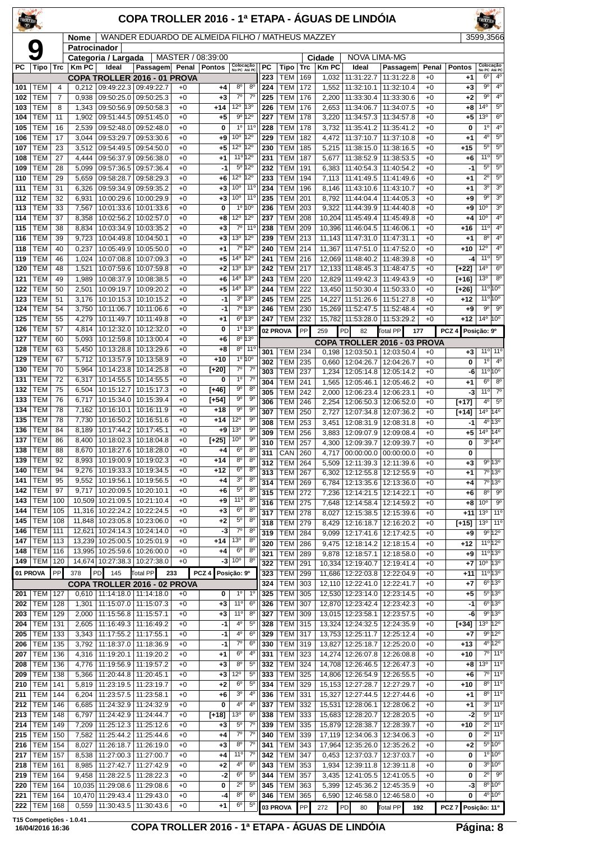| TROLLER    |                          |            |                |                |                                                              | COPA TROLLER 2016 - 1ª ETAPA - ÁGUAS DE LINDÓIA  |              |                   |                                  |                                 |            |                          |            |                  |                                                       |                                 |              |                    | <b>FROLLER</b>                     |                                          |
|------------|--------------------------|------------|----------------|----------------|--------------------------------------------------------------|--------------------------------------------------|--------------|-------------------|----------------------------------|---------------------------------|------------|--------------------------|------------|------------------|-------------------------------------------------------|---------------------------------|--------------|--------------------|------------------------------------|------------------------------------------|
|            |                          |            |                | Nome           |                                                              | WANDER EDUARDO DE ALMEIDA FILHO / MATHEUS MAZZEY |              |                   |                                  |                                 |            |                          |            |                  |                                                       |                                 |              |                    | 3599.3566                          |                                          |
|            | Q                        |            |                | Patrocinador   | Categoria / Largada                                          |                                                  |              | MASTER / 08:39:00 |                                  |                                 |            |                          |            | Cidade           | <b>NOVA LIMA-MG</b>                                   |                                 |              |                    |                                    |                                          |
| РC         | Tipo                     | Trc        |                | <b>Km PC</b>   | Ideal                                                        | Passagem Penal                                   |              | <b>Pontos</b>     | Colocação<br>No PC Até PC        |                                 | <b>PC</b>  | Tipo                     | <b>Trc</b> | <b>Km PC</b>     | Ideal                                                 | Passagem                        | Penal        | <b>Pontos</b>      | Colocação<br>No PC Até PC          |                                          |
| 101        | <b>TEM</b>               |            | 4              | 0,212          | 09:49:22.3 09:49:22.7                                        | COPA TROLLER 2016 - 01 PROVA                     | $+0$         | $+4$              | 8 <sup>o</sup>                   | 8 <sup>o</sup>                  | 223<br>224 | <b>TEM</b><br><b>TEM</b> | 169<br>172 | 1,032<br>1,552   | 11:31:22.7<br>11:32:10.1                              | 11:31:22.8<br>11:32:10.4        | $+0$<br>$+0$ | +1<br>$+3$         | $6^{\circ}$<br>$9^{\circ}$         | $4^{\circ}$<br>4 <sup>0</sup>            |
| 102        | <b>TEM</b>               |            | $\overline{7}$ | 0,938          | 09:50:25.0 09:50:25.3                                        |                                                  | $+0$         | $+3$              | $\overline{7^{\circ}}$           | $7^{\circ}$                     | 225        | <b>TEM</b>               | 176        | 2,200            | 11:33:30.4                                            | 11:33:30.6                      | $+0$         | $+2$               | $9^{\circ}$                        | $4^{\circ}$                              |
| 103        | <b>TEM</b>               |            | 8              | 1,343          | 09:50:56.9 09:50:58.3                                        |                                                  | $+0$         | $+14$             | 12 <sup>o</sup> 13 <sup>o</sup>  |                                 | 226        | <b>TEM</b>               | 176        | 2,653            | 11:34:06.7                                            | 11:34:07.5                      | $+0$         | +8                 | $14^{\circ}$                       | $5^{\circ}$                              |
| 104        | <b>TEM</b>               | 11         |                | 1,902          | 09:51:44.5                                                   | 09:51:45.0                                       | $+0$         | $+5$              |                                  | $9^{\circ}$ 12°                 | 227        | <b>TEM</b>               | 178        | 3,220            | 11:34:57.3                                            | 11:34:57.8                      | $+0$         | +5                 | 13 <sup>o</sup>                    | $6^{\circ}$<br>4 <sup>0</sup>            |
| 105<br>106 | <b>TEM</b><br><b>TEM</b> | 16<br>17   |                | 2,539<br>3,044 | 09:52:48.0<br>09:53:29.7                                     | 09:52:48.0<br>09:53:30.6                         | $+0$<br>$+0$ | 0<br>$^{+9}$      | 10 <sup>o</sup>                  | 10 110<br>$12^{\circ}$          | 228<br>229 | <b>TEM</b><br><b>TEM</b> | 178<br>182 | 3,732<br>4,472   | 11:35:41.2<br>11:37:10.7                              | 11:35:41.2<br>11:37:10.8        | $+0$<br>$+0$ | 0<br>$+1$          | 1 <sup>0</sup><br>4 <sup>0</sup>   | $5^{\circ}$                              |
| 107        | <b>TEM</b>               | 23         |                | 3,512          | 09:54:49.5                                                   | 09:54:50.0                                       | $+0$         | $+5$              | 12°                              | 12°                             | 230        | <b>TEM</b>               | 185        | 5,215            | 11:38:15.0                                            | 11:38:16.5                      | $+0$         | $+15$              | $5^{\circ}$                        | $5^{\circ}$                              |
| 108        | <b>TEM</b>               | 27         |                | 4.444          | 09:56:37.9                                                   | 09:56:38.0                                       | $+0$         | $+1$              |                                  | 11º 12º                         | 231        | <b>TEM</b>               | 187        | 5,677            | 11:38:52.9                                            | 11:38:53.5                      | $+0$         | +6                 | 11°                                | $5^{\circ}$                              |
| 109        | <b>TEM</b>               | 28         |                | 5.099          | 09:57:36.5                                                   | 09:57:36.4                                       | $+0$         | -1                |                                  | $5^{\circ}12^{\circ}$           | 232        | <b>TEM</b>               | 191        | 6,383            | 11:40:54.3                                            | 11:40:54.2                      | $+0$         | -1                 | $5^{\circ}$                        | $5^{\circ}$                              |
| 110        | <b>TEM</b>               | 29         |                | 5,659          | 09:58:28.7                                                   | 09:58:29.3                                       | $+0$         | +6                | $12^{\circ}$<br>10 <sup>o</sup>  | 12°<br>$11^{\circ}$             | 233        | <b>TEM</b>               | 194        | 7,113            | 11:41:49.5                                            | 11:41:49.6                      | $+0$         | $+1$               | $\overline{2^0}$<br>3 <sup>0</sup> | $\overline{5^0}$<br>3 <sup>o</sup>       |
| 111<br>112 | <b>TEM</b><br><b>TEM</b> | 31<br>32   |                | 6,326<br>6,931 | 09:59:34.9<br>10:00:29.6                                     | 09:59:35.2<br>10:00:29.9                         | $+0$<br>$+0$ | $+3$<br>$+3$      | 10 <sup>o</sup>                  | $11^{\circ}$                    | 234<br>235 | <b>TEM</b><br><b>TEM</b> | 196<br>201 | 8,146<br>8,792   | 11:43:10.6<br>11:44:04.4                              | 11:43:10.7<br>11:44:05.3        | $+0$<br>$+0$ | +1<br>$+9$         | $9^{\circ}$                        | $\overline{3^0}$                         |
| 113        | <b>TEM</b>               | 33         |                | 7,567          |                                                              | 10:01:33.6   10:01:33.6                          | $+0$         | 0                 |                                  | 1°10°                           | 236        | <b>TEM</b>               | 203        | 9,322            | 11:44:39.9                                            | 11:44:40.8                      | $+0$         | $+9$               | 10 <sup>o</sup>                    | 3 <sup>o</sup>                           |
| 114        | <b>TEM</b>               | 37         |                | 8.358          | 10:02:56.2                                                   | 10:02:57.0                                       | $+0$         | $+8$              | 12°                              | $12^{\circ}$                    | 237        | <b>TEM</b>               | 208        | 10,204           | 11:45:49.4                                            | 11:45:49.8                      | $+0$         | +4                 | 10 <sup>o</sup>                    | 4 <sup>0</sup>                           |
| 115        | <b>TEM</b>               | 38         |                | 8,834          | 10:03:34.9                                                   | 10:03:35.2                                       | $+0$         | $+3$              | $7^\circ$                        | 11°                             | 238        | <b>TEM</b>               | 209        | 10,396           | 11:46:04.5                                            | 11:46:06.1                      | $+0$         | $+16$              | $11^{\circ}$                       | 4 <sup>0</sup>                           |
| 116        | <b>TEM</b><br><b>TEM</b> | 39         |                | 9,723          | 10:04:49.8                                                   | 10:04:50.1                                       | $+0$         | $+3$              | 13º 12º                          |                                 | 239        | <b>TEM</b>               | 213        |                  | 11,143 11:47:31.0 11:47:31.1                          |                                 | $+0$         | $+1$               | 8 <sup>o</sup><br>12°              | 4 <sup>0</sup><br>4 <sup>°</sup>         |
| 118<br>119 | <b>TEM</b>               | 40<br>46   |                | 0.237<br>1,024 | 10:05:49.9<br>10:07:08.8                                     | 10:05:50.0<br>10:07:09.3                         | $+0$<br>$+0$ | $+1$<br>$+5$      | 14 <sup>°</sup>                  | 7º 12º<br>12°                   | 240<br>241 | <b>TEM</b><br><b>TEM</b> | 214<br>216 | 11,367<br>12,069 | 11:47:51.0<br>11:48:40.2                              | 11:47:52.0<br>11:48:39.8        | $+0$<br>$+0$ | $+10$<br>-4        | $11^{\circ}$                       | $5^{\circ}$                              |
| 120        | <b>TEM</b>               | 48         |                | 1,521          | 10:07:59.6   10:07:59.8                                      |                                                  | $+0$         | $+2$              | 13 <sup>o</sup>                  | 13°                             | 242        | <b>TEM</b>               | 217        |                  | 12,133 11:48:45.3 11:48:47.5                          |                                 | $+0$         | $[+22]$            | 14 <sup>o</sup>                    | $6^{\circ}$                              |
| 121        | <b>TEM</b>               | 49         |                | 1,989          | 10:08:37.9                                                   | 10:08:38.5                                       | $+0$         | +6                | $14^{\circ}$                     | 13°                             | 243        | <b>TEM</b>               | 220        | 12,829           | 11:49:42.3                                            | 11:49:43.9                      | $+0$         | $[+16]$            | 13 <sup>o</sup>                    | 8 <sup>0</sup>                           |
| 122        | <b>TEM</b>               | 50         |                | 2,501          | 10:09:19.7                                                   | 10:09:20.2                                       | $+0$         | $+5$              | $14^{o}$                         | 13°                             | 244        | <b>TEM</b>               | 222        | 13,450           | 11:50:30.4                                            | 11:50:33.0                      | $+0$         | [+26]              |                                    | $11^{\circ}10^{\circ}$                   |
| 123<br>124 | <b>TEM</b><br><b>TEM</b> | 51<br>54   |                | 3,176<br>3,750 | 10:10:15.3<br>10:11:06.7                                     | 10:10:15.2<br>10:11:06.6                         | $+0$<br>$+0$ | $-1$<br>$-1$      |                                  | $3^0$ 13 <sup>0</sup><br>7º 13º | 245<br>246 | <b>TEM</b><br><b>TEM</b> | 225<br>230 | 14,227           | 11:51:26.6<br>15,269 11:52:47.5                       | 11:51:27.8<br>11:52:48.4        | $+0$<br>$+0$ | $+12$<br>+9        | $9^{\circ}$                        | 11º 10°<br>90                            |
| 125        | <b>TEM</b>               | 55         |                | 4,279          | 10:11:49.7                                                   | 10:11:49.8                                       | $+0$         | $+1$              |                                  | $6^{\circ}$ 13°                 | 247        | <b>TEM</b>               | 232        |                  |                                                       | 15,782 11:53:28.0 11:53:29.2    | $+0$         | $+12$              | $14^{\circ}$ 10 <sup>°</sup>       |                                          |
| 126        | <b>TEM</b>               | 57         |                | 4,814          | 10:12:32.0                                                   | 10:12:32.0                                       | $+0$         | 0                 |                                  | 10 130                          |            | 02 PROVA                 | PP         | 259              | PD<br>82                                              | Total PP<br>177                 |              | PCZ4               | Posição: 9º                        |                                          |
| 127        | <b>TEM</b>               | 60         |                | 5,093          | 10:12:59.8                                                   | 10:13:00.4                                       | $+0$         | $+6$              |                                  | 8º 13º                          |            |                          |            |                  |                                                       | COPA TROLLER 2016 - 03 PROVA    |              |                    |                                    |                                          |
| 128        | <b>TEM</b>               | 63         |                | 5,450          | 10:13:28.8                                                   | 10:13:29.6                                       | $+0$         | $+8$              |                                  | $8^{\circ}$ 11 <sup>°</sup>     | 301        | <b>TEM</b>               | 234        |                  |                                                       | 0,198   12:03:50.1   12:03:50.4 | $+0$         | $+3$               |                                    | $110$ 11 <sup>o</sup>                    |
| 129<br>130 | <b>TEM</b><br><b>TEM</b> | 67<br>70   |                | 5,712<br>5,964 | 10:13:57.9<br>10:14:23.8                                     | 10:13:58.9<br>10:14:25.8                         | $+0$<br>$+0$ | $+10$<br>[+20]    | 7º                               | $10^{100}$<br>$7^\circ$         | 302        | <b>TEM</b>               | 235        | 0,660            | 12:04:26.7                                            | 12:04:26.7                      | $+0$         | 0                  | $1^{\circ}$                        | $4^{\circ}$                              |
| 131        | <b>TEM</b>               | 72         |                | 6,317          | 10:14:55.5                                                   | 10:14:55.5                                       | $+0$         | 0                 | $1^{\circ}$                      | $7^{\circ}$                     | 303<br>304 | <b>TEM</b><br><b>TEM</b> | 237<br>241 | 1,234<br>1,565   | 12:05:14.8<br>12:05:46.1                              | 12:05:14.2<br>12:05:46.2        | $+0$<br>$+0$ | -6<br>+1           | $6^{\circ}$                        | $11^{\circ} 10^{\circ}$<br>$8^{\circ}$   |
| 132        | <b>TEM</b>               | 75         |                | 6,504          | 10:15:12.7                                                   | 10:15:17.3                                       | $+0$         | [+46]             | $9^{\circ}$                      | 8 <sup>o</sup>                  | 305        | <b>TEM</b>               | 242        | 2,000            | 12:06:23.4                                            | 12:06:23.1                      | $+0$         | -3                 | $11^{\circ}$                       | $7^\circ$                                |
| 133        | <b>TEM</b>               | 76         |                | 6,717          | 10:15:34.0                                                   | 10:15:39.4                                       | $+0$         | $[+54]$           | $9^{\circ}$                      | $9^{\circ}$                     | 306        | <b>TEM</b>               | 246        | 2,254            | 12:06:50.3                                            | 12:06:52.0                      | $+0$         | $[+17]$            | 40                                 | $5^{\circ}$                              |
| 134        | <b>TEM</b>               | 78         |                | 7,162          | 10:16:10.1                                                   | 10:16:11.9                                       | $+0$         | $+18$             | $9^{\circ}$                      | $9^{\circ}$                     | 307        | <b>TEM</b>               | 250        | 2,727            |                                                       | 12:07:34.8   12:07:36.2         | $+0$         | $[+14]$            | $14^{\circ}$                       | $14^{\circ}$                             |
| 135<br>136 | <b>TEM</b><br><b>TEM</b> | 84         | 78             | 7,730<br>8,189 | 10:16:50.2<br>10:17:44.2   10:17:45.1                        | 10:16:51.6                                       | $+0$<br>$+0$ | $+14$<br>$^{+9}$  | 12°<br>13 <sup>o</sup>           | 90<br>$9^{\circ}$               | 308        | <b>TEM</b>               | 253        | 3,451            | 12:08:31.9                                            | 12:08:31.8                      | $+0$         | -1                 |                                    | 4º 13º                                   |
| 137        | <b>TEM</b>               | 86         |                | 8.400          | 10:18:02.3                                                   | 10:18:04.8                                       | $+0$         | $[t+25]$          | 10 <sup>o</sup>                  | $9^{\circ}$                     | 309<br>310 | <b>TEM</b><br><b>TEM</b> | 256<br>257 | 3,883            | 12:09:07.9<br>4.300 12:09:39.7 12:09:39.7             | 12:09:08.4                      | $+0$<br>$+0$ | +5<br>0            | $14^{\circ}$                       | $14^{\circ}$<br>$3^{\circ}14^{\circ}$    |
| 138        | <b>TEM</b>               | 88         |                |                | 8,670   10:18:27.6   10:18:28.0                              |                                                  | $+0$         | +4                | 6 <sup>o</sup>                   | 8 <sup>o</sup>                  |            | 311 CAN 260              |            |                  |                                                       | 4,717 00:00:00.0 00:00:00.0     | $+0$         | 0                  |                                    |                                          |
| 139        | TEM                      | 92         |                |                | 8,993   10:19:00.9   10:19:02.3                              |                                                  | $+0$         | +14               | $8^{\rm o}$                      | $8^{\circ}$                     | 312        | <b>TEM 264</b>           |            | 5,509            |                                                       | 12:11:39.3   12:11:39.6         | $+0$         | +3                 |                                    | 9º 13º                                   |
| 140        | <b>TEM</b>               | 94         |                | 9,276          | $10:19:33.3$ 10:19:34.5                                      |                                                  | $+0$         | +12               | 6 <sup>o</sup><br>3 <sup>0</sup> | 8 <sup>o</sup><br>$8^{\circ}$   | 313        | TEM                      | 267        | 6,302            |                                                       | 12:12:55.8   12:12:55.9         | $+0$         | $+1$               |                                    | 7º 13º                                   |
| 141<br>142 | <b>TEM</b><br><b>TEM</b> | 95<br>97   |                | 9,552          | 10:19:56.1 <br>9,717   10:20:09.5   10:20:10.1               | 10:19:56.5                                       | $+0$<br>$+0$ | $+4$<br>+6        | $5^{\circ}$                      | $8^{\circ}$                     | 314        | <b>TEM</b>               | 269        | 6,784            | 12:13:35.6                                            | 12:13:36.0                      | $+0$         | +4                 | $8^{\circ}$                        | 7º 13º<br>$9^{\circ}$                    |
| 143        | <b>TEM</b>               | 100        |                |                | 10,509 10:21:09.5 10:21:10.4                                 |                                                  | $+0$         | $+9$              | 11°                              | $8^{\circ}$                     | 315<br>316 | TEM<br><b>TEM</b>        | 272<br>275 | 7,236<br>7,648   | 12:14:21.5<br>12:14:58.4                              | 12:14:22.1<br>12:14:59.2        | $+0$<br>$+0$ | +6<br>+8           | 10 <sup>o</sup>                    | $9^{\circ}$                              |
| 144        | <b>TEM</b>               | 105        |                |                | 11,316 10:22:24.2 10:22:24.5                                 |                                                  | $+0$         | $+3$              | 6 <sup>o</sup>                   | $8^{\circ}$                     | 317        | <b>TEM</b>               | 278        | 8,027            | 12:15:38.5                                            | 12:15:39.6                      | $+0$         | +11                | 13 <sup>o</sup>                    | 11°                                      |
| 145        | <b>TEM</b>               | 108        |                |                | 11,848   10:23:05.8   10:23:06.0                             |                                                  | $+0$         | $+2$              | $5^{\circ}$                      | $8^{\circ}$                     | 318        | TEM                      | 279        | 8,429            | 12:16:18.7                                            | 12:16:20.2                      | $+0$         | $[+15]$            | $13°$ 11°                          |                                          |
| 146<br>147 | <b>TEM</b><br><b>TEM</b> | 111        |                |                | 12,621 10:24:14.3 10:24:14.0                                 | 13,239 10:25:00.5 10:25:01.9                     | $+0$<br>$+0$ | -3<br>$+14$       | $7^\circ$<br>13 <sup>o</sup>     | $8^{\circ}$<br>$8^{\circ}$      | 319        | TEM                      | 284        | 9,099            | 12:17:41.6                                            | 12:17:42.5                      | $+0$         | $+9$               |                                    | 9°12°                                    |
| 148        | <b>TEM</b>               | 113<br>116 |                |                | 13,995 10:25:59.6 10:26:00.0                                 |                                                  | $+0$         | +4                | $6^{\circ}$                      | $8^{\circ}$                     | 320        | <b>TEM</b>               | 286        | 9,475            | 12:18:14.2                                            | 12:18:15.4                      | $+0$         | $+12$              |                                    | $11^{\circ}12^{\circ}$                   |
|            | 149   TEM                | 120        |                |                | 14,674 10:27:38.3 10:27:38.0                                 |                                                  | $+0$         |                   | $-3$ 10 $^{\circ}$               | $8^{\circ}$                     | 321<br>322 | <b>TEM</b><br>TEM        | 289<br>291 | 9.878<br>10,334  | 12:18:57.1<br>12:19:40.7                              | 12:18:58.0<br>12:19:41.4        | $+0$<br>$+0$ | $+9$<br>+7         | $10^{\circ}$ 13°                   | $11^{\circ}$ 13°                         |
|            | 01 PROVA                 | PP         |                | 378            | PD<br>145                                                    | <b>Total PP</b>                                  | 233          | PCZ <sub>4</sub>  | Posição: 9º                      |                                 | 323        | <b>TEM</b>               | 299        |                  |                                                       | 11,686 12:22:03.8 12:22:04.9    | $+0$         | +11                |                                    | $11^{\circ}$ 13°                         |
|            |                          |            |                |                |                                                              | COPA TROLLER 2016 - 02 PROVA                     |              |                   |                                  |                                 | 324        | TEM                      | 303        |                  | 12,110   12:22:41.0                                   | 12:22:41.7                      | $+0$         | $+7$               |                                    | $6^{\circ}$ 13°                          |
| 201        | TEM                      | 127        |                |                | $0,610$   11:14:18.0   11:14:18.0                            |                                                  | $+0$         | 0                 | $1^{\circ}$                      | $1^{\circ}$                     | 325        | <b>TEM</b>               | 305        | 12,530           | 12:23:14.0                                            | 12:23:14.5                      | $+0$         | +5                 |                                    | $5^{\circ}$ 13°                          |
| 202<br>203 | <b>TEM</b><br><b>TEM</b> | 128<br>129 |                | 2,000          | 1,301   11:15:07.0   11:15:07.3<br>  11:15:56.8   11:15:57.1 |                                                  | $+0$<br>$+0$ | $+3$<br>$+3$      | 11°                              | $11^{\circ}$ 6°<br>$8^{\circ}$  | 326<br>327 | <b>TEM</b><br>TEM        | 307<br>309 |                  | 12,870 12:23:42.4<br>13,015 12:23:58.1                | 12:23:42.3<br>12:23:57.5        | $+0$<br>$+0$ | $-1$<br>-6         |                                    | $6^{\circ}13^{\circ}$<br>$9^{\circ}$ 13° |
| 204        | <b>TEM</b>               | 131        |                | 2,605          | 11:16:49.3                                                   | 11:16:49.2                                       | $+0$         | $-1$              | 4º                               | $5^{\circ}$                     | 328        | TEM                      | 315        |                  | 13,324 12:24:32.5                                     | 12:24:35.9                      | $+0$         | $[+34]$            | 13º 12º                            |                                          |
| 205        | <b>TEM</b>               | 133        |                | 3,343          | 11:17:55.2   11:17:55.1                                      |                                                  | $+0$         | -1                | $4^{\circ}$                      | 6 <sup>o</sup>                  | 329        | TEM                      | 317        |                  | 13,753 12:25:11.7                                     | 12:25:12.4                      | $+0$         | +7                 |                                    | 9°12°                                    |
| 206        | TEM                      | 135        |                | 3,792          | 11:18:37.0   11:18:36.9                                      |                                                  | $+0$         | $-1$              | $7^\circ$                        | 6 <sup>o</sup>                  | 330        | <b>TEM</b>               | 319        | 13,827           | 12:25:18.7                                            | 12:25:20.0                      | $+0$         | $+13$              |                                    | 4º 12º                                   |
| 207        | <b>TEM</b>               | 136        |                | 4,316          | 11:19:20.1   11:19:20.2                                      |                                                  | $+0$         | $+1$              | $6^{\circ}$                      | 4 <sup>0</sup>                  | 331        | TEM                      | 323        |                  | 14,274 12:26:07.8                                     | 12:26:08.8                      | $+0$         | $+10$              |                                    | $\overline{7^{\circ}}$ 11°               |
| 208<br>209 | <b>TEM</b><br><b>TEM</b> | 136<br>138 |                | 4,776<br>5,366 | 11:19:56.9 11:19:57.2<br>  11:20:44.8   11:20:45.1           |                                                  | $+0$<br>$+0$ | $+3$<br>$+3$      | 8 <sup>o</sup><br>12°            | $5^{\circ}$<br>$5^{\circ}$      | 332<br>333 | <b>TEM</b><br><b>TEM</b> | 324<br>325 |                  | 14,708 12:26:46.5<br>14,806 12:26:54.9                | 12:26:47.3<br>12:26:55.5        | $+0$<br>$+0$ | +8<br>+6           | $13^{\circ}$   11°                 | $7°$ 11°                                 |
| 210        | TEM                      | 141        |                | 5,819          | 11:23:19.5   11:23:19.7                                      |                                                  | $+0$         | $+2$              | 6 <sup>o</sup>                   | $5^{\circ}$                     | 334        | TEM                      | 329        |                  | 15,153 12:27:28.7                                     | 12:27:29.7                      | $+0$         | $+10$              |                                    | $8^{\circ}$ 11 <sup>°</sup>              |
| 211        | <b>TEM</b>               | 144        |                | 6,204          | 11:23:57.5   11:23:58.1                                      |                                                  | $+0$         | +6                | 3 <sup>o</sup>                   | 4°                              | 336        | <b>TEM</b>               | 331        | 15,327           | 12:27:44.5                                            | 12:27:44.6                      | $+0$         | +1                 |                                    | $8^{\circ}$ 11 <sup>°</sup>              |
| 212        | <b>TEM</b>               | 146        |                | 6,685          | 11:24:32.9                                                   | 11:24:32.9                                       | $+0$         | 0                 | 4º                               | $4^{\circ}$                     | 337        | <b>TEM</b>               | 332        |                  | 15,531 12:28:06.1                                     | 12:28:06.2                      | $+0$         | $+1$               |                                    | 3º 11º                                   |
| 213        | <b>TEM</b>               | 148        |                | 6,797          | 11:24:42.9   11:24:44.7                                      |                                                  | $+0$         | $[+18]$           | 13 <sup>o</sup>                  | $6^{\circ}$                     | 338        | TEM                      | 333        |                  | 15,683 12:28:20.7                                     | 12:28:20.5                      | $+0$         | -2                 |                                    | 5º 11º                                   |
| 214<br>215 | <b>TEM</b><br><b>TEM</b> | 149<br>150 |                | 7,209<br>7,582 | 11:25:12.3   11:25:12.6<br>  11:25:44.2   11:25:44.6         |                                                  | $+0$<br>$+0$ | $+3$<br>$+4$      | $5^{\rm o}$<br>$7^\circ$         | $7^{\circ}$<br>$7^\circ$        | 339<br>340 | <b>TEM</b><br><b>TEM</b> | 335<br>339 |                  | 15,879 12:28:38.7<br>17,119   12:34:06.3   12:34:06.3 | 12:28:39.7                      | $+0$<br>$+0$ | +10<br>0           |                                    | 2º 11º<br>2º 11º                         |
| 216        | <b>TEM</b>               | 154        |                | 8,027          | 11:26:18.7   11:26:19.0                                      |                                                  | $+0$         | $+3$              | $8^{\circ}$                      | $7^\circ$                       | 341        | <b>TEM</b>               | 343        |                  |                                                       | 17,964 12:35:26.0 12:35:26.2    | $+0$         | $+2$               |                                    | $5^{\circ}10^{\circ}$                    |
| 217        | <b>TEM</b>               | 157        |                | 8,538          | 11:27:00.3   11:27:00.7                                      |                                                  | $+0$         | $+4$              | 11°                              | 7°                              | 342        | <b>TEM</b>               | 347        | 0,453            | 12:37:03.7                                            | 12:37:03.7                      | $+0$         | 0                  |                                    | $10^{10}$                                |
| 218        | <b>TEM</b>               | 161        |                | 8,985          | 11:27:42.7   11:27:42.9                                      |                                                  | $+0$         | $+2$              | 4 <sup>0</sup>                   | $6^{\circ}$                     | 343        | TEM                      | 353        | 1,934            | 12:39:11.8                                            | 12:39:11.8                      | $+0$         | 0                  |                                    | $3^{\circ}10^{\circ}$                    |
| 219<br>220 | <b>TEM</b><br><b>TEM</b> | 164<br>164 |                | 9,458          | 11:28:22.5   11:28:22.3<br>10,035 11:29:08.6 11:29:08.6      |                                                  | $+0$<br>$+0$ | -2<br>0           | $6^{\circ}$<br>$2^{\circ}$       | $5^{\circ}$<br>$5^{\circ}$      | 344<br>345 | TEM<br><b>TEM</b>        | 357<br>363 | 3,435<br>5,399   | 12:41:05.5<br>12:45:36.2                              | 12:41:05.5<br>12:45:35.9        | $+0$<br>$+0$ | 0<br>-3            |                                    | $2^0$ $9^0$<br>$8^{\circ} 10^{\circ}$    |
| 221        | <b>TEM</b>               | 164        |                |                | 10,470 11:29:43.4 11:29:43.0                                 |                                                  | $+0$         | -4                | $8^{\circ}$                      | $6^{\circ}$                     | 346        | <b>TEM 365</b>           |            |                  |                                                       | 6,590   12:46:58.0   12:46:58.0 | $+0$         | 0                  |                                    | 4 <sup>o</sup> 10 <sup>o</sup>           |
| 222        | <b>TEM</b>               | 168        |                |                | 0,559 11:30:43.5 11:30:43.6                                  |                                                  | $+0$         | $+1$              | $6^{\circ}$                      | $5^{\circ}$                     |            | 03 PROVA                 | PP         | 272              | PD<br>80                                              | Total PP<br>192                 |              | PCZ 7 Posição: 11º |                                    |                                          |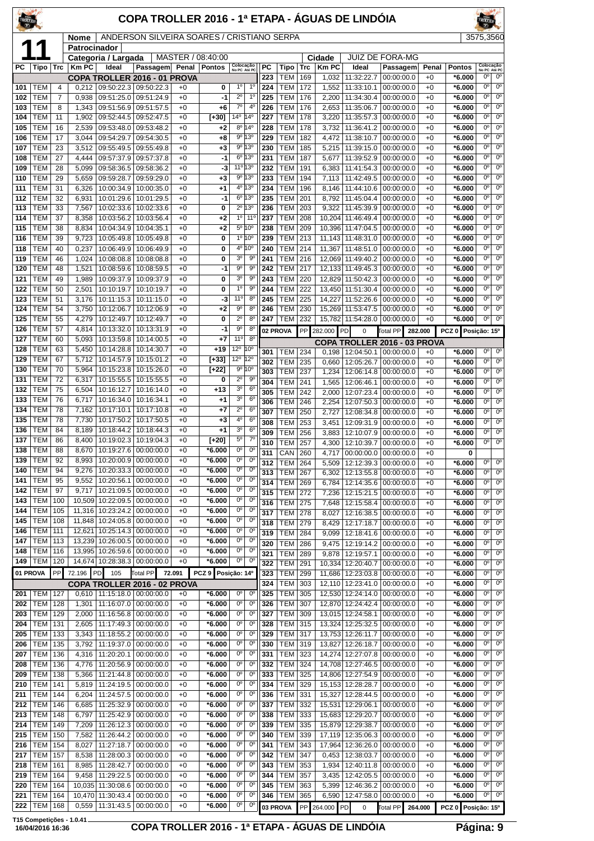| TROLLEY    |                          |            |                      |                                                | COPA TROLLER 2016 - 1ª ETAPA - ÁGUAS DE LINDÓIA |                 |                      |                                  |                                  |            |                          |            |                       |                                 |                                            |                 |                      | <b>TROLLEI</b>                           |                                       |
|------------|--------------------------|------------|----------------------|------------------------------------------------|-------------------------------------------------|-----------------|----------------------|----------------------------------|----------------------------------|------------|--------------------------|------------|-----------------------|---------------------------------|--------------------------------------------|-----------------|----------------------|------------------------------------------|---------------------------------------|
|            |                          |            | Nome<br>Patrocinador |                                                | ANDERSON SILVEIRA SOARES / CRISTIANO SERPA      |                 |                      |                                  |                                  |            |                          |            |                       |                                 |                                            |                 |                      | 3575,3560                                |                                       |
|            |                          |            |                      | Categoria / Largada                            |                                                 |                 | MASTER / 08:40:00    |                                  |                                  |            |                          |            | Cidade                |                                 | <b>JUIZ DE FORA-MG</b>                     |                 |                      |                                          |                                       |
| РC         | Tipo                     | Trc        | <b>Km PC</b>         | Ideal                                          | Passagem<br>COPA TROLLER 2016 - 01 PROVA        | Penal           | <b>Pontos</b>        | Colocação<br>No PC Até PC        |                                  | РC<br>223  | Tipo<br><b>TEM</b>       | Trc<br>169 | <b>Km PC</b><br>1,032 | Ideal<br>11:32:22.7             | Passagem<br>00:00:00.0                     | Penal<br>$+0$   | Pontos<br>*6.000     | Colocação<br>No PC Até PC<br>$0^{\circ}$ | $0^{\circ}$                           |
| 101        | TEM                      | 4          | 0.212                | 09:50:22.3                                     | 09:50:22.3                                      | $+0$            | 0                    | 1 <sup>0</sup>                   | 1 <sup>0</sup>                   | 224        | <b>TEM</b>               | 172        | 1,552                 | 11:33:10.1                      | 00:00:00.0                                 | $+0$            | *6.000               | 0°                                       | $0^{\rm o}$                           |
| 102        | TEM                      | 7          | 0,938                | 09:51:25.0                                     | 09:51:24.9                                      | $+0$            | -1                   | $2^{\circ}$<br>$7^\circ$         | $1^{\circ}$<br>4 <sup>0</sup>    | 225        | TEM                      | 176        | 2,200                 | 11:34:30.4                      | 00:00:00.0                                 | $+0$            | *6.000               | 0°<br>$0^{\circ}$                        | 0°<br>$\overline{0^{\circ}}$          |
| 103<br>104 | TEM<br>TEM               | 8<br>11    | 1,343<br>1,902       | 09:52:44.5                                     | 09:51:56.9 09:51:57.5<br>09:52:47.5             | $+0$<br>$+0$    | $+6$<br>$[+30]$      | 14°                              | $14^{\circ}$                     | 226<br>227 | <b>TEM</b><br>TEM        | 176<br>178 | 2,653<br>3,220        | 11:35:06.7<br>11:35:57.3        | 00:00:00.0<br>00:00:00.0                   | $+0$<br>$+0$    | *6.000<br>*6.000     | 0°                                       | $0^{\circ}$                           |
| 105        | TEM                      | 16         | 2,539                | 09:53:48.0                                     | 09:53:48.2                                      | $+0$            | $+2$                 |                                  | 8º 14º                           | 228        | <b>TEM</b>               | 178        | 3,732                 | 11:36:41.2                      | 00:00:00.0                                 | $+0$            | *6.000               | 0°                                       | $0^{\rm o}$                           |
| 106        | TEM                      | 17         | 3,044                | 09:54:29.7                                     | 09:54:30.5                                      | $+0$            | $+8$                 |                                  | 9°13°                            | 229        | <b>TEM</b>               | 182        | 4,472                 | 11:38:10.7                      | 00:00:00.0                                 | $+0$            | *6.000               | $\overline{0^{\circ}}$                   | $\overline{0^{\circ}}$                |
| 107<br>108 | <b>TEM</b><br>TEM        | 23<br>27   | 3,512<br>4,444       | 09:55:49.5<br>09:57:37.9                       | 09:55:49.8<br>09:57:37.8                        | $+0$<br>$+0$    | $+3$<br>-1           | $6^{\circ}$                      | 9º 13º<br>13 <sup>o</sup>        | 230<br>231 | <b>TEM</b><br><b>TEM</b> | 185<br>187 | 5,215<br>5,677        | 11:39:15.0<br>11:39:52.9        | 00:00:00.0<br>00:00:00.0                   | $+0$<br>$+0$    | *6.000<br>*6.000     | $0^{\circ}$<br>0 <sup>o</sup>            | $0^{\circ}$<br>$0^{\circ}$            |
| 109        | TEM                      | 28         | 5,099                | 09:58:36.5                                     | 09:58:36.2                                      | $+0$            | -3                   | 11º 13º                          |                                  | 232        | TEM                      | 191        | 6,383                 | 11:41:54.3                      | 00:00:00.0                                 | $+0$            | *6.000               | 0°                                       | $0^{\circ}$                           |
| 110        | TEM                      | 29         | 5,659                | 09:59:28.7                                     | 09:59:29.0                                      | $+0$            | $+3$                 |                                  | 9º 13º                           | 233        | <b>TEM</b>               | 194        | 7,113                 | 11:42:49.5                      | 00:00:00.0                                 | $+0$            | *6.000               | $0^{\circ}$                              | $0^{\circ}$                           |
| 111        | TEM                      | 31         | 6,326                | 10:00:34.9                                     | 10:00:35.0                                      | $+0$            | $+1$                 |                                  | 4º 13º<br>$6^{\circ}$ 13°        | 234        | <b>TEM</b>               | 196        | 8,146                 | 11:44:10.6                      | 00:00:00.0                                 | $+0$            | *6.000               | $0^{\circ}$<br>0°                        | $0^{\rm o}$<br>0°                     |
| 112<br>113 | TEM<br>TEM               | 32<br>33   | 6,931<br>7,567       | 10:01:29.6<br>10:02:33.6                       | 10:01:29.5<br>10:02:33.6                        | $+0$<br>$+0$    | -1<br>0              |                                  | 2º 13º                           | 235<br>236 | <b>TEM</b><br><b>TEM</b> | 201<br>203 | 8,792<br>9,322        | 11:45:04.4<br>11:45:39.9        | 00:00:00.0<br>00:00:00.0                   | $+0$<br>$+0$    | $*6.000$<br>*6.000   | 0°                                       | $0^{\circ}$                           |
| 114        | TEM                      | 37         | 8,358                | 10:03:56.2                                     | 10:03:56.4                                      | $+0$            | $+2$                 | $1^{\circ}$                      | 11 <sup>0</sup>                  | 237        | <b>TEM</b>               | 208        | 10,204                | 11:46:49.4                      | 00:00:00.0                                 | $+0$            | *6.000               | 0°                                       | $0^{\circ}$                           |
| 115        | <b>TEM</b>               | 38         | 8,834                | 10:04:34.9                                     | 10:04:35.1                                      | $+0$            | $+2$                 |                                  | 5º 10º                           | 238        | <b>TEM</b>               | 209        | 10,396                | 11:47:04.5                      | 00:00:00.0                                 | $+0$            | *6.000               | 0°                                       | $0^{\rm o}$                           |
| 116<br>118 | TEM<br>TEM               | 39<br>40   | 9,723<br>0,237       | 10:05:49.8<br>10:06:49.9                       | 10:05:49.8<br>10:06:49.9                        | $+0$<br>$+0$    | 0<br>0               |                                  | 1° 10°<br>4º 10º                 | 239<br>240 | <b>TEM</b><br><b>TEM</b> | 213<br>214 | 11.143<br>11,367      | 11:48:31.0<br>11:48:51.0        | 00:00:00.0<br>00:00:00.0                   | $+0$<br>$+0$    | *6.000<br>*6.000     | $0^{\circ}$<br>$0^{\circ}$               | $0^{\circ}$<br>$0^{\circ}$            |
| 119        | TEM                      | 46         | 1,024                | 10:08:08.8                                     | 10:08:08.8                                      | $+0$            | 0                    | 3 <sup>o</sup>                   | 9 <sup>o</sup>                   | 241        | <b>TEM</b>               | 216        | 12,069                | 11:49:40.2                      | 00:00:00.0                                 | $+0$            | *6.000               | $0^{\circ}$                              | $0^{\circ}$                           |
| 120        | TEM                      | 48         | 1,521                | 10:08:59.6                                     | 10:08:59.5                                      | $+0$            | -1                   | $9^{\circ}$                      | $9^{\circ}$                      | 242        | <b>TEM</b>               | 217        |                       | 12,133 11:49:45.3               | 00:00:00.0                                 | $+0$            | *6.000               | $\overline{0^{\circ}}$                   | $0^{\circ}$                           |
| 121        | <b>TEM</b>               | 49         | 1,989                | 10:09:37.9                                     | 10:09:37.9                                      | $+0$            | 0                    | 3 <sup>o</sup><br>1 <sup>0</sup> | $9^{\circ}$<br>$9^{\circ}$       | 243        | <b>TEM</b>               | 220        | 12,829                | 11:50:42.3                      | 00:00:00.0                                 | $+0$            | *6.000               | 0°<br>0°                                 | $0^{\circ}$<br>$0^{\circ}$            |
| 122<br>123 | TEM<br>TEM               | 50<br>51   | 2,501<br>3,176       | 10:10:19.7<br>10:11:15.3                       | 10:10:19.7<br>10:11:15.0                        | $+0$<br>$+0$    | 0<br>-3              | 11 <sup>0</sup>                  | 8 <sup>o</sup>                   | 244<br>245 | <b>TEM</b><br><b>TEM</b> | 222<br>225 | 13,450<br>14,227      | 11:51:30.4<br>11:52:26.6        | 00:00:00.0<br>00:00:00.0                   | $+0$<br>$+0$    | *6.000<br>*6.000     | $0^{\circ}$                              | $0^{\circ}$                           |
| 124        | TEM                      | 54         | 3,750                | 10:12:06.7                                     | 10:12:06.9                                      | $+0$            | $+2$                 | $9^{\circ}$                      | 8 <sup>o</sup>                   | 246        | <b>TEM</b>               | 230        |                       | 15,269 11:53:47.5               | 00:00:00.0                                 | $+0$            | *6.000               | 0°                                       | $0^{\circ}$                           |
| 125        | TEM                      | 55         | 4,279                | 10:12:49.7                                     | 10:12:49.7                                      | $+0$            | 0                    | $2^{\circ}$                      | 8 <sup>0</sup>                   | 247        | TEM                      | 232        | 15,782                | 11:54:28.0                      | 00:00:00.0                                 | $+0$            | *6.000               | $0^{\circ}$                              | $0^{\circ}$                           |
| 126<br>127 | TEM<br>TEM               | 57<br>60   | 4,814<br>5,093       | 10:13:32.0<br>10:13:59.8                       | 10:13:31.9<br>10:14:00.5                        | $+0$<br>$+0$    | -1<br>$+7$           | $9^{\circ}$<br>11 <sup>0</sup>   | 8 <sup>c</sup><br>8 <sup>0</sup> |            | 02 PROVA                 | PP         | 282.000               | PD<br>0                         | Total PP                                   | 282.000         | PCZ <sub>0</sub>     | Posição: 15º                             |                                       |
| 128        | TEM                      | 63         | 5,450                | 10:14:28.8                                     | 10:14:30.7                                      | $+0$            | $+19$                | 12°                              | 10°                              | 301        | TEM                      | 234        | 0,198                 | 12:04:50.1                      | COPA TROLLER 2016 - 03 PROVA<br>00:00:00.0 | $+0$            | *6.000               | $0^{\circ}$                              | $0^{\circ}$                           |
| 129        | TEM                      | 67         | 5,712                |                                                | 10:14:57.9   10:15:01.2                         | $+0$            | $[+33]$              | $12^{\circ}$                     | $12^{\circ}$                     | 302        | <b>TEM</b>               | 235        | 0,660                 | 12:05:26.7                      | 00:00:00.0                                 | $+0$            | *6.000               | $\overline{0^{\circ}}$                   | $0^{\circ}$                           |
| 130        | TEM                      | 70         | 5,964                | 10:15:23.8                                     | 10:15:26.0                                      | $+0$            | [+22]                | 90<br>$2^{\circ}$                | 10°<br>$9^{\circ}$               | 303        | <b>TEM</b>               | 237        | 1,234                 | 12:06:14.8                      | 00:00:00.0                                 | $+0$            | *6.000               | 0°                                       | $0^{\circ}$                           |
| 131<br>132 | TEM<br><b>TEM</b>        | 72<br>75   | 6,317<br>6,504       | 10:15:55.5<br>10:16:12.7                       | 10:15:55.5<br>10:16:14.0                        | $+0$<br>$+0$    | 0<br>$+13$           | 3 <sup>o</sup>                   | 6 <sup>o</sup>                   | 304        | <b>TEM</b>               | 241        | 1,565                 | 12:06:46.1                      | 00:00:00.0                                 | $+0$            | *6.000               | 0°<br>$0^{\circ}$                        | $0^{\circ}$<br>$0^{\circ}$            |
| 133        | TEM                      | 76         | 6,717                | 10:16:34.0                                     | 10:16:34.1                                      | $+0$            | +1                   | 3 <sup>o</sup>                   | 6 <sup>c</sup>                   | 305<br>306 | <b>TEM</b><br><b>TEM</b> | 242<br>246 | 2,000<br>2,254        | 12:07:23.4<br>12:07:50.3        | 00:00:00.0<br>00:00:00.0                   | $+0$<br>$+0$    | $*6.000$<br>*6.000   | 0 <sup>o</sup>                           | $0^{\circ}$                           |
| 134        | TEM                      | 78         | 7,162                | 10:17:10.1                                     | 10:17:10.8                                      | $+0$            | +7                   | $2^{\circ}$                      | $6^{\circ}$                      | 307        | <b>TEM</b>               | 250        | 2,727                 | 12:08:34.8                      | 00:00:00.0                                 | $+0$            | *6.000               | 0°                                       | $0^{\circ}$                           |
| 135<br>136 | TEM<br>TEM               | 78<br>84   | 7,730<br>8,189       | 10:17:50.2<br>10:18:44.2                       | 10:17:50.5<br>10:18:44.3                        | $+0$<br>$+0$    | $^{+3}$<br>$+1$      | 4°<br>30                         | 6 <sup>o</sup><br>6 <sup>o</sup> | 308        | <b>TEM</b>               | 253        | 3,451                 | 12:09:31.9                      | 00:00:00.0                                 | $+0$            | *6.000               | 0°                                       | $0^{\rm o}$                           |
| 137        | TEM                      | 86         | 8,400                | 10:19:02.3                                     | 10:19:04.3                                      | $+0$            | $[+20]$              | $5^{\circ}$                      | $7^\circ$                        | 309<br>310 | <b>TEM</b><br><b>TEM</b> | 256<br>257 | 3,883<br>4,300        | 12:10:07.9<br>12:10:39.7        | 00:00:00.0<br>00:00:00.0                   | $+0$<br>$+0$    | *6.000<br>*6.000     | $0^{\circ}$<br>0 <sup>o</sup>            | $0^{\circ}$<br>$0^{\circ}$            |
| 138        | <b>TEM</b>               | 88         | 8,670                |                                                | 10:19:27.6 00:00:00.0                           | $+0$            | $*6.000$             | $0^{\circ}$                      | $0^{\circ}$                      | 311        | CAN                      | 260        |                       |                                 | 4,717 00:00:00.0 00:00:00.0                | $+0$            | 0                    |                                          |                                       |
| 139        | TEM<br>TEM               | 92         | 8,993                |                                                | 10:20:00.9 00:00:00.0                           | $+0$            | *6.000<br>$*6.000$   | 0°<br>$0^{\circ}$                | $0^{\circ}$<br>$0^{\circ}$       | 312        | TEM                      | 264        | 5,509                 | 12:12:39.3                      | 00:00:00.0                                 | $^{+0}$         | $*6.000$             | 0°                                       | 0°                                    |
| 140<br>141 | TEM                      | 94<br>95   | 9,276<br>9,552       | 10:20:33.3<br>10:20:56.1                       | 00:00:00.0<br>00:00:00.0                        | $+0$<br>$+0$    | $*6.000$             | $0^{\rm o}$                      | $0^{\circ}$                      | 313<br>314 | <b>TEM</b><br>TEM        | 267<br>269 | 6,302<br>6,784        | 12:13:55.8<br>12:14:35.6        | 00:00:00.0<br>00:00:00.0                   | $+0$<br>$+0$    | $*6.000$<br>*6.000   | 0°<br>0°                                 | $0^{\circ}$<br>$0^{\circ}$            |
| 142        | <b>TEM</b>               | 97         | 9,717                |                                                | 10:21:09.5 00:00:00.0                           | $+0$            | $*6.000$             | $0^{\circ}$                      | $0^{\rm o}$                      | 315        | TEM                      | 272        | 7,236                 | 12:15:21.5                      | 00:00:00.0                                 | $+0$            | *6.000               | 0°                                       | $0^{\circ}$                           |
| 143        | TEM                      | 100        | 10.509               | 10:22:09.5                                     | 00:00:00.0                                      | $+0$            | $*6.000$             | 0°                               | 0°                               | 316        | TEM                      | 275        | 7,648                 |                                 | 12:15:58.4 00:00:00.0                      | $+0$            | $*6.000$             | $\overline{0^{\circ}1}$                  | $\overline{0^{\circ}}$                |
| 144<br>145 | TEM<br><b>TEM</b>        | 105<br>108 | 11,316               | 10:23:24.2<br>11,848   10:24:05.8   00:00:00.0 | 00:00:00.0                                      | $+0$<br>$+0$    | *6.000<br>*6.000     | $0^{\circ}$<br>$0^{\circ}$       | $0^{\circ}$<br>$0^{\circ}$       | 317        | <b>TEM</b>               | 278        | 8,027                 | 12:16:38.5                      | 00:00:00.0                                 | $+0$            | $*6.000$             | $\overline{0^{\circ}}$<br>0°             | $0^{\circ}$<br>$0^{\circ}$            |
| 146        | TEM                      | 111        | 12,621               | 10:25:14.3                                     | 00:00:00.0                                      | $+0$            | $*6.000$             | $0^{\circ}$                      | $0^{\circ}$                      | 318<br>319 | <b>TEM</b><br><b>TEM</b> | 279<br>284 | 8,429<br>9,099        | 12:17:18.7<br>12:18:41.6        | 00:00:00.0<br>00:00:00.0                   | $+0$<br>$+0$    | *6.000<br>$*6.000$   | 0 <sup>o</sup>                           | $0^{\circ}$                           |
| 147        | TEM                      | 113        | 13,239               | 10:26:00.5                                     | 00:00:00.0                                      | $^{+0}$         | $*6.000$             | $0^{\circ}$                      | $0^{\circ}$                      | 320        | <b>TEM</b>               | 286        | 9,475                 | 12:19:14.2                      | 00:00:00.0                                 | $+0$            | $*6.000$             | 0°                                       | 0°                                    |
| 148<br>149 | <b>TEM</b><br><b>TEM</b> | 116<br>120 |                      | 13,995 10:26:59.6                              | 00:00:00.0                                      | $+0$<br>$+0$    | $*6.000$<br>$*6.000$ | $0^{\circ}$<br>$0^{\circ}$       | $0^{\circ}$<br>$0^{\circ}$       | 321        | <b>TEM</b>               | 289        | 9,878                 | 12:19:57.1                      | 00:00:00.0                                 | $+0$            | $*6.000$             | 0 <sup>o</sup>                           | $0^{\circ}$                           |
| 01 PROVA   |                          | PP         | 72.196               | 14,674 10:28:38.3<br>105<br><b>PD</b>          | 00:00:00.0<br>Total PP                          | 72.091          | PCZ 9 Posição: 14º   |                                  |                                  | 322<br>323 | <b>TEM</b><br><b>TEM</b> | 291<br>299 | 10,334<br>11,686      | 12:20:40.7<br>12:23:03.8        | 00:00:00.0<br>00:00:00.0                   | $^{+0}$<br>$+0$ | $*6.000$<br>$*6.000$ | 0°<br>0°                                 | $0^{\circ}$<br>$0^{\rm o}$            |
|            |                          |            |                      |                                                | COPA TROLLER 2016 - 02 PROVA                    |                 |                      |                                  |                                  | 324        | TEM                      | 303        | 12,110                | 12:23:41.0                      | 00:00:00.0                                 | $+0$            | $*6.000$             | 0 <sup>o</sup>                           | $0^{\circ}$                           |
| 201        | <b>TEM</b>               | 127        | 0,610                | 11:15:18.0                                     | 00:00:00.0                                      | +0              | $*6.000$             | $0^{\circ}$                      | 0 <sup>o</sup>                   | 325        | <b>TEM</b>               | 305        | 12,530                | 12:24:14.0                      | 00:00:00.0                                 | $+0$            | $*6.000$             | 0°                                       | $0^{\circ}$                           |
| 202<br>203 | <b>TEM</b><br><b>TEM</b> | 128<br>129 | 1,301<br>2,000       | 11:16:07.0<br>11:16:56.8                       | 00:00:00.0<br>00:00:00.0                        | $+0$<br>$+0$    | $*6.000$<br>$*6.000$ | 0°<br>$0^{\circ}$                | $0^{\circ}$<br>$0^{\circ}$       | 326<br>327 | TEM<br>TEM               | 307<br>309 | 12,870                | 12:24:42.4<br>13,015 12:24:58.1 | 00:00:00.0<br>00:00:00.0                   | $+0$<br>$+0$    | $*6.000$<br>$*6.000$ | 0°<br>0 <sup>0</sup>                     | 0°<br>$\overline{0^{\circ}}$          |
| 204        | TEM                      | 131        | 2,605                | 11:17:49.3                                     | 00:00:00.0                                      | $+0$            | $*6.000$             | $0^{\circ}$                      | 0 <sup>o</sup>                   | 328        | <b>TEM</b>               | 315        | 13,324                | 12:25:32.5                      | 00:00:00.0                                 | $+0$            | $*6.000$             | 0 <sup>o</sup>                           | $0^{\circ}$                           |
| 205        | <b>TEM</b>               | 133        | 3,343                | 11:18:55.2                                     | 00:00:00.0                                      | $+0$            | $*6.000$             | $0^{\circ}$                      | $0^{\circ}$                      | 329        | TEM                      | 317        |                       | 13,753 12:26:11.7               | 00:00:00.0                                 | +0              | $*6.000$             | $0^{\circ}$                              | $0^{\circ}$                           |
| 206        | TEM                      | 135        | 3,792                | 11:19:37.0                                     | 00:00:00.0                                      | $^{+0}$         | $*6.000$             | $0^{\circ}$                      | 0°                               | 330        | <b>TEM</b>               | 319        | 13,827                | 12:26:18.7                      | 00:00:00.0                                 | +0              | $*6.000$             | 0°                                       | $0^{\circ}$                           |
| 207<br>208 | <b>TEM</b><br><b>TEM</b> | 136<br>136 | 4,316<br>4,776       | 11:20:20.1<br>11:20:56.9                       | 00:00:00.0<br>00:00:00.0                        | $+0$<br>$+0$    | $*6.000$<br>$*6.000$ | 0°<br>0 <sup>o</sup>             | $0^{\circ}$<br>$0^{\circ}$       | 331<br>332 | <b>TEM</b><br>TEM        | 323<br>324 | 14,274                | 12:27:07.8<br>14,708 12:27:46.5 | 00:00:00.0<br>00:00:00.0                   | $+0$<br>$+0$    | *6.000<br>$*6.000$   | 0°<br>$0^{\circ}$                        | $0^{\circ}$<br>$\overline{0^{\circ}}$ |
| 209        | TEM                      | 138        | 5,366                | 11:21:44.8                                     | 00:00:00.0                                      | $+0$            | $*6.000$             | 0°                               | $0^{\circ}$                      | 333        | <b>TEM</b>               | 325        | 14,806                | 12:27:54.9                      | 00:00:00.0                                 | +0              | $*6.000$             | 0°                                       | $0^{\circ}$                           |
| 210        | TEM                      | 141        | 5,819                | 11:24:19.5                                     | 00:00:00.0                                      | $+0$            | $*6.000$             | $0^{\circ}$                      | $0^{\circ}$                      | 334        | <b>TEM</b>               | 329        | 15,153                | 12:28:28.7                      | 00:00:00.0                                 | $+0$            | $*6.000$             | 0°                                       | 0 <sup>o</sup>                        |
| 211<br>212 | <b>TEM</b><br>TEM        | 144<br>146 | 6,204<br>6,685       | 11:24:57.5<br>11:25:32.9                       | 00:00:00.0<br>00:00:00.0                        | $+0$<br>$+0$    | $*6.000$<br>$*6.000$ | 0 <sup>o</sup><br>$0^{\circ}$    | $0^{\circ}$<br>$0^{\circ}$       | 336<br>337 | <b>TEM</b><br><b>TEM</b> | 331<br>332 | 15,327<br>15,531      | 12:28:44.5<br>12:29:06.1        | 00:00:00.0<br>00:00:00.0                   | $+0$<br>+0      | $*6.000$<br>$*6.000$ | $0^{\circ}$<br>0°                        | $0^{\circ}$<br>$0^{\rm o}$            |
| 213        | <b>TEM</b>               | 148        | 6,797                | 11:25:42.9                                     | 00:00:00.0                                      | $+0$            | *6.000               | $0^{\circ}$                      | $0^{\circ}$                      | 338        | <b>TEM</b>               | 333        | 15,683                | 12:29:20.7                      | 00:00:00.0                                 | +0              | *6.000               | 0°                                       | 0°                                    |
| 214        | <b>TEM</b>               | 149        | 7,209                | 11:26:12.3                                     | 00:00:00.0                                      | $+0$            | $*6.000$             | $0^{\circ}$                      | $0^{\circ}$                      | 339        | TEM                      | 335        |                       | 15,879 12:29:38.7               | 00:00:00.0                                 | $+0$            | $*6.000$             | $0^{\circ}$                              | $0^{\circ}$                           |
| 215        | <b>TEM</b>               | 150        | 7,582                | 11:26:44.2                                     | 00:00:00.0                                      | $+0$            | $*6.000$             | 0°                               | $0^{\circ}$                      | 340        | <b>TEM</b>               | 339        | 17,119                | 12:35:06.3                      | 00:00:00.0                                 | $+0$            | *6.000               | 0°                                       | $0^{\circ}$                           |
| 216<br>217 | <b>TEM</b><br><b>TEM</b> | 154<br>157 | 8,027<br>8,538       | 11:27:18.7<br>11:28:00.3                       | 00:00:00.0<br>00:00:00.0                        | $^{+0}$<br>$+0$ | $*6.000$<br>$*6.000$ | 0 <sup>o</sup><br>$0^{\circ}$    | $0^{\circ}$<br>$0^{\circ}$       | 341<br>342 | <b>TEM</b><br>TEM        | 343<br>347 | 17,964<br>0,453       | 12:36:26.0<br>12:38:03.7        | 00:00:00.0<br>00:00:00.0                   | $+0$<br>$+0$    | $*6.000$<br>$*6.000$ | 0°<br>$0^{\circ}$                        | $0^{\circ}$<br>$0^{\circ}$            |
| 218        | <b>TEM</b>               | 161        | 8,985                | 11:28:42.7                                     | 00:00:00.0                                      | $+0$            | $*6.000$             | 0°                               | $0^{\circ}$                      | 343        | <b>TEM</b>               | 353        | 1,934                 | 12:40:11.8                      | 00:00:00.0                                 | $+0$            | *6.000               | 0°                                       | $0^{\circ}$                           |
| 219        | TEM                      | 164        | 9,458                | 11:29:22.5                                     | 00:00:00.0                                      | $+0$            | $*6.000$             | $0^{\circ}$                      | $0^{\circ}$                      | 344        | TEM                      | 357        | 3,435                 | 12:42:05.5                      | 00:00:00.0                                 | $+0$            | $*6.000$             | 0 <sup>o</sup>                           | $0^{\circ}$                           |
| 220<br>221 | <b>TEM</b><br>TEM        | 164<br>164 |                      | 10,035 11:30:08.6<br>10,470 11:30:43.4         | 00:00:00.0<br>00:00:00.0                        | $+0$<br>$+0$    | $*6.000$<br>$*6.000$ | 0°<br>0°                         | 0°<br>0°                         | 345<br>346 | <b>TEM</b><br><b>TEM</b> | 363<br>365 | 5,399<br>6,590        | 12:46:36.2<br>12:47:58.0        | 00:00:00.0<br>00:00:00.0                   | $^{+0}$<br>$+0$ | $*6.000$<br>$*6.000$ | 0° <br>0°                                | $0^{\circ}$<br>$0^{\circ}$            |
| 222        | <b>TEM</b>               | 168        |                      | 0,559 11:31:43.5 00:00:00.0                    |                                                 | $+0$            | $*6.000$             | $0^{\circ}$                      | $0^{\circ}$                      | 03 PROVA   |                          |            | PP 264.000 PD         | $\mathsf{O}\xspace$             | Total PP 264.000                           |                 | PCZ 0 Posição: 15°   |                                          |                                       |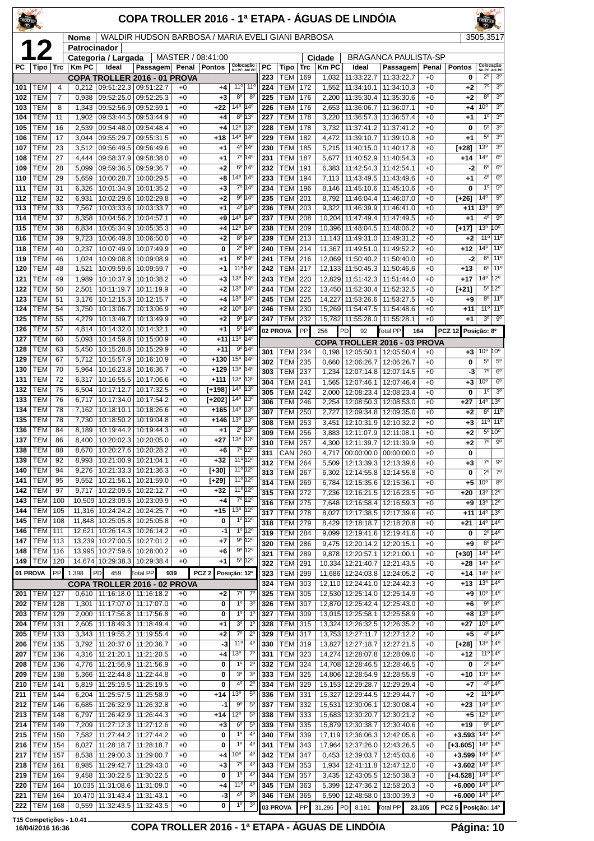| WALDIR HUDSON BARBOSA / MARIA EVELI GIANI BARBOSA<br>3505,3517<br>Nome<br>12<br>Patrocinador<br>MASTER / 08:41:00<br><b>BRAGANCA PAULISTA-SP</b><br>Categoria / Largada<br>Cidade<br>Colocação<br>No PC Até PC<br>Colocação<br>No PC Até PC<br><b>KmPC</b><br>РC<br>Tipo<br><b>Trc</b><br>Ideal<br>Passagem Penal<br><b>Pontos</b><br><b>PC</b><br>Tipo<br><b>Km PC</b><br>Ideal<br>Passagem<br>Trc<br>Penal<br><b>Pontos</b><br>$2^{\circ}$<br>3 <sup>o</sup><br>223<br><b>TEM</b><br>169<br>1,032<br>11:33:22.7<br>11:33:22.7<br>$+0$<br>0<br>COPA TROLLER 2016 - 01 PROVA<br>3 <sup>0</sup><br>11°<br>$11^{\circ}$<br>224<br>172<br>11:34:10.3<br>$7^\circ$<br>TEM<br>0.212<br>09:51:22.3 09:51:22.7<br>TEM<br>1,552<br>11:34:10.1<br>$+0$<br>$+2$<br>101<br>4<br>+0<br>+4<br>3 <sup>o</sup><br>TEM<br>$8^{\circ}$<br>$8^{\circ}$<br>225<br><b>TEM</b><br>176<br>2,200<br>11:35:30.4<br>8 <sup>o</sup><br>102<br>7<br>0,938<br>09:52:25.0<br>09:52:25.3<br>+0<br>$+3$<br>11:35:30.6<br>$+0$<br>$+2$<br>$\overline{3^0}$<br>$14^{\circ}$ 14 $^{\circ}$<br>10 <sup>o</sup><br>176<br>TEM<br>8<br>226<br><b>TEM</b><br>2,653<br>103<br>1,343<br>09:52:56.9<br>09:52:59.1<br>$+0$<br>+22<br>11:36:06.7<br>11:36:07.1<br>$+0$<br>$+4$<br>3 <sup>o</sup><br>TEM<br>1,902<br>09:53:44.5<br>09:53:44.9<br>8º 13º<br>227<br>TEM<br>178<br>3,220<br>11:36:57.3<br>1 <sup>0</sup><br>104<br>11<br>$+0$<br>11:36:57.4<br>$+0$<br>+4<br>$+1$<br>3 <sup>0</sup><br>TEM<br>12º  13º<br>228<br><b>TEM</b><br>178<br>11:37:41.2<br>11:37:41.2<br>$5^{\circ}$<br>105<br>16<br>2,539<br>09:54:48.0<br>09:54:48.4<br>$+0$<br>+4<br>3,732<br>$+0$<br>0<br>$5^{\circ}$<br>3 <sup>o</sup><br>14 <sup>o</sup> 14 <sup>o</sup><br>TEM<br>17<br>3,044<br>09:55:29.7<br>229<br><b>TEM</b><br>182<br>4,472<br>11:39:10.7<br>106<br>09:55:31.5<br>$+0$<br>+18<br>11:39:10.8<br>$+0$<br>$+1$<br>3 <sup>o</sup><br>$4^{\circ}$ 14 <sup>°</sup><br>13 <sup>o</sup><br><b>TEM</b><br><b>TEM</b><br>3,512<br>230<br>185<br>11:40:15.0<br>107<br>23<br>09:56:49.5<br>09:56:49.6<br>$+0$<br>+1<br>5,215<br>11:40:17.8<br>$+0$<br>[+28]<br>6 <sup>o</sup><br>7º 14º<br>14°<br>TEM<br>27<br><b>TEM</b><br>108<br>4,444<br>09:58:37.9<br>09:58:38.0<br>231<br>187<br>5,677<br>11:40:52.9<br>11:40:54.3<br>$+0$<br>$+14$<br>$+0$<br>+1<br>$6^{\circ}$<br>TEM<br>5,099<br>6º 14º<br>232<br>TEM<br>191<br>6,383<br>11:42:54.3<br>6 <sup>o</sup><br>109<br>28<br>09:59:36.5<br>09:59:36.7<br>$+0$<br>$+2$<br>11:42:54.1<br>$+0$<br>-2<br>$6^{\circ}$<br>TEM<br>10:00:28.7<br>14º  14º<br>233<br><b>TEM</b><br>194<br>11:43:49.5<br>4 <sup>0</sup><br>110<br>29<br>5,659<br>10:00:29.5<br>$+0$<br>+8<br>7,113<br>11:43:49.6<br>$+0$<br>+1<br>$5^{\circ}$<br>7º 14º<br>1 <sup>0</sup><br>TEM<br>234<br>TEM<br>196<br>0<br>111<br>31<br>6,326<br>10:01:34.9<br>10:01:35.2<br>$+0$<br>$+3$<br>8,146<br>11:45:10.6<br>11:45:10.6<br>$+0$<br>9 <sup>o</sup><br>9º 14º<br>14°<br>112<br>TEM<br>6,931<br>10:02:29.6<br>235<br>TEM<br>201<br>32<br>10:02:29.8<br>$+0$<br>+2<br>8,792<br>11:46:04.4<br>11:46:07.0<br>$+0$<br>$[+26]$<br>9 <sup>o</sup><br>13 <sup>o</sup><br>113<br>TEM<br>33<br>7,567<br>10:03:33.6<br>4º 14º<br>236<br>TEM<br>203<br>9,322<br>11:46:39.9<br>10:03:33.7<br>$+0$<br>+1<br>11:46:41.0<br>$+0$<br>+11<br>$9^{\circ}$<br>$14^{\circ}$ 14 <sup>°</sup><br>4 <sup>0</sup><br>TEM<br>237<br><b>TEM</b><br>208<br>114<br>37<br>8,358<br>10:04:56.2<br>10:04:57.1<br>$+0$<br>+9<br>10.204 11:47:49.4<br>11:47:49.5<br>$+0$<br>$+1$<br>10 <sup>o</sup><br><b>TEM</b><br>12º 14º<br>13 <sup>o</sup><br>115<br>10:05:34.9<br>238<br><b>TEM</b><br>209<br>38<br>8,834<br>10:05:35.3<br>$+0$<br>$+4$<br>10,396 11:48:04.5<br>11:48:06.2<br>$+0$<br>$[+17]$<br>11 <sup>°</sup><br>8º 14º<br>$11^{\circ}$<br>TEM<br>39<br>9,723<br>10:06:49.8<br>$+2$<br>239<br><b>TEM</b><br>213<br>11,143<br>11:49:31.0<br>116<br>10:06:50.0<br>$+0$<br>11:49:31.2<br>$+0$<br>$+2$<br>$14^{\circ}$<br>11 <sup>0</sup><br>118<br>TEM<br>0,237<br>10:07:49.9<br>10:07:49.9<br>$2^{\circ}$ 14°<br>240<br><b>TEM</b><br>214<br>11:49:51.0<br>11:49:52.2<br>40<br>$+0$<br>0<br>11,367<br>$+0$<br>$+12$<br>11 <sup>o</sup><br>6º 14º<br>6 <sup>o</sup><br>TEM<br>10:09:08.8<br>241<br><b>TEM</b><br>119<br>46<br>1,024<br>10:09:08.9<br>$+0$<br>+1<br>216<br>12,069 11:50:40.2<br>11:50:40.0<br>$+0$<br>-2<br>11°14°<br>$6^{\circ}$<br>11 <sup>°</sup><br>120<br>TEM<br>48<br>1,521<br>242<br><b>TEM</b><br>217<br>12,133 11:50:45.3<br>$+13$<br>10:09:59.6<br>10:09:59.7<br>$+0$<br>$+1$<br>11:50:46.6<br>$+0$<br>14 <sup>°</sup><br>12°<br>121<br><b>TEM</b><br>1,989<br>10:10:37.9<br>13°<br>$14^{\circ}$<br><b>TEM</b><br>220<br>12,829 11:51:42.3<br>11:51:44.0<br>49<br>10:10:38.2<br>$+3$<br>243<br>$+0$<br>$+17$<br>$+0$<br>$5^{\circ}12^{\circ}$<br>13º 14º<br>122<br>TEM<br>244<br><b>TEM</b><br>222<br>13,450 11:52:30.4<br>50<br>2,501<br>10:11:19.7<br>10:11:19.9<br>+0<br>+2<br>11:52:32.5<br>$+0$<br>$[+21]$<br>13º 14º<br>8 <sup>o</sup><br>11 <sup>o</sup><br>TEM<br>245<br><b>TEM</b><br>225<br>123<br>51<br>3,176<br>10:12:15.3   10:12:15.7<br>$+0$<br>+4<br>14,227 11:53:26.6<br>11:53:27.5<br>$+0$<br>$+9$<br>11°<br>124<br>TEM<br>3,750<br>10:13:06.7<br>10º 14º<br><b>TEM</b><br>230<br>15,269 11:54:47.5<br>$11^{\circ}$<br>54<br>10:13:06.9<br>$+0$<br>+2<br>246<br>11:54:48.6<br>$+0$<br>+11<br>3 <sup>o</sup><br>$9^{\circ}$<br>125<br>TEM<br>9º 14º<br>247<br>232<br>55<br>4,279<br>10:13:49.7<br>10:13:49.9<br>$+0$<br>+2<br>TEM<br>15,782 11:55:28.0<br>11:55:28.1<br>$+0$<br>$+1$<br>$5^{\circ}$ 14°<br>TEM<br>126<br>57<br>4,814<br>10:14:32.0   10:14:32.1<br>$+0$<br>$+1$<br>02 PROVA<br>PP<br>256<br>PD<br><b>Total PP</b><br>164<br><b>PCZ 12</b><br>Posição: 8º<br>92<br>TEM<br>13°<br>$14^{\circ}$<br>127<br>60<br>5,093<br>10:14:59.8<br>10:15:00.9<br>$+0$<br>$+11$<br>COPA TROLLER 2016 - 03 PROVA<br>9° 14°<br>TEM<br>10:15:28.8<br>128<br>63<br>5,450<br>10:15:29.9<br>$+11$<br>+0<br>10 <sup>o</sup><br>10 <sup>o</sup><br>301<br>TEM<br>234<br>0,198<br>12:05:50.1   12:05:50.4<br>$+0$<br>$+3$<br>$15^{\circ}$ 14 <sup>°</sup><br><b>TEM</b><br>129<br>5,712<br>10:15:57.9<br>$+130$<br>67<br>10:16:10.9<br>$+0$<br>$5^{\circ}$<br>$5^{\circ}$<br>302<br><b>TEM</b><br>235<br>$\bf{0}$<br>0,660<br>12:06:26.7<br>12:06:26.7<br>$+0$<br>TEM<br>10:16:23.8<br>13º 14º<br>130<br>70<br>5,964<br>10:16:36.7<br>$+0$<br>$+129$<br>$6^{\circ}$<br><b>TEM</b><br>237<br>1,234<br>$7^\circ$<br>303<br>12:07:14.8<br>12:07:14.5<br>$+0$<br>-3<br>13º 13º<br>TEM<br>72<br>$+111$<br>131<br>6,317<br>10:16:55.5<br>10:17:06.6<br>$+0$<br>$6^{\circ}$<br>10°<br>304<br><b>TEM</b><br>241<br>12:07:46.1<br>1,565<br>12:07:46.4<br>$+0$<br>$+3$<br>14º  13º<br>132<br>TEM<br>75<br>10:17:12.7<br>$[+198]$<br>6,504<br>10:17:32.5<br>$+0$<br>3 <sup>o</sup><br>1 <sup>0</sup><br><b>TEM</b><br>242<br>12:08:23.4<br>12:08:23.4<br>305<br>2,000<br>$+0$<br>0<br>TEM<br>76<br>6,717<br>14º 13º<br>133<br>10:17:34.0<br>10:17:54.2<br>$+0$<br>$[+202]$<br>13 <sup>o</sup><br>$14^{\circ}$<br><b>TEM</b><br>306<br>246<br>2,254<br>12:08:50.3<br>12:08:53.0<br>$+0$<br>$+27$<br>14 <sup>o</sup> 13 <sup>o</sup><br>TEM<br>134<br>78<br>7,162<br>10:18:10.1<br>10:18:26.6<br>$+0$<br>$+165$<br>11 <sup>0</sup><br><b>TEM</b><br>250<br>12:09:34.8<br>8 <sup>o</sup><br>307<br>2,727<br>12:09:35.0<br>$+0$<br>$+2$<br>135<br>TEM<br>78<br>7,730<br>13 <sup>o</sup> 13 <sup>o</sup><br>10:18:50.2<br>10:19:04.8<br>$+0$<br>$+146$<br>11°<br><b>TEM</b><br>253<br>11°<br>308<br>3,451<br>12:10:31.9<br>12:10:32.2<br>$+0$<br>$+3$<br>TEM<br>$2^0$ 13 <sup>0</sup><br>136<br>84<br>8,189<br>10:19:44.2<br>10:19:44.3<br>+0<br>+1<br>$5^{\circ}$<br>$10^{\circ}$<br><b>TEM</b><br>256<br>309<br>3,883<br>12:11:07.9<br>12:11:08.1<br>$+0$<br>$+2$<br>13º 13º<br>TEM<br>$+27$<br>137<br>86<br>8,400<br>10:20:02.3   10:20:05.0<br>$+0$<br>$7^\circ$<br>$9^{\circ}$<br>310<br><b>TEM</b><br>257<br>12:11:39.7<br>$+0$<br>$+2$<br>4,300<br>12:11:39.9<br>7º 12º<br><b>TEM</b><br>88<br>8,670<br>10:20:27.6   10:20:28.2<br>$+6$<br>138<br>$+0$<br>CAN<br>311<br>260<br>4,717 00:00:00.0 00:00:00.0<br>$+0$<br>0<br>11º 12º<br>10:21:00.9   10:21:04.1<br>TEM<br>92<br>$+32$<br>139<br>8,993<br>+0<br>$7^\circ$<br>$9^{\circ}$<br>TEM<br>312<br>264<br>5,509<br>12:13:39.3   12:13:39.6<br>$+0$<br>$+3$<br><b>TEM</b><br>10:21:33.3<br>11º 12º<br>140<br>94<br>9,276<br>10:21:36.3<br>$[+30]$<br>$+0$<br>$2^{\circ}$<br>$7^\circ$<br>313<br>TEM<br>267<br>$\bf{0}$<br>6.302<br>12:14:55.8<br>12:14:55.8<br>$+0$<br><b>TEM</b><br>10:21:56.1<br>11 <sup>o</sup> 12 <sup>o</sup><br>141<br>95<br>9,552<br>10:21:59.0<br>$[+29]$<br>$+0$<br>10 <sup>o</sup><br>$8^{\circ}$<br><b>TEM</b><br>314<br>269<br>6,784<br>12:15:35.6 12:15:36.1<br>$+5$<br>+0<br>11º 12º<br><b>TEM</b><br>142<br>97<br>9,717<br>10:22:09.5   10:22:12.7<br>$+32$<br>$+0$<br>12°<br>315<br><b>TEM</b><br>272<br>$+20$<br>13 <sup>°</sup><br>7,236<br>12:16:21.5<br>12:16:23.5<br>$+0$<br>7º 12º<br>TEM<br>10,509 10:23:09.5<br>143<br>100<br>10:23:09.9<br>+4<br>$+0$<br>$12^{\circ}$<br>13 <sup>o</sup><br><b>TEM</b><br>275<br>316<br>7,648<br>12:16:58.4   12:16:59.3<br>$+0$<br>$+9$<br><b>TEM</b><br>11,316 10:24:24.2<br>$+15$<br>13º  12º<br>144<br>105<br>10:24:25.7<br>$+0$<br>13 <sup>o</sup><br>317<br>TEM<br>278<br>$14^{\circ}$<br>8,027<br>12:17:38.5<br>12:17:39.6<br>$+11$<br>+0<br>$1°$ 12°<br><b>TEM</b><br>108<br>145<br>11,848   10:25:05.8   10:25:05.8<br>0<br>$+0$<br>318<br>TEM<br>279<br>$14^{\circ}$<br>$14^{\circ}$<br>8,429<br>12:18:18.7<br>12:18:20.8<br>$+21$<br>+0<br>$1^{\circ}$ 12°<br><b>TEM</b><br>12,621 10:26:14.3<br>146<br>111<br>10:26:14.2<br>$+0$<br>-1<br>$2^{\circ}$ 14 $^{\circ}$<br>319<br>TEM<br>284<br>12:19:41.6 12:19:41.6<br>0<br>9,099<br>$+0$<br>$9^{\circ}$ 12°<br>TEM<br>113<br>13,239<br>10:27:00.5<br>147<br>10:27:01.2<br>$+0$<br>+7<br>$8^{\circ}14^{\circ}$<br>320<br><b>TEM</b><br>286<br>12:20:14.2<br>9.475<br>12:20:15.1<br>$+9$<br>+0<br>9° 12°<br><b>TEM</b><br>116<br>148<br>13,995 10:27:59.6 10:28:00.2<br>$+0$<br>+6<br>$14^{\circ}$<br>$14^{\circ}$<br><b>TEM</b><br>289<br>321<br>9,878   12:20:57.1<br>12:21:00.1<br>[+30]<br>$+0$<br>$5^{\circ}$ 12 <sup>°</sup><br><b>TEM</b><br>149<br>120<br>14,674 10:29:38.3<br>10:29:38.4<br>$+0$<br>+1<br>$14^{\circ}$<br>322<br>TEM<br>291<br>10,334 12:21:40.7<br>12:21:43.5<br>$14^{\circ}$<br>$+0$<br>$+28$<br>01 PROVA<br>PP<br>PCZ <sub>2</sub><br>1.398<br>PD.<br>459<br>939<br>Total PP<br>Posição: 12º<br>323<br><b>TEM</b><br>299<br>12:24:03.8<br>$14^{\circ}$<br>$14^{\circ}$<br>11,686<br>12:24:05.2<br>$+0$<br>$+14$<br>13 <sup>o</sup><br>$14^{\circ}$<br>324<br>TEM<br>303<br>12,110 12:24:41.0<br>12:24:42.3<br>$+13$<br>COPA TROLLER 2016 - 02 PROVA<br>$+0$<br>14 <sup>o</sup><br>$7^\circ$<br>$7^\circ$<br>$10^{\circ}$<br><b>TEM</b><br>305<br>201   TEM<br>127<br>$0,610$   11:16:18.0   11:16:18.2<br>325<br>12,530 12:25:14.0<br>12:25:14.9<br>$+9$<br>$+0$<br>$+2$<br>+0<br>$1^{\circ}$<br>3 <sup>o</sup><br>9º 14º<br><b>TEM</b><br>128<br>11:17:07.0<br>11:17:07.0<br>0<br>326<br><b>TEM</b><br>307<br>12,870 12:25:42.4<br>12:25:43.0<br>202<br>1,301<br>$+0$<br>$+0$<br>$+6$<br>$1^{\circ}$<br>$13^{\circ}$ 14 <sup>°</sup><br><b>TEM</b><br>$1^{\circ}$<br>327<br>TEM<br>203<br>129<br>2,000   11:17:56.8   11:17:56.8<br>$+0$<br>0<br>309<br>13,015 12:25:58.1<br>12:25:58.9<br>$+0$<br>$+8$<br>3 <sup>o</sup><br>$10^{\circ}$ 14 <sup>°</sup><br><b>TEM</b><br>$1^{\circ}$<br>328<br>TEM<br>204<br>131<br>2,605<br>11:18:49.3<br>11:18:49.4<br>$+0$<br>315<br>13,324 12:26:32.5<br>12:26:35.2<br>$+0$<br>$+27$<br>+1<br>$7^\circ$<br>$4^{\circ}$ 14 <sup>°</sup><br>$2^{\circ}$<br><b>TEM</b><br>133<br>329<br><b>TEM</b><br>205<br>3,343<br>11:19:55.2<br>11:19:55.4<br>$+2$<br>317<br>13,753 12:27:11.7<br>12:27:12.2<br>$+5$<br>$+0$<br>+0<br><b>TEM</b><br>11:20:37.0<br>-3<br>$11^{\circ}$<br>$4^{\circ}$<br>330<br>TEM<br>319<br>13,827 12:27:18.7<br>13º 14º<br>206<br>135<br>3,792<br>11:20:36.7<br>$+0$<br>12:27:21.5<br>$+0$<br>$[+28]$<br><b>TEM</b><br>13 <sup>o</sup><br>$7^\circ$<br><b>TEM</b><br>11º 14º<br>207<br>136<br>4,316<br>11:21:20.1<br>11:21:20.5<br>$+0$<br>+4<br>331<br>323<br>14,274 12:28:07.8<br>12:28:09.0<br>$+0$<br>+12<br>1 <sup>0</sup><br>$2^{\circ}$<br>$2^{\circ}14^{\circ}$<br><b>TEM</b><br>136<br>332<br>TEM<br>324<br>14,708 12:28:46.5<br>208<br>4,776   11:21:56.9<br>11:21:56.9<br>$+0$<br>0<br>12:28:46.5<br>0<br>$^{+0}$<br>$13^{\circ}$ 14 $^{\circ}$<br>TEM<br>11:22:44.8<br>11:22:44.8<br>3 <sup>o</sup><br>3 <sup>o</sup><br>TEM<br>325<br>14,806 12:28:54.9<br>209<br>138<br>5,366<br>0<br>333<br>12:28:55.9<br>$+10$<br>$+0$<br>$^{+0}$<br>$4^{\circ}$<br>$2^{\circ}$<br>4º 14º<br><b>TEM</b><br>11:25:19.5<br>0<br>334<br><b>TEM</b><br>329<br>15,153 12:29:28.7<br>210<br>141<br>5,819<br>11:25:19.5<br>$+0$<br>12:29:29.4<br>$+0$<br>$+7$<br>$11^{\circ}$ 14°<br>13 <sup>o</sup><br>$5^{\circ}$<br><b>TEM</b><br>144<br>336<br>TEM<br>331<br>6,204<br>11:25:57.5<br>11:25:58.9<br>$+0$<br>+14<br>15,327 12:29:44.5<br>12:29:44.7<br>$+0$<br>$+2$<br>211<br>14 <sup>o</sup> 14 <sup>o</sup><br><b>TEM</b><br>$-1$<br>90<br>$5^{\circ}$<br>337<br>TEM<br>212<br>146<br>6,685<br>11:26:32.9<br>11:26:32.8<br>332<br>15,531 12:30:06.1<br>12:30:08.4<br>$+23$<br>$+0$<br>+0<br>$12^{\circ}$<br>12°<br>$14^{\circ}$<br><b>TEM</b><br>11:26:42.9<br>$5^{\circ}$<br>338<br>TEM<br>333<br>15,683 12:30:20.7<br>213<br>148<br>6,797<br>11:26:44.3<br>+14<br>12:30:21.2<br>$+5$<br>$+0$<br>$^{+0}$<br>9° 14°<br><b>TEM</b><br>11:27:12.3<br>$6^{\circ}$<br>$5^{\circ}$<br>339<br>TEM<br>335<br>15,879 12:30:38.7<br>$+19$<br>214<br>149<br>7,209<br>11:27:12.6<br>$+0$<br>$+3$<br>12:30:40.6<br>$+0$<br>$1^{\circ}$<br>$14^{\circ}$ 14 <sup>°</sup><br><b>TEM</b><br>0<br>4°<br><b>TEM</b><br>$+3.593$<br>215<br>150<br>7,582<br>11:27:44.2<br>11:27:44.2<br>$+0$<br>340<br>339<br>17,119 12:36:06.3<br>12:42:05.6<br>$^{+0}$<br>$1^{\circ}$<br>$4^{\circ}$<br>$14^{\circ}$<br>$14^{\circ}$<br><b>TEM</b><br>154<br>11:28:18.7<br>0<br>341<br>TEM<br>216<br>8,027<br>11:28:18.7<br>$+0$<br>343<br>17,964 12:37:26.0<br>12:43:26.5<br>$[+3.605]$<br>$^{+0}$<br>10°<br>$14^{\circ}$<br><b>TEM</b><br>157<br>11:29:00.3<br>$4^{\circ}$<br>342<br>TEM<br>347<br>$14^{\circ}$<br>217<br>8,538<br>11:29:00.7<br>0,453<br>12:39:03.7<br>12:45:03.6<br>$+3.599$<br>$+0$<br>+4<br>$^{+0}$<br><b>TEM</b><br>$7^\circ$<br>$4^{\circ}$<br>343<br><b>TEM</b><br>$14^{\circ}$ $14^{\circ}$<br>218<br>161<br>8,985<br>11:29:42.7<br>11:29:43.0<br>$+0$<br>$+3$<br>353<br>1,934<br>12:41:11.8<br>12:47:12.0<br>$+0$<br>$+3.602$<br>1 <sup>0</sup><br>$4^{\circ}$<br>$14^{\circ}$<br>$14^{\circ}$<br>219<br>TEM<br>164<br>$9,458$   11:30:22.5<br>11:30:22.5<br>0<br>344<br>TEM<br>357<br>3,435   12:43:05.5  <br>12:50:38.3<br>$[+4.528]$<br>$+0$<br>$+0$<br>$11^{\circ}$<br>$14^{\circ}$ $14^{\circ}$<br><b>TEM</b><br>$4^{\circ}$<br>345<br><b>TEM</b><br>220<br>164<br>10,035 11:31:08.6<br>11:31:09.0<br>363<br>5,399<br>12:47:36.2<br>12:58:20.3<br>$+6.000$<br>$+0$<br>+4<br>$^{+0}$<br><b>TEM</b><br>10,470 11:31:43.4<br>-3<br>$4^{\circ}$<br>365<br>$+6.000$ 14 <sup>o</sup> 14 <sup>o</sup><br>221<br>164<br>11:31:43.1<br>$+0$<br>30<br>346<br>TEM<br>6,590<br>12:48:58.0<br>13:00:39.3<br>$+0$<br>TEM<br>$1^{\circ}$<br>3 <sup>o</sup><br>222<br>168<br>$0,559$   11:32:43.5<br>11:32:43.5<br>$+0$<br>0<br>03 PROVA<br>PP<br>31.296 PD 8.191<br>Total PP<br>PCZ 5 Posição: 14º<br>23.105 | TROLIER |  |  | COPA TROLLER 2016 - 1ª ETAPA - ÁGUAS DE LINDÓIA |  |  |  |  |  |  |  |
|-------------------------------------------------------------------------------------------------------------------------------------------------------------------------------------------------------------------------------------------------------------------------------------------------------------------------------------------------------------------------------------------------------------------------------------------------------------------------------------------------------------------------------------------------------------------------------------------------------------------------------------------------------------------------------------------------------------------------------------------------------------------------------------------------------------------------------------------------------------------------------------------------------------------------------------------------------------------------------------------------------------------------------------------------------------------------------------------------------------------------------------------------------------------------------------------------------------------------------------------------------------------------------------------------------------------------------------------------------------------------------------------------------------------------------------------------------------------------------------------------------------------------------------------------------------------------------------------------------------------------------------------------------------------------------------------------------------------------------------------------------------------------------------------------------------------------------------------------------------------------------------------------------------------------------------------------------------------------------------------------------------------------------------------------------------------------------------------------------------------------------------------------------------------------------------------------------------------------------------------------------------------------------------------------------------------------------------------------------------------------------------------------------------------------------------------------------------------------------------------------------------------------------------------------------------------------------------------------------------------------------------------------------------------------------------------------------------------------------------------------------------------------------------------------------------------------------------------------------------------------------------------------------------------------------------------------------------------------------------------------------------------------------------------------------------------------------------------------------------------------------------------------------------------------------------------------------------------------------------------------------------------------------------------------------------------------------------------------------------------------------------------------------------------------------------------------------------------------------------------------------------------------------------------------------------------------------------------------------------------------------------------------------------------------------------------------------------------------------------------------------------------------------------------------------------------------------------------------------------------------------------------------------------------------------------------------------------------------------------------------------------------------------------------------------------------------------------------------------------------------------------------------------------------------------------------------------------------------------------------------------------------------------------------------------------------------------------------------------------------------------------------------------------------------------------------------------------------------------------------------------------------------------------------------------------------------------------------------------------------------------------------------------------------------------------------------------------------------------------------------------------------------------------------------------------------------------------------------------------------------------------------------------------------------------------------------------------------------------------------------------------------------------------------------------------------------------------------------------------------------------------------------------------------------------------------------------------------------------------------------------------------------------------------------------------------------------------------------------------------------------------------------------------------------------------------------------------------------------------------------------------------------------------------------------------------------------------------------------------------------------------------------------------------------------------------------------------------------------------------------------------------------------------------------------------------------------------------------------------------------------------------------------------------------------------------------------------------------------------------------------------------------------------------------------------------------------------------------------------------------------------------------------------------------------------------------------------------------------------------------------------------------------------------------------------------------------------------------------------------------------------------------------------------------------------------------------------------------------------------------------------------------------------------------------------------------------------------------------------------------------------------------------------------------------------------------------------------------------------------------------------------------------------------------------------------------------------------------------------------------------------------------------------------------------------------------------------------------------------------------------------------------------------------------------------------------------------------------------------------------------------------------------------------------------------------------------------------------------------------------------------------------------------------------------------------------------------------------------------------------------------------------------------------------------------------------------------------------------------------------------------------------------------------------------------------------------------------------------------------------------------------------------------------------------------------------------------------------------------------------------------------------------------------------------------------------------------------------------------------------------------------------------------------------------------------------------------------------------------------------------------------------------------------------------------------------------------------------------------------------------------------------------------------------------------------------------------------------------------------------------------------------------------------------------------------------------------------------------------------------------------------------------------------------------------------------------------------------------------------------------------------------------------------------------------------------------------------------------------------------------------------------------------------------------------------------------------------------------------------------------------------------------------------------------------------------------------------------------------------------------------------------------------------------------------------------------------------------------------------------------------------------------------------------------------------------------------------------------------------------------------------------------------------------------------------------------------------------------------------------------------------------------------------------------------------------------------------------------------------------------------------------------------------------------------------------------------------------------------------------------------------------------------------------------------------------------------------------------------------------------------------------------------------------------------------------------------------------------------------------------------------------------------------------------------------------------------------------------------------------------------------------------------------------------------------------------------------------------------------------------------------------------------------------------------------------------------------------------------------------------------------------------------------------------------------------------------------------------------------------------------------------------------------------------------------------------------------------------------------------------------------------------------------------------------------------------------------------------------------------------------------------------------------------------------------------------------------------------------------------------------------------------------------------------------------------------------------------------------------------------------------------------------------------------------------------------------------------------------------------------------------------------------------------------------------------------------------------------------------------------------------------------------------------------------------------------------------------------------------------------------------------------------------------------------------------------------------------------------------------------------------------------------------------------------------------------------------------------------------------------------------------------------------------------------------------------------------------------------------------------------------------------------------------------------------------------------------------------------------------------------------------------------------------------------------------------------------------------------------------------------------------------------------------------------------------------------------------------------------------------------------------------------------------------------------------------------------------------------------------------------------------------------------------------------------------------------------------------------------------------------------------------------------------------------------------------------------------------------------------------------------------------------------------------------------------------------------------------------------------------------------------------------------------------------------------------------------------------------------------------------------------------------------------------------------------------------------------------------------------------------------------------------------------------------------------------------------------------------------------------------------------------------------------------------------------------------------------------------------------------------------------------------------------------------------------------------------------------------------------------------------------------------------------------------------------------------------------------------------------------------------------------------------------------------------------------------------------------------------------------------------------------------------------------------------------------------------------------------------------------------------------------------------------------------------------------------------------------------------------------------------------------------------------------------------------------------------------------------------------------------------------------------------------------------------------------------------------------------------------------------------------------------------------------------------------------------------------------------------------------------------------------------------------------------------------------------------------------------------------------------------------------------------------------------------------------------------------------------------------------------------------------------------------------------------------------------------------------------------------------------------------------------------------------------------------------------------------------------------------------------------------------------------------------------------------------------------------------------------------------------------------------------------------------------------------------------------------------------------------------------------------------------------------------------------------------------------------------------------------------------------------------------------------------------------------------------------------------------------------------------------------------------------------------------------------------------------------------------------------------------------------------------------------------------------------------------------------------------------------------------------------------------------------------------------------------------------------------------------------------------------------------------------------------------------------------------------------------------------------------------------------------------------------------------------------------------------------------------------------------------------------------------------------------------------------------------------------------------------------|---------|--|--|-------------------------------------------------|--|--|--|--|--|--|--|
|                                                                                                                                                                                                                                                                                                                                                                                                                                                                                                                                                                                                                                                                                                                                                                                                                                                                                                                                                                                                                                                                                                                                                                                                                                                                                                                                                                                                                                                                                                                                                                                                                                                                                                                                                                                                                                                                                                                                                                                                                                                                                                                                                                                                                                                                                                                                                                                                                                                                                                                                                                                                                                                                                                                                                                                                                                                                                                                                                                                                                                                                                                                                                                                                                                                                                                                                                                                                                                                                                                                                                                                                                                                                                                                                                                                                                                                                                                                                                                                                                                                                                                                                                                                                                                                                                                                                                                                                                                                                                                                                                                                                                                                                                                                                                                                                                                                                                                                                                                                                                                                                                                                                                                                                                                                                                                                                                                                                                                                                                                                                                                                                                                                                                                                                                                                                                                                                                                                                                                                                                                                                                                                                                                                                                                                                                                                                                                                                                                                                                                                                                                                                                                                                                                                                                                                                                                                                                                                                                                                                                                                                                                                                                                                                                                                                                                                                                                                                                                                                                                                                                                                                                                                                                                                                                                                                                                                                                                                                                                                                                                                                                                                                                                                                                                                                                                                                                                                                                                                                                                                                                                                                                                                                                                                                                                                                                                                                                                                                                                                                                                                                                                                                                                                                                                                                                                                                                                                                                                                                                                                                                                                                                                                                                                                                                                                                                                                                                                                                                                                                                                                                                                                                                                                                                                                                                                                                                                                                                                                                                                                                                                                                                                                                                                                                                                                                                                                                                                                                                                                                                                                                                                                                                                                                                                                                                                                                                                                                                                                                                                                                                                                                                                                                                                                                                                                                                                                                                                                                                                                                                                                                                                                                                                                                                                                                                                                                                                                                                                                                                                                                                                                                                                                                                                                                                                                                                                                                                                                                                                                                                                                                                                                                                                                                                                                                                                                                                                                                                                                                                                                                                                                                                                                                                                                                                                                                                                                                                                                                                                                                                                                                                                                                                                                                                                                                                                                                                                                                                                                                                                                                                                                                                                                                                                                                                                                                                                                                                                                                                                                                                                                                                                                                                                                                                                                                                                                                                                                                                                                                                                                                                                                                                         |         |  |  |                                                 |  |  |  |  |  |  |  |
|                                                                                                                                                                                                                                                                                                                                                                                                                                                                                                                                                                                                                                                                                                                                                                                                                                                                                                                                                                                                                                                                                                                                                                                                                                                                                                                                                                                                                                                                                                                                                                                                                                                                                                                                                                                                                                                                                                                                                                                                                                                                                                                                                                                                                                                                                                                                                                                                                                                                                                                                                                                                                                                                                                                                                                                                                                                                                                                                                                                                                                                                                                                                                                                                                                                                                                                                                                                                                                                                                                                                                                                                                                                                                                                                                                                                                                                                                                                                                                                                                                                                                                                                                                                                                                                                                                                                                                                                                                                                                                                                                                                                                                                                                                                                                                                                                                                                                                                                                                                                                                                                                                                                                                                                                                                                                                                                                                                                                                                                                                                                                                                                                                                                                                                                                                                                                                                                                                                                                                                                                                                                                                                                                                                                                                                                                                                                                                                                                                                                                                                                                                                                                                                                                                                                                                                                                                                                                                                                                                                                                                                                                                                                                                                                                                                                                                                                                                                                                                                                                                                                                                                                                                                                                                                                                                                                                                                                                                                                                                                                                                                                                                                                                                                                                                                                                                                                                                                                                                                                                                                                                                                                                                                                                                                                                                                                                                                                                                                                                                                                                                                                                                                                                                                                                                                                                                                                                                                                                                                                                                                                                                                                                                                                                                                                                                                                                                                                                                                                                                                                                                                                                                                                                                                                                                                                                                                                                                                                                                                                                                                                                                                                                                                                                                                                                                                                                                                                                                                                                                                                                                                                                                                                                                                                                                                                                                                                                                                                                                                                                                                                                                                                                                                                                                                                                                                                                                                                                                                                                                                                                                                                                                                                                                                                                                                                                                                                                                                                                                                                                                                                                                                                                                                                                                                                                                                                                                                                                                                                                                                                                                                                                                                                                                                                                                                                                                                                                                                                                                                                                                                                                                                                                                                                                                                                                                                                                                                                                                                                                                                                                                                                                                                                                                                                                                                                                                                                                                                                                                                                                                                                                                                                                                                                                                                                                                                                                                                                                                                                                                                                                                                                                                                                                                                                                                                                                                                                                                                                                                                                                                                                                                                                                         |         |  |  |                                                 |  |  |  |  |  |  |  |
|                                                                                                                                                                                                                                                                                                                                                                                                                                                                                                                                                                                                                                                                                                                                                                                                                                                                                                                                                                                                                                                                                                                                                                                                                                                                                                                                                                                                                                                                                                                                                                                                                                                                                                                                                                                                                                                                                                                                                                                                                                                                                                                                                                                                                                                                                                                                                                                                                                                                                                                                                                                                                                                                                                                                                                                                                                                                                                                                                                                                                                                                                                                                                                                                                                                                                                                                                                                                                                                                                                                                                                                                                                                                                                                                                                                                                                                                                                                                                                                                                                                                                                                                                                                                                                                                                                                                                                                                                                                                                                                                                                                                                                                                                                                                                                                                                                                                                                                                                                                                                                                                                                                                                                                                                                                                                                                                                                                                                                                                                                                                                                                                                                                                                                                                                                                                                                                                                                                                                                                                                                                                                                                                                                                                                                                                                                                                                                                                                                                                                                                                                                                                                                                                                                                                                                                                                                                                                                                                                                                                                                                                                                                                                                                                                                                                                                                                                                                                                                                                                                                                                                                                                                                                                                                                                                                                                                                                                                                                                                                                                                                                                                                                                                                                                                                                                                                                                                                                                                                                                                                                                                                                                                                                                                                                                                                                                                                                                                                                                                                                                                                                                                                                                                                                                                                                                                                                                                                                                                                                                                                                                                                                                                                                                                                                                                                                                                                                                                                                                                                                                                                                                                                                                                                                                                                                                                                                                                                                                                                                                                                                                                                                                                                                                                                                                                                                                                                                                                                                                                                                                                                                                                                                                                                                                                                                                                                                                                                                                                                                                                                                                                                                                                                                                                                                                                                                                                                                                                                                                                                                                                                                                                                                                                                                                                                                                                                                                                                                                                                                                                                                                                                                                                                                                                                                                                                                                                                                                                                                                                                                                                                                                                                                                                                                                                                                                                                                                                                                                                                                                                                                                                                                                                                                                                                                                                                                                                                                                                                                                                                                                                                                                                                                                                                                                                                                                                                                                                                                                                                                                                                                                                                                                                                                                                                                                                                                                                                                                                                                                                                                                                                                                                                                                                                                                                                                                                                                                                                                                                                                                                                                                                                                                         |         |  |  |                                                 |  |  |  |  |  |  |  |
|                                                                                                                                                                                                                                                                                                                                                                                                                                                                                                                                                                                                                                                                                                                                                                                                                                                                                                                                                                                                                                                                                                                                                                                                                                                                                                                                                                                                                                                                                                                                                                                                                                                                                                                                                                                                                                                                                                                                                                                                                                                                                                                                                                                                                                                                                                                                                                                                                                                                                                                                                                                                                                                                                                                                                                                                                                                                                                                                                                                                                                                                                                                                                                                                                                                                                                                                                                                                                                                                                                                                                                                                                                                                                                                                                                                                                                                                                                                                                                                                                                                                                                                                                                                                                                                                                                                                                                                                                                                                                                                                                                                                                                                                                                                                                                                                                                                                                                                                                                                                                                                                                                                                                                                                                                                                                                                                                                                                                                                                                                                                                                                                                                                                                                                                                                                                                                                                                                                                                                                                                                                                                                                                                                                                                                                                                                                                                                                                                                                                                                                                                                                                                                                                                                                                                                                                                                                                                                                                                                                                                                                                                                                                                                                                                                                                                                                                                                                                                                                                                                                                                                                                                                                                                                                                                                                                                                                                                                                                                                                                                                                                                                                                                                                                                                                                                                                                                                                                                                                                                                                                                                                                                                                                                                                                                                                                                                                                                                                                                                                                                                                                                                                                                                                                                                                                                                                                                                                                                                                                                                                                                                                                                                                                                                                                                                                                                                                                                                                                                                                                                                                                                                                                                                                                                                                                                                                                                                                                                                                                                                                                                                                                                                                                                                                                                                                                                                                                                                                                                                                                                                                                                                                                                                                                                                                                                                                                                                                                                                                                                                                                                                                                                                                                                                                                                                                                                                                                                                                                                                                                                                                                                                                                                                                                                                                                                                                                                                                                                                                                                                                                                                                                                                                                                                                                                                                                                                                                                                                                                                                                                                                                                                                                                                                                                                                                                                                                                                                                                                                                                                                                                                                                                                                                                                                                                                                                                                                                                                                                                                                                                                                                                                                                                                                                                                                                                                                                                                                                                                                                                                                                                                                                                                                                                                                                                                                                                                                                                                                                                                                                                                                                                                                                                                                                                                                                                                                                                                                                                                                                                                                                                                                                                         |         |  |  |                                                 |  |  |  |  |  |  |  |
|                                                                                                                                                                                                                                                                                                                                                                                                                                                                                                                                                                                                                                                                                                                                                                                                                                                                                                                                                                                                                                                                                                                                                                                                                                                                                                                                                                                                                                                                                                                                                                                                                                                                                                                                                                                                                                                                                                                                                                                                                                                                                                                                                                                                                                                                                                                                                                                                                                                                                                                                                                                                                                                                                                                                                                                                                                                                                                                                                                                                                                                                                                                                                                                                                                                                                                                                                                                                                                                                                                                                                                                                                                                                                                                                                                                                                                                                                                                                                                                                                                                                                                                                                                                                                                                                                                                                                                                                                                                                                                                                                                                                                                                                                                                                                                                                                                                                                                                                                                                                                                                                                                                                                                                                                                                                                                                                                                                                                                                                                                                                                                                                                                                                                                                                                                                                                                                                                                                                                                                                                                                                                                                                                                                                                                                                                                                                                                                                                                                                                                                                                                                                                                                                                                                                                                                                                                                                                                                                                                                                                                                                                                                                                                                                                                                                                                                                                                                                                                                                                                                                                                                                                                                                                                                                                                                                                                                                                                                                                                                                                                                                                                                                                                                                                                                                                                                                                                                                                                                                                                                                                                                                                                                                                                                                                                                                                                                                                                                                                                                                                                                                                                                                                                                                                                                                                                                                                                                                                                                                                                                                                                                                                                                                                                                                                                                                                                                                                                                                                                                                                                                                                                                                                                                                                                                                                                                                                                                                                                                                                                                                                                                                                                                                                                                                                                                                                                                                                                                                                                                                                                                                                                                                                                                                                                                                                                                                                                                                                                                                                                                                                                                                                                                                                                                                                                                                                                                                                                                                                                                                                                                                                                                                                                                                                                                                                                                                                                                                                                                                                                                                                                                                                                                                                                                                                                                                                                                                                                                                                                                                                                                                                                                                                                                                                                                                                                                                                                                                                                                                                                                                                                                                                                                                                                                                                                                                                                                                                                                                                                                                                                                                                                                                                                                                                                                                                                                                                                                                                                                                                                                                                                                                                                                                                                                                                                                                                                                                                                                                                                                                                                                                                                                                                                                                                                                                                                                                                                                                                                                                                                                                                                                                                         |         |  |  |                                                 |  |  |  |  |  |  |  |
|                                                                                                                                                                                                                                                                                                                                                                                                                                                                                                                                                                                                                                                                                                                                                                                                                                                                                                                                                                                                                                                                                                                                                                                                                                                                                                                                                                                                                                                                                                                                                                                                                                                                                                                                                                                                                                                                                                                                                                                                                                                                                                                                                                                                                                                                                                                                                                                                                                                                                                                                                                                                                                                                                                                                                                                                                                                                                                                                                                                                                                                                                                                                                                                                                                                                                                                                                                                                                                                                                                                                                                                                                                                                                                                                                                                                                                                                                                                                                                                                                                                                                                                                                                                                                                                                                                                                                                                                                                                                                                                                                                                                                                                                                                                                                                                                                                                                                                                                                                                                                                                                                                                                                                                                                                                                                                                                                                                                                                                                                                                                                                                                                                                                                                                                                                                                                                                                                                                                                                                                                                                                                                                                                                                                                                                                                                                                                                                                                                                                                                                                                                                                                                                                                                                                                                                                                                                                                                                                                                                                                                                                                                                                                                                                                                                                                                                                                                                                                                                                                                                                                                                                                                                                                                                                                                                                                                                                                                                                                                                                                                                                                                                                                                                                                                                                                                                                                                                                                                                                                                                                                                                                                                                                                                                                                                                                                                                                                                                                                                                                                                                                                                                                                                                                                                                                                                                                                                                                                                                                                                                                                                                                                                                                                                                                                                                                                                                                                                                                                                                                                                                                                                                                                                                                                                                                                                                                                                                                                                                                                                                                                                                                                                                                                                                                                                                                                                                                                                                                                                                                                                                                                                                                                                                                                                                                                                                                                                                                                                                                                                                                                                                                                                                                                                                                                                                                                                                                                                                                                                                                                                                                                                                                                                                                                                                                                                                                                                                                                                                                                                                                                                                                                                                                                                                                                                                                                                                                                                                                                                                                                                                                                                                                                                                                                                                                                                                                                                                                                                                                                                                                                                                                                                                                                                                                                                                                                                                                                                                                                                                                                                                                                                                                                                                                                                                                                                                                                                                                                                                                                                                                                                                                                                                                                                                                                                                                                                                                                                                                                                                                                                                                                                                                                                                                                                                                                                                                                                                                                                                                                                                                                                                                                         |         |  |  |                                                 |  |  |  |  |  |  |  |
|                                                                                                                                                                                                                                                                                                                                                                                                                                                                                                                                                                                                                                                                                                                                                                                                                                                                                                                                                                                                                                                                                                                                                                                                                                                                                                                                                                                                                                                                                                                                                                                                                                                                                                                                                                                                                                                                                                                                                                                                                                                                                                                                                                                                                                                                                                                                                                                                                                                                                                                                                                                                                                                                                                                                                                                                                                                                                                                                                                                                                                                                                                                                                                                                                                                                                                                                                                                                                                                                                                                                                                                                                                                                                                                                                                                                                                                                                                                                                                                                                                                                                                                                                                                                                                                                                                                                                                                                                                                                                                                                                                                                                                                                                                                                                                                                                                                                                                                                                                                                                                                                                                                                                                                                                                                                                                                                                                                                                                                                                                                                                                                                                                                                                                                                                                                                                                                                                                                                                                                                                                                                                                                                                                                                                                                                                                                                                                                                                                                                                                                                                                                                                                                                                                                                                                                                                                                                                                                                                                                                                                                                                                                                                                                                                                                                                                                                                                                                                                                                                                                                                                                                                                                                                                                                                                                                                                                                                                                                                                                                                                                                                                                                                                                                                                                                                                                                                                                                                                                                                                                                                                                                                                                                                                                                                                                                                                                                                                                                                                                                                                                                                                                                                                                                                                                                                                                                                                                                                                                                                                                                                                                                                                                                                                                                                                                                                                                                                                                                                                                                                                                                                                                                                                                                                                                                                                                                                                                                                                                                                                                                                                                                                                                                                                                                                                                                                                                                                                                                                                                                                                                                                                                                                                                                                                                                                                                                                                                                                                                                                                                                                                                                                                                                                                                                                                                                                                                                                                                                                                                                                                                                                                                                                                                                                                                                                                                                                                                                                                                                                                                                                                                                                                                                                                                                                                                                                                                                                                                                                                                                                                                                                                                                                                                                                                                                                                                                                                                                                                                                                                                                                                                                                                                                                                                                                                                                                                                                                                                                                                                                                                                                                                                                                                                                                                                                                                                                                                                                                                                                                                                                                                                                                                                                                                                                                                                                                                                                                                                                                                                                                                                                                                                                                                                                                                                                                                                                                                                                                                                                                                                                                                                                                         |         |  |  |                                                 |  |  |  |  |  |  |  |
|                                                                                                                                                                                                                                                                                                                                                                                                                                                                                                                                                                                                                                                                                                                                                                                                                                                                                                                                                                                                                                                                                                                                                                                                                                                                                                                                                                                                                                                                                                                                                                                                                                                                                                                                                                                                                                                                                                                                                                                                                                                                                                                                                                                                                                                                                                                                                                                                                                                                                                                                                                                                                                                                                                                                                                                                                                                                                                                                                                                                                                                                                                                                                                                                                                                                                                                                                                                                                                                                                                                                                                                                                                                                                                                                                                                                                                                                                                                                                                                                                                                                                                                                                                                                                                                                                                                                                                                                                                                                                                                                                                                                                                                                                                                                                                                                                                                                                                                                                                                                                                                                                                                                                                                                                                                                                                                                                                                                                                                                                                                                                                                                                                                                                                                                                                                                                                                                                                                                                                                                                                                                                                                                                                                                                                                                                                                                                                                                                                                                                                                                                                                                                                                                                                                                                                                                                                                                                                                                                                                                                                                                                                                                                                                                                                                                                                                                                                                                                                                                                                                                                                                                                                                                                                                                                                                                                                                                                                                                                                                                                                                                                                                                                                                                                                                                                                                                                                                                                                                                                                                                                                                                                                                                                                                                                                                                                                                                                                                                                                                                                                                                                                                                                                                                                                                                                                                                                                                                                                                                                                                                                                                                                                                                                                                                                                                                                                                                                                                                                                                                                                                                                                                                                                                                                                                                                                                                                                                                                                                                                                                                                                                                                                                                                                                                                                                                                                                                                                                                                                                                                                                                                                                                                                                                                                                                                                                                                                                                                                                                                                                                                                                                                                                                                                                                                                                                                                                                                                                                                                                                                                                                                                                                                                                                                                                                                                                                                                                                                                                                                                                                                                                                                                                                                                                                                                                                                                                                                                                                                                                                                                                                                                                                                                                                                                                                                                                                                                                                                                                                                                                                                                                                                                                                                                                                                                                                                                                                                                                                                                                                                                                                                                                                                                                                                                                                                                                                                                                                                                                                                                                                                                                                                                                                                                                                                                                                                                                                                                                                                                                                                                                                                                                                                                                                                                                                                                                                                                                                                                                                                                                                                                                                                         |         |  |  |                                                 |  |  |  |  |  |  |  |
|                                                                                                                                                                                                                                                                                                                                                                                                                                                                                                                                                                                                                                                                                                                                                                                                                                                                                                                                                                                                                                                                                                                                                                                                                                                                                                                                                                                                                                                                                                                                                                                                                                                                                                                                                                                                                                                                                                                                                                                                                                                                                                                                                                                                                                                                                                                                                                                                                                                                                                                                                                                                                                                                                                                                                                                                                                                                                                                                                                                                                                                                                                                                                                                                                                                                                                                                                                                                                                                                                                                                                                                                                                                                                                                                                                                                                                                                                                                                                                                                                                                                                                                                                                                                                                                                                                                                                                                                                                                                                                                                                                                                                                                                                                                                                                                                                                                                                                                                                                                                                                                                                                                                                                                                                                                                                                                                                                                                                                                                                                                                                                                                                                                                                                                                                                                                                                                                                                                                                                                                                                                                                                                                                                                                                                                                                                                                                                                                                                                                                                                                                                                                                                                                                                                                                                                                                                                                                                                                                                                                                                                                                                                                                                                                                                                                                                                                                                                                                                                                                                                                                                                                                                                                                                                                                                                                                                                                                                                                                                                                                                                                                                                                                                                                                                                                                                                                                                                                                                                                                                                                                                                                                                                                                                                                                                                                                                                                                                                                                                                                                                                                                                                                                                                                                                                                                                                                                                                                                                                                                                                                                                                                                                                                                                                                                                                                                                                                                                                                                                                                                                                                                                                                                                                                                                                                                                                                                                                                                                                                                                                                                                                                                                                                                                                                                                                                                                                                                                                                                                                                                                                                                                                                                                                                                                                                                                                                                                                                                                                                                                                                                                                                                                                                                                                                                                                                                                                                                                                                                                                                                                                                                                                                                                                                                                                                                                                                                                                                                                                                                                                                                                                                                                                                                                                                                                                                                                                                                                                                                                                                                                                                                                                                                                                                                                                                                                                                                                                                                                                                                                                                                                                                                                                                                                                                                                                                                                                                                                                                                                                                                                                                                                                                                                                                                                                                                                                                                                                                                                                                                                                                                                                                                                                                                                                                                                                                                                                                                                                                                                                                                                                                                                                                                                                                                                                                                                                                                                                                                                                                                                                                                                                                                         |         |  |  |                                                 |  |  |  |  |  |  |  |
|                                                                                                                                                                                                                                                                                                                                                                                                                                                                                                                                                                                                                                                                                                                                                                                                                                                                                                                                                                                                                                                                                                                                                                                                                                                                                                                                                                                                                                                                                                                                                                                                                                                                                                                                                                                                                                                                                                                                                                                                                                                                                                                                                                                                                                                                                                                                                                                                                                                                                                                                                                                                                                                                                                                                                                                                                                                                                                                                                                                                                                                                                                                                                                                                                                                                                                                                                                                                                                                                                                                                                                                                                                                                                                                                                                                                                                                                                                                                                                                                                                                                                                                                                                                                                                                                                                                                                                                                                                                                                                                                                                                                                                                                                                                                                                                                                                                                                                                                                                                                                                                                                                                                                                                                                                                                                                                                                                                                                                                                                                                                                                                                                                                                                                                                                                                                                                                                                                                                                                                                                                                                                                                                                                                                                                                                                                                                                                                                                                                                                                                                                                                                                                                                                                                                                                                                                                                                                                                                                                                                                                                                                                                                                                                                                                                                                                                                                                                                                                                                                                                                                                                                                                                                                                                                                                                                                                                                                                                                                                                                                                                                                                                                                                                                                                                                                                                                                                                                                                                                                                                                                                                                                                                                                                                                                                                                                                                                                                                                                                                                                                                                                                                                                                                                                                                                                                                                                                                                                                                                                                                                                                                                                                                                                                                                                                                                                                                                                                                                                                                                                                                                                                                                                                                                                                                                                                                                                                                                                                                                                                                                                                                                                                                                                                                                                                                                                                                                                                                                                                                                                                                                                                                                                                                                                                                                                                                                                                                                                                                                                                                                                                                                                                                                                                                                                                                                                                                                                                                                                                                                                                                                                                                                                                                                                                                                                                                                                                                                                                                                                                                                                                                                                                                                                                                                                                                                                                                                                                                                                                                                                                                                                                                                                                                                                                                                                                                                                                                                                                                                                                                                                                                                                                                                                                                                                                                                                                                                                                                                                                                                                                                                                                                                                                                                                                                                                                                                                                                                                                                                                                                                                                                                                                                                                                                                                                                                                                                                                                                                                                                                                                                                                                                                                                                                                                                                                                                                                                                                                                                                                                                                                                                                                         |         |  |  |                                                 |  |  |  |  |  |  |  |
|                                                                                                                                                                                                                                                                                                                                                                                                                                                                                                                                                                                                                                                                                                                                                                                                                                                                                                                                                                                                                                                                                                                                                                                                                                                                                                                                                                                                                                                                                                                                                                                                                                                                                                                                                                                                                                                                                                                                                                                                                                                                                                                                                                                                                                                                                                                                                                                                                                                                                                                                                                                                                                                                                                                                                                                                                                                                                                                                                                                                                                                                                                                                                                                                                                                                                                                                                                                                                                                                                                                                                                                                                                                                                                                                                                                                                                                                                                                                                                                                                                                                                                                                                                                                                                                                                                                                                                                                                                                                                                                                                                                                                                                                                                                                                                                                                                                                                                                                                                                                                                                                                                                                                                                                                                                                                                                                                                                                                                                                                                                                                                                                                                                                                                                                                                                                                                                                                                                                                                                                                                                                                                                                                                                                                                                                                                                                                                                                                                                                                                                                                                                                                                                                                                                                                                                                                                                                                                                                                                                                                                                                                                                                                                                                                                                                                                                                                                                                                                                                                                                                                                                                                                                                                                                                                                                                                                                                                                                                                                                                                                                                                                                                                                                                                                                                                                                                                                                                                                                                                                                                                                                                                                                                                                                                                                                                                                                                                                                                                                                                                                                                                                                                                                                                                                                                                                                                                                                                                                                                                                                                                                                                                                                                                                                                                                                                                                                                                                                                                                                                                                                                                                                                                                                                                                                                                                                                                                                                                                                                                                                                                                                                                                                                                                                                                                                                                                                                                                                                                                                                                                                                                                                                                                                                                                                                                                                                                                                                                                                                                                                                                                                                                                                                                                                                                                                                                                                                                                                                                                                                                                                                                                                                                                                                                                                                                                                                                                                                                                                                                                                                                                                                                                                                                                                                                                                                                                                                                                                                                                                                                                                                                                                                                                                                                                                                                                                                                                                                                                                                                                                                                                                                                                                                                                                                                                                                                                                                                                                                                                                                                                                                                                                                                                                                                                                                                                                                                                                                                                                                                                                                                                                                                                                                                                                                                                                                                                                                                                                                                                                                                                                                                                                                                                                                                                                                                                                                                                                                                                                                                                                                                                                                                         |         |  |  |                                                 |  |  |  |  |  |  |  |
|                                                                                                                                                                                                                                                                                                                                                                                                                                                                                                                                                                                                                                                                                                                                                                                                                                                                                                                                                                                                                                                                                                                                                                                                                                                                                                                                                                                                                                                                                                                                                                                                                                                                                                                                                                                                                                                                                                                                                                                                                                                                                                                                                                                                                                                                                                                                                                                                                                                                                                                                                                                                                                                                                                                                                                                                                                                                                                                                                                                                                                                                                                                                                                                                                                                                                                                                                                                                                                                                                                                                                                                                                                                                                                                                                                                                                                                                                                                                                                                                                                                                                                                                                                                                                                                                                                                                                                                                                                                                                                                                                                                                                                                                                                                                                                                                                                                                                                                                                                                                                                                                                                                                                                                                                                                                                                                                                                                                                                                                                                                                                                                                                                                                                                                                                                                                                                                                                                                                                                                                                                                                                                                                                                                                                                                                                                                                                                                                                                                                                                                                                                                                                                                                                                                                                                                                                                                                                                                                                                                                                                                                                                                                                                                                                                                                                                                                                                                                                                                                                                                                                                                                                                                                                                                                                                                                                                                                                                                                                                                                                                                                                                                                                                                                                                                                                                                                                                                                                                                                                                                                                                                                                                                                                                                                                                                                                                                                                                                                                                                                                                                                                                                                                                                                                                                                                                                                                                                                                                                                                                                                                                                                                                                                                                                                                                                                                                                                                                                                                                                                                                                                                                                                                                                                                                                                                                                                                                                                                                                                                                                                                                                                                                                                                                                                                                                                                                                                                                                                                                                                                                                                                                                                                                                                                                                                                                                                                                                                                                                                                                                                                                                                                                                                                                                                                                                                                                                                                                                                                                                                                                                                                                                                                                                                                                                                                                                                                                                                                                                                                                                                                                                                                                                                                                                                                                                                                                                                                                                                                                                                                                                                                                                                                                                                                                                                                                                                                                                                                                                                                                                                                                                                                                                                                                                                                                                                                                                                                                                                                                                                                                                                                                                                                                                                                                                                                                                                                                                                                                                                                                                                                                                                                                                                                                                                                                                                                                                                                                                                                                                                                                                                                                                                                                                                                                                                                                                                                                                                                                                                                                                                                                                                                         |         |  |  |                                                 |  |  |  |  |  |  |  |
|                                                                                                                                                                                                                                                                                                                                                                                                                                                                                                                                                                                                                                                                                                                                                                                                                                                                                                                                                                                                                                                                                                                                                                                                                                                                                                                                                                                                                                                                                                                                                                                                                                                                                                                                                                                                                                                                                                                                                                                                                                                                                                                                                                                                                                                                                                                                                                                                                                                                                                                                                                                                                                                                                                                                                                                                                                                                                                                                                                                                                                                                                                                                                                                                                                                                                                                                                                                                                                                                                                                                                                                                                                                                                                                                                                                                                                                                                                                                                                                                                                                                                                                                                                                                                                                                                                                                                                                                                                                                                                                                                                                                                                                                                                                                                                                                                                                                                                                                                                                                                                                                                                                                                                                                                                                                                                                                                                                                                                                                                                                                                                                                                                                                                                                                                                                                                                                                                                                                                                                                                                                                                                                                                                                                                                                                                                                                                                                                                                                                                                                                                                                                                                                                                                                                                                                                                                                                                                                                                                                                                                                                                                                                                                                                                                                                                                                                                                                                                                                                                                                                                                                                                                                                                                                                                                                                                                                                                                                                                                                                                                                                                                                                                                                                                                                                                                                                                                                                                                                                                                                                                                                                                                                                                                                                                                                                                                                                                                                                                                                                                                                                                                                                                                                                                                                                                                                                                                                                                                                                                                                                                                                                                                                                                                                                                                                                                                                                                                                                                                                                                                                                                                                                                                                                                                                                                                                                                                                                                                                                                                                                                                                                                                                                                                                                                                                                                                                                                                                                                                                                                                                                                                                                                                                                                                                                                                                                                                                                                                                                                                                                                                                                                                                                                                                                                                                                                                                                                                                                                                                                                                                                                                                                                                                                                                                                                                                                                                                                                                                                                                                                                                                                                                                                                                                                                                                                                                                                                                                                                                                                                                                                                                                                                                                                                                                                                                                                                                                                                                                                                                                                                                                                                                                                                                                                                                                                                                                                                                                                                                                                                                                                                                                                                                                                                                                                                                                                                                                                                                                                                                                                                                                                                                                                                                                                                                                                                                                                                                                                                                                                                                                                                                                                                                                                                                                                                                                                                                                                                                                                                                                                                                                                                         |         |  |  |                                                 |  |  |  |  |  |  |  |
|                                                                                                                                                                                                                                                                                                                                                                                                                                                                                                                                                                                                                                                                                                                                                                                                                                                                                                                                                                                                                                                                                                                                                                                                                                                                                                                                                                                                                                                                                                                                                                                                                                                                                                                                                                                                                                                                                                                                                                                                                                                                                                                                                                                                                                                                                                                                                                                                                                                                                                                                                                                                                                                                                                                                                                                                                                                                                                                                                                                                                                                                                                                                                                                                                                                                                                                                                                                                                                                                                                                                                                                                                                                                                                                                                                                                                                                                                                                                                                                                                                                                                                                                                                                                                                                                                                                                                                                                                                                                                                                                                                                                                                                                                                                                                                                                                                                                                                                                                                                                                                                                                                                                                                                                                                                                                                                                                                                                                                                                                                                                                                                                                                                                                                                                                                                                                                                                                                                                                                                                                                                                                                                                                                                                                                                                                                                                                                                                                                                                                                                                                                                                                                                                                                                                                                                                                                                                                                                                                                                                                                                                                                                                                                                                                                                                                                                                                                                                                                                                                                                                                                                                                                                                                                                                                                                                                                                                                                                                                                                                                                                                                                                                                                                                                                                                                                                                                                                                                                                                                                                                                                                                                                                                                                                                                                                                                                                                                                                                                                                                                                                                                                                                                                                                                                                                                                                                                                                                                                                                                                                                                                                                                                                                                                                                                                                                                                                                                                                                                                                                                                                                                                                                                                                                                                                                                                                                                                                                                                                                                                                                                                                                                                                                                                                                                                                                                                                                                                                                                                                                                                                                                                                                                                                                                                                                                                                                                                                                                                                                                                                                                                                                                                                                                                                                                                                                                                                                                                                                                                                                                                                                                                                                                                                                                                                                                                                                                                                                                                                                                                                                                                                                                                                                                                                                                                                                                                                                                                                                                                                                                                                                                                                                                                                                                                                                                                                                                                                                                                                                                                                                                                                                                                                                                                                                                                                                                                                                                                                                                                                                                                                                                                                                                                                                                                                                                                                                                                                                                                                                                                                                                                                                                                                                                                                                                                                                                                                                                                                                                                                                                                                                                                                                                                                                                                                                                                                                                                                                                                                                                                                                                                                                                         |         |  |  |                                                 |  |  |  |  |  |  |  |
|                                                                                                                                                                                                                                                                                                                                                                                                                                                                                                                                                                                                                                                                                                                                                                                                                                                                                                                                                                                                                                                                                                                                                                                                                                                                                                                                                                                                                                                                                                                                                                                                                                                                                                                                                                                                                                                                                                                                                                                                                                                                                                                                                                                                                                                                                                                                                                                                                                                                                                                                                                                                                                                                                                                                                                                                                                                                                                                                                                                                                                                                                                                                                                                                                                                                                                                                                                                                                                                                                                                                                                                                                                                                                                                                                                                                                                                                                                                                                                                                                                                                                                                                                                                                                                                                                                                                                                                                                                                                                                                                                                                                                                                                                                                                                                                                                                                                                                                                                                                                                                                                                                                                                                                                                                                                                                                                                                                                                                                                                                                                                                                                                                                                                                                                                                                                                                                                                                                                                                                                                                                                                                                                                                                                                                                                                                                                                                                                                                                                                                                                                                                                                                                                                                                                                                                                                                                                                                                                                                                                                                                                                                                                                                                                                                                                                                                                                                                                                                                                                                                                                                                                                                                                                                                                                                                                                                                                                                                                                                                                                                                                                                                                                                                                                                                                                                                                                                                                                                                                                                                                                                                                                                                                                                                                                                                                                                                                                                                                                                                                                                                                                                                                                                                                                                                                                                                                                                                                                                                                                                                                                                                                                                                                                                                                                                                                                                                                                                                                                                                                                                                                                                                                                                                                                                                                                                                                                                                                                                                                                                                                                                                                                                                                                                                                                                                                                                                                                                                                                                                                                                                                                                                                                                                                                                                                                                                                                                                                                                                                                                                                                                                                                                                                                                                                                                                                                                                                                                                                                                                                                                                                                                                                                                                                                                                                                                                                                                                                                                                                                                                                                                                                                                                                                                                                                                                                                                                                                                                                                                                                                                                                                                                                                                                                                                                                                                                                                                                                                                                                                                                                                                                                                                                                                                                                                                                                                                                                                                                                                                                                                                                                                                                                                                                                                                                                                                                                                                                                                                                                                                                                                                                                                                                                                                                                                                                                                                                                                                                                                                                                                                                                                                                                                                                                                                                                                                                                                                                                                                                                                                                                                                                                                         |         |  |  |                                                 |  |  |  |  |  |  |  |
|                                                                                                                                                                                                                                                                                                                                                                                                                                                                                                                                                                                                                                                                                                                                                                                                                                                                                                                                                                                                                                                                                                                                                                                                                                                                                                                                                                                                                                                                                                                                                                                                                                                                                                                                                                                                                                                                                                                                                                                                                                                                                                                                                                                                                                                                                                                                                                                                                                                                                                                                                                                                                                                                                                                                                                                                                                                                                                                                                                                                                                                                                                                                                                                                                                                                                                                                                                                                                                                                                                                                                                                                                                                                                                                                                                                                                                                                                                                                                                                                                                                                                                                                                                                                                                                                                                                                                                                                                                                                                                                                                                                                                                                                                                                                                                                                                                                                                                                                                                                                                                                                                                                                                                                                                                                                                                                                                                                                                                                                                                                                                                                                                                                                                                                                                                                                                                                                                                                                                                                                                                                                                                                                                                                                                                                                                                                                                                                                                                                                                                                                                                                                                                                                                                                                                                                                                                                                                                                                                                                                                                                                                                                                                                                                                                                                                                                                                                                                                                                                                                                                                                                                                                                                                                                                                                                                                                                                                                                                                                                                                                                                                                                                                                                                                                                                                                                                                                                                                                                                                                                                                                                                                                                                                                                                                                                                                                                                                                                                                                                                                                                                                                                                                                                                                                                                                                                                                                                                                                                                                                                                                                                                                                                                                                                                                                                                                                                                                                                                                                                                                                                                                                                                                                                                                                                                                                                                                                                                                                                                                                                                                                                                                                                                                                                                                                                                                                                                                                                                                                                                                                                                                                                                                                                                                                                                                                                                                                                                                                                                                                                                                                                                                                                                                                                                                                                                                                                                                                                                                                                                                                                                                                                                                                                                                                                                                                                                                                                                                                                                                                                                                                                                                                                                                                                                                                                                                                                                                                                                                                                                                                                                                                                                                                                                                                                                                                                                                                                                                                                                                                                                                                                                                                                                                                                                                                                                                                                                                                                                                                                                                                                                                                                                                                                                                                                                                                                                                                                                                                                                                                                                                                                                                                                                                                                                                                                                                                                                                                                                                                                                                                                                                                                                                                                                                                                                                                                                                                                                                                                                                                                                                                                                                         |         |  |  |                                                 |  |  |  |  |  |  |  |
|                                                                                                                                                                                                                                                                                                                                                                                                                                                                                                                                                                                                                                                                                                                                                                                                                                                                                                                                                                                                                                                                                                                                                                                                                                                                                                                                                                                                                                                                                                                                                                                                                                                                                                                                                                                                                                                                                                                                                                                                                                                                                                                                                                                                                                                                                                                                                                                                                                                                                                                                                                                                                                                                                                                                                                                                                                                                                                                                                                                                                                                                                                                                                                                                                                                                                                                                                                                                                                                                                                                                                                                                                                                                                                                                                                                                                                                                                                                                                                                                                                                                                                                                                                                                                                                                                                                                                                                                                                                                                                                                                                                                                                                                                                                                                                                                                                                                                                                                                                                                                                                                                                                                                                                                                                                                                                                                                                                                                                                                                                                                                                                                                                                                                                                                                                                                                                                                                                                                                                                                                                                                                                                                                                                                                                                                                                                                                                                                                                                                                                                                                                                                                                                                                                                                                                                                                                                                                                                                                                                                                                                                                                                                                                                                                                                                                                                                                                                                                                                                                                                                                                                                                                                                                                                                                                                                                                                                                                                                                                                                                                                                                                                                                                                                                                                                                                                                                                                                                                                                                                                                                                                                                                                                                                                                                                                                                                                                                                                                                                                                                                                                                                                                                                                                                                                                                                                                                                                                                                                                                                                                                                                                                                                                                                                                                                                                                                                                                                                                                                                                                                                                                                                                                                                                                                                                                                                                                                                                                                                                                                                                                                                                                                                                                                                                                                                                                                                                                                                                                                                                                                                                                                                                                                                                                                                                                                                                                                                                                                                                                                                                                                                                                                                                                                                                                                                                                                                                                                                                                                                                                                                                                                                                                                                                                                                                                                                                                                                                                                                                                                                                                                                                                                                                                                                                                                                                                                                                                                                                                                                                                                                                                                                                                                                                                                                                                                                                                                                                                                                                                                                                                                                                                                                                                                                                                                                                                                                                                                                                                                                                                                                                                                                                                                                                                                                                                                                                                                                                                                                                                                                                                                                                                                                                                                                                                                                                                                                                                                                                                                                                                                                                                                                                                                                                                                                                                                                                                                                                                                                                                                                                                                                                                         |         |  |  |                                                 |  |  |  |  |  |  |  |
|                                                                                                                                                                                                                                                                                                                                                                                                                                                                                                                                                                                                                                                                                                                                                                                                                                                                                                                                                                                                                                                                                                                                                                                                                                                                                                                                                                                                                                                                                                                                                                                                                                                                                                                                                                                                                                                                                                                                                                                                                                                                                                                                                                                                                                                                                                                                                                                                                                                                                                                                                                                                                                                                                                                                                                                                                                                                                                                                                                                                                                                                                                                                                                                                                                                                                                                                                                                                                                                                                                                                                                                                                                                                                                                                                                                                                                                                                                                                                                                                                                                                                                                                                                                                                                                                                                                                                                                                                                                                                                                                                                                                                                                                                                                                                                                                                                                                                                                                                                                                                                                                                                                                                                                                                                                                                                                                                                                                                                                                                                                                                                                                                                                                                                                                                                                                                                                                                                                                                                                                                                                                                                                                                                                                                                                                                                                                                                                                                                                                                                                                                                                                                                                                                                                                                                                                                                                                                                                                                                                                                                                                                                                                                                                                                                                                                                                                                                                                                                                                                                                                                                                                                                                                                                                                                                                                                                                                                                                                                                                                                                                                                                                                                                                                                                                                                                                                                                                                                                                                                                                                                                                                                                                                                                                                                                                                                                                                                                                                                                                                                                                                                                                                                                                                                                                                                                                                                                                                                                                                                                                                                                                                                                                                                                                                                                                                                                                                                                                                                                                                                                                                                                                                                                                                                                                                                                                                                                                                                                                                                                                                                                                                                                                                                                                                                                                                                                                                                                                                                                                                                                                                                                                                                                                                                                                                                                                                                                                                                                                                                                                                                                                                                                                                                                                                                                                                                                                                                                                                                                                                                                                                                                                                                                                                                                                                                                                                                                                                                                                                                                                                                                                                                                                                                                                                                                                                                                                                                                                                                                                                                                                                                                                                                                                                                                                                                                                                                                                                                                                                                                                                                                                                                                                                                                                                                                                                                                                                                                                                                                                                                                                                                                                                                                                                                                                                                                                                                                                                                                                                                                                                                                                                                                                                                                                                                                                                                                                                                                                                                                                                                                                                                                                                                                                                                                                                                                                                                                                                                                                                                                                                                                                                                         |         |  |  |                                                 |  |  |  |  |  |  |  |
|                                                                                                                                                                                                                                                                                                                                                                                                                                                                                                                                                                                                                                                                                                                                                                                                                                                                                                                                                                                                                                                                                                                                                                                                                                                                                                                                                                                                                                                                                                                                                                                                                                                                                                                                                                                                                                                                                                                                                                                                                                                                                                                                                                                                                                                                                                                                                                                                                                                                                                                                                                                                                                                                                                                                                                                                                                                                                                                                                                                                                                                                                                                                                                                                                                                                                                                                                                                                                                                                                                                                                                                                                                                                                                                                                                                                                                                                                                                                                                                                                                                                                                                                                                                                                                                                                                                                                                                                                                                                                                                                                                                                                                                                                                                                                                                                                                                                                                                                                                                                                                                                                                                                                                                                                                                                                                                                                                                                                                                                                                                                                                                                                                                                                                                                                                                                                                                                                                                                                                                                                                                                                                                                                                                                                                                                                                                                                                                                                                                                                                                                                                                                                                                                                                                                                                                                                                                                                                                                                                                                                                                                                                                                                                                                                                                                                                                                                                                                                                                                                                                                                                                                                                                                                                                                                                                                                                                                                                                                                                                                                                                                                                                                                                                                                                                                                                                                                                                                                                                                                                                                                                                                                                                                                                                                                                                                                                                                                                                                                                                                                                                                                                                                                                                                                                                                                                                                                                                                                                                                                                                                                                                                                                                                                                                                                                                                                                                                                                                                                                                                                                                                                                                                                                                                                                                                                                                                                                                                                                                                                                                                                                                                                                                                                                                                                                                                                                                                                                                                                                                                                                                                                                                                                                                                                                                                                                                                                                                                                                                                                                                                                                                                                                                                                                                                                                                                                                                                                                                                                                                                                                                                                                                                                                                                                                                                                                                                                                                                                                                                                                                                                                                                                                                                                                                                                                                                                                                                                                                                                                                                                                                                                                                                                                                                                                                                                                                                                                                                                                                                                                                                                                                                                                                                                                                                                                                                                                                                                                                                                                                                                                                                                                                                                                                                                                                                                                                                                                                                                                                                                                                                                                                                                                                                                                                                                                                                                                                                                                                                                                                                                                                                                                                                                                                                                                                                                                                                                                                                                                                                                                                                                                                                                         |         |  |  |                                                 |  |  |  |  |  |  |  |
|                                                                                                                                                                                                                                                                                                                                                                                                                                                                                                                                                                                                                                                                                                                                                                                                                                                                                                                                                                                                                                                                                                                                                                                                                                                                                                                                                                                                                                                                                                                                                                                                                                                                                                                                                                                                                                                                                                                                                                                                                                                                                                                                                                                                                                                                                                                                                                                                                                                                                                                                                                                                                                                                                                                                                                                                                                                                                                                                                                                                                                                                                                                                                                                                                                                                                                                                                                                                                                                                                                                                                                                                                                                                                                                                                                                                                                                                                                                                                                                                                                                                                                                                                                                                                                                                                                                                                                                                                                                                                                                                                                                                                                                                                                                                                                                                                                                                                                                                                                                                                                                                                                                                                                                                                                                                                                                                                                                                                                                                                                                                                                                                                                                                                                                                                                                                                                                                                                                                                                                                                                                                                                                                                                                                                                                                                                                                                                                                                                                                                                                                                                                                                                                                                                                                                                                                                                                                                                                                                                                                                                                                                                                                                                                                                                                                                                                                                                                                                                                                                                                                                                                                                                                                                                                                                                                                                                                                                                                                                                                                                                                                                                                                                                                                                                                                                                                                                                                                                                                                                                                                                                                                                                                                                                                                                                                                                                                                                                                                                                                                                                                                                                                                                                                                                                                                                                                                                                                                                                                                                                                                                                                                                                                                                                                                                                                                                                                                                                                                                                                                                                                                                                                                                                                                                                                                                                                                                                                                                                                                                                                                                                                                                                                                                                                                                                                                                                                                                                                                                                                                                                                                                                                                                                                                                                                                                                                                                                                                                                                                                                                                                                                                                                                                                                                                                                                                                                                                                                                                                                                                                                                                                                                                                                                                                                                                                                                                                                                                                                                                                                                                                                                                                                                                                                                                                                                                                                                                                                                                                                                                                                                                                                                                                                                                                                                                                                                                                                                                                                                                                                                                                                                                                                                                                                                                                                                                                                                                                                                                                                                                                                                                                                                                                                                                                                                                                                                                                                                                                                                                                                                                                                                                                                                                                                                                                                                                                                                                                                                                                                                                                                                                                                                                                                                                                                                                                                                                                                                                                                                                                                                                                                                                                         |         |  |  |                                                 |  |  |  |  |  |  |  |
|                                                                                                                                                                                                                                                                                                                                                                                                                                                                                                                                                                                                                                                                                                                                                                                                                                                                                                                                                                                                                                                                                                                                                                                                                                                                                                                                                                                                                                                                                                                                                                                                                                                                                                                                                                                                                                                                                                                                                                                                                                                                                                                                                                                                                                                                                                                                                                                                                                                                                                                                                                                                                                                                                                                                                                                                                                                                                                                                                                                                                                                                                                                                                                                                                                                                                                                                                                                                                                                                                                                                                                                                                                                                                                                                                                                                                                                                                                                                                                                                                                                                                                                                                                                                                                                                                                                                                                                                                                                                                                                                                                                                                                                                                                                                                                                                                                                                                                                                                                                                                                                                                                                                                                                                                                                                                                                                                                                                                                                                                                                                                                                                                                                                                                                                                                                                                                                                                                                                                                                                                                                                                                                                                                                                                                                                                                                                                                                                                                                                                                                                                                                                                                                                                                                                                                                                                                                                                                                                                                                                                                                                                                                                                                                                                                                                                                                                                                                                                                                                                                                                                                                                                                                                                                                                                                                                                                                                                                                                                                                                                                                                                                                                                                                                                                                                                                                                                                                                                                                                                                                                                                                                                                                                                                                                                                                                                                                                                                                                                                                                                                                                                                                                                                                                                                                                                                                                                                                                                                                                                                                                                                                                                                                                                                                                                                                                                                                                                                                                                                                                                                                                                                                                                                                                                                                                                                                                                                                                                                                                                                                                                                                                                                                                                                                                                                                                                                                                                                                                                                                                                                                                                                                                                                                                                                                                                                                                                                                                                                                                                                                                                                                                                                                                                                                                                                                                                                                                                                                                                                                                                                                                                                                                                                                                                                                                                                                                                                                                                                                                                                                                                                                                                                                                                                                                                                                                                                                                                                                                                                                                                                                                                                                                                                                                                                                                                                                                                                                                                                                                                                                                                                                                                                                                                                                                                                                                                                                                                                                                                                                                                                                                                                                                                                                                                                                                                                                                                                                                                                                                                                                                                                                                                                                                                                                                                                                                                                                                                                                                                                                                                                                                                                                                                                                                                                                                                                                                                                                                                                                                                                                                                                                                                         |         |  |  |                                                 |  |  |  |  |  |  |  |
|                                                                                                                                                                                                                                                                                                                                                                                                                                                                                                                                                                                                                                                                                                                                                                                                                                                                                                                                                                                                                                                                                                                                                                                                                                                                                                                                                                                                                                                                                                                                                                                                                                                                                                                                                                                                                                                                                                                                                                                                                                                                                                                                                                                                                                                                                                                                                                                                                                                                                                                                                                                                                                                                                                                                                                                                                                                                                                                                                                                                                                                                                                                                                                                                                                                                                                                                                                                                                                                                                                                                                                                                                                                                                                                                                                                                                                                                                                                                                                                                                                                                                                                                                                                                                                                                                                                                                                                                                                                                                                                                                                                                                                                                                                                                                                                                                                                                                                                                                                                                                                                                                                                                                                                                                                                                                                                                                                                                                                                                                                                                                                                                                                                                                                                                                                                                                                                                                                                                                                                                                                                                                                                                                                                                                                                                                                                                                                                                                                                                                                                                                                                                                                                                                                                                                                                                                                                                                                                                                                                                                                                                                                                                                                                                                                                                                                                                                                                                                                                                                                                                                                                                                                                                                                                                                                                                                                                                                                                                                                                                                                                                                                                                                                                                                                                                                                                                                                                                                                                                                                                                                                                                                                                                                                                                                                                                                                                                                                                                                                                                                                                                                                                                                                                                                                                                                                                                                                                                                                                                                                                                                                                                                                                                                                                                                                                                                                                                                                                                                                                                                                                                                                                                                                                                                                                                                                                                                                                                                                                                                                                                                                                                                                                                                                                                                                                                                                                                                                                                                                                                                                                                                                                                                                                                                                                                                                                                                                                                                                                                                                                                                                                                                                                                                                                                                                                                                                                                                                                                                                                                                                                                                                                                                                                                                                                                                                                                                                                                                                                                                                                                                                                                                                                                                                                                                                                                                                                                                                                                                                                                                                                                                                                                                                                                                                                                                                                                                                                                                                                                                                                                                                                                                                                                                                                                                                                                                                                                                                                                                                                                                                                                                                                                                                                                                                                                                                                                                                                                                                                                                                                                                                                                                                                                                                                                                                                                                                                                                                                                                                                                                                                                                                                                                                                                                                                                                                                                                                                                                                                                                                                                                                                                                         |         |  |  |                                                 |  |  |  |  |  |  |  |
|                                                                                                                                                                                                                                                                                                                                                                                                                                                                                                                                                                                                                                                                                                                                                                                                                                                                                                                                                                                                                                                                                                                                                                                                                                                                                                                                                                                                                                                                                                                                                                                                                                                                                                                                                                                                                                                                                                                                                                                                                                                                                                                                                                                                                                                                                                                                                                                                                                                                                                                                                                                                                                                                                                                                                                                                                                                                                                                                                                                                                                                                                                                                                                                                                                                                                                                                                                                                                                                                                                                                                                                                                                                                                                                                                                                                                                                                                                                                                                                                                                                                                                                                                                                                                                                                                                                                                                                                                                                                                                                                                                                                                                                                                                                                                                                                                                                                                                                                                                                                                                                                                                                                                                                                                                                                                                                                                                                                                                                                                                                                                                                                                                                                                                                                                                                                                                                                                                                                                                                                                                                                                                                                                                                                                                                                                                                                                                                                                                                                                                                                                                                                                                                                                                                                                                                                                                                                                                                                                                                                                                                                                                                                                                                                                                                                                                                                                                                                                                                                                                                                                                                                                                                                                                                                                                                                                                                                                                                                                                                                                                                                                                                                                                                                                                                                                                                                                                                                                                                                                                                                                                                                                                                                                                                                                                                                                                                                                                                                                                                                                                                                                                                                                                                                                                                                                                                                                                                                                                                                                                                                                                                                                                                                                                                                                                                                                                                                                                                                                                                                                                                                                                                                                                                                                                                                                                                                                                                                                                                                                                                                                                                                                                                                                                                                                                                                                                                                                                                                                                                                                                                                                                                                                                                                                                                                                                                                                                                                                                                                                                                                                                                                                                                                                                                                                                                                                                                                                                                                                                                                                                                                                                                                                                                                                                                                                                                                                                                                                                                                                                                                                                                                                                                                                                                                                                                                                                                                                                                                                                                                                                                                                                                                                                                                                                                                                                                                                                                                                                                                                                                                                                                                                                                                                                                                                                                                                                                                                                                                                                                                                                                                                                                                                                                                                                                                                                                                                                                                                                                                                                                                                                                                                                                                                                                                                                                                                                                                                                                                                                                                                                                                                                                                                                                                                                                                                                                                                                                                                                                                                                                                                                                                                         |         |  |  |                                                 |  |  |  |  |  |  |  |
|                                                                                                                                                                                                                                                                                                                                                                                                                                                                                                                                                                                                                                                                                                                                                                                                                                                                                                                                                                                                                                                                                                                                                                                                                                                                                                                                                                                                                                                                                                                                                                                                                                                                                                                                                                                                                                                                                                                                                                                                                                                                                                                                                                                                                                                                                                                                                                                                                                                                                                                                                                                                                                                                                                                                                                                                                                                                                                                                                                                                                                                                                                                                                                                                                                                                                                                                                                                                                                                                                                                                                                                                                                                                                                                                                                                                                                                                                                                                                                                                                                                                                                                                                                                                                                                                                                                                                                                                                                                                                                                                                                                                                                                                                                                                                                                                                                                                                                                                                                                                                                                                                                                                                                                                                                                                                                                                                                                                                                                                                                                                                                                                                                                                                                                                                                                                                                                                                                                                                                                                                                                                                                                                                                                                                                                                                                                                                                                                                                                                                                                                                                                                                                                                                                                                                                                                                                                                                                                                                                                                                                                                                                                                                                                                                                                                                                                                                                                                                                                                                                                                                                                                                                                                                                                                                                                                                                                                                                                                                                                                                                                                                                                                                                                                                                                                                                                                                                                                                                                                                                                                                                                                                                                                                                                                                                                                                                                                                                                                                                                                                                                                                                                                                                                                                                                                                                                                                                                                                                                                                                                                                                                                                                                                                                                                                                                                                                                                                                                                                                                                                                                                                                                                                                                                                                                                                                                                                                                                                                                                                                                                                                                                                                                                                                                                                                                                                                                                                                                                                                                                                                                                                                                                                                                                                                                                                                                                                                                                                                                                                                                                                                                                                                                                                                                                                                                                                                                                                                                                                                                                                                                                                                                                                                                                                                                                                                                                                                                                                                                                                                                                                                                                                                                                                                                                                                                                                                                                                                                                                                                                                                                                                                                                                                                                                                                                                                                                                                                                                                                                                                                                                                                                                                                                                                                                                                                                                                                                                                                                                                                                                                                                                                                                                                                                                                                                                                                                                                                                                                                                                                                                                                                                                                                                                                                                                                                                                                                                                                                                                                                                                                                                                                                                                                                                                                                                                                                                                                                                                                                                                                                                                                                                                         |         |  |  |                                                 |  |  |  |  |  |  |  |
|                                                                                                                                                                                                                                                                                                                                                                                                                                                                                                                                                                                                                                                                                                                                                                                                                                                                                                                                                                                                                                                                                                                                                                                                                                                                                                                                                                                                                                                                                                                                                                                                                                                                                                                                                                                                                                                                                                                                                                                                                                                                                                                                                                                                                                                                                                                                                                                                                                                                                                                                                                                                                                                                                                                                                                                                                                                                                                                                                                                                                                                                                                                                                                                                                                                                                                                                                                                                                                                                                                                                                                                                                                                                                                                                                                                                                                                                                                                                                                                                                                                                                                                                                                                                                                                                                                                                                                                                                                                                                                                                                                                                                                                                                                                                                                                                                                                                                                                                                                                                                                                                                                                                                                                                                                                                                                                                                                                                                                                                                                                                                                                                                                                                                                                                                                                                                                                                                                                                                                                                                                                                                                                                                                                                                                                                                                                                                                                                                                                                                                                                                                                                                                                                                                                                                                                                                                                                                                                                                                                                                                                                                                                                                                                                                                                                                                                                                                                                                                                                                                                                                                                                                                                                                                                                                                                                                                                                                                                                                                                                                                                                                                                                                                                                                                                                                                                                                                                                                                                                                                                                                                                                                                                                                                                                                                                                                                                                                                                                                                                                                                                                                                                                                                                                                                                                                                                                                                                                                                                                                                                                                                                                                                                                                                                                                                                                                                                                                                                                                                                                                                                                                                                                                                                                                                                                                                                                                                                                                                                                                                                                                                                                                                                                                                                                                                                                                                                                                                                                                                                                                                                                                                                                                                                                                                                                                                                                                                                                                                                                                                                                                                                                                                                                                                                                                                                                                                                                                                                                                                                                                                                                                                                                                                                                                                                                                                                                                                                                                                                                                                                                                                                                                                                                                                                                                                                                                                                                                                                                                                                                                                                                                                                                                                                                                                                                                                                                                                                                                                                                                                                                                                                                                                                                                                                                                                                                                                                                                                                                                                                                                                                                                                                                                                                                                                                                                                                                                                                                                                                                                                                                                                                                                                                                                                                                                                                                                                                                                                                                                                                                                                                                                                                                                                                                                                                                                                                                                                                                                                                                                                                                                                                                                         |         |  |  |                                                 |  |  |  |  |  |  |  |
|                                                                                                                                                                                                                                                                                                                                                                                                                                                                                                                                                                                                                                                                                                                                                                                                                                                                                                                                                                                                                                                                                                                                                                                                                                                                                                                                                                                                                                                                                                                                                                                                                                                                                                                                                                                                                                                                                                                                                                                                                                                                                                                                                                                                                                                                                                                                                                                                                                                                                                                                                                                                                                                                                                                                                                                                                                                                                                                                                                                                                                                                                                                                                                                                                                                                                                                                                                                                                                                                                                                                                                                                                                                                                                                                                                                                                                                                                                                                                                                                                                                                                                                                                                                                                                                                                                                                                                                                                                                                                                                                                                                                                                                                                                                                                                                                                                                                                                                                                                                                                                                                                                                                                                                                                                                                                                                                                                                                                                                                                                                                                                                                                                                                                                                                                                                                                                                                                                                                                                                                                                                                                                                                                                                                                                                                                                                                                                                                                                                                                                                                                                                                                                                                                                                                                                                                                                                                                                                                                                                                                                                                                                                                                                                                                                                                                                                                                                                                                                                                                                                                                                                                                                                                                                                                                                                                                                                                                                                                                                                                                                                                                                                                                                                                                                                                                                                                                                                                                                                                                                                                                                                                                                                                                                                                                                                                                                                                                                                                                                                                                                                                                                                                                                                                                                                                                                                                                                                                                                                                                                                                                                                                                                                                                                                                                                                                                                                                                                                                                                                                                                                                                                                                                                                                                                                                                                                                                                                                                                                                                                                                                                                                                                                                                                                                                                                                                                                                                                                                                                                                                                                                                                                                                                                                                                                                                                                                                                                                                                                                                                                                                                                                                                                                                                                                                                                                                                                                                                                                                                                                                                                                                                                                                                                                                                                                                                                                                                                                                                                                                                                                                                                                                                                                                                                                                                                                                                                                                                                                                                                                                                                                                                                                                                                                                                                                                                                                                                                                                                                                                                                                                                                                                                                                                                                                                                                                                                                                                                                                                                                                                                                                                                                                                                                                                                                                                                                                                                                                                                                                                                                                                                                                                                                                                                                                                                                                                                                                                                                                                                                                                                                                                                                                                                                                                                                                                                                                                                                                                                                                                                                                                                                                                         |         |  |  |                                                 |  |  |  |  |  |  |  |
|                                                                                                                                                                                                                                                                                                                                                                                                                                                                                                                                                                                                                                                                                                                                                                                                                                                                                                                                                                                                                                                                                                                                                                                                                                                                                                                                                                                                                                                                                                                                                                                                                                                                                                                                                                                                                                                                                                                                                                                                                                                                                                                                                                                                                                                                                                                                                                                                                                                                                                                                                                                                                                                                                                                                                                                                                                                                                                                                                                                                                                                                                                                                                                                                                                                                                                                                                                                                                                                                                                                                                                                                                                                                                                                                                                                                                                                                                                                                                                                                                                                                                                                                                                                                                                                                                                                                                                                                                                                                                                                                                                                                                                                                                                                                                                                                                                                                                                                                                                                                                                                                                                                                                                                                                                                                                                                                                                                                                                                                                                                                                                                                                                                                                                                                                                                                                                                                                                                                                                                                                                                                                                                                                                                                                                                                                                                                                                                                                                                                                                                                                                                                                                                                                                                                                                                                                                                                                                                                                                                                                                                                                                                                                                                                                                                                                                                                                                                                                                                                                                                                                                                                                                                                                                                                                                                                                                                                                                                                                                                                                                                                                                                                                                                                                                                                                                                                                                                                                                                                                                                                                                                                                                                                                                                                                                                                                                                                                                                                                                                                                                                                                                                                                                                                                                                                                                                                                                                                                                                                                                                                                                                                                                                                                                                                                                                                                                                                                                                                                                                                                                                                                                                                                                                                                                                                                                                                                                                                                                                                                                                                                                                                                                                                                                                                                                                                                                                                                                                                                                                                                                                                                                                                                                                                                                                                                                                                                                                                                                                                                                                                                                                                                                                                                                                                                                                                                                                                                                                                                                                                                                                                                                                                                                                                                                                                                                                                                                                                                                                                                                                                                                                                                                                                                                                                                                                                                                                                                                                                                                                                                                                                                                                                                                                                                                                                                                                                                                                                                                                                                                                                                                                                                                                                                                                                                                                                                                                                                                                                                                                                                                                                                                                                                                                                                                                                                                                                                                                                                                                                                                                                                                                                                                                                                                                                                                                                                                                                                                                                                                                                                                                                                                                                                                                                                                                                                                                                                                                                                                                                                                                                                                                                                         |         |  |  |                                                 |  |  |  |  |  |  |  |
|                                                                                                                                                                                                                                                                                                                                                                                                                                                                                                                                                                                                                                                                                                                                                                                                                                                                                                                                                                                                                                                                                                                                                                                                                                                                                                                                                                                                                                                                                                                                                                                                                                                                                                                                                                                                                                                                                                                                                                                                                                                                                                                                                                                                                                                                                                                                                                                                                                                                                                                                                                                                                                                                                                                                                                                                                                                                                                                                                                                                                                                                                                                                                                                                                                                                                                                                                                                                                                                                                                                                                                                                                                                                                                                                                                                                                                                                                                                                                                                                                                                                                                                                                                                                                                                                                                                                                                                                                                                                                                                                                                                                                                                                                                                                                                                                                                                                                                                                                                                                                                                                                                                                                                                                                                                                                                                                                                                                                                                                                                                                                                                                                                                                                                                                                                                                                                                                                                                                                                                                                                                                                                                                                                                                                                                                                                                                                                                                                                                                                                                                                                                                                                                                                                                                                                                                                                                                                                                                                                                                                                                                                                                                                                                                                                                                                                                                                                                                                                                                                                                                                                                                                                                                                                                                                                                                                                                                                                                                                                                                                                                                                                                                                                                                                                                                                                                                                                                                                                                                                                                                                                                                                                                                                                                                                                                                                                                                                                                                                                                                                                                                                                                                                                                                                                                                                                                                                                                                                                                                                                                                                                                                                                                                                                                                                                                                                                                                                                                                                                                                                                                                                                                                                                                                                                                                                                                                                                                                                                                                                                                                                                                                                                                                                                                                                                                                                                                                                                                                                                                                                                                                                                                                                                                                                                                                                                                                                                                                                                                                                                                                                                                                                                                                                                                                                                                                                                                                                                                                                                                                                                                                                                                                                                                                                                                                                                                                                                                                                                                                                                                                                                                                                                                                                                                                                                                                                                                                                                                                                                                                                                                                                                                                                                                                                                                                                                                                                                                                                                                                                                                                                                                                                                                                                                                                                                                                                                                                                                                                                                                                                                                                                                                                                                                                                                                                                                                                                                                                                                                                                                                                                                                                                                                                                                                                                                                                                                                                                                                                                                                                                                                                                                                                                                                                                                                                                                                                                                                                                                                                                                                                                                                                                         |         |  |  |                                                 |  |  |  |  |  |  |  |
|                                                                                                                                                                                                                                                                                                                                                                                                                                                                                                                                                                                                                                                                                                                                                                                                                                                                                                                                                                                                                                                                                                                                                                                                                                                                                                                                                                                                                                                                                                                                                                                                                                                                                                                                                                                                                                                                                                                                                                                                                                                                                                                                                                                                                                                                                                                                                                                                                                                                                                                                                                                                                                                                                                                                                                                                                                                                                                                                                                                                                                                                                                                                                                                                                                                                                                                                                                                                                                                                                                                                                                                                                                                                                                                                                                                                                                                                                                                                                                                                                                                                                                                                                                                                                                                                                                                                                                                                                                                                                                                                                                                                                                                                                                                                                                                                                                                                                                                                                                                                                                                                                                                                                                                                                                                                                                                                                                                                                                                                                                                                                                                                                                                                                                                                                                                                                                                                                                                                                                                                                                                                                                                                                                                                                                                                                                                                                                                                                                                                                                                                                                                                                                                                                                                                                                                                                                                                                                                                                                                                                                                                                                                                                                                                                                                                                                                                                                                                                                                                                                                                                                                                                                                                                                                                                                                                                                                                                                                                                                                                                                                                                                                                                                                                                                                                                                                                                                                                                                                                                                                                                                                                                                                                                                                                                                                                                                                                                                                                                                                                                                                                                                                                                                                                                                                                                                                                                                                                                                                                                                                                                                                                                                                                                                                                                                                                                                                                                                                                                                                                                                                                                                                                                                                                                                                                                                                                                                                                                                                                                                                                                                                                                                                                                                                                                                                                                                                                                                                                                                                                                                                                                                                                                                                                                                                                                                                                                                                                                                                                                                                                                                                                                                                                                                                                                                                                                                                                                                                                                                                                                                                                                                                                                                                                                                                                                                                                                                                                                                                                                                                                                                                                                                                                                                                                                                                                                                                                                                                                                                                                                                                                                                                                                                                                                                                                                                                                                                                                                                                                                                                                                                                                                                                                                                                                                                                                                                                                                                                                                                                                                                                                                                                                                                                                                                                                                                                                                                                                                                                                                                                                                                                                                                                                                                                                                                                                                                                                                                                                                                                                                                                                                                                                                                                                                                                                                                                                                                                                                                                                                                                                                                                                                         |         |  |  |                                                 |  |  |  |  |  |  |  |
|                                                                                                                                                                                                                                                                                                                                                                                                                                                                                                                                                                                                                                                                                                                                                                                                                                                                                                                                                                                                                                                                                                                                                                                                                                                                                                                                                                                                                                                                                                                                                                                                                                                                                                                                                                                                                                                                                                                                                                                                                                                                                                                                                                                                                                                                                                                                                                                                                                                                                                                                                                                                                                                                                                                                                                                                                                                                                                                                                                                                                                                                                                                                                                                                                                                                                                                                                                                                                                                                                                                                                                                                                                                                                                                                                                                                                                                                                                                                                                                                                                                                                                                                                                                                                                                                                                                                                                                                                                                                                                                                                                                                                                                                                                                                                                                                                                                                                                                                                                                                                                                                                                                                                                                                                                                                                                                                                                                                                                                                                                                                                                                                                                                                                                                                                                                                                                                                                                                                                                                                                                                                                                                                                                                                                                                                                                                                                                                                                                                                                                                                                                                                                                                                                                                                                                                                                                                                                                                                                                                                                                                                                                                                                                                                                                                                                                                                                                                                                                                                                                                                                                                                                                                                                                                                                                                                                                                                                                                                                                                                                                                                                                                                                                                                                                                                                                                                                                                                                                                                                                                                                                                                                                                                                                                                                                                                                                                                                                                                                                                                                                                                                                                                                                                                                                                                                                                                                                                                                                                                                                                                                                                                                                                                                                                                                                                                                                                                                                                                                                                                                                                                                                                                                                                                                                                                                                                                                                                                                                                                                                                                                                                                                                                                                                                                                                                                                                                                                                                                                                                                                                                                                                                                                                                                                                                                                                                                                                                                                                                                                                                                                                                                                                                                                                                                                                                                                                                                                                                                                                                                                                                                                                                                                                                                                                                                                                                                                                                                                                                                                                                                                                                                                                                                                                                                                                                                                                                                                                                                                                                                                                                                                                                                                                                                                                                                                                                                                                                                                                                                                                                                                                                                                                                                                                                                                                                                                                                                                                                                                                                                                                                                                                                                                                                                                                                                                                                                                                                                                                                                                                                                                                                                                                                                                                                                                                                                                                                                                                                                                                                                                                                                                                                                                                                                                                                                                                                                                                                                                                                                                                                                                                                                                         |         |  |  |                                                 |  |  |  |  |  |  |  |
|                                                                                                                                                                                                                                                                                                                                                                                                                                                                                                                                                                                                                                                                                                                                                                                                                                                                                                                                                                                                                                                                                                                                                                                                                                                                                                                                                                                                                                                                                                                                                                                                                                                                                                                                                                                                                                                                                                                                                                                                                                                                                                                                                                                                                                                                                                                                                                                                                                                                                                                                                                                                                                                                                                                                                                                                                                                                                                                                                                                                                                                                                                                                                                                                                                                                                                                                                                                                                                                                                                                                                                                                                                                                                                                                                                                                                                                                                                                                                                                                                                                                                                                                                                                                                                                                                                                                                                                                                                                                                                                                                                                                                                                                                                                                                                                                                                                                                                                                                                                                                                                                                                                                                                                                                                                                                                                                                                                                                                                                                                                                                                                                                                                                                                                                                                                                                                                                                                                                                                                                                                                                                                                                                                                                                                                                                                                                                                                                                                                                                                                                                                                                                                                                                                                                                                                                                                                                                                                                                                                                                                                                                                                                                                                                                                                                                                                                                                                                                                                                                                                                                                                                                                                                                                                                                                                                                                                                                                                                                                                                                                                                                                                                                                                                                                                                                                                                                                                                                                                                                                                                                                                                                                                                                                                                                                                                                                                                                                                                                                                                                                                                                                                                                                                                                                                                                                                                                                                                                                                                                                                                                                                                                                                                                                                                                                                                                                                                                                                                                                                                                                                                                                                                                                                                                                                                                                                                                                                                                                                                                                                                                                                                                                                                                                                                                                                                                                                                                                                                                                                                                                                                                                                                                                                                                                                                                                                                                                                                                                                                                                                                                                                                                                                                                                                                                                                                                                                                                                                                                                                                                                                                                                                                                                                                                                                                                                                                                                                                                                                                                                                                                                                                                                                                                                                                                                                                                                                                                                                                                                                                                                                                                                                                                                                                                                                                                                                                                                                                                                                                                                                                                                                                                                                                                                                                                                                                                                                                                                                                                                                                                                                                                                                                                                                                                                                                                                                                                                                                                                                                                                                                                                                                                                                                                                                                                                                                                                                                                                                                                                                                                                                                                                                                                                                                                                                                                                                                                                                                                                                                                                                                                                                                                         |         |  |  |                                                 |  |  |  |  |  |  |  |
|                                                                                                                                                                                                                                                                                                                                                                                                                                                                                                                                                                                                                                                                                                                                                                                                                                                                                                                                                                                                                                                                                                                                                                                                                                                                                                                                                                                                                                                                                                                                                                                                                                                                                                                                                                                                                                                                                                                                                                                                                                                                                                                                                                                                                                                                                                                                                                                                                                                                                                                                                                                                                                                                                                                                                                                                                                                                                                                                                                                                                                                                                                                                                                                                                                                                                                                                                                                                                                                                                                                                                                                                                                                                                                                                                                                                                                                                                                                                                                                                                                                                                                                                                                                                                                                                                                                                                                                                                                                                                                                                                                                                                                                                                                                                                                                                                                                                                                                                                                                                                                                                                                                                                                                                                                                                                                                                                                                                                                                                                                                                                                                                                                                                                                                                                                                                                                                                                                                                                                                                                                                                                                                                                                                                                                                                                                                                                                                                                                                                                                                                                                                                                                                                                                                                                                                                                                                                                                                                                                                                                                                                                                                                                                                                                                                                                                                                                                                                                                                                                                                                                                                                                                                                                                                                                                                                                                                                                                                                                                                                                                                                                                                                                                                                                                                                                                                                                                                                                                                                                                                                                                                                                                                                                                                                                                                                                                                                                                                                                                                                                                                                                                                                                                                                                                                                                                                                                                                                                                                                                                                                                                                                                                                                                                                                                                                                                                                                                                                                                                                                                                                                                                                                                                                                                                                                                                                                                                                                                                                                                                                                                                                                                                                                                                                                                                                                                                                                                                                                                                                                                                                                                                                                                                                                                                                                                                                                                                                                                                                                                                                                                                                                                                                                                                                                                                                                                                                                                                                                                                                                                                                                                                                                                                                                                                                                                                                                                                                                                                                                                                                                                                                                                                                                                                                                                                                                                                                                                                                                                                                                                                                                                                                                                                                                                                                                                                                                                                                                                                                                                                                                                                                                                                                                                                                                                                                                                                                                                                                                                                                                                                                                                                                                                                                                                                                                                                                                                                                                                                                                                                                                                                                                                                                                                                                                                                                                                                                                                                                                                                                                                                                                                                                                                                                                                                                                                                                                                                                                                                                                                                                                                                                                                         |         |  |  |                                                 |  |  |  |  |  |  |  |
|                                                                                                                                                                                                                                                                                                                                                                                                                                                                                                                                                                                                                                                                                                                                                                                                                                                                                                                                                                                                                                                                                                                                                                                                                                                                                                                                                                                                                                                                                                                                                                                                                                                                                                                                                                                                                                                                                                                                                                                                                                                                                                                                                                                                                                                                                                                                                                                                                                                                                                                                                                                                                                                                                                                                                                                                                                                                                                                                                                                                                                                                                                                                                                                                                                                                                                                                                                                                                                                                                                                                                                                                                                                                                                                                                                                                                                                                                                                                                                                                                                                                                                                                                                                                                                                                                                                                                                                                                                                                                                                                                                                                                                                                                                                                                                                                                                                                                                                                                                                                                                                                                                                                                                                                                                                                                                                                                                                                                                                                                                                                                                                                                                                                                                                                                                                                                                                                                                                                                                                                                                                                                                                                                                                                                                                                                                                                                                                                                                                                                                                                                                                                                                                                                                                                                                                                                                                                                                                                                                                                                                                                                                                                                                                                                                                                                                                                                                                                                                                                                                                                                                                                                                                                                                                                                                                                                                                                                                                                                                                                                                                                                                                                                                                                                                                                                                                                                                                                                                                                                                                                                                                                                                                                                                                                                                                                                                                                                                                                                                                                                                                                                                                                                                                                                                                                                                                                                                                                                                                                                                                                                                                                                                                                                                                                                                                                                                                                                                                                                                                                                                                                                                                                                                                                                                                                                                                                                                                                                                                                                                                                                                                                                                                                                                                                                                                                                                                                                                                                                                                                                                                                                                                                                                                                                                                                                                                                                                                                                                                                                                                                                                                                                                                                                                                                                                                                                                                                                                                                                                                                                                                                                                                                                                                                                                                                                                                                                                                                                                                                                                                                                                                                                                                                                                                                                                                                                                                                                                                                                                                                                                                                                                                                                                                                                                                                                                                                                                                                                                                                                                                                                                                                                                                                                                                                                                                                                                                                                                                                                                                                                                                                                                                                                                                                                                                                                                                                                                                                                                                                                                                                                                                                                                                                                                                                                                                                                                                                                                                                                                                                                                                                                                                                                                                                                                                                                                                                                                                                                                                                                                                                                                                                                         |         |  |  |                                                 |  |  |  |  |  |  |  |
|                                                                                                                                                                                                                                                                                                                                                                                                                                                                                                                                                                                                                                                                                                                                                                                                                                                                                                                                                                                                                                                                                                                                                                                                                                                                                                                                                                                                                                                                                                                                                                                                                                                                                                                                                                                                                                                                                                                                                                                                                                                                                                                                                                                                                                                                                                                                                                                                                                                                                                                                                                                                                                                                                                                                                                                                                                                                                                                                                                                                                                                                                                                                                                                                                                                                                                                                                                                                                                                                                                                                                                                                                                                                                                                                                                                                                                                                                                                                                                                                                                                                                                                                                                                                                                                                                                                                                                                                                                                                                                                                                                                                                                                                                                                                                                                                                                                                                                                                                                                                                                                                                                                                                                                                                                                                                                                                                                                                                                                                                                                                                                                                                                                                                                                                                                                                                                                                                                                                                                                                                                                                                                                                                                                                                                                                                                                                                                                                                                                                                                                                                                                                                                                                                                                                                                                                                                                                                                                                                                                                                                                                                                                                                                                                                                                                                                                                                                                                                                                                                                                                                                                                                                                                                                                                                                                                                                                                                                                                                                                                                                                                                                                                                                                                                                                                                                                                                                                                                                                                                                                                                                                                                                                                                                                                                                                                                                                                                                                                                                                                                                                                                                                                                                                                                                                                                                                                                                                                                                                                                                                                                                                                                                                                                                                                                                                                                                                                                                                                                                                                                                                                                                                                                                                                                                                                                                                                                                                                                                                                                                                                                                                                                                                                                                                                                                                                                                                                                                                                                                                                                                                                                                                                                                                                                                                                                                                                                                                                                                                                                                                                                                                                                                                                                                                                                                                                                                                                                                                                                                                                                                                                                                                                                                                                                                                                                                                                                                                                                                                                                                                                                                                                                                                                                                                                                                                                                                                                                                                                                                                                                                                                                                                                                                                                                                                                                                                                                                                                                                                                                                                                                                                                                                                                                                                                                                                                                                                                                                                                                                                                                                                                                                                                                                                                                                                                                                                                                                                                                                                                                                                                                                                                                                                                                                                                                                                                                                                                                                                                                                                                                                                                                                                                                                                                                                                                                                                                                                                                                                                                                                                                                                                                                         |         |  |  |                                                 |  |  |  |  |  |  |  |
|                                                                                                                                                                                                                                                                                                                                                                                                                                                                                                                                                                                                                                                                                                                                                                                                                                                                                                                                                                                                                                                                                                                                                                                                                                                                                                                                                                                                                                                                                                                                                                                                                                                                                                                                                                                                                                                                                                                                                                                                                                                                                                                                                                                                                                                                                                                                                                                                                                                                                                                                                                                                                                                                                                                                                                                                                                                                                                                                                                                                                                                                                                                                                                                                                                                                                                                                                                                                                                                                                                                                                                                                                                                                                                                                                                                                                                                                                                                                                                                                                                                                                                                                                                                                                                                                                                                                                                                                                                                                                                                                                                                                                                                                                                                                                                                                                                                                                                                                                                                                                                                                                                                                                                                                                                                                                                                                                                                                                                                                                                                                                                                                                                                                                                                                                                                                                                                                                                                                                                                                                                                                                                                                                                                                                                                                                                                                                                                                                                                                                                                                                                                                                                                                                                                                                                                                                                                                                                                                                                                                                                                                                                                                                                                                                                                                                                                                                                                                                                                                                                                                                                                                                                                                                                                                                                                                                                                                                                                                                                                                                                                                                                                                                                                                                                                                                                                                                                                                                                                                                                                                                                                                                                                                                                                                                                                                                                                                                                                                                                                                                                                                                                                                                                                                                                                                                                                                                                                                                                                                                                                                                                                                                                                                                                                                                                                                                                                                                                                                                                                                                                                                                                                                                                                                                                                                                                                                                                                                                                                                                                                                                                                                                                                                                                                                                                                                                                                                                                                                                                                                                                                                                                                                                                                                                                                                                                                                                                                                                                                                                                                                                                                                                                                                                                                                                                                                                                                                                                                                                                                                                                                                                                                                                                                                                                                                                                                                                                                                                                                                                                                                                                                                                                                                                                                                                                                                                                                                                                                                                                                                                                                                                                                                                                                                                                                                                                                                                                                                                                                                                                                                                                                                                                                                                                                                                                                                                                                                                                                                                                                                                                                                                                                                                                                                                                                                                                                                                                                                                                                                                                                                                                                                                                                                                                                                                                                                                                                                                                                                                                                                                                                                                                                                                                                                                                                                                                                                                                                                                                                                                                                                                                                                                         |         |  |  |                                                 |  |  |  |  |  |  |  |
|                                                                                                                                                                                                                                                                                                                                                                                                                                                                                                                                                                                                                                                                                                                                                                                                                                                                                                                                                                                                                                                                                                                                                                                                                                                                                                                                                                                                                                                                                                                                                                                                                                                                                                                                                                                                                                                                                                                                                                                                                                                                                                                                                                                                                                                                                                                                                                                                                                                                                                                                                                                                                                                                                                                                                                                                                                                                                                                                                                                                                                                                                                                                                                                                                                                                                                                                                                                                                                                                                                                                                                                                                                                                                                                                                                                                                                                                                                                                                                                                                                                                                                                                                                                                                                                                                                                                                                                                                                                                                                                                                                                                                                                                                                                                                                                                                                                                                                                                                                                                                                                                                                                                                                                                                                                                                                                                                                                                                                                                                                                                                                                                                                                                                                                                                                                                                                                                                                                                                                                                                                                                                                                                                                                                                                                                                                                                                                                                                                                                                                                                                                                                                                                                                                                                                                                                                                                                                                                                                                                                                                                                                                                                                                                                                                                                                                                                                                                                                                                                                                                                                                                                                                                                                                                                                                                                                                                                                                                                                                                                                                                                                                                                                                                                                                                                                                                                                                                                                                                                                                                                                                                                                                                                                                                                                                                                                                                                                                                                                                                                                                                                                                                                                                                                                                                                                                                                                                                                                                                                                                                                                                                                                                                                                                                                                                                                                                                                                                                                                                                                                                                                                                                                                                                                                                                                                                                                                                                                                                                                                                                                                                                                                                                                                                                                                                                                                                                                                                                                                                                                                                                                                                                                                                                                                                                                                                                                                                                                                                                                                                                                                                                                                                                                                                                                                                                                                                                                                                                                                                                                                                                                                                                                                                                                                                                                                                                                                                                                                                                                                                                                                                                                                                                                                                                                                                                                                                                                                                                                                                                                                                                                                                                                                                                                                                                                                                                                                                                                                                                                                                                                                                                                                                                                                                                                                                                                                                                                                                                                                                                                                                                                                                                                                                                                                                                                                                                                                                                                                                                                                                                                                                                                                                                                                                                                                                                                                                                                                                                                                                                                                                                                                                                                                                                                                                                                                                                                                                                                                                                                                                                                                                                                                         |         |  |  |                                                 |  |  |  |  |  |  |  |
|                                                                                                                                                                                                                                                                                                                                                                                                                                                                                                                                                                                                                                                                                                                                                                                                                                                                                                                                                                                                                                                                                                                                                                                                                                                                                                                                                                                                                                                                                                                                                                                                                                                                                                                                                                                                                                                                                                                                                                                                                                                                                                                                                                                                                                                                                                                                                                                                                                                                                                                                                                                                                                                                                                                                                                                                                                                                                                                                                                                                                                                                                                                                                                                                                                                                                                                                                                                                                                                                                                                                                                                                                                                                                                                                                                                                                                                                                                                                                                                                                                                                                                                                                                                                                                                                                                                                                                                                                                                                                                                                                                                                                                                                                                                                                                                                                                                                                                                                                                                                                                                                                                                                                                                                                                                                                                                                                                                                                                                                                                                                                                                                                                                                                                                                                                                                                                                                                                                                                                                                                                                                                                                                                                                                                                                                                                                                                                                                                                                                                                                                                                                                                                                                                                                                                                                                                                                                                                                                                                                                                                                                                                                                                                                                                                                                                                                                                                                                                                                                                                                                                                                                                                                                                                                                                                                                                                                                                                                                                                                                                                                                                                                                                                                                                                                                                                                                                                                                                                                                                                                                                                                                                                                                                                                                                                                                                                                                                                                                                                                                                                                                                                                                                                                                                                                                                                                                                                                                                                                                                                                                                                                                                                                                                                                                                                                                                                                                                                                                                                                                                                                                                                                                                                                                                                                                                                                                                                                                                                                                                                                                                                                                                                                                                                                                                                                                                                                                                                                                                                                                                                                                                                                                                                                                                                                                                                                                                                                                                                                                                                                                                                                                                                                                                                                                                                                                                                                                                                                                                                                                                                                                                                                                                                                                                                                                                                                                                                                                                                                                                                                                                                                                                                                                                                                                                                                                                                                                                                                                                                                                                                                                                                                                                                                                                                                                                                                                                                                                                                                                                                                                                                                                                                                                                                                                                                                                                                                                                                                                                                                                                                                                                                                                                                                                                                                                                                                                                                                                                                                                                                                                                                                                                                                                                                                                                                                                                                                                                                                                                                                                                                                                                                                                                                                                                                                                                                                                                                                                                                                                                                                                                                                                                         |         |  |  |                                                 |  |  |  |  |  |  |  |
|                                                                                                                                                                                                                                                                                                                                                                                                                                                                                                                                                                                                                                                                                                                                                                                                                                                                                                                                                                                                                                                                                                                                                                                                                                                                                                                                                                                                                                                                                                                                                                                                                                                                                                                                                                                                                                                                                                                                                                                                                                                                                                                                                                                                                                                                                                                                                                                                                                                                                                                                                                                                                                                                                                                                                                                                                                                                                                                                                                                                                                                                                                                                                                                                                                                                                                                                                                                                                                                                                                                                                                                                                                                                                                                                                                                                                                                                                                                                                                                                                                                                                                                                                                                                                                                                                                                                                                                                                                                                                                                                                                                                                                                                                                                                                                                                                                                                                                                                                                                                                                                                                                                                                                                                                                                                                                                                                                                                                                                                                                                                                                                                                                                                                                                                                                                                                                                                                                                                                                                                                                                                                                                                                                                                                                                                                                                                                                                                                                                                                                                                                                                                                                                                                                                                                                                                                                                                                                                                                                                                                                                                                                                                                                                                                                                                                                                                                                                                                                                                                                                                                                                                                                                                                                                                                                                                                                                                                                                                                                                                                                                                                                                                                                                                                                                                                                                                                                                                                                                                                                                                                                                                                                                                                                                                                                                                                                                                                                                                                                                                                                                                                                                                                                                                                                                                                                                                                                                                                                                                                                                                                                                                                                                                                                                                                                                                                                                                                                                                                                                                                                                                                                                                                                                                                                                                                                                                                                                                                                                                                                                                                                                                                                                                                                                                                                                                                                                                                                                                                                                                                                                                                                                                                                                                                                                                                                                                                                                                                                                                                                                                                                                                                                                                                                                                                                                                                                                                                                                                                                                                                                                                                                                                                                                                                                                                                                                                                                                                                                                                                                                                                                                                                                                                                                                                                                                                                                                                                                                                                                                                                                                                                                                                                                                                                                                                                                                                                                                                                                                                                                                                                                                                                                                                                                                                                                                                                                                                                                                                                                                                                                                                                                                                                                                                                                                                                                                                                                                                                                                                                                                                                                                                                                                                                                                                                                                                                                                                                                                                                                                                                                                                                                                                                                                                                                                                                                                                                                                                                                                                                                                                                                                                                         |         |  |  |                                                 |  |  |  |  |  |  |  |
|                                                                                                                                                                                                                                                                                                                                                                                                                                                                                                                                                                                                                                                                                                                                                                                                                                                                                                                                                                                                                                                                                                                                                                                                                                                                                                                                                                                                                                                                                                                                                                                                                                                                                                                                                                                                                                                                                                                                                                                                                                                                                                                                                                                                                                                                                                                                                                                                                                                                                                                                                                                                                                                                                                                                                                                                                                                                                                                                                                                                                                                                                                                                                                                                                                                                                                                                                                                                                                                                                                                                                                                                                                                                                                                                                                                                                                                                                                                                                                                                                                                                                                                                                                                                                                                                                                                                                                                                                                                                                                                                                                                                                                                                                                                                                                                                                                                                                                                                                                                                                                                                                                                                                                                                                                                                                                                                                                                                                                                                                                                                                                                                                                                                                                                                                                                                                                                                                                                                                                                                                                                                                                                                                                                                                                                                                                                                                                                                                                                                                                                                                                                                                                                                                                                                                                                                                                                                                                                                                                                                                                                                                                                                                                                                                                                                                                                                                                                                                                                                                                                                                                                                                                                                                                                                                                                                                                                                                                                                                                                                                                                                                                                                                                                                                                                                                                                                                                                                                                                                                                                                                                                                                                                                                                                                                                                                                                                                                                                                                                                                                                                                                                                                                                                                                                                                                                                                                                                                                                                                                                                                                                                                                                                                                                                                                                                                                                                                                                                                                                                                                                                                                                                                                                                                                                                                                                                                                                                                                                                                                                                                                                                                                                                                                                                                                                                                                                                                                                                                                                                                                                                                                                                                                                                                                                                                                                                                                                                                                                                                                                                                                                                                                                                                                                                                                                                                                                                                                                                                                                                                                                                                                                                                                                                                                                                                                                                                                                                                                                                                                                                                                                                                                                                                                                                                                                                                                                                                                                                                                                                                                                                                                                                                                                                                                                                                                                                                                                                                                                                                                                                                                                                                                                                                                                                                                                                                                                                                                                                                                                                                                                                                                                                                                                                                                                                                                                                                                                                                                                                                                                                                                                                                                                                                                                                                                                                                                                                                                                                                                                                                                                                                                                                                                                                                                                                                                                                                                                                                                                                                                                                                                                                                                         |         |  |  |                                                 |  |  |  |  |  |  |  |
|                                                                                                                                                                                                                                                                                                                                                                                                                                                                                                                                                                                                                                                                                                                                                                                                                                                                                                                                                                                                                                                                                                                                                                                                                                                                                                                                                                                                                                                                                                                                                                                                                                                                                                                                                                                                                                                                                                                                                                                                                                                                                                                                                                                                                                                                                                                                                                                                                                                                                                                                                                                                                                                                                                                                                                                                                                                                                                                                                                                                                                                                                                                                                                                                                                                                                                                                                                                                                                                                                                                                                                                                                                                                                                                                                                                                                                                                                                                                                                                                                                                                                                                                                                                                                                                                                                                                                                                                                                                                                                                                                                                                                                                                                                                                                                                                                                                                                                                                                                                                                                                                                                                                                                                                                                                                                                                                                                                                                                                                                                                                                                                                                                                                                                                                                                                                                                                                                                                                                                                                                                                                                                                                                                                                                                                                                                                                                                                                                                                                                                                                                                                                                                                                                                                                                                                                                                                                                                                                                                                                                                                                                                                                                                                                                                                                                                                                                                                                                                                                                                                                                                                                                                                                                                                                                                                                                                                                                                                                                                                                                                                                                                                                                                                                                                                                                                                                                                                                                                                                                                                                                                                                                                                                                                                                                                                                                                                                                                                                                                                                                                                                                                                                                                                                                                                                                                                                                                                                                                                                                                                                                                                                                                                                                                                                                                                                                                                                                                                                                                                                                                                                                                                                                                                                                                                                                                                                                                                                                                                                                                                                                                                                                                                                                                                                                                                                                                                                                                                                                                                                                                                                                                                                                                                                                                                                                                                                                                                                                                                                                                                                                                                                                                                                                                                                                                                                                                                                                                                                                                                                                                                                                                                                                                                                                                                                                                                                                                                                                                                                                                                                                                                                                                                                                                                                                                                                                                                                                                                                                                                                                                                                                                                                                                                                                                                                                                                                                                                                                                                                                                                                                                                                                                                                                                                                                                                                                                                                                                                                                                                                                                                                                                                                                                                                                                                                                                                                                                                                                                                                                                                                                                                                                                                                                                                                                                                                                                                                                                                                                                                                                                                                                                                                                                                                                                                                                                                                                                                                                                                                                                                                                                                                                         |         |  |  |                                                 |  |  |  |  |  |  |  |
|                                                                                                                                                                                                                                                                                                                                                                                                                                                                                                                                                                                                                                                                                                                                                                                                                                                                                                                                                                                                                                                                                                                                                                                                                                                                                                                                                                                                                                                                                                                                                                                                                                                                                                                                                                                                                                                                                                                                                                                                                                                                                                                                                                                                                                                                                                                                                                                                                                                                                                                                                                                                                                                                                                                                                                                                                                                                                                                                                                                                                                                                                                                                                                                                                                                                                                                                                                                                                                                                                                                                                                                                                                                                                                                                                                                                                                                                                                                                                                                                                                                                                                                                                                                                                                                                                                                                                                                                                                                                                                                                                                                                                                                                                                                                                                                                                                                                                                                                                                                                                                                                                                                                                                                                                                                                                                                                                                                                                                                                                                                                                                                                                                                                                                                                                                                                                                                                                                                                                                                                                                                                                                                                                                                                                                                                                                                                                                                                                                                                                                                                                                                                                                                                                                                                                                                                                                                                                                                                                                                                                                                                                                                                                                                                                                                                                                                                                                                                                                                                                                                                                                                                                                                                                                                                                                                                                                                                                                                                                                                                                                                                                                                                                                                                                                                                                                                                                                                                                                                                                                                                                                                                                                                                                                                                                                                                                                                                                                                                                                                                                                                                                                                                                                                                                                                                                                                                                                                                                                                                                                                                                                                                                                                                                                                                                                                                                                                                                                                                                                                                                                                                                                                                                                                                                                                                                                                                                                                                                                                                                                                                                                                                                                                                                                                                                                                                                                                                                                                                                                                                                                                                                                                                                                                                                                                                                                                                                                                                                                                                                                                                                                                                                                                                                                                                                                                                                                                                                                                                                                                                                                                                                                                                                                                                                                                                                                                                                                                                                                                                                                                                                                                                                                                                                                                                                                                                                                                                                                                                                                                                                                                                                                                                                                                                                                                                                                                                                                                                                                                                                                                                                                                                                                                                                                                                                                                                                                                                                                                                                                                                                                                                                                                                                                                                                                                                                                                                                                                                                                                                                                                                                                                                                                                                                                                                                                                                                                                                                                                                                                                                                                                                                                                                                                                                                                                                                                                                                                                                                                                                                                                                                                                                                         |         |  |  |                                                 |  |  |  |  |  |  |  |
|                                                                                                                                                                                                                                                                                                                                                                                                                                                                                                                                                                                                                                                                                                                                                                                                                                                                                                                                                                                                                                                                                                                                                                                                                                                                                                                                                                                                                                                                                                                                                                                                                                                                                                                                                                                                                                                                                                                                                                                                                                                                                                                                                                                                                                                                                                                                                                                                                                                                                                                                                                                                                                                                                                                                                                                                                                                                                                                                                                                                                                                                                                                                                                                                                                                                                                                                                                                                                                                                                                                                                                                                                                                                                                                                                                                                                                                                                                                                                                                                                                                                                                                                                                                                                                                                                                                                                                                                                                                                                                                                                                                                                                                                                                                                                                                                                                                                                                                                                                                                                                                                                                                                                                                                                                                                                                                                                                                                                                                                                                                                                                                                                                                                                                                                                                                                                                                                                                                                                                                                                                                                                                                                                                                                                                                                                                                                                                                                                                                                                                                                                                                                                                                                                                                                                                                                                                                                                                                                                                                                                                                                                                                                                                                                                                                                                                                                                                                                                                                                                                                                                                                                                                                                                                                                                                                                                                                                                                                                                                                                                                                                                                                                                                                                                                                                                                                                                                                                                                                                                                                                                                                                                                                                                                                                                                                                                                                                                                                                                                                                                                                                                                                                                                                                                                                                                                                                                                                                                                                                                                                                                                                                                                                                                                                                                                                                                                                                                                                                                                                                                                                                                                                                                                                                                                                                                                                                                                                                                                                                                                                                                                                                                                                                                                                                                                                                                                                                                                                                                                                                                                                                                                                                                                                                                                                                                                                                                                                                                                                                                                                                                                                                                                                                                                                                                                                                                                                                                                                                                                                                                                                                                                                                                                                                                                                                                                                                                                                                                                                                                                                                                                                                                                                                                                                                                                                                                                                                                                                                                                                                                                                                                                                                                                                                                                                                                                                                                                                                                                                                                                                                                                                                                                                                                                                                                                                                                                                                                                                                                                                                                                                                                                                                                                                                                                                                                                                                                                                                                                                                                                                                                                                                                                                                                                                                                                                                                                                                                                                                                                                                                                                                                                                                                                                                                                                                                                                                                                                                                                                                                                                                                                                                                         |         |  |  |                                                 |  |  |  |  |  |  |  |
|                                                                                                                                                                                                                                                                                                                                                                                                                                                                                                                                                                                                                                                                                                                                                                                                                                                                                                                                                                                                                                                                                                                                                                                                                                                                                                                                                                                                                                                                                                                                                                                                                                                                                                                                                                                                                                                                                                                                                                                                                                                                                                                                                                                                                                                                                                                                                                                                                                                                                                                                                                                                                                                                                                                                                                                                                                                                                                                                                                                                                                                                                                                                                                                                                                                                                                                                                                                                                                                                                                                                                                                                                                                                                                                                                                                                                                                                                                                                                                                                                                                                                                                                                                                                                                                                                                                                                                                                                                                                                                                                                                                                                                                                                                                                                                                                                                                                                                                                                                                                                                                                                                                                                                                                                                                                                                                                                                                                                                                                                                                                                                                                                                                                                                                                                                                                                                                                                                                                                                                                                                                                                                                                                                                                                                                                                                                                                                                                                                                                                                                                                                                                                                                                                                                                                                                                                                                                                                                                                                                                                                                                                                                                                                                                                                                                                                                                                                                                                                                                                                                                                                                                                                                                                                                                                                                                                                                                                                                                                                                                                                                                                                                                                                                                                                                                                                                                                                                                                                                                                                                                                                                                                                                                                                                                                                                                                                                                                                                                                                                                                                                                                                                                                                                                                                                                                                                                                                                                                                                                                                                                                                                                                                                                                                                                                                                                                                                                                                                                                                                                                                                                                                                                                                                                                                                                                                                                                                                                                                                                                                                                                                                                                                                                                                                                                                                                                                                                                                                                                                                                                                                                                                                                                                                                                                                                                                                                                                                                                                                                                                                                                                                                                                                                                                                                                                                                                                                                                                                                                                                                                                                                                                                                                                                                                                                                                                                                                                                                                                                                                                                                                                                                                                                                                                                                                                                                                                                                                                                                                                                                                                                                                                                                                                                                                                                                                                                                                                                                                                                                                                                                                                                                                                                                                                                                                                                                                                                                                                                                                                                                                                                                                                                                                                                                                                                                                                                                                                                                                                                                                                                                                                                                                                                                                                                                                                                                                                                                                                                                                                                                                                                                                                                                                                                                                                                                                                                                                                                                                                                                                                                                                                                                                         |         |  |  |                                                 |  |  |  |  |  |  |  |
|                                                                                                                                                                                                                                                                                                                                                                                                                                                                                                                                                                                                                                                                                                                                                                                                                                                                                                                                                                                                                                                                                                                                                                                                                                                                                                                                                                                                                                                                                                                                                                                                                                                                                                                                                                                                                                                                                                                                                                                                                                                                                                                                                                                                                                                                                                                                                                                                                                                                                                                                                                                                                                                                                                                                                                                                                                                                                                                                                                                                                                                                                                                                                                                                                                                                                                                                                                                                                                                                                                                                                                                                                                                                                                                                                                                                                                                                                                                                                                                                                                                                                                                                                                                                                                                                                                                                                                                                                                                                                                                                                                                                                                                                                                                                                                                                                                                                                                                                                                                                                                                                                                                                                                                                                                                                                                                                                                                                                                                                                                                                                                                                                                                                                                                                                                                                                                                                                                                                                                                                                                                                                                                                                                                                                                                                                                                                                                                                                                                                                                                                                                                                                                                                                                                                                                                                                                                                                                                                                                                                                                                                                                                                                                                                                                                                                                                                                                                                                                                                                                                                                                                                                                                                                                                                                                                                                                                                                                                                                                                                                                                                                                                                                                                                                                                                                                                                                                                                                                                                                                                                                                                                                                                                                                                                                                                                                                                                                                                                                                                                                                                                                                                                                                                                                                                                                                                                                                                                                                                                                                                                                                                                                                                                                                                                                                                                                                                                                                                                                                                                                                                                                                                                                                                                                                                                                                                                                                                                                                                                                                                                                                                                                                                                                                                                                                                                                                                                                                                                                                                                                                                                                                                                                                                                                                                                                                                                                                                                                                                                                                                                                                                                                                                                                                                                                                                                                                                                                                                                                                                                                                                                                                                                                                                                                                                                                                                                                                                                                                                                                                                                                                                                                                                                                                                                                                                                                                                                                                                                                                                                                                                                                                                                                                                                                                                                                                                                                                                                                                                                                                                                                                                                                                                                                                                                                                                                                                                                                                                                                                                                                                                                                                                                                                                                                                                                                                                                                                                                                                                                                                                                                                                                                                                                                                                                                                                                                                                                                                                                                                                                                                                                                                                                                                                                                                                                                                                                                                                                                                                                                                                                                                                                                         |         |  |  |                                                 |  |  |  |  |  |  |  |
|                                                                                                                                                                                                                                                                                                                                                                                                                                                                                                                                                                                                                                                                                                                                                                                                                                                                                                                                                                                                                                                                                                                                                                                                                                                                                                                                                                                                                                                                                                                                                                                                                                                                                                                                                                                                                                                                                                                                                                                                                                                                                                                                                                                                                                                                                                                                                                                                                                                                                                                                                                                                                                                                                                                                                                                                                                                                                                                                                                                                                                                                                                                                                                                                                                                                                                                                                                                                                                                                                                                                                                                                                                                                                                                                                                                                                                                                                                                                                                                                                                                                                                                                                                                                                                                                                                                                                                                                                                                                                                                                                                                                                                                                                                                                                                                                                                                                                                                                                                                                                                                                                                                                                                                                                                                                                                                                                                                                                                                                                                                                                                                                                                                                                                                                                                                                                                                                                                                                                                                                                                                                                                                                                                                                                                                                                                                                                                                                                                                                                                                                                                                                                                                                                                                                                                                                                                                                                                                                                                                                                                                                                                                                                                                                                                                                                                                                                                                                                                                                                                                                                                                                                                                                                                                                                                                                                                                                                                                                                                                                                                                                                                                                                                                                                                                                                                                                                                                                                                                                                                                                                                                                                                                                                                                                                                                                                                                                                                                                                                                                                                                                                                                                                                                                                                                                                                                                                                                                                                                                                                                                                                                                                                                                                                                                                                                                                                                                                                                                                                                                                                                                                                                                                                                                                                                                                                                                                                                                                                                                                                                                                                                                                                                                                                                                                                                                                                                                                                                                                                                                                                                                                                                                                                                                                                                                                                                                                                                                                                                                                                                                                                                                                                                                                                                                                                                                                                                                                                                                                                                                                                                                                                                                                                                                                                                                                                                                                                                                                                                                                                                                                                                                                                                                                                                                                                                                                                                                                                                                                                                                                                                                                                                                                                                                                                                                                                                                                                                                                                                                                                                                                                                                                                                                                                                                                                                                                                                                                                                                                                                                                                                                                                                                                                                                                                                                                                                                                                                                                                                                                                                                                                                                                                                                                                                                                                                                                                                                                                                                                                                                                                                                                                                                                                                                                                                                                                                                                                                                                                                                                                                                                                                                                         |         |  |  |                                                 |  |  |  |  |  |  |  |
|                                                                                                                                                                                                                                                                                                                                                                                                                                                                                                                                                                                                                                                                                                                                                                                                                                                                                                                                                                                                                                                                                                                                                                                                                                                                                                                                                                                                                                                                                                                                                                                                                                                                                                                                                                                                                                                                                                                                                                                                                                                                                                                                                                                                                                                                                                                                                                                                                                                                                                                                                                                                                                                                                                                                                                                                                                                                                                                                                                                                                                                                                                                                                                                                                                                                                                                                                                                                                                                                                                                                                                                                                                                                                                                                                                                                                                                                                                                                                                                                                                                                                                                                                                                                                                                                                                                                                                                                                                                                                                                                                                                                                                                                                                                                                                                                                                                                                                                                                                                                                                                                                                                                                                                                                                                                                                                                                                                                                                                                                                                                                                                                                                                                                                                                                                                                                                                                                                                                                                                                                                                                                                                                                                                                                                                                                                                                                                                                                                                                                                                                                                                                                                                                                                                                                                                                                                                                                                                                                                                                                                                                                                                                                                                                                                                                                                                                                                                                                                                                                                                                                                                                                                                                                                                                                                                                                                                                                                                                                                                                                                                                                                                                                                                                                                                                                                                                                                                                                                                                                                                                                                                                                                                                                                                                                                                                                                                                                                                                                                                                                                                                                                                                                                                                                                                                                                                                                                                                                                                                                                                                                                                                                                                                                                                                                                                                                                                                                                                                                                                                                                                                                                                                                                                                                                                                                                                                                                                                                                                                                                                                                                                                                                                                                                                                                                                                                                                                                                                                                                                                                                                                                                                                                                                                                                                                                                                                                                                                                                                                                                                                                                                                                                                                                                                                                                                                                                                                                                                                                                                                                                                                                                                                                                                                                                                                                                                                                                                                                                                                                                                                                                                                                                                                                                                                                                                                                                                                                                                                                                                                                                                                                                                                                                                                                                                                                                                                                                                                                                                                                                                                                                                                                                                                                                                                                                                                                                                                                                                                                                                                                                                                                                                                                                                                                                                                                                                                                                                                                                                                                                                                                                                                                                                                                                                                                                                                                                                                                                                                                                                                                                                                                                                                                                                                                                                                                                                                                                                                                                                                                                                                                                                                                         |         |  |  |                                                 |  |  |  |  |  |  |  |
|                                                                                                                                                                                                                                                                                                                                                                                                                                                                                                                                                                                                                                                                                                                                                                                                                                                                                                                                                                                                                                                                                                                                                                                                                                                                                                                                                                                                                                                                                                                                                                                                                                                                                                                                                                                                                                                                                                                                                                                                                                                                                                                                                                                                                                                                                                                                                                                                                                                                                                                                                                                                                                                                                                                                                                                                                                                                                                                                                                                                                                                                                                                                                                                                                                                                                                                                                                                                                                                                                                                                                                                                                                                                                                                                                                                                                                                                                                                                                                                                                                                                                                                                                                                                                                                                                                                                                                                                                                                                                                                                                                                                                                                                                                                                                                                                                                                                                                                                                                                                                                                                                                                                                                                                                                                                                                                                                                                                                                                                                                                                                                                                                                                                                                                                                                                                                                                                                                                                                                                                                                                                                                                                                                                                                                                                                                                                                                                                                                                                                                                                                                                                                                                                                                                                                                                                                                                                                                                                                                                                                                                                                                                                                                                                                                                                                                                                                                                                                                                                                                                                                                                                                                                                                                                                                                                                                                                                                                                                                                                                                                                                                                                                                                                                                                                                                                                                                                                                                                                                                                                                                                                                                                                                                                                                                                                                                                                                                                                                                                                                                                                                                                                                                                                                                                                                                                                                                                                                                                                                                                                                                                                                                                                                                                                                                                                                                                                                                                                                                                                                                                                                                                                                                                                                                                                                                                                                                                                                                                                                                                                                                                                                                                                                                                                                                                                                                                                                                                                                                                                                                                                                                                                                                                                                                                                                                                                                                                                                                                                                                                                                                                                                                                                                                                                                                                                                                                                                                                                                                                                                                                                                                                                                                                                                                                                                                                                                                                                                                                                                                                                                                                                                                                                                                                                                                                                                                                                                                                                                                                                                                                                                                                                                                                                                                                                                                                                                                                                                                                                                                                                                                                                                                                                                                                                                                                                                                                                                                                                                                                                                                                                                                                                                                                                                                                                                                                                                                                                                                                                                                                                                                                                                                                                                                                                                                                                                                                                                                                                                                                                                                                                                                                                                                                                                                                                                                                                                                                                                                                                                                                                                                                                                                         |         |  |  |                                                 |  |  |  |  |  |  |  |
|                                                                                                                                                                                                                                                                                                                                                                                                                                                                                                                                                                                                                                                                                                                                                                                                                                                                                                                                                                                                                                                                                                                                                                                                                                                                                                                                                                                                                                                                                                                                                                                                                                                                                                                                                                                                                                                                                                                                                                                                                                                                                                                                                                                                                                                                                                                                                                                                                                                                                                                                                                                                                                                                                                                                                                                                                                                                                                                                                                                                                                                                                                                                                                                                                                                                                                                                                                                                                                                                                                                                                                                                                                                                                                                                                                                                                                                                                                                                                                                                                                                                                                                                                                                                                                                                                                                                                                                                                                                                                                                                                                                                                                                                                                                                                                                                                                                                                                                                                                                                                                                                                                                                                                                                                                                                                                                                                                                                                                                                                                                                                                                                                                                                                                                                                                                                                                                                                                                                                                                                                                                                                                                                                                                                                                                                                                                                                                                                                                                                                                                                                                                                                                                                                                                                                                                                                                                                                                                                                                                                                                                                                                                                                                                                                                                                                                                                                                                                                                                                                                                                                                                                                                                                                                                                                                                                                                                                                                                                                                                                                                                                                                                                                                                                                                                                                                                                                                                                                                                                                                                                                                                                                                                                                                                                                                                                                                                                                                                                                                                                                                                                                                                                                                                                                                                                                                                                                                                                                                                                                                                                                                                                                                                                                                                                                                                                                                                                                                                                                                                                                                                                                                                                                                                                                                                                                                                                                                                                                                                                                                                                                                                                                                                                                                                                                                                                                                                                                                                                                                                                                                                                                                                                                                                                                                                                                                                                                                                                                                                                                                                                                                                                                                                                                                                                                                                                                                                                                                                                                                                                                                                                                                                                                                                                                                                                                                                                                                                                                                                                                                                                                                                                                                                                                                                                                                                                                                                                                                                                                                                                                                                                                                                                                                                                                                                                                                                                                                                                                                                                                                                                                                                                                                                                                                                                                                                                                                                                                                                                                                                                                                                                                                                                                                                                                                                                                                                                                                                                                                                                                                                                                                                                                                                                                                                                                                                                                                                                                                                                                                                                                                                                                                                                                                                                                                                                                                                                                                                                                                                                                                                                                                                                                         |         |  |  |                                                 |  |  |  |  |  |  |  |
|                                                                                                                                                                                                                                                                                                                                                                                                                                                                                                                                                                                                                                                                                                                                                                                                                                                                                                                                                                                                                                                                                                                                                                                                                                                                                                                                                                                                                                                                                                                                                                                                                                                                                                                                                                                                                                                                                                                                                                                                                                                                                                                                                                                                                                                                                                                                                                                                                                                                                                                                                                                                                                                                                                                                                                                                                                                                                                                                                                                                                                                                                                                                                                                                                                                                                                                                                                                                                                                                                                                                                                                                                                                                                                                                                                                                                                                                                                                                                                                                                                                                                                                                                                                                                                                                                                                                                                                                                                                                                                                                                                                                                                                                                                                                                                                                                                                                                                                                                                                                                                                                                                                                                                                                                                                                                                                                                                                                                                                                                                                                                                                                                                                                                                                                                                                                                                                                                                                                                                                                                                                                                                                                                                                                                                                                                                                                                                                                                                                                                                                                                                                                                                                                                                                                                                                                                                                                                                                                                                                                                                                                                                                                                                                                                                                                                                                                                                                                                                                                                                                                                                                                                                                                                                                                                                                                                                                                                                                                                                                                                                                                                                                                                                                                                                                                                                                                                                                                                                                                                                                                                                                                                                                                                                                                                                                                                                                                                                                                                                                                                                                                                                                                                                                                                                                                                                                                                                                                                                                                                                                                                                                                                                                                                                                                                                                                                                                                                                                                                                                                                                                                                                                                                                                                                                                                                                                                                                                                                                                                                                                                                                                                                                                                                                                                                                                                                                                                                                                                                                                                                                                                                                                                                                                                                                                                                                                                                                                                                                                                                                                                                                                                                                                                                                                                                                                                                                                                                                                                                                                                                                                                                                                                                                                                                                                                                                                                                                                                                                                                                                                                                                                                                                                                                                                                                                                                                                                                                                                                                                                                                                                                                                                                                                                                                                                                                                                                                                                                                                                                                                                                                                                                                                                                                                                                                                                                                                                                                                                                                                                                                                                                                                                                                                                                                                                                                                                                                                                                                                                                                                                                                                                                                                                                                                                                                                                                                                                                                                                                                                                                                                                                                                                                                                                                                                                                                                                                                                                                                                                                                                                                                                                                                         |         |  |  |                                                 |  |  |  |  |  |  |  |
|                                                                                                                                                                                                                                                                                                                                                                                                                                                                                                                                                                                                                                                                                                                                                                                                                                                                                                                                                                                                                                                                                                                                                                                                                                                                                                                                                                                                                                                                                                                                                                                                                                                                                                                                                                                                                                                                                                                                                                                                                                                                                                                                                                                                                                                                                                                                                                                                                                                                                                                                                                                                                                                                                                                                                                                                                                                                                                                                                                                                                                                                                                                                                                                                                                                                                                                                                                                                                                                                                                                                                                                                                                                                                                                                                                                                                                                                                                                                                                                                                                                                                                                                                                                                                                                                                                                                                                                                                                                                                                                                                                                                                                                                                                                                                                                                                                                                                                                                                                                                                                                                                                                                                                                                                                                                                                                                                                                                                                                                                                                                                                                                                                                                                                                                                                                                                                                                                                                                                                                                                                                                                                                                                                                                                                                                                                                                                                                                                                                                                                                                                                                                                                                                                                                                                                                                                                                                                                                                                                                                                                                                                                                                                                                                                                                                                                                                                                                                                                                                                                                                                                                                                                                                                                                                                                                                                                                                                                                                                                                                                                                                                                                                                                                                                                                                                                                                                                                                                                                                                                                                                                                                                                                                                                                                                                                                                                                                                                                                                                                                                                                                                                                                                                                                                                                                                                                                                                                                                                                                                                                                                                                                                                                                                                                                                                                                                                                                                                                                                                                                                                                                                                                                                                                                                                                                                                                                                                                                                                                                                                                                                                                                                                                                                                                                                                                                                                                                                                                                                                                                                                                                                                                                                                                                                                                                                                                                                                                                                                                                                                                                                                                                                                                                                                                                                                                                                                                                                                                                                                                                                                                                                                                                                                                                                                                                                                                                                                                                                                                                                                                                                                                                                                                                                                                                                                                                                                                                                                                                                                                                                                                                                                                                                                                                                                                                                                                                                                                                                                                                                                                                                                                                                                                                                                                                                                                                                                                                                                                                                                                                                                                                                                                                                                                                                                                                                                                                                                                                                                                                                                                                                                                                                                                                                                                                                                                                                                                                                                                                                                                                                                                                                                                                                                                                                                                                                                                                                                                                                                                                                                                                                                                                                         |         |  |  |                                                 |  |  |  |  |  |  |  |
|                                                                                                                                                                                                                                                                                                                                                                                                                                                                                                                                                                                                                                                                                                                                                                                                                                                                                                                                                                                                                                                                                                                                                                                                                                                                                                                                                                                                                                                                                                                                                                                                                                                                                                                                                                                                                                                                                                                                                                                                                                                                                                                                                                                                                                                                                                                                                                                                                                                                                                                                                                                                                                                                                                                                                                                                                                                                                                                                                                                                                                                                                                                                                                                                                                                                                                                                                                                                                                                                                                                                                                                                                                                                                                                                                                                                                                                                                                                                                                                                                                                                                                                                                                                                                                                                                                                                                                                                                                                                                                                                                                                                                                                                                                                                                                                                                                                                                                                                                                                                                                                                                                                                                                                                                                                                                                                                                                                                                                                                                                                                                                                                                                                                                                                                                                                                                                                                                                                                                                                                                                                                                                                                                                                                                                                                                                                                                                                                                                                                                                                                                                                                                                                                                                                                                                                                                                                                                                                                                                                                                                                                                                                                                                                                                                                                                                                                                                                                                                                                                                                                                                                                                                                                                                                                                                                                                                                                                                                                                                                                                                                                                                                                                                                                                                                                                                                                                                                                                                                                                                                                                                                                                                                                                                                                                                                                                                                                                                                                                                                                                                                                                                                                                                                                                                                                                                                                                                                                                                                                                                                                                                                                                                                                                                                                                                                                                                                                                                                                                                                                                                                                                                                                                                                                                                                                                                                                                                                                                                                                                                                                                                                                                                                                                                                                                                                                                                                                                                                                                                                                                                                                                                                                                                                                                                                                                                                                                                                                                                                                                                                                                                                                                                                                                                                                                                                                                                                                                                                                                                                                                                                                                                                                                                                                                                                                                                                                                                                                                                                                                                                                                                                                                                                                                                                                                                                                                                                                                                                                                                                                                                                                                                                                                                                                                                                                                                                                                                                                                                                                                                                                                                                                                                                                                                                                                                                                                                                                                                                                                                                                                                                                                                                                                                                                                                                                                                                                                                                                                                                                                                                                                                                                                                                                                                                                                                                                                                                                                                                                                                                                                                                                                                                                                                                                                                                                                                                                                                                                                                                                                                                                                                                                                         |         |  |  |                                                 |  |  |  |  |  |  |  |
|                                                                                                                                                                                                                                                                                                                                                                                                                                                                                                                                                                                                                                                                                                                                                                                                                                                                                                                                                                                                                                                                                                                                                                                                                                                                                                                                                                                                                                                                                                                                                                                                                                                                                                                                                                                                                                                                                                                                                                                                                                                                                                                                                                                                                                                                                                                                                                                                                                                                                                                                                                                                                                                                                                                                                                                                                                                                                                                                                                                                                                                                                                                                                                                                                                                                                                                                                                                                                                                                                                                                                                                                                                                                                                                                                                                                                                                                                                                                                                                                                                                                                                                                                                                                                                                                                                                                                                                                                                                                                                                                                                                                                                                                                                                                                                                                                                                                                                                                                                                                                                                                                                                                                                                                                                                                                                                                                                                                                                                                                                                                                                                                                                                                                                                                                                                                                                                                                                                                                                                                                                                                                                                                                                                                                                                                                                                                                                                                                                                                                                                                                                                                                                                                                                                                                                                                                                                                                                                                                                                                                                                                                                                                                                                                                                                                                                                                                                                                                                                                                                                                                                                                                                                                                                                                                                                                                                                                                                                                                                                                                                                                                                                                                                                                                                                                                                                                                                                                                                                                                                                                                                                                                                                                                                                                                                                                                                                                                                                                                                                                                                                                                                                                                                                                                                                                                                                                                                                                                                                                                                                                                                                                                                                                                                                                                                                                                                                                                                                                                                                                                                                                                                                                                                                                                                                                                                                                                                                                                                                                                                                                                                                                                                                                                                                                                                                                                                                                                                                                                                                                                                                                                                                                                                                                                                                                                                                                                                                                                                                                                                                                                                                                                                                                                                                                                                                                                                                                                                                                                                                                                                                                                                                                                                                                                                                                                                                                                                                                                                                                                                                                                                                                                                                                                                                                                                                                                                                                                                                                                                                                                                                                                                                                                                                                                                                                                                                                                                                                                                                                                                                                                                                                                                                                                                                                                                                                                                                                                                                                                                                                                                                                                                                                                                                                                                                                                                                                                                                                                                                                                                                                                                                                                                                                                                                                                                                                                                                                                                                                                                                                                                                                                                                                                                                                                                                                                                                                                                                                                                                                                                                                                                                                                         |         |  |  |                                                 |  |  |  |  |  |  |  |
|                                                                                                                                                                                                                                                                                                                                                                                                                                                                                                                                                                                                                                                                                                                                                                                                                                                                                                                                                                                                                                                                                                                                                                                                                                                                                                                                                                                                                                                                                                                                                                                                                                                                                                                                                                                                                                                                                                                                                                                                                                                                                                                                                                                                                                                                                                                                                                                                                                                                                                                                                                                                                                                                                                                                                                                                                                                                                                                                                                                                                                                                                                                                                                                                                                                                                                                                                                                                                                                                                                                                                                                                                                                                                                                                                                                                                                                                                                                                                                                                                                                                                                                                                                                                                                                                                                                                                                                                                                                                                                                                                                                                                                                                                                                                                                                                                                                                                                                                                                                                                                                                                                                                                                                                                                                                                                                                                                                                                                                                                                                                                                                                                                                                                                                                                                                                                                                                                                                                                                                                                                                                                                                                                                                                                                                                                                                                                                                                                                                                                                                                                                                                                                                                                                                                                                                                                                                                                                                                                                                                                                                                                                                                                                                                                                                                                                                                                                                                                                                                                                                                                                                                                                                                                                                                                                                                                                                                                                                                                                                                                                                                                                                                                                                                                                                                                                                                                                                                                                                                                                                                                                                                                                                                                                                                                                                                                                                                                                                                                                                                                                                                                                                                                                                                                                                                                                                                                                                                                                                                                                                                                                                                                                                                                                                                                                                                                                                                                                                                                                                                                                                                                                                                                                                                                                                                                                                                                                                                                                                                                                                                                                                                                                                                                                                                                                                                                                                                                                                                                                                                                                                                                                                                                                                                                                                                                                                                                                                                                                                                                                                                                                                                                                                                                                                                                                                                                                                                                                                                                                                                                                                                                                                                                                                                                                                                                                                                                                                                                                                                                                                                                                                                                                                                                                                                                                                                                                                                                                                                                                                                                                                                                                                                                                                                                                                                                                                                                                                                                                                                                                                                                                                                                                                                                                                                                                                                                                                                                                                                                                                                                                                                                                                                                                                                                                                                                                                                                                                                                                                                                                                                                                                                                                                                                                                                                                                                                                                                                                                                                                                                                                                                                                                                                                                                                                                                                                                                                                                                                                                                                                                                                                                                                         |         |  |  |                                                 |  |  |  |  |  |  |  |
|                                                                                                                                                                                                                                                                                                                                                                                                                                                                                                                                                                                                                                                                                                                                                                                                                                                                                                                                                                                                                                                                                                                                                                                                                                                                                                                                                                                                                                                                                                                                                                                                                                                                                                                                                                                                                                                                                                                                                                                                                                                                                                                                                                                                                                                                                                                                                                                                                                                                                                                                                                                                                                                                                                                                                                                                                                                                                                                                                                                                                                                                                                                                                                                                                                                                                                                                                                                                                                                                                                                                                                                                                                                                                                                                                                                                                                                                                                                                                                                                                                                                                                                                                                                                                                                                                                                                                                                                                                                                                                                                                                                                                                                                                                                                                                                                                                                                                                                                                                                                                                                                                                                                                                                                                                                                                                                                                                                                                                                                                                                                                                                                                                                                                                                                                                                                                                                                                                                                                                                                                                                                                                                                                                                                                                                                                                                                                                                                                                                                                                                                                                                                                                                                                                                                                                                                                                                                                                                                                                                                                                                                                                                                                                                                                                                                                                                                                                                                                                                                                                                                                                                                                                                                                                                                                                                                                                                                                                                                                                                                                                                                                                                                                                                                                                                                                                                                                                                                                                                                                                                                                                                                                                                                                                                                                                                                                                                                                                                                                                                                                                                                                                                                                                                                                                                                                                                                                                                                                                                                                                                                                                                                                                                                                                                                                                                                                                                                                                                                                                                                                                                                                                                                                                                                                                                                                                                                                                                                                                                                                                                                                                                                                                                                                                                                                                                                                                                                                                                                                                                                                                                                                                                                                                                                                                                                                                                                                                                                                                                                                                                                                                                                                                                                                                                                                                                                                                                                                                                                                                                                                                                                                                                                                                                                                                                                                                                                                                                                                                                                                                                                                                                                                                                                                                                                                                                                                                                                                                                                                                                                                                                                                                                                                                                                                                                                                                                                                                                                                                                                                                                                                                                                                                                                                                                                                                                                                                                                                                                                                                                                                                                                                                                                                                                                                                                                                                                                                                                                                                                                                                                                                                                                                                                                                                                                                                                                                                                                                                                                                                                                                                                                                                                                                                                                                                                                                                                                                                                                                                                                                                                                                                                                                         |         |  |  |                                                 |  |  |  |  |  |  |  |
|                                                                                                                                                                                                                                                                                                                                                                                                                                                                                                                                                                                                                                                                                                                                                                                                                                                                                                                                                                                                                                                                                                                                                                                                                                                                                                                                                                                                                                                                                                                                                                                                                                                                                                                                                                                                                                                                                                                                                                                                                                                                                                                                                                                                                                                                                                                                                                                                                                                                                                                                                                                                                                                                                                                                                                                                                                                                                                                                                                                                                                                                                                                                                                                                                                                                                                                                                                                                                                                                                                                                                                                                                                                                                                                                                                                                                                                                                                                                                                                                                                                                                                                                                                                                                                                                                                                                                                                                                                                                                                                                                                                                                                                                                                                                                                                                                                                                                                                                                                                                                                                                                                                                                                                                                                                                                                                                                                                                                                                                                                                                                                                                                                                                                                                                                                                                                                                                                                                                                                                                                                                                                                                                                                                                                                                                                                                                                                                                                                                                                                                                                                                                                                                                                                                                                                                                                                                                                                                                                                                                                                                                                                                                                                                                                                                                                                                                                                                                                                                                                                                                                                                                                                                                                                                                                                                                                                                                                                                                                                                                                                                                                                                                                                                                                                                                                                                                                                                                                                                                                                                                                                                                                                                                                                                                                                                                                                                                                                                                                                                                                                                                                                                                                                                                                                                                                                                                                                                                                                                                                                                                                                                                                                                                                                                                                                                                                                                                                                                                                                                                                                                                                                                                                                                                                                                                                                                                                                                                                                                                                                                                                                                                                                                                                                                                                                                                                                                                                                                                                                                                                                                                                                                                                                                                                                                                                                                                                                                                                                                                                                                                                                                                                                                                                                                                                                                                                                                                                                                                                                                                                                                                                                                                                                                                                                                                                                                                                                                                                                                                                                                                                                                                                                                                                                                                                                                                                                                                                                                                                                                                                                                                                                                                                                                                                                                                                                                                                                                                                                                                                                                                                                                                                                                                                                                                                                                                                                                                                                                                                                                                                                                                                                                                                                                                                                                                                                                                                                                                                                                                                                                                                                                                                                                                                                                                                                                                                                                                                                                                                                                                                                                                                                                                                                                                                                                                                                                                                                                                                                                                                                                                                                                                                         |         |  |  |                                                 |  |  |  |  |  |  |  |
|                                                                                                                                                                                                                                                                                                                                                                                                                                                                                                                                                                                                                                                                                                                                                                                                                                                                                                                                                                                                                                                                                                                                                                                                                                                                                                                                                                                                                                                                                                                                                                                                                                                                                                                                                                                                                                                                                                                                                                                                                                                                                                                                                                                                                                                                                                                                                                                                                                                                                                                                                                                                                                                                                                                                                                                                                                                                                                                                                                                                                                                                                                                                                                                                                                                                                                                                                                                                                                                                                                                                                                                                                                                                                                                                                                                                                                                                                                                                                                                                                                                                                                                                                                                                                                                                                                                                                                                                                                                                                                                                                                                                                                                                                                                                                                                                                                                                                                                                                                                                                                                                                                                                                                                                                                                                                                                                                                                                                                                                                                                                                                                                                                                                                                                                                                                                                                                                                                                                                                                                                                                                                                                                                                                                                                                                                                                                                                                                                                                                                                                                                                                                                                                                                                                                                                                                                                                                                                                                                                                                                                                                                                                                                                                                                                                                                                                                                                                                                                                                                                                                                                                                                                                                                                                                                                                                                                                                                                                                                                                                                                                                                                                                                                                                                                                                                                                                                                                                                                                                                                                                                                                                                                                                                                                                                                                                                                                                                                                                                                                                                                                                                                                                                                                                                                                                                                                                                                                                                                                                                                                                                                                                                                                                                                                                                                                                                                                                                                                                                                                                                                                                                                                                                                                                                                                                                                                                                                                                                                                                                                                                                                                                                                                                                                                                                                                                                                                                                                                                                                                                                                                                                                                                                                                                                                                                                                                                                                                                                                                                                                                                                                                                                                                                                                                                                                                                                                                                                                                                                                                                                                                                                                                                                                                                                                                                                                                                                                                                                                                                                                                                                                                                                                                                                                                                                                                                                                                                                                                                                                                                                                                                                                                                                                                                                                                                                                                                                                                                                                                                                                                                                                                                                                                                                                                                                                                                                                                                                                                                                                                                                                                                                                                                                                                                                                                                                                                                                                                                                                                                                                                                                                                                                                                                                                                                                                                                                                                                                                                                                                                                                                                                                                                                                                                                                                                                                                                                                                                                                                                                                                                                                                                                                         |         |  |  |                                                 |  |  |  |  |  |  |  |
|                                                                                                                                                                                                                                                                                                                                                                                                                                                                                                                                                                                                                                                                                                                                                                                                                                                                                                                                                                                                                                                                                                                                                                                                                                                                                                                                                                                                                                                                                                                                                                                                                                                                                                                                                                                                                                                                                                                                                                                                                                                                                                                                                                                                                                                                                                                                                                                                                                                                                                                                                                                                                                                                                                                                                                                                                                                                                                                                                                                                                                                                                                                                                                                                                                                                                                                                                                                                                                                                                                                                                                                                                                                                                                                                                                                                                                                                                                                                                                                                                                                                                                                                                                                                                                                                                                                                                                                                                                                                                                                                                                                                                                                                                                                                                                                                                                                                                                                                                                                                                                                                                                                                                                                                                                                                                                                                                                                                                                                                                                                                                                                                                                                                                                                                                                                                                                                                                                                                                                                                                                                                                                                                                                                                                                                                                                                                                                                                                                                                                                                                                                                                                                                                                                                                                                                                                                                                                                                                                                                                                                                                                                                                                                                                                                                                                                                                                                                                                                                                                                                                                                                                                                                                                                                                                                                                                                                                                                                                                                                                                                                                                                                                                                                                                                                                                                                                                                                                                                                                                                                                                                                                                                                                                                                                                                                                                                                                                                                                                                                                                                                                                                                                                                                                                                                                                                                                                                                                                                                                                                                                                                                                                                                                                                                                                                                                                                                                                                                                                                                                                                                                                                                                                                                                                                                                                                                                                                                                                                                                                                                                                                                                                                                                                                                                                                                                                                                                                                                                                                                                                                                                                                                                                                                                                                                                                                                                                                                                                                                                                                                                                                                                                                                                                                                                                                                                                                                                                                                                                                                                                                                                                                                                                                                                                                                                                                                                                                                                                                                                                                                                                                                                                                                                                                                                                                                                                                                                                                                                                                                                                                                                                                                                                                                                                                                                                                                                                                                                                                                                                                                                                                                                                                                                                                                                                                                                                                                                                                                                                                                                                                                                                                                                                                                                                                                                                                                                                                                                                                                                                                                                                                                                                                                                                                                                                                                                                                                                                                                                                                                                                                                                                                                                                                                                                                                                                                                                                                                                                                                                                                                                                                                                                         |         |  |  |                                                 |  |  |  |  |  |  |  |
|                                                                                                                                                                                                                                                                                                                                                                                                                                                                                                                                                                                                                                                                                                                                                                                                                                                                                                                                                                                                                                                                                                                                                                                                                                                                                                                                                                                                                                                                                                                                                                                                                                                                                                                                                                                                                                                                                                                                                                                                                                                                                                                                                                                                                                                                                                                                                                                                                                                                                                                                                                                                                                                                                                                                                                                                                                                                                                                                                                                                                                                                                                                                                                                                                                                                                                                                                                                                                                                                                                                                                                                                                                                                                                                                                                                                                                                                                                                                                                                                                                                                                                                                                                                                                                                                                                                                                                                                                                                                                                                                                                                                                                                                                                                                                                                                                                                                                                                                                                                                                                                                                                                                                                                                                                                                                                                                                                                                                                                                                                                                                                                                                                                                                                                                                                                                                                                                                                                                                                                                                                                                                                                                                                                                                                                                                                                                                                                                                                                                                                                                                                                                                                                                                                                                                                                                                                                                                                                                                                                                                                                                                                                                                                                                                                                                                                                                                                                                                                                                                                                                                                                                                                                                                                                                                                                                                                                                                                                                                                                                                                                                                                                                                                                                                                                                                                                                                                                                                                                                                                                                                                                                                                                                                                                                                                                                                                                                                                                                                                                                                                                                                                                                                                                                                                                                                                                                                                                                                                                                                                                                                                                                                                                                                                                                                                                                                                                                                                                                                                                                                                                                                                                                                                                                                                                                                                                                                                                                                                                                                                                                                                                                                                                                                                                                                                                                                                                                                                                                                                                                                                                                                                                                                                                                                                                                                                                                                                                                                                                                                                                                                                                                                                                                                                                                                                                                                                                                                                                                                                                                                                                                                                                                                                                                                                                                                                                                                                                                                                                                                                                                                                                                                                                                                                                                                                                                                                                                                                                                                                                                                                                                                                                                                                                                                                                                                                                                                                                                                                                                                                                                                                                                                                                                                                                                                                                                                                                                                                                                                                                                                                                                                                                                                                                                                                                                                                                                                                                                                                                                                                                                                                                                                                                                                                                                                                                                                                                                                                                                                                                                                                                                                                                                                                                                                                                                                                                                                                                                                                                                                                                                                                                                                         |         |  |  |                                                 |  |  |  |  |  |  |  |
|                                                                                                                                                                                                                                                                                                                                                                                                                                                                                                                                                                                                                                                                                                                                                                                                                                                                                                                                                                                                                                                                                                                                                                                                                                                                                                                                                                                                                                                                                                                                                                                                                                                                                                                                                                                                                                                                                                                                                                                                                                                                                                                                                                                                                                                                                                                                                                                                                                                                                                                                                                                                                                                                                                                                                                                                                                                                                                                                                                                                                                                                                                                                                                                                                                                                                                                                                                                                                                                                                                                                                                                                                                                                                                                                                                                                                                                                                                                                                                                                                                                                                                                                                                                                                                                                                                                                                                                                                                                                                                                                                                                                                                                                                                                                                                                                                                                                                                                                                                                                                                                                                                                                                                                                                                                                                                                                                                                                                                                                                                                                                                                                                                                                                                                                                                                                                                                                                                                                                                                                                                                                                                                                                                                                                                                                                                                                                                                                                                                                                                                                                                                                                                                                                                                                                                                                                                                                                                                                                                                                                                                                                                                                                                                                                                                                                                                                                                                                                                                                                                                                                                                                                                                                                                                                                                                                                                                                                                                                                                                                                                                                                                                                                                                                                                                                                                                                                                                                                                                                                                                                                                                                                                                                                                                                                                                                                                                                                                                                                                                                                                                                                                                                                                                                                                                                                                                                                                                                                                                                                                                                                                                                                                                                                                                                                                                                                                                                                                                                                                                                                                                                                                                                                                                                                                                                                                                                                                                                                                                                                                                                                                                                                                                                                                                                                                                                                                                                                                                                                                                                                                                                                                                                                                                                                                                                                                                                                                                                                                                                                                                                                                                                                                                                                                                                                                                                                                                                                                                                                                                                                                                                                                                                                                                                                                                                                                                                                                                                                                                                                                                                                                                                                                                                                                                                                                                                                                                                                                                                                                                                                                                                                                                                                                                                                                                                                                                                                                                                                                                                                                                                                                                                                                                                                                                                                                                                                                                                                                                                                                                                                                                                                                                                                                                                                                                                                                                                                                                                                                                                                                                                                                                                                                                                                                                                                                                                                                                                                                                                                                                                                                                                                                                                                                                                                                                                                                                                                                                                                                                                                                                                                                                                                         |         |  |  |                                                 |  |  |  |  |  |  |  |
|                                                                                                                                                                                                                                                                                                                                                                                                                                                                                                                                                                                                                                                                                                                                                                                                                                                                                                                                                                                                                                                                                                                                                                                                                                                                                                                                                                                                                                                                                                                                                                                                                                                                                                                                                                                                                                                                                                                                                                                                                                                                                                                                                                                                                                                                                                                                                                                                                                                                                                                                                                                                                                                                                                                                                                                                                                                                                                                                                                                                                                                                                                                                                                                                                                                                                                                                                                                                                                                                                                                                                                                                                                                                                                                                                                                                                                                                                                                                                                                                                                                                                                                                                                                                                                                                                                                                                                                                                                                                                                                                                                                                                                                                                                                                                                                                                                                                                                                                                                                                                                                                                                                                                                                                                                                                                                                                                                                                                                                                                                                                                                                                                                                                                                                                                                                                                                                                                                                                                                                                                                                                                                                                                                                                                                                                                                                                                                                                                                                                                                                                                                                                                                                                                                                                                                                                                                                                                                                                                                                                                                                                                                                                                                                                                                                                                                                                                                                                                                                                                                                                                                                                                                                                                                                                                                                                                                                                                                                                                                                                                                                                                                                                                                                                                                                                                                                                                                                                                                                                                                                                                                                                                                                                                                                                                                                                                                                                                                                                                                                                                                                                                                                                                                                                                                                                                                                                                                                                                                                                                                                                                                                                                                                                                                                                                                                                                                                                                                                                                                                                                                                                                                                                                                                                                                                                                                                                                                                                                                                                                                                                                                                                                                                                                                                                                                                                                                                                                                                                                                                                                                                                                                                                                                                                                                                                                                                                                                                                                                                                                                                                                                                                                                                                                                                                                                                                                                                                                                                                                                                                                                                                                                                                                                                                                                                                                                                                                                                                                                                                                                                                                                                                                                                                                                                                                                                                                                                                                                                                                                                                                                                                                                                                                                                                                                                                                                                                                                                                                                                                                                                                                                                                                                                                                                                                                                                                                                                                                                                                                                                                                                                                                                                                                                                                                                                                                                                                                                                                                                                                                                                                                                                                                                                                                                                                                                                                                                                                                                                                                                                                                                                                                                                                                                                                                                                                                                                                                                                                                                                                                                                                                                                                                         |         |  |  |                                                 |  |  |  |  |  |  |  |
|                                                                                                                                                                                                                                                                                                                                                                                                                                                                                                                                                                                                                                                                                                                                                                                                                                                                                                                                                                                                                                                                                                                                                                                                                                                                                                                                                                                                                                                                                                                                                                                                                                                                                                                                                                                                                                                                                                                                                                                                                                                                                                                                                                                                                                                                                                                                                                                                                                                                                                                                                                                                                                                                                                                                                                                                                                                                                                                                                                                                                                                                                                                                                                                                                                                                                                                                                                                                                                                                                                                                                                                                                                                                                                                                                                                                                                                                                                                                                                                                                                                                                                                                                                                                                                                                                                                                                                                                                                                                                                                                                                                                                                                                                                                                                                                                                                                                                                                                                                                                                                                                                                                                                                                                                                                                                                                                                                                                                                                                                                                                                                                                                                                                                                                                                                                                                                                                                                                                                                                                                                                                                                                                                                                                                                                                                                                                                                                                                                                                                                                                                                                                                                                                                                                                                                                                                                                                                                                                                                                                                                                                                                                                                                                                                                                                                                                                                                                                                                                                                                                                                                                                                                                                                                                                                                                                                                                                                                                                                                                                                                                                                                                                                                                                                                                                                                                                                                                                                                                                                                                                                                                                                                                                                                                                                                                                                                                                                                                                                                                                                                                                                                                                                                                                                                                                                                                                                                                                                                                                                                                                                                                                                                                                                                                                                                                                                                                                                                                                                                                                                                                                                                                                                                                                                                                                                                                                                                                                                                                                                                                                                                                                                                                                                                                                                                                                                                                                                                                                                                                                                                                                                                                                                                                                                                                                                                                                                                                                                                                                                                                                                                                                                                                                                                                                                                                                                                                                                                                                                                                                                                                                                                                                                                                                                                                                                                                                                                                                                                                                                                                                                                                                                                                                                                                                                                                                                                                                                                                                                                                                                                                                                                                                                                                                                                                                                                                                                                                                                                                                                                                                                                                                                                                                                                                                                                                                                                                                                                                                                                                                                                                                                                                                                                                                                                                                                                                                                                                                                                                                                                                                                                                                                                                                                                                                                                                                                                                                                                                                                                                                                                                                                                                                                                                                                                                                                                                                                                                                                                                                                                                                                                                                                         |         |  |  |                                                 |  |  |  |  |  |  |  |
|                                                                                                                                                                                                                                                                                                                                                                                                                                                                                                                                                                                                                                                                                                                                                                                                                                                                                                                                                                                                                                                                                                                                                                                                                                                                                                                                                                                                                                                                                                                                                                                                                                                                                                                                                                                                                                                                                                                                                                                                                                                                                                                                                                                                                                                                                                                                                                                                                                                                                                                                                                                                                                                                                                                                                                                                                                                                                                                                                                                                                                                                                                                                                                                                                                                                                                                                                                                                                                                                                                                                                                                                                                                                                                                                                                                                                                                                                                                                                                                                                                                                                                                                                                                                                                                                                                                                                                                                                                                                                                                                                                                                                                                                                                                                                                                                                                                                                                                                                                                                                                                                                                                                                                                                                                                                                                                                                                                                                                                                                                                                                                                                                                                                                                                                                                                                                                                                                                                                                                                                                                                                                                                                                                                                                                                                                                                                                                                                                                                                                                                                                                                                                                                                                                                                                                                                                                                                                                                                                                                                                                                                                                                                                                                                                                                                                                                                                                                                                                                                                                                                                                                                                                                                                                                                                                                                                                                                                                                                                                                                                                                                                                                                                                                                                                                                                                                                                                                                                                                                                                                                                                                                                                                                                                                                                                                                                                                                                                                                                                                                                                                                                                                                                                                                                                                                                                                                                                                                                                                                                                                                                                                                                                                                                                                                                                                                                                                                                                                                                                                                                                                                                                                                                                                                                                                                                                                                                                                                                                                                                                                                                                                                                                                                                                                                                                                                                                                                                                                                                                                                                                                                                                                                                                                                                                                                                                                                                                                                                                                                                                                                                                                                                                                                                                                                                                                                                                                                                                                                                                                                                                                                                                                                                                                                                                                                                                                                                                                                                                                                                                                                                                                                                                                                                                                                                                                                                                                                                                                                                                                                                                                                                                                                                                                                                                                                                                                                                                                                                                                                                                                                                                                                                                                                                                                                                                                                                                                                                                                                                                                                                                                                                                                                                                                                                                                                                                                                                                                                                                                                                                                                                                                                                                                                                                                                                                                                                                                                                                                                                                                                                                                                                                                                                                                                                                                                                                                                                                                                                                                                                                                                                                                                                         |         |  |  |                                                 |  |  |  |  |  |  |  |

#### **T15 Competições - 1.0.41 16/04/2016 16:36 COPA TROLLER 2016 - 1ª ETAPA - ÁGUAS DE LINDÓIA Página: 10**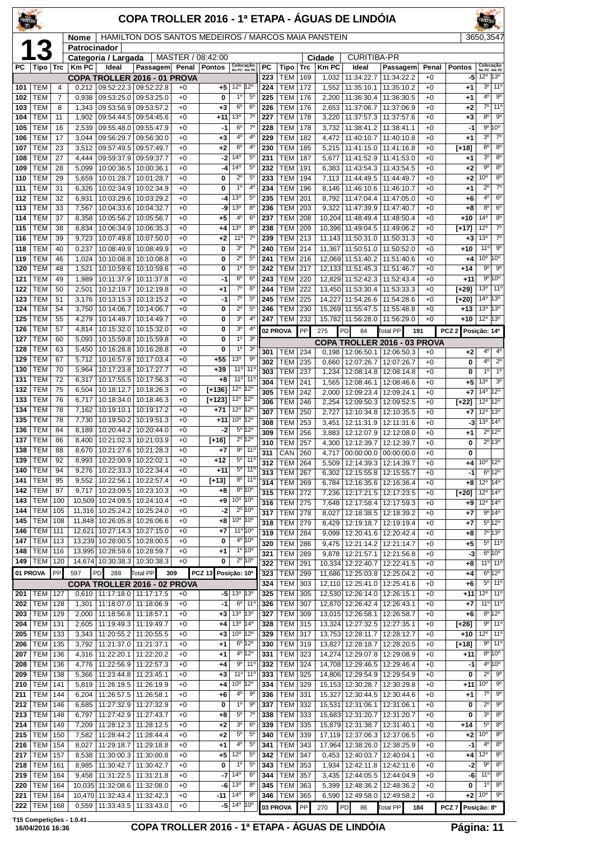| TROLLER    |                          |            |                      |                                            | COPA TROLLER 2016 - 1ª ETAPA - ÁGUAS DE LINDÓIA       |              |                   |                                                          |                                 |            |                              |            |                  |                                 |                                                         |               |                     |                                           |                                                      |
|------------|--------------------------|------------|----------------------|--------------------------------------------|-------------------------------------------------------|--------------|-------------------|----------------------------------------------------------|---------------------------------|------------|------------------------------|------------|------------------|---------------------------------|---------------------------------------------------------|---------------|---------------------|-------------------------------------------|------------------------------------------------------|
|            |                          |            | Nome<br>Patrocinador |                                            | HAMILTON DOS SANTOS MEDEIROS / MARCOS MAIA PANSTEIN   |              |                   |                                                          |                                 |            |                              |            |                  |                                 |                                                         |               |                     | 3650,3547                                 |                                                      |
|            | 1.                       |            |                      | Categoria / Largada                        |                                                       |              | MASTER / 08:42:00 |                                                          |                                 |            |                              |            | Cidade           | <b>CURITIBA-PR</b>              |                                                         |               |                     |                                           |                                                      |
| РC         | Tipo                     | Trc        | <b>KmPC</b>          | Ideal                                      | Passagem Penal                                        |              | <b>Pontos</b>     | Colocação<br>No PC Até PC                                |                                 | РC<br>223  | Tipo<br><b>TEM</b>           | Trc<br>169 | <b>Km PC</b>     | Ideal<br>11:34:22.7             | Passagem<br>11:34:22.2                                  | Penal<br>$+0$ | <b>Pontos</b><br>-5 | Colocação<br>No PC Até PC<br>12º 13º      |                                                      |
| 101        | TEM                      | 4          | 0.212                |                                            | COPA TROLLER 2016 - 01 PROVA<br>09:52:22.3 09:52:22.8 | $+0$         | +5                | 12°                                                      | 12°                             | 224        | TEM                          | 172        | 1,032<br>1,552   | 11:35:10.1                      | 11:35:10.2                                              | $+0$          | +1                  | 3 <sup>o</sup>                            | 11 <sup>°</sup>                                      |
| 102        | TEM                      | 7          | 0,938                | 09:53:25.0                                 | 09:53:25.0                                            | $+0$         | 0                 | $1^{\circ}$                                              | $5^{\circ}$                     | 225        | <b>TEM</b>                   | 176        | 2,200            | 11:36:30.4                      | 11:36:30.5                                              | $+0$          | +1                  | 4°                                        | 90                                                   |
| 103<br>104 | TEM<br>TEM               | 8<br>11    | 1,343<br>1,902       | 09:53:56.9<br>09:54:44.5                   | 09:53:57.2<br>09:54:45.6                              | $+0$<br>$+0$ | $^{+3}$<br>$+11$  | 6 <sup>o</sup><br>13 <sup>o</sup>                        | 6 <sup>o</sup><br>$7^\circ$     | 226<br>227 | <b>TEM</b><br>TEM            | 176<br>178 | 2,653<br>3,220   | 11:37:06.7<br>11:37:57.3        | 11:37:06.9<br>11:37:57.6                                | $+0$<br>$+0$  | +2<br>+3            | $7^\circ$<br>8 <sup>o</sup>               | 11°<br>$9^{\circ}$                                   |
| 105        | TEM                      | 16         | 2,539                | 09:55:48.0                                 | 09:55:47.9                                            | $+0$         | $-1$              | 6 <sup>o</sup>                                           | $7^\circ$                       | 228        | <b>TEM</b>                   | 178        | 3,732            | 11:38:41.2                      | 11:38:41.1                                              | $+0$          | -1                  | $9^{\circ}$                               | 10°                                                  |
| 106        | TEM                      | 17         | 3,044                | 09:56:29.7                                 | 09:56:30.0                                            | $+0$         | $+3$              | 4 <sup>0</sup>                                           | 4 <sup>0</sup>                  | 229        | <b>TEM</b>                   | 182        | 4,472            | 11:40:10.7                      | 11:40:10.8                                              | $+0$          | $+1$                | 3 <sup>o</sup>                            | $7^\circ$                                            |
| 107<br>108 | <b>TEM</b><br>TEM        | 23<br>27   | 3,512<br>4,444       | 09:57:49.5<br>09:59:37.9                   | 09:57:49.7<br> 09:59:37.7                             | $+0$<br>$+0$ | +2<br>$-2$        | $6^{\circ}$<br>$14^{o}$                                  | 4°<br>$5^{\circ}$               | 230<br>231 | <b>TEM</b><br><b>TEM</b>     | 185<br>187 | 5,215<br>5,677   | 11:41:15.0<br>11:41:52.9        | 11:41:16.8<br>11:41:53.0                                | $+0$<br>$+0$  | [+18]<br>+1         | 8 <sup>o</sup><br>3 <sup>o</sup>          | $8^{\circ}$<br>8 <sup>o</sup>                        |
| 109        | TEM                      | 28         | 5,099                | 10:00:36.5                                 | 10:00:36.1                                            | $+0$         | -4                | $14^{\circ}$                                             | $5^{\circ}$                     | 232        | TEM                          | 191        | 6,383            | 11:43:54.3                      | 11:43:54.5                                              | $+0$          | +2                  | $9^{\circ}$                               | $8^{\circ}$                                          |
| 110        | TEM                      | 29         | 5,659                | 10:01:28.7                                 | 10:01:28.7                                            | $+0$         | 0                 | $2^{\circ}$                                              | $5^{\circ}$                     | 233        | <b>TEM</b>                   | 194        | 7,113            | 11:44:49.5                      | 11:44:49.7                                              | $+0$          | $+2$                | 10°                                       | $8^{\circ}$                                          |
| 111<br>112 | TEM<br>TEM               | 31<br>32   | 6,326<br>6,931       | 10:02:34.9<br>10:03:29.6                   | 10:02:34.9                                            | $+0$<br>$+0$ | 0                 | 1 <sup>0</sup><br>13 <sup>o</sup>                        | $4^{\circ}$<br>$5^{\circ}$      | 234<br>235 | TEM<br>TEM                   | 196<br>201 | 8,146<br>8,792   | 11:46:10.6                      | 11:46:10.7                                              | $+0$<br>$+0$  | +1                  | $2^{\circ}$<br>$4^{\circ}$                | $7^\circ$<br>$6^{\circ}$                             |
| 113        | TEM                      | 33         | 7,567                | 10:04:33.6                                 | 10:03:29.2<br>10:04:32.7                              | $+0$         | -4<br>-9          | $13^{o}$                                                 | $8^{\circ}$                     | 236        | <b>TEM</b>                   | 203        | 9,322            | 11:47:04.4<br>11:47:39.9        | 11:47:05.0<br>11:47:40.7                                | $+0$          | +6<br>+8            | 8 <sup>o</sup>                            | $6^{\circ}$                                          |
| 114        | TEM                      | 37         | 8,358                | 10:05:56.2                                 | 10:05:56.7                                            | $+0$         | $+5$              | 4 <sup>0</sup>                                           | 6 <sup>o</sup>                  | 237        | <b>TEM</b>                   | 208        | 10,204           | 11:48:49.4                      | 11:48:50.4                                              | $+0$          | $+10$               | 14 <sup>°</sup>                           | 8 <sup>o</sup>                                       |
| 115        | <b>TEM</b>               | 38         | 8,834                | 10:06:34.9                                 | 10:06:35.3                                            | $+0$         | +4                | 13 <sup>o</sup><br>$11^{\circ}$                          | $8^{\circ}$<br>$7^\circ$        | 238        | <b>TEM</b>                   | 209        | 10,396           | 11:49:04.5                      | 11:49:06.2                                              | $+0$          | $[+17]$             | 12°<br>13 <sup>o</sup>                    | $7^\circ$<br>$7^\circ$                               |
| 116<br>118 | <b>TEM</b><br>TEM        | 39<br>40   | 9,723<br>0,237       | 10:07:49.8<br>10:08:49.9                   | 10:07:50.0<br>10:08:49.9                              | $+0$<br>$+0$ | $+2$<br>0         | 3 <sup>0</sup>                                           | $7^\circ$                       | 239<br>240 | <b>TEM</b><br><b>TEM</b>     | 213<br>214 | 11,143<br>11,367 | 11:50:31.0<br>11:50:51.0        | 11:50:31.3<br>11:50:52.0                                | $+0$<br>$+0$  | $+3$<br>$+10$       | 11 <sup>0</sup>                           | $\overline{9^{\circ}}$                               |
| 119        | TEM                      | 46         | 1,024                | 10:10:08.8                                 | 10:10:08.8                                            | $+0$         | 0                 | $2^{\circ}$                                              | $5^{\circ}$                     | 241        | <b>TEM</b>                   | 216        | 12,069           | 11:51:40.2                      | 11:51:40.6                                              | $+0$          | +4                  | 10 <sup>o</sup>                           | $10^{\circ}$                                         |
| 120        | TEM                      | 48         | 1,521                |                                            | 10:10:59.6   10:10:59.6                               | $+0$         | $\bf{0}$          | 1 <sup>0</sup>                                           | $5^{\circ}$                     | 242        | <b>TEM</b>                   | 217        |                  | 12,133 11:51:45.3               | 11:51:46.7                                              | $+0$          | $+14$               | $9^{\circ}$                               | $\overline{9^{\circ}}$                               |
| 121<br>122 | TEM<br>TEM               | 49<br>50   | 1,989<br>2,501       | 10:11:37.9<br>10:12:19.7                   | 10:11:37.8<br>10:12:19.8                              | $+0$<br>$+0$ | -1<br>$+1$        | 6 <sup>o</sup><br>$7^{\circ}$                            | 6 <sup>o</sup><br>$6^{\circ}$   | 243<br>244 | <b>TEM</b><br><b>TEM</b>     | 220<br>222 | 12,829<br>13,450 | 11:52:42.3<br>11:53:30.4        | 11:52:43.4<br>11:53:33.3                                | $+0$<br>$+0$  | $+11$<br>[+29]      | $9^{\circ}$<br>13 <sup>o</sup>            | 10°<br>11 <sup>o</sup>                               |
| 123        | TEM                      | 51         | 3,176                |                                            | 10:13:15.3   10:13:15.2                               | $+0$         | $-1$              | $7^\circ$                                                | $5^{\circ}$                     | 245        | <b>TEM</b>                   | 225        | 14,227           | 11:54:26.6                      | 11:54:28.6                                              | $+0$          | [+20]               | 14 <sup>°</sup>                           | $13^{\circ}$                                         |
| 124        | TEM                      | 54         | 3,750                | 10:14:06.7                                 | 10:14:06.7                                            | $+0$         | 0                 | $2^{\circ}$                                              | $5^{\circ}$                     | 246        | <b>TEM</b>                   | 230        | 15,269           | 11:55:47.5                      | 11:55:48.8                                              | $+0$          | $+13$               | 13 <sup>o</sup>                           | 13°                                                  |
| 125<br>126 | TEM<br>TEM               | 55<br>57   | 4,279<br>4,814       | 10:14:49.7                                 | 10:14:49.7                                            | $+0$         | 0                 | 3 <sup>0</sup><br>3 <sup>o</sup>                         | 4°<br>4 <sup>0</sup>            | 247        | <b>TEM</b>                   | 232        | 15,782           | 11:56:28.0                      | 11:56:29.0                                              | $+0$          | $+10$               | 12°                                       | 13°                                                  |
| 127        | TEM                      | 60         | 5,093                | 10:15:59.8                                 | 10:15:32.0   10:15:32.0<br>10:15:59.8                 | $+0$<br>$+0$ | 0<br>0            | 1 <sup>0</sup>                                           | 3 <sup>o</sup>                  |            | 02 PROVA                     | PP         | 275              | PD<br>84                        | <b>Total PP</b><br>191                                  |               | PCZ <sub>2</sub>    | Posição: 14º                              |                                                      |
| 128        | TEM                      | 63         | 5,450                | 10:16:28.8                                 | 10:16:28.8                                            | $+0$         | 0                 | $1^{\circ}$                                              | 3 <sup>o</sup>                  | 301        | TEM                          | 234        | 0,198            |                                 | COPA TROLLER 2016 - 03 PROVA<br>12:06:50.1   12:06:50.3 | $+0$          | +2                  | 4°                                        | $4^{\circ}$                                          |
| 129        | <b>TEM</b>               | 67         | 5,712                |                                            | 10:16:57.9   10:17:03.4                               | $+0$         | $+55$             | 13 <sup>o</sup>                                          | $\overline{9^{\circ}}$          | 302        | TEM                          | 235        | 0,660            | 12:07:26.7                      | 12:07:26.7                                              | $+0$          | 0                   | 4 <sup>0</sup>                            | $\overline{2^{\circ}}$                               |
| 130<br>131 | <b>TEM</b><br>TEM        | 70<br>72   | 5,964<br>6,317       | 10:17:23.8                                 | 10:17:27.7<br>10:17:55.5   10:17:56.3                 | $+0$<br>$+0$ | $+39$<br>$+8$     | $11^{\circ}$<br>11 <sup>°</sup>                          | $11^{\circ}$<br>11 <sup>0</sup> | 303        | <b>TEM</b>                   | 237        | 1,234            | 12:08:14.8                      | 12:08:14.8                                              | $+0$          | 0                   | 1 <sup>0</sup><br>13 <sup>o</sup>         | $1^{\circ}$<br>3 <sup>0</sup>                        |
| 132        | <b>TEM</b>               | 75         | 6,504                | 10:18:12.7                                 | 10:18:26.3                                            | $+0$         | $[+136]$          | $12^{\circ}$                                             | $12^{\circ}$                    | 304<br>305 | <b>TEM</b><br><b>TEM</b>     | 241<br>242 | 1,565<br>2,000   | 12:08:46.1<br>12:09:23.4        | 12:08:46.6<br>12:09:24.1                                | $+0$<br>$+0$  | +5<br>+7            | $14^{\circ}$                              | $12^{\circ}$                                         |
| 133        | TEM                      | 76         | 6,717                | 10:18:34.0                                 | 10:18:46.3                                            | $+0$         | $[+123]$          | $12^{\circ}$                                             | 12°                             | 306        | <b>TEM</b>                   | 246        | 2,254            | 12:09:50.3                      | 12:09:52.5                                              | $+0$          | $[+22]$             | 12°                                       | 12°                                                  |
| 134<br>135 | TEM<br>TEM               | 78<br>78   | 7,162<br>7,730       | 10:19:10.1<br>10:19:50.2                   | 10:19:17.2<br>10:19:51.3                              | $+0$<br>$+0$ | $+71$<br>$+11$    | $12^{\circ}$<br>10 <sup>o</sup>                          | $12^{\circ}$<br>$12^{\circ}$    | 307        | <b>TEM</b>                   | 250        | 2,727            | 12:10:34.8                      | 12:10:35.5                                              | $+0$          | +7                  | 12°                                       | 13°                                                  |
| 136        | TEM                      | 84         | 8,189                | 10:20:44.2                                 | 10:20:44.0                                            | $+0$         | -2                | 5º 12º                                                   |                                 | 308<br>309 | <b>TEM</b><br><b>TEM</b>     | 253<br>256 | 3,451<br>3,883   | 12:11:31.9<br>12:12:07.9        | 12:11:31.6<br>12:12:08.0                                | $+0$<br>$+0$  | -3<br>+1            | $13^{\circ}$ 14 $^{\circ}$<br>$2^{\circ}$ | 12°                                                  |
| 137        | TEM                      | 86         | 8,400                |                                            | 10:21:02.3   10:21:03.9                               | $+0$         | $[+16]$           | $2^{\circ}$ 12 $^{\circ}$                                |                                 | 310        | <b>TEM</b>                   | 257        | 4,300            | 12:12:39.7                      | 12:12:39.7                                              | $+0$          | 0                   |                                           | $2^0$ 13 <sup>0</sup>                                |
| 138<br>139 | <b>TEM</b><br>TEM        | 88<br>92   | 8,670<br>8,993       |                                            | 10:21:27.6   10:21:28.3<br>10:22:00.9   10:22:02.1    | $+0$<br>$+0$ | $+7$<br>+12       |                                                          | $9°$ 11°<br>$5^{\circ}$ 11°     | 311        | CAN 260                      |            |                  |                                 | 4,717 00:00:00.0 00:00:00.0                             | $+0$          | 0                   |                                           |                                                      |
| 140        | <b>TEM</b>               | 94         | 9,276                | 10:22:33.3                                 | 10:22:34.4                                            | $+0$         | $+11$             |                                                          | $5^{\circ}$ 11°                 | 312<br>313 | <b>TEM</b><br><b>TEM</b>     | 264<br>267 | 5,509<br>6,302   | 12:15:55.8                      | 12:14:39.3 12:14:39.7<br>12:15:55.7                     | $+0$<br>$+0$  | +4<br>-1            | 10 <sup>o</sup>                           | $12^{\circ}$<br>$6^{\circ}12^{\circ}$                |
| 141        | TEM                      | 95         | 9,552                | 10:22:56.1                                 | 10:22:57.4                                            | $+0$         | $[+13]$           |                                                          | $8^{\circ}$ 11°                 | 314        | <b>TEM</b>                   | 269        | 6,784            | 12:16:35.6                      | 12:16:36.4                                              | $+0$          | +8                  | $12^{\circ}$ 14 $^{\circ}$                |                                                      |
| 142<br>143 | <b>TEM</b><br>TEM        | 97<br>100  | 9,717<br>10,509      | 10:24:09.5                                 | 10:23:09.5   10:23:10.3<br>10:24:10.4                 | $+0$<br>$+0$ | +8<br>+9          | $8^{\circ}$ 10 <sup>°</sup><br>$10^{\circ}$ $10^{\circ}$ |                                 | 315        | TEM                          | 272        | 7,236            | 12:17:21.5                      | 12:17:23.5                                              | $+0$          | $[+20]$             | $12^{\circ}$                              | 14°                                                  |
| 144        | TEM                      | 105        | 11,316               | 10:25:24.2                                 | 10:25:24.0                                            | $+0$         | -2                | $2^{\circ}$ 10 $^{\circ}$                                |                                 | 316<br>317 | <b>TEM 275</b><br><b>TEM</b> | 278        | 7,648<br>8,027   | 12:18:38.5                      | 12:17:58.4   12:17:59.3<br>12:18:39.2                   | $+0$<br>$+0$  | +9<br>+7            | $12^{\circ}$ 14 $^{\circ}$                | 9°14°                                                |
| 145        | <b>TEM</b>               | 108        |                      | 11,848 10:26:05.8 10:26:06.6               |                                                       | $+0$         | +8                | 10 <sup>°</sup> 10 <sup>°</sup>                          |                                 | 318        | TEM                          | 279        | 8,429            | 12:19:18.7                      | 12:19:19.4                                              | $+0$          | +7                  |                                           | $5^{\circ}12^{\circ}$                                |
| 146        | TEM                      | 111        | 12,621               | 10:27:14.3                                 | 10:27:15.0                                            | $+0$         | +7                | $11^{\circ} 10^{\circ}$<br>4º 10°                        |                                 | 319        | <b>TEM</b>                   | 284        | 9,099            |                                 | 12:20:41.6 12:20:42.4                                   | $+0$          | +8                  |                                           | 7°13°                                                |
| 147<br>148 | TEM<br><b>TEM</b>        | 113<br>116 | 13,239               | 10:28:00.5<br>13,995 10:28:59.6 10:28:59.7 | 10:28:00.5                                            | $+0$<br>$+0$ | 0<br>+1           | 1° 10°                                                   |                                 | 320        | TEM                          | 286        | 9.475            | 12:21:14.2                      | 12:21:14.7                                              | $+0$          | +5                  |                                           | $5^{\circ}$ 11 <sup>°</sup><br>$6^{\circ}10^{\circ}$ |
| 149        | <b>TEM</b>               | 120        |                      | 14,674 10:30:38.3                          | 10:30:38.3                                            | $+0$         | 0                 | $2^{\circ}$ 10 $^{\circ}$                                |                                 | 321<br>322 | TEM<br>TEM                   | 289<br>291 | 9,878<br>10,334  | 12:21:57.1<br>12:22:40.7        | 12:21:56.8<br>12:22:41.5                                | $+0$<br>$+0$  | -3<br>+8            |                                           | 11 <sup>o</sup> 11 <sup>o</sup>                      |
|            | 01 PROVA                 | PP         | 597                  | PD<br>288                                  | Total PP                                              | 309          | <b>PCZ 13</b>     | Posição: 10°                                             |                                 | 323        | <b>TEM</b>                   | 299        | 11,686           | 12:25:03.8                      | 12:25:04.2                                              | $+0$          | +4                  |                                           | $6^{\circ}$ 12°                                      |
|            |                          |            |                      |                                            | COPA TROLLER 2016 - 02 PROVA                          |              |                   |                                                          |                                 | 324        | <b>TEM</b>                   | 303        |                  |                                 | 12,110   12:25:41.0   12:25:41.6                        | $+0$          | +6                  |                                           | $5°$ 11 <sup>o</sup>                                 |
| 201<br>202 | <b>TEM</b><br><b>TEM</b> | 127<br>128 | 0,610<br>1,301       | 11:18:07.0                                 | 11:17:18.0   11:17:17.5<br>11:18:06.9                 | +0<br>$+0$   | $-1$              | $-5$ 13 <sup>o</sup><br>$6^{\circ}$                      | 13 <sup>o</sup><br>$11^{\circ}$ | 325<br>326 | TEM<br><b>TEM</b>            | 305<br>307 | 12,530<br>12,870 | 12:26:14.0<br>12:26:42.4        | 12:26:15.1<br>12:26:43.1                                | $+0$<br>$+0$  | +11<br>+7           | $12^{\circ}$ 11 <sup>°</sup>              | $11°$ 11°                                            |
| 203        | <b>TEM</b>               | 129        | 2,000                |                                            | 11:18:56.8   11:18:57.1                               | $+0$         | $+3$              | 13 <sup>°</sup>                                          | 13°                             | 327        | <b>TEM</b>                   | 309        |                  | 13,015 12:26:58.1               | 12:26:58.7                                              | $+0$          | +6                  |                                           | $8^{\circ}12^{\circ}$                                |
| 204        | <b>TEM</b>               | 131        | 2,605                | 11:19:49.3                                 | 11:19:49.7                                            | $+0$         | +4                | 13 <sup>o</sup>                                          | $14^{\circ}$                    | 328        | <b>TEM</b>                   | 315        | 13,324           | 12:27:32.5                      | 12:27:35.1                                              | $+0$          | [+26]               |                                           | $9°$ 11°                                             |
| 205<br>206 | <b>TEM</b><br><b>TEM</b> | 133<br>135 | 3,343<br>3,792       | 11:20:55.2                                 | 11:20:55.5<br>11:21:37.0   11:21:37.1                 | $+0$<br>$+0$ | $+3$<br>$+1$      | 10 <sup>o</sup><br>$6^{\circ}$ 12°                       | $12^{\circ}$                    | 329<br>330 | <b>TEM</b><br><b>TEM 319</b> | 317        | 13,827           | 13,753 12:28:11.7<br>12:28:18.7 | 12:28:12.7<br>12:28:20.5                                | $+0$<br>$+0$  | $+10$<br>$[+18]$    | $12^{\circ}$                              | 11 <sup>o</sup><br>$9°$ 11°                          |
| 207        | <b>TEM</b>               | 136        | 4,316                | 11:22:20.1                                 | 11:22:20.2                                            | $+0$         | +1                | 4º 12º                                                   |                                 | 331        | <b>TEM</b>                   | 323        |                  | 14,274 12:29:07.8               | 12:29:08.9                                              | $+0$          | +11                 |                                           | $8^{\circ}$ 10 $^{\circ}$                            |
| 208        | <b>TEM</b>               | 136        | 4,776                | 11:22:56.9                                 | 11:22:57.3                                            | $+0$         | +4                |                                                          | $9°$ 11°                        | 332        | <b>TEM</b>                   | 324        |                  | 14,708 12:29:46.5 12:29:46.4    |                                                         | $+0$          | -1                  |                                           | $4^{\circ}10^{\circ}$                                |
| 209        | TEM<br><b>TEM</b>        | 138        | 5,366                | 11:23:44.8<br>11:26:19.5                   | 11:23:45.1                                            | $+0$<br>$+0$ | $^{+3}$           | 11 <sup>o</sup> 11 <sup>o</sup><br>10 <sup>o</sup>       | 12°                             | 333<br>334 | <b>TEM</b><br><b>TEM</b>     | 325<br>329 | 14,806           | 12:29:54.9                      | 12:29:54.9                                              | $+0$<br>$+0$  | 0                   | $2^{\circ}$<br>$10^{\circ}$               | $9^{\circ}$<br>$\overline{9^{\circ}}$                |
| 210<br>211 | <b>TEM</b>               | 141<br>144 | 5,819<br>6,204       | 11:26:57.5                                 | 11:26:19.9<br>11:26:58.1                              | $+0$         | $+4$<br>+6        | 4 <sup>o</sup>                                           | 9 <sup>o</sup>                  | 336        | <b>TEM</b>                   | 331        | 15,153           | 12:30:28.7                      | 12:30:29.8<br>15,327   12:30:44.5   12:30:44.6          | $+0$          | $+11$<br>$+1$       | $7^\circ$                                 | $\overline{9^{\circ}}$                               |
| 212        | <b>TEM</b>               | 146        | 6,685                | 11:27:32.9                                 | 11:27:32.9                                            | $+0$         | 0                 | $1^{\circ}$                                              | $9^{\circ}$                     | 337        | TEM                          | 332        | 15,531           |                                 | 12:31:06.1   12:31:06.1                                 | $+0$          | 0                   | $2^{\circ}$                               | $9^{\circ}$                                          |
| 213        | <b>TEM</b>               | 148        | 6,797                | 11:27:42.9                                 | 11:27:43.7                                            | $+0$         | $+8$              | $5^{\circ}$                                              | $7^{\circ}$                     | 338        | TEM                          | 333        | 15,683           | 12:31:20.7                      | 12:31:20.7                                              | $+0$          | 0                   | 3 <sup>o</sup><br>$5^{\rm o}$             | $8^{\circ}$<br>8 <sup>o</sup>                        |
| 214<br>215 | <b>TEM</b><br><b>TEM</b> | 149<br>150 | 7,209<br>7,582       | 11:28:12.3<br>11:28:44.2                   | 11:28:12.5<br>11:28:44.4                              | $+0$<br>$+0$ | $+2$<br>$+2$      | 3 <sup>o</sup><br>$5^{\circ}$                            | $6^{\circ}$<br>$5^{\circ}$      | 339<br>340 | TEM  <br><b>TEM</b>          | 335<br>339 | 15,879<br>17,119 | 12:31:38.7                      | 12:31:40.1<br>12:37:06.3 12:37:06.5                     | $+0$<br>$+0$  | $+14$<br>+2         | 10 <sup>o</sup>                           | $8^{\circ}$                                          |
| 216        | <b>TEM</b>               | 154        | 8,027                | 11:29:18.7                                 | 11:29:18.8                                            | $+0$         | $+1$              | $4^{\circ}$                                              | $5^{\circ}$                     | 341        | TEM                          | 343        | 17,964           |                                 | 12:38:26.0   12:38:25.9                                 | $+0$          | $-1$                | 4 <sup>0</sup>                            | 8 <sup>o</sup>                                       |
| 217        | <b>TEM</b>               | 157        | 8,538                | 11:30:00.3                                 | 11:30:00.8                                            | $+0$         | +5                | $12^{\circ}$                                             | $5^{\circ}$                     | 342        | TEM                          | 347        | 0,453            | 12:40:03.7                      | 12:40:04.1                                              | $+0$          | +4                  | 12°                                       | 8 <sup>o</sup>                                       |
| 218<br>219 | <b>TEM</b><br>TEM        | 161<br>164 | 8,985<br>9,458       | 11:30:42.7                                 | 11:30:42.7<br>11:31:22.5   11:31:21.8                 | $+0$<br>$+0$ | 0<br>-7           | $1^{\circ}$<br>$14^{o}$                                  | $5^{\circ}$<br>6 <sup>o</sup>   | 343<br>344 | TEM<br><b>TEM</b>            | 353<br>357 | 1,934<br>3,435   | 12:42:11.8                      | 12:42:11.6<br>12:44:05.5   12:44:04.9                   | $+0$<br>$+0$  | -2<br>-6            | $9^{\circ}$<br>11 <sup>o</sup>            | $8^{\circ}$<br>8 <sup>o</sup>                        |
| 220        | <b>TEM</b>               | 164        |                      | 10,035 11:32:08.6                          | 11:32:08.0                                            | $+0$         | -6                | 13 <sup>o</sup>                                          | $8^{\circ}$                     | 345        | TEM                          | 363        | 5,399            | 12:48:36.2                      | 12:48:36.2                                              | $+0$          | 0                   | $1^{\circ}$                               | $8^{\circ}$                                          |
| 221        | <b>TEM</b>               | 164        |                      | 10,470 11:32:43.4                          | 11:32:42.3                                            | $+0$         | -11               | $14^{\circ}$                                             | $8^{\circ}$                     | 346        | <b>TEM</b>                   | 365        | 6,590            | 12:49:58.0                      | 12:49:58.2                                              | $+0$          | +2                  | 10 <sup>o</sup>                           | $9^{\circ}$                                          |
| 222        | <b>TEM</b>               | 168        |                      | $0,559$   11:33:43.5   11:33:43.0          |                                                       | $+0$         |                   | $-5$ 14 <sup>o</sup>                                     | 10°                             |            | 03 PROVA                     | PP         | 270              | PD <br>86                       | Total PP<br>184                                         |               | PCZ7                | Posição: 8º                               |                                                      |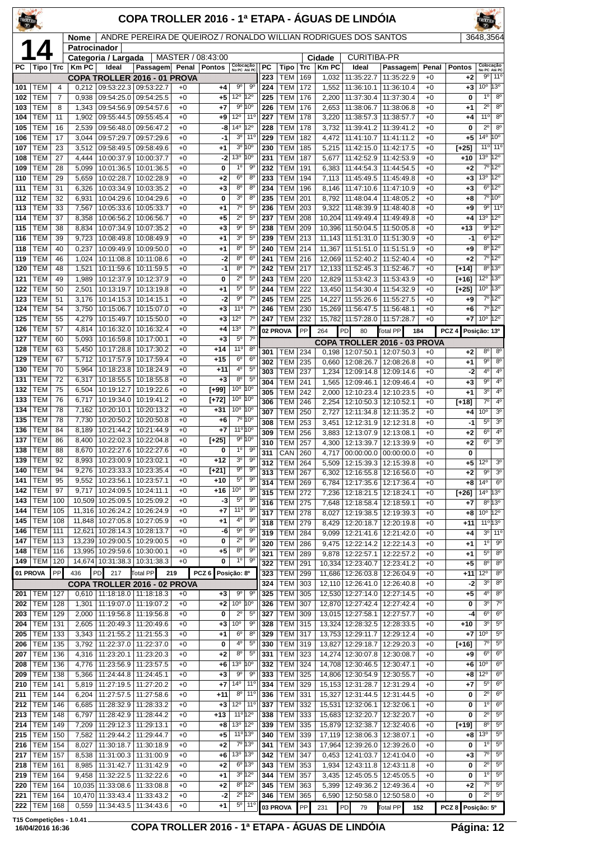| <b>TROLLEY</b> |                          |            |                 |                                                   |                                                                   |              |                   |                                   |                                              |            |                          | COPA TROLLER 2016 - 1ª ETAPA - ÁGUAS DE LINDÓIA |                |                                          |                                                  |                 |                    |                                   |                                       |
|----------------|--------------------------|------------|-----------------|---------------------------------------------------|-------------------------------------------------------------------|--------------|-------------------|-----------------------------------|----------------------------------------------|------------|--------------------------|-------------------------------------------------|----------------|------------------------------------------|--------------------------------------------------|-----------------|--------------------|-----------------------------------|---------------------------------------|
|                |                          |            | Nome            |                                                   | ANDRE PEREIRA DE QUEIROZ / RONALDO WILLIAN RODRIGUES DOS SANTOS   |              |                   |                                   |                                              |            |                          |                                                 |                |                                          |                                                  |                 |                    | 3648,3564                         |                                       |
|                |                          |            | Patrocinador    | Categoria / Largada                               |                                                                   |              | MASTER / 08:43:00 |                                   |                                              |            |                          |                                                 | Cidade         | <b>CURITIBA-PR</b>                       |                                                  |                 |                    |                                   |                                       |
| РC             | Tipo                     | Trc        | Km PC           | Ideal                                             | Passagem Penal Pontos                                             |              |                   | Colocação<br>No PC Até PC         |                                              | <b>PC</b>  | Tipo                     | Trc                                             | <b>Km PC</b>   | Ideal                                    | Passagem                                         | Penal           | <b>Pontos</b>      | Colocação                         |                                       |
| 101            | TEM                      | 4          |                 | $0,212$   09:53:22.3   09:53:22.7                 | COPA TROLLER 2016 - 01 PROVA                                      | $+0$         | +4                | $9^{\circ}$                       | $9^{\circ}$                                  | 223<br>224 | <b>TEM</b><br><b>TEM</b> | 169<br>172                                      | 1,032<br>1,552 | 11:35:22.7<br>11:36:10.1                 | 11:35:22.9<br>11:36:10.4                         | $+0$<br>$+0$    | $+2$<br>$+3$       | 9 <sup>o</sup><br>10 <sup>o</sup> | 11°<br>13°                            |
| 102            | TEM                      | 7          | 0,938           | 09:54:25.0                                        | 09:54:25.5                                                        | $+0$         | +5                | 12°                               | $12^{\circ}$                                 | 225        | <b>TEM</b>               | 176                                             | 2,200          | 11:37:30.4                               | 11:37:30.4                                       | $+0$            | 0                  | 1 <sup>0</sup>                    | $8^{\circ}$                           |
| 103            | TEM                      | 8          | 1,343           | 09:54:56.9                                        | 09:54:57.6                                                        | $+0$         | +7                |                                   | 9° 10°                                       | 226        | <b>TEM</b>               | 176                                             | 2,653          | 11:38:06.7                               | 11:38:06.8                                       | $+0$            | $+1$               | $2^{\circ}$                       | 8 <sup>o</sup>                        |
| 104<br>105     | TEM<br>TEM               | 11<br>16   | 1,902<br>2,539  | 09:55:44.5<br>09:56:48.0                          | 09:55:45.4<br>09:56:47.2                                          | $+0$<br>$+0$ | +9<br>-8          | $12^{\circ}$<br>14º 12º           | $11^{\circ}$                                 | 227<br>228 | <b>TEM</b><br><b>TEM</b> | 178<br>178                                      | 3,220<br>3,732 | 11:38:57.3<br>11:39:41.2                 | 11:38:57.7<br>11:39:41.2                         | $+0$<br>$+0$    | $+4$<br>0          | 11 <sup>o</sup><br>$2^{\circ}$    | 8 <sup>o</sup><br>8 <sup>o</sup>      |
| 106            | TEM                      | 17         | 3,044           | 09:57:29.7                                        | 09:57:29.6                                                        | $+0$         | $-1$              | $3^{\circ}$                       | $11^{\circ}$                                 | 229        | <b>TEM</b>               | 182                                             | 4,472          | 11:41:10.7                               | 11:41:11.2                                       | $+0$            | $+5$               | $14^{\circ}$                      | 10°                                   |
| 107            | TEM                      | 23         | 3.512           | 09:58:49.5                                        | 09:58:49.6                                                        | $+0$         | +1                | $13^{\circ}$                      | $3^{\circ} 10^{\circ}$<br>10 <sup>o</sup>    | 230        | <b>TEM</b>               | 185                                             | 5,215          | 11:42:15.0                               | 11:42:17.5                                       | $+0$            | [+25]              | 11 <sup>o</sup><br>13°            | 11 <sup>o</sup><br>12°                |
| 108<br>109     | <b>TEM</b><br>тем        | 27<br>28   | 4,444<br>5,099  | 10:00:37.9<br>10:01:36.5                          | 10:00:37.7<br>10:01:36.5                                          | $+0$<br>+0   | $-2$<br>0         | $1^{\circ}$                       | 90                                           | 231<br>232 | <b>TEM</b><br>TEM        | 187<br>191                                      | 5,677<br>6,383 | 11:42:52.9<br>11:44:54.3                 | 11:42:53.9<br>11:44:54.5                         | $+0$<br>$+0$    | $+10$<br>$+2$      |                                   | 7º 12º                                |
| 110            | TEM                      | 29         | 5,659           | 10:02:28.7                                        | 10:02:28.9                                                        | $+0$         | +2                | $6^{\circ}$                       | 8 <sup>o</sup>                               | 233        | TEM                      | 194                                             |                |                                          | 7,113   11:45:49.5   11:45:49.8                  | $+0$            | $+3$               | 13 <sup>o</sup>                   | $12^{\circ}$                          |
| 111<br>112     | TEM<br>TEM               | 31<br>32   | 6,326<br>6,931  | 10:03:34.9<br>10:04:29.6                          | 10:03:35.2<br>10:04:29.6                                          | $+0$<br>$+0$ | $+3$<br>0         | 8 <sup>o</sup><br>3 <sup>o</sup>  | 8 <sup>o</sup><br>8 <sup>o</sup>             | 234<br>235 | TEM<br><b>TEM</b>        | 196<br>201                                      | 8,146<br>8,792 | 11:47:10.6<br>11:48:04.4                 | 11:47:10.9<br>11:48:05.2                         | $+0$<br>$+0$    | $+3$<br>+8         |                                   | $6^{\circ}$ 12°<br>7º 10º             |
| 113            | TEM                      | 33         | 7,567           | 10:05:33.6                                        | 10:05:33.7                                                        | $+0$         | +1                | $7^\circ$                         | $5^{\circ}$                                  | 236        | <b>TEM</b>               | 203                                             | 9,322          | 11:48:39.9                               | 11:48:40.8                                       | $+0$            | $+9$               | $9^{\circ}$                       | 11 <sup>o</sup>                       |
| 114            | TEM                      | 37         | 8,358           | 10:06:56.2                                        | 10:06:56.7                                                        | $+0$         | +5                | $2^{\circ}$                       | $5^{\circ}$                                  | 237        | <b>TEM</b>               | 208                                             |                | 10,204 11:49:49.4                        | 11:49:49.8                                       | $+0$            | $+4$               | 13°                               | 12°                                   |
| 115<br>116     | TEM<br>TEM               | 38<br>39   | 8,834<br>9,723  | 10:07:34.9<br>10:08:49.8                          | 10:07:35.2<br>10:08:49.9                                          | $+0$<br>$+0$ | $+3$<br>+1        | $9^{\circ}$<br>3 <sup>o</sup>     | 5 <sup>o</sup><br>$5^{\circ}$                | 238<br>239 | <b>TEM</b><br><b>TEM</b> | 209<br>213                                      |                | 10,396 11:50:04.5<br>11,143 11:51:31.0   | 11:50:05.8<br>11:51:30.9                         | $+0$<br>$+0$    | $+13$<br>-1        |                                   | 9° 12°<br>$6^{\circ}12^{\circ}$       |
| 118            | TEM                      | 40         | 0,237           | 10:09:49.9                                        | 10:09:50.0                                                        | $+0$         | +1                | 8 <sup>o</sup>                    | $5^{\circ}$                                  | 240        | <b>TEM</b>               | 214                                             | 11,367         | 11:51:51.0                               | 11:51:51.9                                       | $+0$            | $+9$               |                                   | $8^{\circ}12^{\circ}$                 |
| 119            | TEM                      | 46         | 1,024           | 10:11:08.8                                        | 10:11:08.6                                                        | $+0$         | -2                | 8 <sup>o</sup>                    | 6 <sup>o</sup>                               | 241        | <b>TEM</b>               | 216                                             |                | 12,069 11:52:40.2                        | 11:52:40.4                                       | $+0$            | $+2$               |                                   | 7°12°                                 |
| 120<br>121     | TEM<br>TEM               | 48<br>49   | 1,521<br>1,989  | 10:11:59.6<br>10:12:37.9                          | 10:11:59.5<br>10:12:37.9                                          | $+0$<br>$+0$ | $-1$<br>0         | 8 <sup>o</sup><br>$2^{\circ}$     | $7^\circ$<br>$5^{\circ}$                     | 242<br>243 | TEM<br><b>TEM</b>        | 217<br>220                                      |                | 12.133 11:52:45.3<br>12,829 11:53:42.3   | 11:52:46.7<br>11:53:43.9                         | $+0$<br>$+0$    | $[+14]$<br>$[+16]$ | 12°                               | $8^{\circ}13^{\circ}$<br>13°          |
| 122            | TEM                      | 50         | 2,501           | 10:13:19.7                                        | 10:13:19.8                                                        | $+0$         | +1                | $5^{\circ}$                       | $5^{\circ}$                                  | 244        | <b>TEM</b>               | 222                                             |                |                                          | 13,450 11:54:30.4 11:54:32.9                     | $+0$            | [+25]              | $10^{\circ}$ 13°                  |                                       |
| 123            | TEM                      | 51         | 3,176           | 10:14:15.3                                        | 10:14:15.1                                                        | $+0$         | $-2$              | 9 <sup>o</sup><br>$11^{\circ}$    | $7^\circ$<br>$7^\circ$                       | 245        | <b>TEM</b>               | 225                                             | 14,227         | 11:55:26.6                               | 11:55:27.5                                       | $+0$            | $+9$               |                                   | 7º 12º<br>7º 12º                      |
| 124<br>125     | TEM<br>TEM               | 54<br>55   | 3,750<br>4,279  | 10:15:06.7<br>10:15:49.7                          | 10:15:07.0<br>10:15:50.0                                          | $+0$<br>$+0$ | $+3$<br>$+3$      | $12^{\circ}$                      | $7^\circ$                                    | 246<br>247 | <b>TEM</b><br><b>TEM</b> | 230<br>232                                      |                | 15,269 11:56:47.5                        | 11:56:48.1<br>15,782 11:57:28.0 11:57:28.7       | $+0$<br>$+0$    | +6<br>$+7$         | 10° 12°                           |                                       |
| 126            | TEM                      | 57         | 4,814           | 10:16:32.0                                        | 10:16:32.4                                                        | $+0$         | +4                | 13º                               | $7^\circ$                                    |            | 02 PROVA                 | PP                                              | 264            | PD<br>80                                 | <b>Total PP</b>                                  | 184             | PCZ <sub>4</sub>   | Posição: 13º                      |                                       |
| 127<br>128     | <b>TEM</b><br><b>TEM</b> | 60<br>63   | 5,093<br>5,450  | 10:17:28.8                                        | 10:16:59.8   10:17:00.1                                           | $+0$         | $+3$<br>$+14$     | $5^{\circ}$<br>11°                | 7 <sup>o</sup><br>$8^{\circ}$                |            |                          |                                                 |                |                                          | COPA TROLLER 2016 - 03 PROVA                     |                 |                    |                                   |                                       |
| 129            | TEM                      | 67         | 5,712           | 10:17:57.9                                        | 10:17:30.2<br>10:17:59.4                                          | $+0$<br>$+0$ | $+15$             | 6 <sup>o</sup>                    | $6^{\circ}$                                  | 301<br>302 | <b>TEM</b><br>TEM        | 234<br>235                                      | 0,660          | 12:08:26.7                               | 0,198   12:07:50.1   12:07:50.3<br>12:08:26.8    | $+0$<br>$+0$    | $+2$<br>$+1$       | 8 <sup>o</sup><br>$9^{\circ}$     | 8 <sup>0</sup><br>$8^{\circ}$         |
| 130            | TEM                      | 70         | 5,964           |                                                   | 10:18:23.8   10:18:24.9                                           | $+0$         | +11               | $4^{\rm o}$                       | $5^{\circ}$                                  | 303        | <b>TEM</b>               | 237                                             | 1,234          | 12:09:14.8                               | 12:09:14.6                                       | $+0$            | -2                 | 4 <sup>0</sup>                    | 4 <sup>0</sup>                        |
| 131<br>132     | <b>TEM</b><br>TEM        | 72<br>75   | 6,317<br>6,504  | 10:18:55.5<br>10:19:12.7                          | 10:18:55.8<br>10:19:22.6                                          | $+0$<br>$+0$ | $+3$<br>[+99]     | $8^{\circ}$<br>10°                | $5^{\circ}$<br>10 <sup>o</sup>               | 304        | <b>TEM</b>               | 241                                             | 1,565          | 12:09:46.1                               | 12:09:46.4                                       | $+0$            | $+3$               | $9^{\circ}$                       | 4 <sup>0</sup>                        |
| 133            | <b>TEM</b>               | 76         | 6,717           |                                                   | 10:19:34.0   10:19:41.2                                           | $+0$         | $[+72]$           | 10 <sup>°</sup> 10 <sup>°</sup>   |                                              | 305<br>306 | <b>TEM</b><br><b>TEM</b> | 242<br>246                                      | 2,000<br>2,254 | 12:10:23.4<br>12:10:50.3                 | 12:10:23.5<br>12:10:52.1                         | $+0$<br>$+0$    | $+1$<br>$[+18]$    | 3 <sup>o</sup><br>$7^\circ$       | $4^{\circ}$<br>4 <sup>0</sup>         |
| 134            | <b>TEM</b>               | 78         | 7,162           | 10:20:10.1                                        | 10:20:13.2                                                        | $+0$         | $+31$             | 10º 10º                           |                                              | 307        | <b>TEM</b>               | 250                                             | 2,727          | 12:11:34.8                               | 12:11:35.2                                       | $+0$            | +4                 | 10 <sup>o</sup>                   | 3 <sup>o</sup>                        |
| 135<br>136     | TEM<br>TEM               | 78<br>84   | 7,730<br>8,189  | 10:21:44.2                                        | 10:20:50.2   10:20:50.8<br>10:21:44.9                             | $+0$<br>$+0$ | +6<br>+7          |                                   | 7°10°<br>11º 10º                             | 308        | <b>TEM</b>               | 253                                             | 3,451          | 12:12:31.9                               | 12:12:31.8                                       | $+0$            | -1                 | $5^{\circ}$                       | 3 <sup>0</sup>                        |
| 137            | <b>TEM</b>               | 86         | 8,400           |                                                   | 10:22:02.3   10:22:04.8                                           | $+0$         | $[+25]$           |                                   | 9° 10°                                       | 309<br>310 | <b>TEM</b><br><b>TEM</b> | 256<br>257                                      | 3,883<br>4,300 |                                          | 12:13:07.9 12:13:08.1<br>12:13:39.7   12:13:39.9 | $+0$<br>$+0$    | $+2$<br>$+2$       | 6 <sup>o</sup><br>$6^{\circ}$     | 4 <sup>0</sup><br>3 <sup>o</sup>      |
| 138            | <b>TEM</b>               | 88         |                 | 8,670   10:22:27.6   10:22:27.6                   |                                                                   | $+0$         | $\bf{0}$          | 10                                | $9^{\circ}$                                  | 311        | CAN 260                  |                                                 |                |                                          | 4,717 00:00:00.0 00:00:00.0                      | $+0$            | 0                  |                                   |                                       |
| 139<br>140     | TEM<br><b>TEM</b>        | 92<br>94   | 8,993<br>9,276  | 10:23:33.3                                        | 10:23:00.9   10:23:02.1<br>10:23:35.4                             | +0<br>$+0$   | $+12$<br>$[+21]$  | 3 <sup>o</sup><br>$9^{\rm o}$     | 90<br>90                                     | 312        | TEM                      | 264                                             |                |                                          | 5,509   12:15:39.3   12:15:39.8                  | $+0$            | $+5$               | 12°<br>$9^{\circ}$                | $3o$<br>3 <sup>o</sup>                |
| 141            | <b>TEM</b>               | 95         | 9,552           | 10:23:56.1                                        | 10:23:57.1                                                        | $+0$         | $+10$             | $5^{\rm o}$                       | $9^{\circ}$                                  | 313<br>314 | <b>TEM</b><br>TEM        | 267<br>269                                      | 6,302<br>6,784 | 12:16:55.8<br>12:17:35.6                 | 12:16:56.0<br>12:17:36.4                         | $+0$<br>$^{+0}$ | $+2$<br>$+8$       | 14 <sup>o</sup>                   | $6^{\circ}$                           |
| 142            | TEM                      | 97         | 9,717           | 10:24:09.5                                        | 10:24:11.1                                                        | $+0$         | $+16$             | 10 <sup>o</sup>                   | $9^{\rm o}$<br>90                            | 315        | <b>TEM</b>               | 272                                             | 7,236          |                                          | 12:18:21.5   12:18:24.1                          | $+0$            | $[+26]$            | $14^{\circ}$ 13 <sup>°</sup>      |                                       |
| 143<br>144     | TEM<br><b>TEM</b>        | 100<br>105 |                 | 10,509 10:25:09.5<br>11,316 10:26:24.2            | 10:25:09.2<br>10:26:24.9                                          | $+0$<br>$+0$ | -3<br>+7          | $5^{\circ}$<br>$11^{\circ}$       | $9^{\circ}$                                  | 316<br>317 | <b>TEM</b><br>TEM        | 275<br>278                                      | 7,648<br>8,027 | 12:18:58.4<br>12:19:38.5                 | 12:18:59.1<br>12:19:39.3                         | $+0$<br>$+0$    | $+7$<br>$+8$       | 10 <sup>o</sup>                   | $8^{\circ}13^{\circ}$<br>$12^{\circ}$ |
| 145            | <b>TEM</b>               | 108        | 11,848          | 10:27:05.8                                        | 10:27:05.9                                                        | $+0$         | +1                | $4^{\circ}$                       | 9 <sup>o</sup>                               | 318        | TEM                      | 279                                             | 8,429          | 12:20:18.7                               | 12:20:19.8                                       | $+0$            | $+11$              |                                   | 11°13°                                |
| 146<br>147     | <b>TEM</b><br><b>TEM</b> | 111<br>113 |                 | 12,621 10:28:14.3 10:28:13.7<br>13,239 10:29:00.5 | 10:29:00.5                                                        | $+0$         | -6<br>0           | $9^{\rm o}$<br>$2^{\circ}$        | $9^{\circ}$<br>90                            | 319        | TEM                      | 284                                             | 9,099          | 12:21:41.6                               | 12:21:42.0                                       | $+0$            | $^{+4}$            | 3 <sup>o</sup>                    | 11 <sup>°</sup>                       |
| 148            | <b>TEM</b>               | 116        |                 | 13,995 10:29:59.6                                 | 10:30:00.1                                                        | $+0$<br>$+0$ | +5                | 8 <sup>o</sup>                    | 90                                           | 320<br>321 | <b>TEM</b><br><b>TEM</b> | 286<br>289                                      | 9,475<br>9,878 | 12:22:57.1                               | 12:22:14.2 12:22:14.3<br>12:22:57.2              | $+0$<br>$+0$    | $+1$<br>$+1$       | 1 <sup>o</sup><br>$5^{\circ}$     | 9 <sup>o</sup><br>$8^{\circ}$         |
| 149            | <b>TEM</b>               | 120        |                 |                                                   | 14,674 10:31:38.3 10:31:38.3                                      | $+0$         | 0                 | $1^{\circ}$                       | $9^{\circ}$                                  | 322        | <b>TEM</b>               | 291                                             | 10,334         | 12:23:40.7                               | 12:23:41.2                                       | $+0$            | $+5$               | 8 <sup>o</sup>                    | $8^{\rm o}$                           |
| 01 PROVA       |                          | PP         | 436             | PD<br>217                                         | <b>Total PP</b>                                                   | 219          | PCZ <sub>6</sub>  | Posição: 8º                       |                                              | 323        | <b>TEM</b>               | 299                                             |                |                                          | 11,686   12:26:03.8   12:26:04.9                 | $+0$            | $+11$              | $12^{\circ}$                      | 8 <sup>o</sup><br>8 <sup>o</sup>      |
| 201            | TEM                      | 127        |                 |                                                   | COPA TROLLER 2016 - 02 PROVA<br>$0,610$   11:18:18.0   11:18:18.3 | $+0$         | $+3$              | $9^{\circ}$                       | $9^{\circ}$                                  | 324<br>325 | <b>TEM</b><br><b>TEM</b> | 303<br>305                                      |                | 12,110   12:26:41.0<br>12,530 12:27:14.0 | 12:26:40.8<br>12:27:14.5                         | $+0$<br>$+0$    | -2<br>$+5$         | 3 <sup>o</sup><br>4 <sup>0</sup>  | 8 <sup>o</sup>                        |
| 202            | <b>TEM</b>               | 128        | 1,301           | 11:19:07.0                                        | 11:19:07.2                                                        | $+0$         | $+2$              | 10 <sup>o</sup>                   | 10 <sup>o</sup>                              | 326        | TEM                      | 307                                             |                | 12,870 12:27:42.4                        | 12:27:42.4                                       | $+0$            | 0                  | 3 <sup>o</sup>                    | $7^\circ$                             |
| 203<br>204     | <b>TEM</b><br><b>TEM</b> | 129<br>131 | 2,000<br>2,605  | 11:19:56.8                                        | 11:19:56.8<br>11:20:49.6                                          | $+0$<br>$+0$ | 0<br>$+3$         | $2^{\circ}$<br>10 <sup>o</sup>    | $5^{\circ}$<br>$9^{\circ}$                   | 327<br>328 | TEM<br><b>TEM</b>        | 309<br>315                                      |                | 13,015 12:27:58.1                        | 12:27:57.7<br>12:28:33.5                         | $+0$<br>$+0$    | -4<br>$+10$        | 6 <sup>o</sup><br>3 <sup>o</sup>  | $6^{\circ}$<br>$5^{\circ}$            |
| 205            | <b>TEM</b>               | 133        | 3,343           | 11:20:49.3<br>11:21:55.2                          | 11:21:55.3                                                        | +0           | +1                | 6 <sup>o</sup>                    | $8^{\circ}$                                  | 329        | <b>TEM</b>               | 317                                             |                | 13,324 12:28:32.5<br>13,753 12:29:11.7   | 12:29:12.4                                       | $^{+0}$         | $+7$               | 10 <sup>o</sup>                   | $5^{\circ}$                           |
| 206            | <b>TEM</b>               | 135        | 3,792           | 11:22:37.0                                        | 11:22:37.0                                                        | $+0$         | 0                 | $4^{\circ}$                       | $5^{\circ}$                                  | 330        | TEM                      | 319                                             | 13,827         | 12:29:18.7                               | 12:29:20.3                                       | $+0$            | $[+16]$            | $7^\circ$                         | $5^{\circ}$                           |
| 207<br>208     | <b>TEM</b><br><b>TEM</b> | 136<br>136 | 4,776           | 4,316   11:23:20.1<br>11:23:56.9                  | 11:23:20.3<br>11:23:57.5                                          | $+0$<br>$+0$ | $+2$<br>+6        | 8 <sup>o</sup><br>13 <sup>o</sup> | $5^{\circ}$<br>$10^{\circ}$                  | 331<br>332 | TEM<br><b>TEM</b>        | 323<br>324                                      |                | 14,708 12:30:46.5                        | 14,274 12:30:07.8 12:30:08.7<br>12:30:47.1       | $+0$<br>$+0$    | $+9$<br>+6         | 6 <sup>o</sup><br>10 <sup>o</sup> | 6 <sup>o</sup><br>$6^{\circ}$         |
| 209            | TEM                      | 138        | 5,366           | 11:24:44.8                                        | 11:24:45.1                                                        | $+0$         | $+3$              | $9^{\circ}$                       | 90                                           | 333        | TEM                      | 325                                             |                | 14,806 12:30:54.9                        | 12:30:55.7                                       | $+0$            | $+8$               | $12^{\circ}$                      | $6^{\circ}$                           |
| 210            | <b>TEM</b>               | 141        | 5,819           | 11:27:19.5                                        | 11:27:20.2                                                        | $+0$         | $+7$              | $14^{\circ}$                      | 11 <sup>°</sup>                              | 334        | TEM                      | 329                                             |                | 15,153 12:31:28.7                        | 12:31:29.4                                       | $+0$            | $+7$               | $5^{\circ}$                       | $6^{\circ}$                           |
| 211<br>212     | TEM<br><b>TEM</b>        | 144<br>146 | 6,204<br>6,685  | 11:27:57.5<br>11:28:32.9                          | 11:27:58.6<br>11:28:33.2                                          | $+0$<br>$+0$ | +11<br>$+3$       | $8^{\circ}$<br>12°                | 11 <sup>0</sup><br>11 <sup>0</sup>           | 336<br>337 | <b>TEM</b><br>TEM        | 331<br>332                                      | 15,327         | 12:31:44.5<br>15,531 12:32:06.1          | 12:31:44.5<br>12:32:06.1                         | $+0$<br>$+0$    | 0<br>$\bf{0}$      | $2^{\circ}$<br>1 <sup>0</sup>     | $6^{\circ}$<br>$6^{\circ}$            |
| 213            | <b>TEM</b>               | 148        | 6,797           | 11:28:42.9                                        | 11:28:44.2                                                        | $+0$         | $+13$             |                                   | 11º 12º                                      | 338        | TEM                      | 333                                             |                | 15,683 12:32:20.7                        | 12:32:20.7                                       | $+0$            | 0                  | $2^{\circ}$                       | $5^{\rm o}$                           |
| 214            | <b>TEM</b>               | 149        | 7,209           | 11:29:12.3                                        | 11:29:13.1                                                        | $+0$         | +8                | 13 <sup>o</sup> 12 <sup>o</sup>   |                                              | 339        | TEM                      | 335                                             |                | 15,879 12:32:38.7                        | 12:32:40.6                                       | $+0$            | $[+19]$            | 8 <sup>o</sup>                    | $5^{\circ}$                           |
| 215<br>216     | <b>TEM</b><br><b>TEM</b> | 150<br>154 | 7,582<br>8,027  | 11:29:44.2<br>11:30:18.7                          | 11:29:44.7<br>11:30:18.9                                          | $+0$<br>$+0$ | $+5$<br>+2        |                                   | 11º 13º<br>7º 13º                            | 340<br>341 | <b>TEM</b><br><b>TEM</b> | 339<br>343                                      | 17,964         | 17,119 12:38:06.3<br>12:39:26.0          | 12:38:07.1<br>12:39:26.0                         | $+0$<br>$+0$    | $+8$<br>0          | 13 <sup>o</sup><br>$1^{\circ}$    | $5^{\circ}$<br>$\overline{5^0}$       |
| 217            | TEM                      | 157        | 8,538           | 11:31:00.3                                        | 11:31:00.9                                                        | $+0$         | +6                | 13º  13º                          |                                              | 342        | <b>TEM</b>               | 347                                             | 0,453          | 12:41:03.7                               | 12:41:04.0                                       | $+0$            | $+3$               | $7^\circ$                         | $5^{\circ}$                           |
| 218            | <b>TEM</b>               | 161        |                 | 8,985   11:31:42.7                                | 11:31:42.9                                                        | $+0$         | $+2$              |                                   | $6^{\circ}$ 13°                              | 343        | <b>TEM</b>               | 353                                             |                |                                          | 1,934   12:43:11.8   12:43:11.8                  | $+0$            | $\bf{0}$           | $\overline{2^0}$                  | $5^\circ$                             |
| 219<br>220     | <b>TEM</b><br><b>TEM</b> | 164<br>164 | 9,458<br>10,035 | 11:32:22.5<br>11:33:08.6                          | 11:32:22.6<br>11:33:08.8                                          | $+0$<br>$+0$ | +1<br>$+2$        |                                   | $3^{\circ}$ 12 $^{\circ}$<br>$8^{\circ}$ 12° | 344<br>345 | TEM<br>TEM               | 357<br>363                                      | 3,435<br>5,399 | 12:45:05.5<br>12:49:36.2                 | 12:45:05.5<br>12:49:36.4                         | $+0$<br>$+0$    | 0<br>$+2$          | 10<br>$7^\circ$                   | $5^\circ$<br>$5^{\circ}$              |
| 221            | <b>TEM</b>               | 164        |                 | 10,470 11:33:43.4                                 | 11:33:43.2                                                        | $+0$         | $-2$              |                                   | $\frac{1}{2}$ <sup>o</sup> 12 <sup>o</sup>   | 346        | TEM                      | 365                                             |                |                                          | 6,590   12:50:58.0   12:50:58.0                  | $+0$            | 0                  | $2^{\circ}$                       | $5^{\circ}$                           |
| 222            | <b>TEM</b>               | 168        |                 | $0,559$   11:34:43.5                              | 11:34:43.6                                                        | $+0$         | +1                |                                   | $5^{\circ}$ 11°                              |            | 03 PROVA                 | PP                                              | 231            | PD<br>79                                 | <b>Total PP</b>                                  | 152             | PCZ 8 Posição: 5°  |                                   |                                       |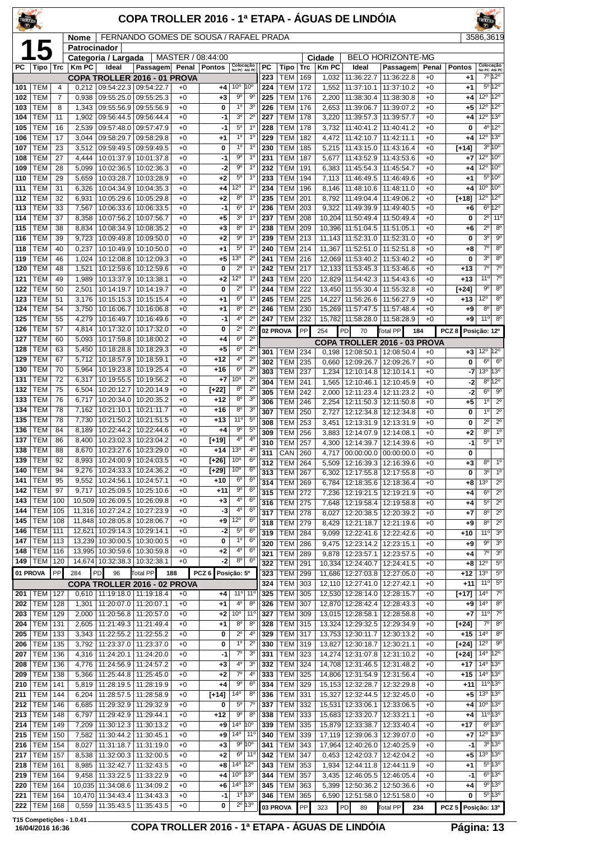| TROLLER    |                          |                | COPA TROLLER 2016 - 1ª ETAPA - ÁGUAS DE LINDÓIA<br>FERNANDO GOMES DE SOUSA / RAFAEL PRADA |                                                   |                                                       |              |                   |                                                                     |                  |                              |            |                  |                                            |                                       |               |               | <b>FROLLER</b>                         |                                                     |  |
|------------|--------------------------|----------------|-------------------------------------------------------------------------------------------|---------------------------------------------------|-------------------------------------------------------|--------------|-------------------|---------------------------------------------------------------------|------------------|------------------------------|------------|------------------|--------------------------------------------|---------------------------------------|---------------|---------------|----------------------------------------|-----------------------------------------------------|--|
|            |                          |                | Nome<br>Patrocinador                                                                      |                                                   |                                                       |              |                   |                                                                     |                  |                              | 3586,3619  |                  |                                            |                                       |               |               |                                        |                                                     |  |
|            | 15                       |                |                                                                                           | Categoria / Largada                               |                                                       |              | MASTER / 08:44:00 |                                                                     |                  |                              |            | Cidade           |                                            | <b>BELO HORIZONTE-MG</b>              |               |               |                                        |                                                     |  |
| РC         | Tipo                     | Trc            | <b>Km PC</b>                                                                              | Ideal                                             | Passagem Penal                                        |              | <b>Pontos</b>     | Colocação<br>No PC Até PC                                           | РC<br>223        | Tipo<br>TEM                  | Trc<br>169 | <b>Km PC</b>     | Ideal                                      | Passagem<br>11:36:22.8                | Penal<br>$+0$ | <b>Pontos</b> | Colocação<br>No PC Até PC              | 7º 12º                                              |  |
| 101        | TEM                      | 4              | 0,212                                                                                     |                                                   | COPA TROLLER 2016 - 01 PROVA<br>09:54:22.3 09:54:22.7 | $+0$         | +4                | 10°<br>10 <sup>o</sup>                                              | 224              | TEM                          | 172        | 1,032<br>1,552   | 11:36:22.7<br>11:37:10.1                   | 11:37:10.2                            | $+0$          | +1<br>+1      |                                        | $5^{\circ}12^{\circ}$                               |  |
| 102        | TEM                      | $\overline{7}$ | 0,938                                                                                     | 09:55:25.0                                        | 09:55:25.3                                            | $+0$         | $+3$              | $9^{\circ}$<br>$9^{\circ}$                                          | 225              | <b>TEM</b>                   | 176        | 2,200            | 11:38:30.4                                 | 11:38:30.8                            | $+0$          | +4            | 12°                                    | 12°                                                 |  |
| 103        | <b>TEM</b>               | 8              | 1,343                                                                                     | 09:55:56.9                                        | 09:55:56.9                                            | $+0$         | 0                 | $1^{\circ}$<br>3 <sup>o</sup>                                       | 226              | <b>TEM</b>                   | 176        | 2,653            | 11:39:06.7                                 | 11:39:07.2                            | $+0$          | +5            | $12^{\circ}$                           | 12°                                                 |  |
| 104<br>105 | TEM<br>TEM               | 11<br>16       | 1,902<br>2,539                                                                            | 09:56:44.5<br>09:57:48.0                          | 09:56:44.4<br>09:57:47.9                              | $+0$<br>$+0$ | $-1$<br>$-1$      | 3 <sup>o</sup><br>$2^{\circ}$<br>$5^{\circ}$<br>$1^{\circ}$         | 227<br>228       | <b>TEM</b><br><b>TEM</b>     | 178<br>178 | 3,220<br>3,732   | 11:39:57.3<br>11:40:41.2                   | 11:39:57.7<br>11:40:41.2              | $+0$<br>$+0$  | +4<br>0       | 12°                                    | 13°<br>$4^{\circ}$ 12°                              |  |
| 106        | TEM                      | 17             | 3,044                                                                                     | 09:58:29.7                                        | 09:58:29.8                                            | +0           | $^{+1}$           | 1 <sup>0</sup><br>$1^{\circ}$                                       | 229              | <b>TEM</b>                   | 182        | 4,472            | 11:42:10.7                                 | 11:42:11.1                            | $+0$          | +4            | $12^{\circ}$                           | 13°                                                 |  |
| 107        | TEM                      | 23             | 3,512                                                                                     | 09:59:49.5                                        | 09:59:49.5                                            | $+0$         | 0                 | $1^{\circ}$<br>$1^{\circ}$                                          | 230              | <b>TEM</b>                   | 185        | 5,215            | 11:43:15.0                                 | 11:43:16.4                            | $+0$          | $[+14]$       | 3 <sup>o</sup>                         | 10 <sup>o</sup>                                     |  |
| 108        | TEM                      | 27             | 4,444                                                                                     | 10:01:37.9                                        | 10:01:37.8                                            | $+0$         | $-1$              | 9 <sup>o</sup><br>$1^{\circ}$<br>1 <sup>0</sup><br>$9^{\circ}$      | 231              | <b>TEM</b>                   | 187        | 5,677            | 11:43:52.9                                 | 11:43:53.6                            | $+0$          | +7            | 12 <sup>o</sup> 10 <sup>o</sup><br>12° | 10 <sup>o</sup>                                     |  |
| 109<br>110 | TEM<br>TEM               | 28<br>29       | 5,099<br>5,659                                                                            | 10:02:36.5<br>10:03:28.7                          | 10:02:36.3<br>10:03:28.9                              | $+0$<br>$+0$ | -2<br>$+2$        | $5^{\circ}$<br>1 <sup>0</sup>                                       | 232<br>233       | TEM<br><b>TEM</b>            | 191<br>194 | 6,383<br>7,113   | 11:45:54.3<br>11:46:49.5                   | 11:45:54.7<br>11:46:49.6              | $+0$<br>$+0$  | +4<br>+1      | $5^{\circ}$                            | 10 <sup>o</sup>                                     |  |
| 111        | TEM                      | 31             | 6,326                                                                                     | 10:04:34.9                                        | 10:04:35.3                                            | $+0$         | $+4$              | 12°<br>$1^{\circ}$                                                  | 234              | <b>TEM</b>                   | 196        | 8,146            | 11:48:10.6                                 | 11:48:11.0                            | $+0$          | +4            | 10 <sup>o</sup>                        | 10°                                                 |  |
| 112        | TEM                      | 32             | 6,931                                                                                     | 10:05:29.6                                        | 10:05:29.8                                            | $+0$         | $+2$              | $1^{\circ}$<br>$8^{\circ}$                                          | 235              | <b>TEM</b>                   | 201        | 8,792            | 11:49:04.4                                 | 11:49:06.2                            | $+0$          | $[+18]$       | $12^{\circ}$                           | $12^{\circ}$                                        |  |
| 113<br>114 | TEM<br><b>TEM</b>        | 33<br>37       | 7,567<br>8,358                                                                            | 10:07:56.2                                        | 10:06:33.6   10:06:33.5<br>10:07:56.7                 | $+0$<br>$+0$ | -1<br>+5          | 6 <sup>o</sup><br>1 <sup>0</sup><br>3 <sup>o</sup><br>$1^{\circ}$   | 236<br>237       | <b>TEM</b><br>TEM            | 203<br>208 | 9,322<br>10,204  | 11:49:39.9<br>11:50:49.4                   | 11:49:40.5<br>11:50:49.4              | $+0$<br>$+0$  | +6<br>0       | $6^{\circ}$<br>$2^{\circ}$             | $12^{\circ}$<br>11 <sup>0</sup>                     |  |
| 115        | TEM                      | 38             | 8,834                                                                                     | 10:08:34.9                                        | 10:08:35.2                                            | $+0$         | $+3$              | 8 <sup>o</sup><br>$1^{\circ}$                                       | 238              | <b>TEM</b>                   | 209        | 10,396           | 11:51:04.5                                 | 11:51:05.1                            | $+0$          | +6            | $2^{\circ}$                            | 8 <sup>o</sup>                                      |  |
| 116        | TEM                      | 39             | 9,723                                                                                     |                                                   | 10:09:49.8   10:09:50.0                               | $+0$         | +2                | 9 <sup>o</sup><br>1 <sup>0</sup>                                    | 239              | <b>TEM</b>                   | 213        |                  | 11,143   11:52:31.0   11:52:31.0           |                                       | $+0$          | 0             | 3 <sup>o</sup>                         | 9 <sup>o</sup>                                      |  |
| 118        | TEM                      | 40             | 0,237                                                                                     | 10:10:49.9                                        | 10:10:50.0                                            | $+0$         | $^{+1}$           | $5^{\circ}$<br>$1^{\circ}$                                          | 240              | <b>TEM</b>                   | 214        | 11,367           | 11:52:51.0                                 | 11:52:51.8                            | $+0$          | +8            | $7^\circ$                              | 8 <sup>o</sup>                                      |  |
| 119<br>120 | TEM<br>TEM               | 46<br>48       | 1,024<br>1,521                                                                            | 10:12:08.8                                        | 10:12:09.3<br>10:12:59.6   10:12:59.6                 | $+0$<br>$+0$ | $+5$<br>0         | $2^{\circ}$<br>$13^{\circ}$<br>$2^{\circ}$<br>$1^{\circ}$           | 241<br>242       | TEM<br><b>TEM</b>            | 216<br>217 | 12,069           | 11:53:40.2<br>12,133 11:53:45.3 11:53:46.6 | 11:53:40.2                            | $+0$<br>$+0$  | 0<br>$+13$    | 3 <sup>o</sup><br>$\overline{7^0}$     | $8^{\circ}$<br>$\overline{7^{\circ}}$               |  |
| 121        | <b>TEM</b>               | 49             | 1,989                                                                                     | 10:13:37.9                                        | 10:13:38.1                                            | $+0$         | +2                | 12°<br>$1^{\circ}$                                                  | 243              | <b>TEM</b>                   | 220        | 12.829           | 11:54:42.3                                 | 11:54:43.6                            | $+0$          | $+13$         | 11 <sup>°</sup>                        | 70                                                  |  |
| 122        | TEM                      | 50             | 2,501                                                                                     | 10:14:19.7                                        | 10:14:19.7                                            | $+0$         | 0                 | $2^{\circ}$<br>$1^{\circ}$                                          | 244              | <b>TEM</b>                   | 222        | 13,450           | 11:55:30.4                                 | 11:55:32.8                            | $+0$          | [+24]         | $9^{\circ}$                            | 8 <sup>o</sup>                                      |  |
| 123        | TEM                      | 51             | 3,176                                                                                     | 10:15:15.3                                        | 10:15:15.4                                            | $+0$         | $+1$              | 6 <sup>o</sup><br>$1^{\circ}$                                       | 245              | TEM                          | 225        | 14,227           | 11:56:26.6                                 | 11:56:27.9                            | $+0$          | +13           | 12°                                    | 8 <sup>o</sup>                                      |  |
| 124<br>125 | TEM<br>TEM               | 54<br>55       | 3,750<br>4,279                                                                            | 10:16:06.7<br>10:16:49.7                          | 10:16:06.8<br>10:16:49.6                              | $+0$<br>$+0$ | $+1$<br>$-1$      | 8 <sup>o</sup><br>$2^{\circ}$<br>4 <sup>0</sup><br>$2^{\circ}$      | 246<br>247       | <b>TEM</b><br><b>TEM</b>     | 230<br>232 | 15,269<br>15,782 | 11:57:47.5<br>11:58:28.0   11:58:28.9      | 11:57:48.4                            | $+0$<br>$+0$  | +9<br>+9      | $8^{\circ}$<br>11 <sup>0</sup>         | 8 <sup>0</sup><br>$8^{\circ}$                       |  |
| 126        | TEM                      | 57             | 4,814                                                                                     | 10:17:32.0                                        | 10:17:32.0                                            | $+0$         | 0                 | $2^{\circ}$<br>$2^{\circ}$                                          |                  | 02 PROVA                     | PP         | 254              | PD<br>70                                   | <b>Total PP</b><br>184                |               | PCZ8          | Posição: 12º                           |                                                     |  |
| 127        | TEM                      | 60             | 5,093                                                                                     | 10:17:59.8                                        | 10:18:00.2                                            | $+0$         | $+4$              | 6 <sup>o</sup><br>$2^{\circ}$                                       |                  |                              |            |                  |                                            | COPA TROLLER 2016 - 03 PROVA          |               |               |                                        |                                                     |  |
| 128        | TEM<br><b>TEM</b>        | 63             | 5,450                                                                                     | 10:18:28.8                                        | 10:18:29.3                                            | $+0$         | $+5$              | $2^{\circ}$<br>6 <sup>o</sup><br>$2^{\circ}$<br>4 <sup>0</sup>      | 301              | TEM                          | 234        | 0,198            |                                            | 12:08:50.1   12:08:50.4               | $+0$          | $+3$          | $12^{\circ}$ 12 $^{\circ}$             |                                                     |  |
| 129<br>130 | TEM                      | 67<br>70       | 5,712<br>5,964                                                                            | 10:18:57.9<br>10:19:23.8                          | 10:18:59.1<br>10:19:25.4                              | $+0$<br>$+0$ | $+12$<br>+16      | 6 <sup>o</sup><br>$2^{\circ}$                                       | 302<br>303       | <b>TEM</b><br><b>TEM</b>     | 235<br>237 | 0,660<br>1,234   | 12:09:26.7<br>12:10:14.8                   | 12:09:26.7<br>12:10:14.1              | $+0$<br>$+0$  | 0<br>-7       | 6 <sup>o</sup><br>13 <sup>°</sup>      | $6^{\circ}$<br>13°                                  |  |
| 131        | TEM                      | 72             | 6,317                                                                                     | 10:19:55.5                                        | 10:19:56.2                                            | $+0$         | $+7$              | $2^{\circ}$<br>10 <sup>o</sup>                                      | 304              | <b>TEM</b>                   | 241        | 1,565            | 12:10:46.1                                 | 12:10:45.9                            | $+0$          | -2            | 8 <sup>o</sup>                         | $12^{\circ}$                                        |  |
| 132        | TEM                      | 75             | 6,504                                                                                     | 10:20:12.7                                        | 10:20:14.9                                            | $+0$         | [+22]             | $2^{\circ}$<br>$8^{\circ}$                                          | 305              | <b>TEM</b>                   | 242        | 2,000            | 12:11:23.4                                 | 12:11:23.2                            | $+0$          | -2            | 6 <sup>o</sup>                         | $9^{\circ}$                                         |  |
| 133        | TEM                      | 76             | 6,717                                                                                     | 10:20:34.0                                        | 10:20:35.2                                            | $+0$         | $+12$             | 8 <sup>o</sup><br>3 <sup>o</sup><br>$8^{\circ}$<br>3 <sup>o</sup>   | 306              | <b>TEM</b>                   | 246        | 2,254            | 12:11:50.3                                 | 12:11:50.8                            | $+0$          | +5            | $1^{\circ}$                            | $2^{\circ}$                                         |  |
| 134<br>135 | <b>TEM</b><br>TEM        | 78<br>78       | 7,162<br>7,730                                                                            | 10:21:10.1<br>10:21:50.2                          | 10:21:11.7<br>10:21:51.5                              | $+0$<br>$+0$ | +16<br>$+13$      | $11^{\circ}$<br>$5^{\circ}$                                         | 307<br>308       | TEM<br><b>TEM</b>            | 250<br>253 | 2,727            | 12:13:31.9                                 | 12:12:34.8   12:12:34.8<br>12:13:31.9 | $+0$<br>$+0$  | 0<br>0        | 1 <sup>0</sup><br>$2^{\circ}$          | $2^{\circ}$<br>$2^{\circ}$                          |  |
| 136        | TEM                      | 84             | 8,189                                                                                     | 10:22:44.2                                        | 10:22:44.6                                            | $+0$         | +4                | $9^{\circ}$<br>$5^{\circ}$                                          | 309              | <b>TEM</b>                   | 256        | 3,451<br>3,883   | 12:14:07.9                                 | 12:14:08.1                            | $+0$          | +2            | 8 <sup>o</sup>                         | 1 <sup>0</sup>                                      |  |
| 137        | TEM                      | 86             | 8,400                                                                                     |                                                   | 10:23:02.3 10:23:04.2                                 | $+0$         | $[+19]$           | 4 <sup>0</sup><br>4°                                                | 310              | <b>TEM</b>                   | 257        | 4.300            |                                            | 12:14:39.7   12:14:39.6               | $+0$          | $-1$          | $5^{\circ}$                            | $\overline{1^{\circ}}$                              |  |
| 138<br>139 | <b>TEM</b><br>TEM        | 88<br>92       | 8,670<br>8,993                                                                            |                                                   | 10:23:27.6 10:23:29.0<br>10:24:00.9   10:24:03.5      | $+0$<br>$+0$ | $+14$<br>[+26]    | 13 <sup>o</sup><br>4°<br>$6^{\rm o}$<br>10 <sup>o</sup>             | $\overline{311}$ | $CRN$ 260                    |            |                  |                                            | 4,717 00:00:00.0 00:00:00.0           | $+0$          | 0             |                                        |                                                     |  |
| 140        | TEM                      | 94             | 9,276                                                                                     | 10:24:33.3                                        | 10:24:36.2                                            | $+0$         | [+29]             | $6^{\circ}$<br>$10^{\circ}$                                         | 312<br>313       | <b>TEM 264</b><br><b>TEM</b> | 267        | 5,509<br>6,302   | 12:17:55.8                                 | 12:16:39.3 12:16:39.6<br>12:17:55.8   | $+0$<br>$+0$  | $+3$<br>0     | 8 <sup>o</sup><br>3 <sup>o</sup>       | 1 <sup>0</sup><br>1 <sup>o</sup>                    |  |
| 141        | TEM                      | 95             | 9,552                                                                                     | 10:24:56.1                                        | 10:24:57.1                                            | $+0$         | +10               | 6 <sup>o</sup><br>6 <sup>o</sup>                                    | 314              | <b>TEM</b>                   | 269        | 6.784            | 12:18:35.6                                 | 12:18:36.4                            | $+0$          | +8            | 13 <sup>o</sup>                        | $2^{\circ}$                                         |  |
| 142        | <b>TEM</b>               | 97             | 9,717                                                                                     |                                                   | 10:25:09.5   10:25:10.6                               | $+0$         | $+11$             | 9 <sup>o</sup><br>6 <sup>o</sup>                                    | 315              | <b>TEM</b>                   | 272        | 7,236            |                                            | 12:19:21.5   12:19:21.9               | $+0$          | +4            | 6 <sup>o</sup>                         | $2^{\circ}$                                         |  |
| 143<br>144 | <b>TEM</b><br>TEM        | 100<br>105     | 10,509<br>11,316                                                                          | 10:26:09.5<br>10:27:24.2                          | 10:26:09.8<br>10:27:23.9                              | $+0$<br>$+0$ | $+3$<br>-3        | $4^{\circ}$<br>$6^{\circ}$<br>$4^{\circ}$<br>6 <sup>o</sup>         | 316<br>317       | <b>TEM</b><br>TEM            | 275<br>278 | 7,648            | 12:19:58.4                                 | 12:19:58.8                            | $+0$<br>$+0$  | +4<br>+7      | $5^{\circ}$<br>8 <sup>o</sup>          | $2^{\circ}$<br>$\overline{2^{\circ}}$               |  |
| 145        | <b>TEM</b>               | 108            | 11,848                                                                                    |                                                   | 10:28:05.8   10:28:06.7                               | $+0$         | +9                | $12^{\circ}$<br>6 <sup>o</sup>                                      | 318              | <b>TEM 279</b>               |            | 8,027<br>8,429   | 12:20:38.5                                 | 12:20:39.2<br>12:21:18.7   12:21:19.6 | $+0$          | +9            | 8 <sup>o</sup>                         | $\overline{2^0}$                                    |  |
| 146        | <b>TEM</b>               | 111            | 12,621                                                                                    | 10:29:14.3                                        | 10:29:14.1                                            | $+0$         | $-2$              | $5^{\circ}$<br>6 <sup>o</sup>                                       | 319              | TEM                          | 284        | 9,099            | 12:22:41.6                                 | 12:22:42.6                            | $+0$          | +10           | 11 <sup>0</sup>                        | 3 <sup>0</sup>                                      |  |
| 147<br>148 | TEM<br><b>TEM</b>        | 113<br>116     |                                                                                           | 13,239 10:30:00.5 10:30:00.5<br>13,995 10:30:59.6 | 10:30:59.8                                            | $+0$<br>$+0$ | 0<br>$^{+2}$      | 1 <sup>0</sup><br>6 <sup>o</sup><br>$4^{\circ}$<br>6 <sup>o</sup>   | 320              | <b>TEM</b>                   | 286        | 9,475            | 12:23:14.2                                 | 12:23:15.1                            | $+0$          | +9            | 9 <sup>o</sup>                         | 3 <sup>o</sup>                                      |  |
| 149        | <b>TEM</b>               | 120            |                                                                                           | 14,674 10:32:38.3                                 | 10:32:38.1                                            | $+0$         | $-2$              | $8^{\circ}$<br>6 <sup>o</sup>                                       | 321<br>322       | <b>TEM</b><br><b>TEM</b>     | 289        | 9,878            | 12:23:57.1                                 | 12:23:57.5                            | $+0$<br>$+0$  | +4            | $7^{\circ}$<br>$12^{\circ}$            | 3 <sup>o</sup><br>$5^{\rm o}$                       |  |
|            | 01 PROVA                 | PP             | 284                                                                                       | <b>PD</b><br>96                                   | Total PP                                              | 188          | PCZ <sub>6</sub>  | Posição: 5º                                                         | 323              | <b>TEM</b>                   | 291<br>299 | 10,334<br>11,686 | 12:24:40.7                                 | 12:24:41.5<br>12:27:03.8   12:27:05.0 | $+0$          | +8<br>+12     | 13 <sup>o</sup>                        | $5^{\circ}$                                         |  |
|            |                          |                |                                                                                           |                                                   | COPA TROLLER 2016 - 02 PROVA                          |              |                   |                                                                     | 324              | <b>TEM</b>                   | 303        | 12,110           | 12:27:41.0                                 | 12:27:42.1                            | $+0$          | $+11$         | $11^{\circ}$                           | $5^{\circ}$                                         |  |
| 201        | TEM                      | 127            |                                                                                           | $0,610$   11:19:18.0   11:19:18.4                 |                                                       | $+0$         | +4                | 11°<br>  11°                                                        | 325              | TEM                          | 305        | 12,530           | 12:28:14.0                                 | 12:28:15.7                            | $+0$          | [+17]         | $14^{\circ}$                           | $\overline{7^{\circ}}$                              |  |
| 202<br>203 | <b>TEM</b><br>TEM        | 128<br>129     | 1,301<br>2,000                                                                            |                                                   | 11:20:07.0   11:20:07.1<br>11:20:56.8   11:20:57.0    | $+0$<br>$+0$ | +1<br>$+2$        | 4 <sup>0</sup><br>8 <sup>o</sup><br>10 <sup>o</sup><br>$11^{\circ}$ | 326<br>327       | <b>TEM</b><br>TEM            | 307<br>309 | 12,870<br>13,015 | 12:28:42.4 12:28:43.3<br>12:28:58.1        | 12:28:58.8                            | $+0$<br>$+0$  | +9<br>+7      | 14 <sup>°</sup><br>$11^{\circ}$        | 8 <sup>o</sup><br>$\overline{7^{\circ}}$            |  |
| 204        | <b>TEM</b>               | 131            | 2,605                                                                                     | 11:21:49.3                                        | 11:21:49.4                                            | $+0$         | $+1$              | 8 <sup>o</sup><br>8 <sup>o</sup>                                    | 328              | <b>TEM</b>                   | 315        | 13,324           | 12:29:32.5                                 | 12:29:34.9                            | $+0$          | [+24]         | $7^\circ$                              | 8 <sup>o</sup>                                      |  |
| 205        | <b>TEM</b>               | 133            | 3,343                                                                                     |                                                   | 11:22:55.2   11:22:55.2                               | $+0$         | 0                 | $2^{\circ}$<br>$4^{\circ}$                                          | 329              | <b>TEM 317</b>               |            |                  | 13,753 12:30:11.7                          | 12:30:13.2                            | $+0$          | $+15$         | $14^{\circ}$                           | 8 <sup>o</sup>                                      |  |
| 206        | TEM                      | 135            | 3,792                                                                                     | 11:23:37.0                                        | 11:23:37.0                                            | $+0$         | 0                 | 1 <sup>0</sup><br>$2^{\circ}$<br>$7^{\circ}$                        | 330              | TEM                          | 319        | 13,827           | 12:30:18.7                                 | 12:30:21.1                            | $+0$          | [+24]         | 12°                                    | $9^{\rm o}$<br>12°                                  |  |
| 207<br>208 | <b>TEM</b><br><b>TEM</b> | 136<br>136     | 4,316<br>4,776                                                                            | 11:24:20.1<br>11:24:56.9                          | 11:24:20.0<br>11:24:57.2                              | $+0$<br>$+0$ | $-1$<br>$^{+3}$   | 3 <sup>o</sup><br>4 <sup>0</sup><br>3 <sup>o</sup>                  | 331<br>332       | TEM<br><b>TEM</b>            | 323<br>324 | 14,708           | 14,274 12:31:07.8<br>12:31:46.5            | 12:31:10.2<br>12:31:48.2              | $+0$<br>$+0$  | [+24]<br>+17  | 14 <sup>°</sup><br>$14^{\circ}$        | 13°                                                 |  |
| 209        | <b>TEM</b>               | 138            | 5,366                                                                                     | 11:25:44.8                                        | 11:25:45.0                                            | $+0$         | $+2$              | $7^{\circ}$<br>$4^{\circ}$                                          | 333              | <b>TEM</b>                   | 325        | 14,806           |                                            | 12:31:54.9   12:31:56.4               | $+0$          | $+15$         | $14^{\circ}$                           | 13°                                                 |  |
| 210        | <b>TEM</b>               | 141            | 5,819                                                                                     | 11:28:19.5                                        | 11:28:19.9                                            | $+0$         | $+4$              | $9^{\circ}$<br>6 <sup>o</sup>                                       | 334              | TEM                          | 329        |                  | 15, 153 12: 32: 28. 7                      | 12:32:29.8                            | $+0$          | $+11$         |                                        | $11^{\circ}$ 13°                                    |  |
| 211        | TEM                      | 144            | 6,204                                                                                     | 11:28:57.5                                        | 11:28:58.9                                            | $+0$         | $[+14]$           | $14^{\circ}$<br>8 <sup>o</sup>                                      | 336              | <b>TEM</b>                   | 331        | 15,327           | 12:32:44.5                                 | 12:32:45.0                            | $+0$          | +5            |                                        | $13^{\circ}$ 13 $^{\circ}$<br>$10^{\circ}$ 13°      |  |
| 212<br>213 | <b>TEM</b><br><b>TEM</b> | 146<br>148     | 6,685<br>6,797                                                                            | 11:29:32.9                                        | 11:29:32.9<br>11:29:42.9   11:29:44.1                 | $+0$<br>$+0$ | 0<br>+12          | $5^{\circ}$<br>$7^\circ$<br>$9^{\circ}$<br>8 <sup>0</sup>           | 337<br>338       | TEM<br><b>TEM</b>            | 332<br>333 | 15,531           | 12:33:06.1<br>15,683 12:33:20.7 12:33:21.1 | 12:33:06.5                            | $+0$<br>$+0$  | +4<br>+4      |                                        | $11^{\circ}13^{\circ}$                              |  |
| 214        | <b>TEM</b>               | 149            | 7,209                                                                                     | 11:30:12.3                                        | 11:30:13.2                                            | $+0$         | +9                | $14^{\circ}$<br>$10^{\circ}$                                        | 339              | <b>TEM</b>                   | 335        | 15,879           | 12:33:38.7                                 | 12:33:40.4                            | $+0$          | +17           |                                        | $6^{\circ}$ 13°                                     |  |
| 215        | <b>TEM</b>               | 150            | 7,582                                                                                     | 11:30:44.2                                        | 11:30:45.1                                            | $+0$         | $+9$              | $14^{\circ}$<br>$11^{\circ}$                                        | 340              | <b>TEM</b>                   | 339        | 17,119           | 12:39:06.3                                 | 12:39:07.0                            | $+0$          | +7            |                                        | $12^{\circ}$ 13 $^{\circ}$                          |  |
| 216        | <b>TEM</b><br><b>TEM</b> | 154            | 8,027                                                                                     | 11:31:18.7                                        | 11:31:19.0                                            | $+0$         | $+3$              | $9^{\circ}10^{\circ}$<br>$6^{\circ}$<br>$11^{\circ}$                | 341<br>342       | <b>TEM</b><br><b>TEM</b>     | 343        | 17,964           |                                            | 12:40:26.0 12:40:25.9                 | $+0$          | $-1$          |                                        | $3^0$ 13 <sup>0</sup><br>$13^{\circ}$ 13 $^{\circ}$ |  |
| 217<br>218 | <b>TEM</b>               | 157<br>161     | 8,538<br>8,985                                                                            | 11:32:00.3<br>11:32:42.7                          | 11:32:00.5<br>11:32:43.5                              | $+0$<br>$+0$ | $+2$<br>+8        | $14^{\circ}$<br>$12^{\circ}$                                        | 343              | <b>TEM</b>                   | 347<br>353 | 0,453<br>1,934   | 12:42:03.7<br>12:44:11.8                   | 12:42:04.2<br>12:44:11.9              | $+0$<br>$+0$  | +5<br>+1      |                                        | $5^{\circ}13^{\circ}$                               |  |
| 219        | <b>TEM</b>               | 164            | 9,458                                                                                     | 11:33:22.5                                        | 11:33:22.9                                            | $+0$         | $+4$              | $10^{\circ}$ 13°                                                    | 344              | TEM                          | 357        | 3.435            |                                            | 12:46:05.5   12:46:05.4               | $+0$          | -1            |                                        | $6^{\circ}13^{\circ}$                               |  |
| 220        | <b>TEM</b>               | 164            | 10,035                                                                                    | 11:34:08.6                                        | 11:34:09.2                                            | $+0$         | $+6$              | $14^{\circ}$<br>13 <sup>o</sup>                                     | 345              | <b>TEM</b>                   | 363        | 5,399            | 12:50:36.2                                 | 12:50:36.6                            | $+0$          | +4            |                                        | 9°13°                                               |  |
| 221<br>222 | <b>TEM</b><br><b>TEM</b> | 164<br>168     | 0,559                                                                                     | 10,470 11:34:43.4<br>11:35:43.5                   | 11:34:43.3<br>11:35:43.5                              | $+0$<br>$+0$ | -1<br>0           | $1°$ 13°<br>$2^{\circ}$ 13°                                         | 346              | <b>TEM</b>                   | 365        | 6,590            |                                            | 12:51:58.0   12:51:58.0               | $+0$          | 0             |                                        | $5^{\circ}$ 13°                                     |  |
|            |                          |                |                                                                                           |                                                   |                                                       |              |                   |                                                                     |                  | 03 PROVA                     | PP         | 323              | PD<br>89                                   | Total PP<br>234                       |               | PCZ 5         | Posição: 13º                           |                                                     |  |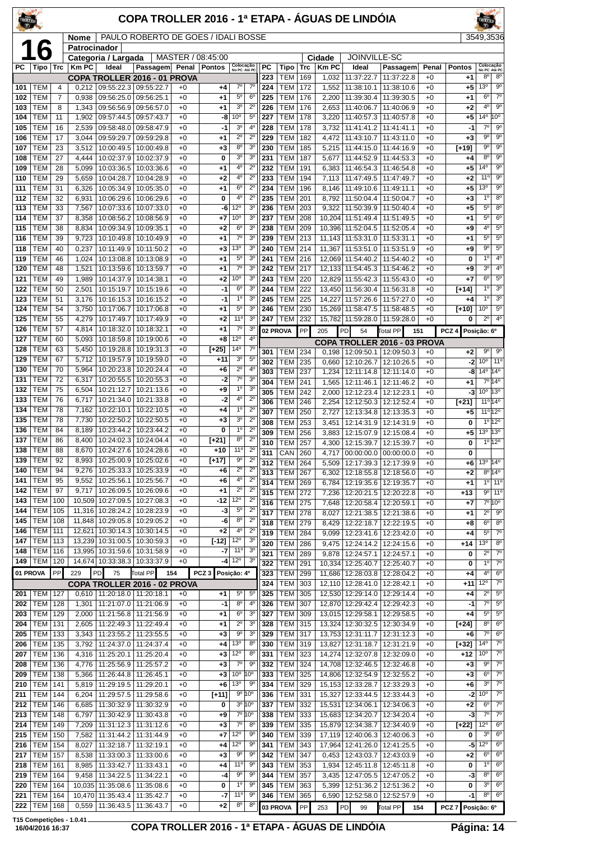| COPA TROLLER 2016 - 1ª ETAPA - ÁGUAS DE LINDÓIA<br><b>TROLLER</b> |                          |                     |                                                             |                                                   |                                       |              |                   |                                  |                                                          |            |                          |            |                |                                                                 |                                       |              |                         |                                   |                                          |
|-------------------------------------------------------------------|--------------------------|---------------------|-------------------------------------------------------------|---------------------------------------------------|---------------------------------------|--------------|-------------------|----------------------------------|----------------------------------------------------------|------------|--------------------------|------------|----------------|-----------------------------------------------------------------|---------------------------------------|--------------|-------------------------|-----------------------------------|------------------------------------------|
|                                                                   |                          |                     | PAULO ROBERTO DE GOES / IDALI BOSSE<br>Nome<br>Patrocinador |                                                   |                                       |              |                   |                                  |                                                          |            |                          |            |                |                                                                 |                                       | 3549,3536    |                         |                                   |                                          |
|                                                                   | 16                       |                     |                                                             | Categoria / Largada                               |                                       |              | MASTER / 08:45:00 |                                  |                                                          |            |                          |            | Cidade         | JOINVILLE-SC                                                    |                                       |              |                         |                                   |                                          |
| РC                                                                | Tipo                     | <b>Trc</b>          | $ $ Km PC                                                   | Ideal                                             | Passagem Penal Pontos                 |              |                   | Colocação<br>No PC Até PC        |                                                          | PC         | Tipo                     | Trc        | <b>Km PC</b>   | Ideal                                                           | Passagem                              | Penal        | <b>Pontos</b>           | Colocação<br>No PC Até PC         |                                          |
| 101                                                               | TEM                      |                     |                                                             | $0,212$   09:55:22.3   09:55:22.7                 | COPA TROLLER 2016 - 01 PROVA          |              |                   | $7^\circ$                        | $7^\circ$                                                | 223<br>224 | <b>TEM</b><br><b>TEM</b> | 169<br>172 | 1,032          | 11:37:22.7<br>11:38:10.1                                        | 11:37:22.8<br>11:38:10.6              | $+0$<br>$+0$ | $+1$<br>$+5$            | 8 <sup>o</sup><br>13 <sup>o</sup> | 8 <sup>0</sup><br>$9^{\circ}$            |
| 102                                                               | TEM                      | $\overline{4}$<br>7 | 0,938                                                       | 09:56:25.0                                        | 09:56:25.1                            | $+0$<br>$+0$ | +4<br>+1          | $5^{\rm o}$                      | $6^{\circ}$                                              | 225        | <b>TEM</b>               | 176        | 1,552<br>2,200 | 11:39:30.4                                                      | 11:39:30.5                            | $+0$         | $+1$                    | 6 <sup>o</sup>                    | $7^{\circ}$                              |
| 103                                                               | TEM                      | 8                   | 1,343                                                       | 09:56:56.9                                        | 09:56:57.0                            | $+0$         | +1                | 3 <sup>o</sup>                   | $2^{\circ}$                                              | 226        | <b>TEM</b>               | 176        | 2,653          | 11:40:06.7                                                      | 11:40:06.9                            | $+0$         | $+2$                    | 4 <sup>0</sup>                    | $9^{\circ}$                              |
| 104                                                               | TEM                      | 11                  | 1,902                                                       | 09:57:44.5                                        | 09:57:43.7                            | $+0$         | -8                | $10^{\circ}$                     | $5^{\circ}$                                              | 227        | <b>TEM</b>               | 178        | 3,220          | 11:40:57.3                                                      | 11:40:57.8                            | $+0$         | $+5$                    | $14^{\circ}$                      | 10 <sup>o</sup>                          |
| 105<br>106                                                        | TEM<br>TEM               | 16<br>17            | 2,539<br>3,044                                              | 09:58:48.0<br>09:59:29.7                          | 09:58:47.9<br>09:59:29.8              | $+0$<br>+0   | $-1$<br>+1        | 3 <sup>o</sup><br>$2^{\circ}$    | 4 <sup>0</sup><br>$2^{\circ}$                            | 228<br>229 | <b>TEM</b><br><b>TEM</b> | 178<br>182 | 3,732<br>4,472 | 11:41:41.2<br>11:43:10.7                                        | 11:41:41.1<br>11:43:11.0              | $+0$<br>$+0$ | -1<br>$+3$              | $7^\circ$<br>$9^{\circ}$          | $9^{\circ}$<br>$\overline{9^{\circ}}$    |
| 107                                                               | TEM                      | 23                  | 3,512                                                       | 10:00:49.5                                        | 10:00:49.8                            | $+0$         | $+3$              | 8 <sup>o</sup>                   | 3 <sup>o</sup>                                           | 230        | <b>TEM</b>               | 185        | 5,215          | 11:44:15.0                                                      | 11:44:16.9                            | $+0$         | [+19]                   | $9^{\circ}$                       | 9 <sup>o</sup>                           |
| 108                                                               | <b>TEM</b>               | 27                  | 4,444                                                       | 10:02:37.9                                        | 10:02:37.9                            | $+0$         | 0                 | 3 <sup>o</sup>                   | 30                                                       | 231        | <b>TEM</b>               | 187        | 5,677          | 11:44:52.9                                                      | 11:44:53.3                            | $+0$         | $^{+4}$                 | 8 <sup>o</sup>                    | $9^{\circ}$                              |
| 109                                                               | тем                      | 28                  | 5,099                                                       | 10:03:36.5                                        | 10:03:36.6                            | +0           | +1                | 4 <sup>0</sup>                   | $2^{\circ}$                                              | 232        | тем                      | 191        | 6,383          | 11:46:54.3                                                      | 11:46:54.8                            | $+0$         | $+5$                    | 14°                               | 9 <sup>o</sup><br>$\overline{9^{\circ}}$ |
| 110<br>111                                                        | TEM<br>TEM               | 29<br>31            | 5,659<br>6,326                                              | 10:04:28.7<br>10:05:34.9                          | 10:04:28.9<br>10:05:35.0              | $+0$<br>$+0$ | +2<br>+1          | 4 <sup>0</sup><br>6 <sup>o</sup> | $2^{\circ}$<br>$2^{\circ}$                               | 233<br>234 | TEM<br>TEM               | 194<br>196 | 8,146          | 7,113   11:47:49.5   11:47:49.7<br>11:49:10.6                   | 11:49:11.1                            | $+0$<br>$+0$ | $+2$<br>$+5$            | $11^{\circ}$<br>13 <sup>o</sup>   | $9^{\circ}$                              |
| 112                                                               | TEM                      | 32                  | 6,931                                                       | 10:06:29.6                                        | 10:06:29.6                            | $+0$         | 0                 | $4^{\circ}$                      | $2^{\circ}$                                              | 235        | TEM                      | 201        | 8,792          | 11:50:04.4                                                      | 11:50:04.7                            | $+0$         | $+3$                    | 1 <sup>0</sup>                    | 8 <sup>o</sup>                           |
| 113                                                               | TEM                      | 33                  | 7,567                                                       | 10:07:33.6                                        | 10:07:33.0                            | $+0$         | -6                | 12°                              | 3 <sup>o</sup>                                           | 236        | <b>TEM</b>               | 203        | 9,322          | 11:50:39.9                                                      | 11:50:40.4                            | $+0$         | $+5$                    | $5^{\circ}$                       | 8 <sup>o</sup>                           |
| 114                                                               | TEM                      | 37                  | 8,358                                                       | 10:08:56.2                                        | 10:08:56.9                            | $+0$         | +7                | 10°                              | 3°                                                       | 237        | <b>TEM</b>               | 208        |                | 10,204 11:51:49.4                                               | 11:51:49.5                            | $+0$         | $+1$                    | 5 <sup>0</sup>                    | $6^{\circ}$                              |
| 115<br>116                                                        | TEM<br>TEM               | 38<br>39            | 8,834<br>9,723                                              | 10:09:34.9<br>10:10:49.8                          | 10:09:35.1<br>10:10:49.9              | $+0$<br>$+0$ | $+2$<br>+1        | 6 <sup>o</sup><br>$7^\circ$      | 3 <sup>o</sup><br>3 <sup>o</sup>                         | 238<br>239 | <b>TEM</b><br>TEM        | 209<br>213 |                | 10,396 11:52:04.5<br>11,143 11:53:31.0                          | 11:52:05.4<br>11:53:31.1              | $+0$<br>$+0$ | +9<br>$+1$              | 4°<br>$5^{\circ}$                 | $5^{\rm o}$<br>$5^{\circ}$               |
| 118                                                               | TEM                      | 40                  | 0,237                                                       | 10:11:49.9                                        | 10:11:50.2                            | $+0$         | $+3$              | $13^{\circ}$                     | 3 <sup>o</sup>                                           | 240        | <b>TEM</b>               | 214        | 11,367         | 11:53:51.0                                                      | 11:53:51.9                            | $+0$         | $+9$                    | $9^{\circ}$                       | $5^{\circ}$                              |
| 119                                                               | TEM                      | 46                  | 1,024                                                       | 10:13:08.8                                        | 10:13:08.9                            | $+0$         | +1                | $5^{\circ}$                      | 3 <sup>o</sup>                                           | 241        | <b>TEM</b>               | 216        |                | 12,069 11:54:40.2                                               | 11:54:40.2                            | $+0$         | 0                       | 1 <sup>0</sup>                    | $4^{\circ}$                              |
| 120                                                               | TEM                      | 48                  | 1,521                                                       | 10:13:59.6                                        | 10:13:59.7                            | $+0$         | +1                | $7^\circ$                        | 3 <sup>o</sup>                                           | 242        | TEM                      | 217        |                | 12,133 11:54:45.3                                               | 11:54:46.2                            | $+0$         | +9                      | 3 <sup>o</sup>                    | 4 <sup>0</sup>                           |
| 121<br>122                                                        | TEM<br>TEM               | 49<br>50            | 1,989<br>2,501                                              | 10:14:37.9<br>10:15:19.7                          | 10:14:38.1<br>10:15:19.6              | $+0$<br>$+0$ | +2<br>$-1$        | $10^{\circ}$<br>6 <sup>o</sup>   | 30<br>3 <sup>o</sup>                                     | 243<br>244 | <b>TEM</b><br><b>TEM</b> | 220<br>222 |                | 12.829 11:55:42.3<br>13.450 11:56:30.4                          | 11:55:43.0<br>11:56:31.8              | $+0$<br>$+0$ | $+7$<br>$[+14]$         | 6 <sup>o</sup><br>1 <sup>0</sup>  | $5^{\rm o}$<br>3 <sup>o</sup>            |
| 123                                                               | TEM                      | 51                  | 3,176                                                       | 10:16:15.3                                        | 10:16:15.2                            | $+0$         | $-1$              | $1^{\circ}$                      | 3 <sup>o</sup>                                           | 245        | <b>TEM</b>               | 225        | 14,227         | 11:57:26.6                                                      | 11:57:27.0                            | $+0$         | $+4$                    | 1 <sup>0</sup>                    | 3 <sup>o</sup>                           |
| 124                                                               | TEM                      | 54                  | 3,750                                                       | 10:17:06.7                                        | 10:17:06.8                            | $+0$         | +1                | $5^{\circ}$                      | 30                                                       | 246        | <b>TEM</b>               | 230        |                | 15,269 11:58:47.5                                               | 11:58:48.5                            | $+0$         | $[+10]$                 | 10 <sup>o</sup>                   | $5^{\rm o}$                              |
| 125                                                               | TEM                      | 55                  | 4,279                                                       | 10:17:49.7                                        | 10:17:49.9                            | +0           | +2                | 11 <sup>0</sup>                  | 30                                                       | 247        | <b>TEM</b>               | 232        |                | 15,782 11:59:28.0 11:59:28.0                                    |                                       | $+0$         | 0                       | $2^{\circ}$                       | 4 <sup>0</sup>                           |
| 126<br>127                                                        | TEM<br><b>TEM</b>        | 57<br>60            | 4,814<br>5,093                                              | 10:18:32.0<br>10:18:59.8                          | 10:18:32.1<br>10:19:00.6              | $+0$<br>$+0$ | +1<br>$+8$        | $7^\circ$<br>$12^{\circ}$        | 3 <sup>o</sup><br>4 <sup>0</sup>                         |            | 02 PROVA                 | PP         | 205            | PD<br>54                                                        | <b>Total PP</b>                       | 151          | PCZ 4 Posicão: 6º       |                                   |                                          |
| 128                                                               | TEM                      | 63                  | 5,450                                                       | 10:19:28.8                                        | 10:19:31.3                            | $+0$         | $[+25]$           | 14°                              | $7^{\circ}$                                              | 301        | TEM                      | 234        |                | COPA TROLLER 2016 - 03 PROVA<br>0,198   12:09:50.1   12:09:50.3 |                                       | $+0$         | $+2$                    | $9^{\circ}$                       | $9^{\circ}$                              |
| 129                                                               | TEM                      | 67                  | 5,712                                                       | 10:19:57.9                                        | 10:19:59.0                            | +0           | $+11$             | 3 <sup>o</sup>                   | $5^{\circ}$                                              | 302        | TEM                      | 235        | 0,660          | 12:10:26.7                                                      | 12:10:26.5                            | $+0$         | -2                      | 10 <sup>o</sup>                   | 11°                                      |
| 130                                                               | TEM                      | 70                  | 5,964                                                       |                                                   | 10:20:23.8   10:20:24.4               | $+0$         | +6                | $2^{\circ}$                      | 4 <sup>0</sup>                                           | 303        | <b>TEM</b>               | 237        | 1,234          | 12:11:14.8                                                      | 12:11:14.0                            | $+0$         | -8                      | $14^{\circ}$                      | $14^{\circ}$                             |
| 131<br>132                                                        | TEM<br>TEM               | 72<br>75            | 6,317<br>6,504                                              | 10:20:55.5<br>10:21:12.7                          | 10:20:55.3<br>10:21:13.6              | $+0$<br>$+0$ | $-2$<br>+9        | $7^\circ$<br>$1^{\circ}$         | 30<br>3 <sup>o</sup>                                     | 304        | TEM                      | 241        | 1,565          | 12:11:46.1                                                      | 12:11:46.2                            | $+0$         | $+1$                    |                                   | 7°14°                                    |
| 133                                                               | <b>TEM</b>               | 76                  | 6,717                                                       |                                                   | 10:21:34.0   10:21:33.8               | $+0$         | -2                | $4^{\circ}$                      | $2^{\circ}$                                              | 305<br>306 | <b>TEM</b><br><b>TEM</b> | 242<br>246 | 2,000<br>2,254 | 12:12:23.4<br>12:12:50.3                                        | 12:12:23.1<br>12:12:52.4              | $+0$<br>$+0$ | -3<br>$[+21]$           | 10 <sup>o</sup>                   | 13°<br>11º 14º                           |
| 134                                                               | <b>TEM</b>               | 78                  | 7,162                                                       | 10:22:10.1                                        | 10:22:10.5                            | $+0$         | +4                | 1°                               | $2^{\circ}$                                              | 307        | <b>TEM</b>               | 250        | 2,727          | 12:13:34.8                                                      | 12:13:35.3                            | $+0$         | +5                      |                                   | 11º 12º                                  |
| 135                                                               | TEM                      | 78                  | 7,730                                                       | 10:22:50.2                                        | 10:22:50.5                            | $+0$         | $+3$              | 3 <sup>o</sup>                   | $2^{\circ}$                                              | 308        | <b>TEM</b>               | 253        | 3,451          | 12:14:31.9                                                      | 12:14:31.9                            | $+0$         | 0                       |                                   | 1°12°                                    |
| 136<br>137                                                        | TEM<br><b>TEM</b>        | 84<br>86            | 8,189<br>8,400                                              | 10:23:44.2                                        | 10:23:44.2<br>10:24:02.3   10:24:04.4 | $+0$<br>$+0$ | 0<br>$[+21]$      | $1^{\circ}$<br>8 <sup>o</sup>    | $2^{\circ}$<br>$2^{\circ}$                               | 309        | <b>TEM</b>               | 256        | 3,883          |                                                                 | 12:15:07.9 12:15:08.4                 | $+0$         | +5                      | 13 <sup>o</sup>                   | 13°<br>10 120                            |
| 138                                                               | <b>TEM</b>               | 88                  |                                                             | 8,670   10:24:27.6   10:24:28.6                   |                                       | $+0$         | $+10$             | 11°                              | $2^{\circ}$                                              | 310<br>311 | <b>TEM</b><br>CAN 260    | 257        | 4,300          | 12:15:39.7<br>4,717 00:00:00.0 00:00:00.0                       | 12:15:39.7                            | $+0$<br>$+0$ | 0<br>0                  |                                   |                                          |
| 139                                                               | TEM                      | 92                  | 8,993                                                       |                                                   | 10:25:00.9   10:25:02.6               | +0           | [+17]             | 90                               | $2^{\circ}$                                              | 312        | TEM                      | 264        |                | 5,509   12:17:39.3   12:17:39.9                                 |                                       | $^{+0}$      | +6                      | 13 <sup>o</sup>                   | $14^{\circ}$                             |
| 140                                                               | <b>TEM</b>               | 94                  | 9,276                                                       | 10:25:33.3                                        | 10:25:33.9                            | $+0$         | +6                | $2^{\circ}$                      | $2^{\circ}$                                              | 313        | <b>TEM</b>               | 267        | 6,302          | 12:18:55.8                                                      | 12:18:56.0                            | $+0$         | $+2$                    |                                   | $8^{\circ}$ 14°                          |
| 141<br>142                                                        | <b>TEM</b><br>TEM        | 95<br>97            | 9,552<br>9,717                                              | 10:25:56.1<br>10:26:09.5                          | 10:25:56.7<br>10:26:09.6              | $+0$<br>$+0$ | +6<br>+1          | $4^{\rm o}$<br>$2^{\circ}$       | $2^{\circ}$<br>$2^{\circ}$                               | 314        | TEM                      | 269        | 6,784          | 12:19:35.6                                                      | 12:19:35.7                            | +0           | $+1$                    |                                   | $10$ 11 <sup>o</sup><br>9° 11°           |
| 143                                                               | TEM                      | 100                 |                                                             | 10,509 10:27:09.5                                 | 10:27:08.3                            | $+0$         | $-12$             | 12°                              | $2^{\circ}$                                              | 315<br>316 | <b>TEM</b><br><b>TEM</b> | 272<br>275 | 7,236<br>7,648 | 12:20:58.4                                                      | 12:20:21.5   12:20:22.8<br>12:20:59.1 | $+0$<br>$+0$ | $+13$<br>$+7$           |                                   | 7°10°                                    |
| 144                                                               | <b>TEM</b>               | 105                 |                                                             | 11,316 10:28:24.2                                 | 10:28:23.9                            | $+0$         | -3                | $5^{\circ}$                      | $2^{\circ}$                                              | 317        | TEM                      | 278        | 8,027          | 12:21:38.5                                                      | 12:21:38.6                            | $+0$         | $+1$                    | $2^{\circ}$                       | $9^\circ$                                |
| 145                                                               | <b>TEM</b>               | 108                 | 11,848                                                      | 10:29:05.8                                        | 10:29:05.2                            | $+0$         | -6                | $8^{\circ}$                      | $\overline{2^0}$                                         | 318        | TEM                      | 279        | 8,429          | 12:22:18.7                                                      | 12:22:19.5                            | $+0$         | +8                      | $6^{\circ}$                       | 8 <sup>o</sup>                           |
| 146<br>147                                                        | <b>TEM</b><br>TEM        | 111<br>113          |                                                             | 12,621 10:30:14.3 10:30:14.5<br>13,239 10:31:00.5 | 10:30:59.3                            | $+0$<br>$+0$ | $+2$<br>$[-12]$   | $4^{\circ}$<br>$12^{\circ}$      | $2^{\circ}$<br>3 <sup>o</sup>                            | 319        | TEM                      | 284        | 9,099          | 12:23:41.6                                                      | 12:23:42.0                            | $+0$         | $+4$                    | $5^{\circ}$                       | $7^\circ$<br>8 <sup>o</sup>              |
| 148                                                               | <b>TEM</b>               | 116                 |                                                             | 13,995 10:31:59.6                                 | 10:31:58.9                            | $+0$         | -7                | $11^{\circ}$                     | 3 <sup>o</sup>                                           | 320<br>321 | <b>TEM</b><br><b>TEM</b> | 286<br>289 | 9,475<br>9,878 | 12:24:57.1                                                      | 12:24:14.2 12:24:15.6<br>12:24:57.1   | +0<br>$+0$   | $+14$<br>0              | 13 <sup>o</sup><br>$2^{\circ}$    | $7^\circ$                                |
| 149                                                               | <b>TEM</b>               | 120                 |                                                             |                                                   | 14,674 10:33:38.3 10:33:37.9          | $+0$         | $-4$              | $12^{\circ}$                     | 3 <sup>o</sup>                                           | 322        | <b>TEM</b>               | 291        | 10,334         | 12:25:40.7                                                      | 12:25:40.7                            | $+0$         | 0                       | 1 <sup>0</sup>                    | $7^\circ$                                |
| 01 PROVA                                                          |                          | PP                  | 229                                                         | PD<br>75                                          | <b>Total PP</b>                       | 154          | PCZ <sub>3</sub>  | Posição: 4º                      |                                                          | 323        | TEM                      | 299        |                | 11,686 12:28:03.8                                               | 12:28:04.2                            | $+0$         | $+4$                    | $4^{\circ}$                       | 6 <sup>o</sup>                           |
|                                                                   |                          |                     |                                                             |                                                   | COPA TROLLER 2016 - 02 PROVA          |              |                   | $5^{\circ}$                      | $5^{\circ}$                                              | 324        | <b>TEM</b>               | 303        |                | 12,110   12:28:41.0                                             | 12:28:42.1                            | $+0$         | +11                     | $12^{\circ}$<br>$2^{\circ}$       | $7^\circ$<br>$5^{\circ}$                 |
| 201<br>202                                                        | TEM<br><b>TEM</b>        | 127<br>128          | 1,301                                                       | $0,610$   11:20:18.0   11:20:18.1<br>11:21:07.0   | 11:21:06.9                            | $+0$<br>$+0$ | $+1$<br>-1        | 8 <sup>o</sup>                   | $4^{\circ}$                                              | 325<br>326 | <b>TEM</b><br>TEM        | 305<br>307 |                | 12,530 12:29:14.0<br>12,870 12:29:42.4                          | 12:29:14.4<br>12:29:42.3              | $+0$<br>$+0$ | $+4$<br>-1              | $\overline{7^{\circ}}$            | $5^\circ$                                |
| 203                                                               | <b>TEM</b>               | 129                 | 2,000                                                       | 11:21:56.8                                        | 11:21:56.9                            | $+0$         | +1                | $6^{\circ}$                      | 3 <sup>o</sup>                                           | 327        | TEM                      | 309        |                | 13,015 12:29:58.1                                               | 12:29:58.5                            | $+0$         | $+4$                    | $5^{\circ}$                       | $5^\circ$                                |
| 204                                                               | <b>TEM</b>               | 131                 | 2,605                                                       | 11:22:49.3                                        | 11:22:49.4                            | $+0$         | +1                | $2^{\circ}$                      | 3 <sup>o</sup>                                           | 328        | TEM                      | 315        |                | 13,324 12:30:32.5                                               | 12:30:34.9                            | $^{+0}$      | $[+24]$                 | 8 <sup>o</sup>                    | 6 <sup>o</sup>                           |
| 205                                                               | <b>TEM</b>               | 133                 | 3,343                                                       | 11:23:55.2                                        | 11:23:55.5                            | $+0$         | +3                | $9^{\circ}$                      | 3 <sup>o</sup>                                           | 329        | <b>TEM</b>               | 317        |                | 13,753 12:31:11.7                                               | 12:31:12.3                            | $^{+0}$      | $+6$                    | $7^\circ$                         | 6 <sup>o</sup>                           |
| 206<br>207                                                        | <b>TEM</b><br><b>TEM</b> | 135<br>136          | 3,792                                                       | 11:24:37.0<br>4,316   11:25:20.1                  | 11:24:37.4<br>11:25:20.4              | $+0$<br>$+0$ | +4<br>$+3$        | $13^{\circ}$<br>12°              | 8 <sup>o</sup><br>$8^{\circ}$                            | 330<br>331 | TEM<br>TEM               | 319<br>323 |                | 13,827 12:31:18.7<br>14,274 12:32:07.8                          | 12:31:21.9<br>12:32:09.0              | $+0$<br>$+0$ | [+32]<br>$+12$          | 14°<br>10 <sup>o</sup>            | $7^\circ$<br>$7^\circ$                   |
| 208                                                               | <b>TEM</b>               | 136                 | 4,776                                                       | 11:25:56.9                                        | 11:25:57.2                            | $+0$         | +3                | $7^{\circ}$                      | 90                                                       | 332        | <b>TEM</b>               | 324        |                | 14,708 12:32:46.5                                               | 12:32:46.8                            | +0           | $+3$                    | 9 <sup>o</sup>                    | $7^\circ$                                |
| 209                                                               | TEM                      | 138                 | 5,366                                                       | 11:26:44.8                                        | 11:26:45.1                            | $+0$         | $+3$              | 10 <sup>o</sup>                  | $10^{\circ}$                                             | 333        | TEM                      | 325        |                | 14,806 12:32:54.9                                               | 12:32:55.2                            | $+0$         | $+3$                    | $6^{\circ}$                       | $7^\circ$                                |
| 210                                                               | <b>TEM</b>               | 141                 | 5,819                                                       | 11:29:19.5                                        | 11:29:20.1                            | $+0$         | +6                | 13 <sup>o</sup>                  | $9^{\circ}$                                              | 334        | TEM                      | 329        |                | 15,153 12:33:28.7                                               | 12:33:29.3                            | $+0$         | +6                      | 3 <sup>o</sup>                    | $7^\circ$                                |
| 211<br>212                                                        | TEM<br><b>TEM</b>        | 144<br>146          | 6,204<br>6,685                                              | 11:29:57.5<br>11:30:32.9                          | 11:29:58.6<br>11:30:32.9              | $+0$<br>$+0$ | $[+11]$<br>0      |                                  | $9^{\circ}$ 10 <sup>°</sup><br>$3^{\circ}$ 10 $^{\circ}$ | 336<br>337 | <b>TEM</b><br>TEM        | 331<br>332 | 15,327         | 12:33:44.5<br>15,531 12:34:06.1                                 | 12:33:44.3<br>12:34:06.3              | $+0$<br>$+0$ | -2<br>$+2$              | 10 <sup>o</sup><br>6 <sup>o</sup> | $7^\circ$<br>$7^\circ$                   |
| 213                                                               | <b>TEM</b>               | 148                 | 6,797                                                       | 11:30:42.9                                        | 11:30:43.8                            | $+0$         | +9                |                                  | 7º 10°                                                   | 338        | TEM                      | 333        |                | 15,683 12:34:20.7                                               | 12:34:20.4                            | $+0$         | -3                      | $7^\circ$                         | $7^{\circ}$                              |
| 214                                                               | <b>TEM</b>               | 149                 | 7,209                                                       | 11:31:12.3                                        | 11:31:12.6                            | $+0$         | $^{+3}$           | $7^\circ$                        | $8^{\circ}$                                              | 339        | TEM                      | 335        |                | 15,879 12:34:38.7                                               | 12:34:40.9                            | $+0$         | $[+22]$                 | 12°                               | $6^{\rm o}$                              |
| 215                                                               | <b>TEM</b>               | 150                 | 7,582                                                       | 11:31:44.2                                        | 11:31:44.9                            | $+0$         | +7                | $12^{\circ}$                     | 90                                                       | 340        | <b>TEM</b>               | 339        |                | 17,119 12:40:06.3                                               | 12:40:06.3                            | $+0$         | 0                       | 3 <sup>0</sup>                    | $6^{\circ}$                              |
| 216                                                               | <b>TEM</b><br>TEM        | 154<br>157          | 8,027                                                       | 11:32:18.7<br>11:33:00.3                          | 11:32:19.1                            | $+0$<br>$+0$ | +4                | 12°<br>$9^{\circ}$               | 90<br>90                                                 | 341<br>342 | <b>TEM</b><br><b>TEM</b> | 343<br>347 |                | 17,964 12:41:26.0<br>12:43:03.7                                 | 12:41:25.5                            | $+0$<br>$+0$ | -5                      | $12^{\circ}$<br>$6^{\circ}$       | 6 <sup>o</sup><br>$6^{\circ}$            |
| 217<br>218                                                        | <b>TEM</b>               | 161                 | 8,538                                                       | 8,985   11:33:42.7                                | 11:33:00.6<br>11:33:43.1              | $+0$         | $^{+3}$<br>+4     | 11°                              | 9 <sup>o</sup>                                           | 343        | TEM                      | 353        | 0,453          | 1,934   12:45:11.8   12:45:11.8                                 | 12:43:03.9                            | $+0$         | $+2$<br>0               | 1 <sup>0</sup>                    | $6^{\circ}$                              |
| 219                                                               | <b>TEM</b>               | 164                 | 9,458                                                       | 11:34:22.5                                        | 11:34:22.1                            | $+0$         | -4                | 90                               | 90                                                       | 344        | TEM                      | 357        | 3,435          | 12:47:05.5                                                      | 12:47:05.2                            | $+0$         | -3                      | $8^{\circ}$                       | 6 <sup>o</sup>                           |
| 220                                                               | <b>TEM</b>               | 164                 | 10,035                                                      | 11:35:08.6                                        | 11:35:08.6                            | $+0$         | 0                 | $1^{\circ}$                      | 90                                                       | 345        | TEM                      | 363        | 5,399          | 12:51:36.2                                                      | 12:51:36.2                            | $^{+0}$      | 0                       | 3 <sup>o</sup>                    | $6^{\circ}$                              |
| 221<br>222                                                        | <b>TEM</b><br><b>TEM</b> | 164<br>168          | 0,559                                                       | 10,470 11:35:43.4<br>11:36:43.5                   | 11:35:42.7<br>11:36:43.7              | $+0$<br>$+0$ | -7<br>$+2$        | 11°<br>$8^{\circ}$               | 90<br>$8^{\circ}$                                        | 346        | TEM<br>03 PROVA          | 365<br>PP  | 253            | 6,590   12:52:58.0   12:52:57.9<br>PD<br>99                     | Total PP                              | $+0$<br>154  | -1<br>PCZ 7 Posição: 6º | $8^{\circ}$                       | $6^{\circ}$                              |
|                                                                   |                          |                     |                                                             |                                                   |                                       |              |                   |                                  |                                                          |            |                          |            |                |                                                                 |                                       |              |                         |                                   |                                          |